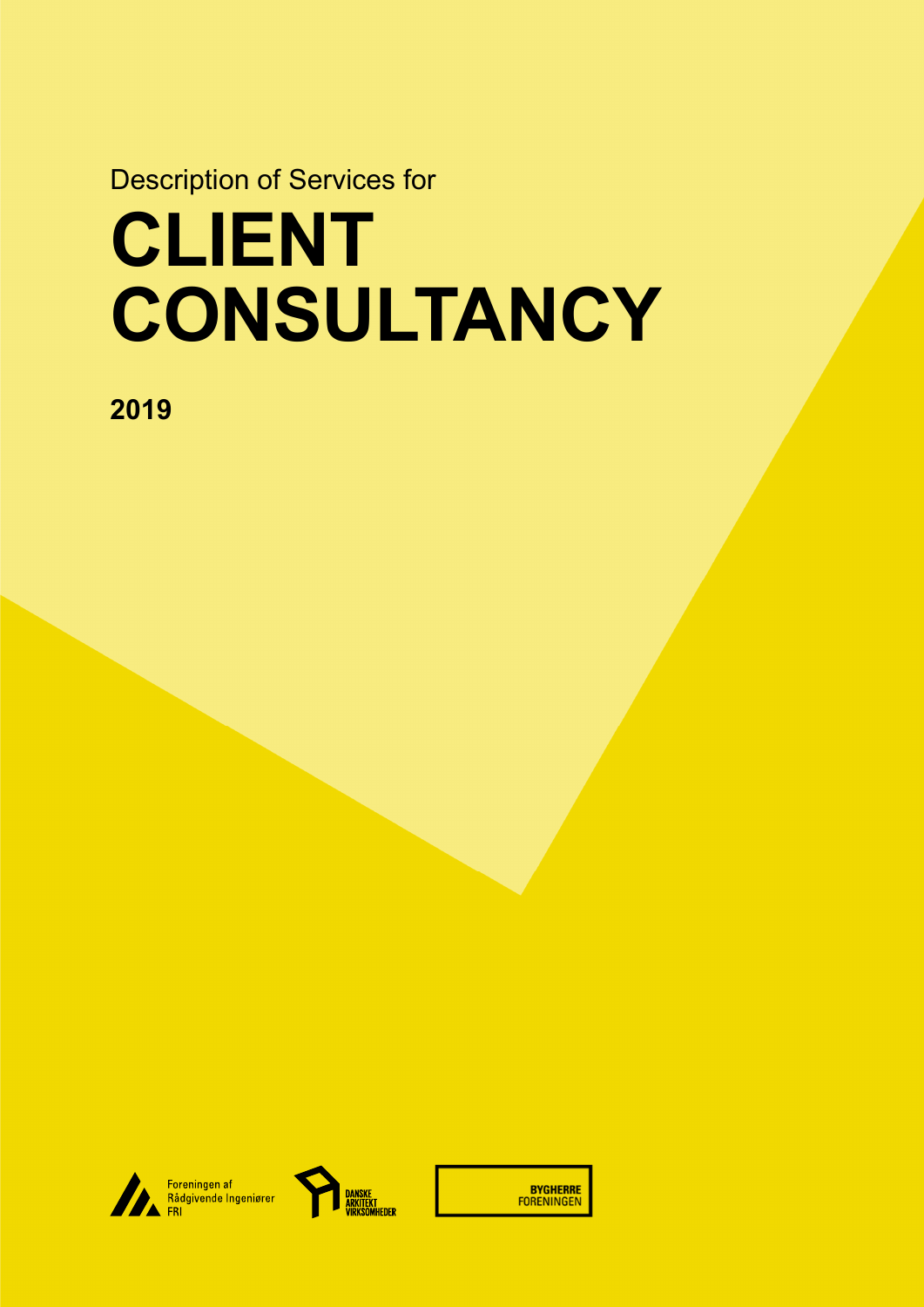Description of Services for

# **CLIENT** CONSULTANCY

2019





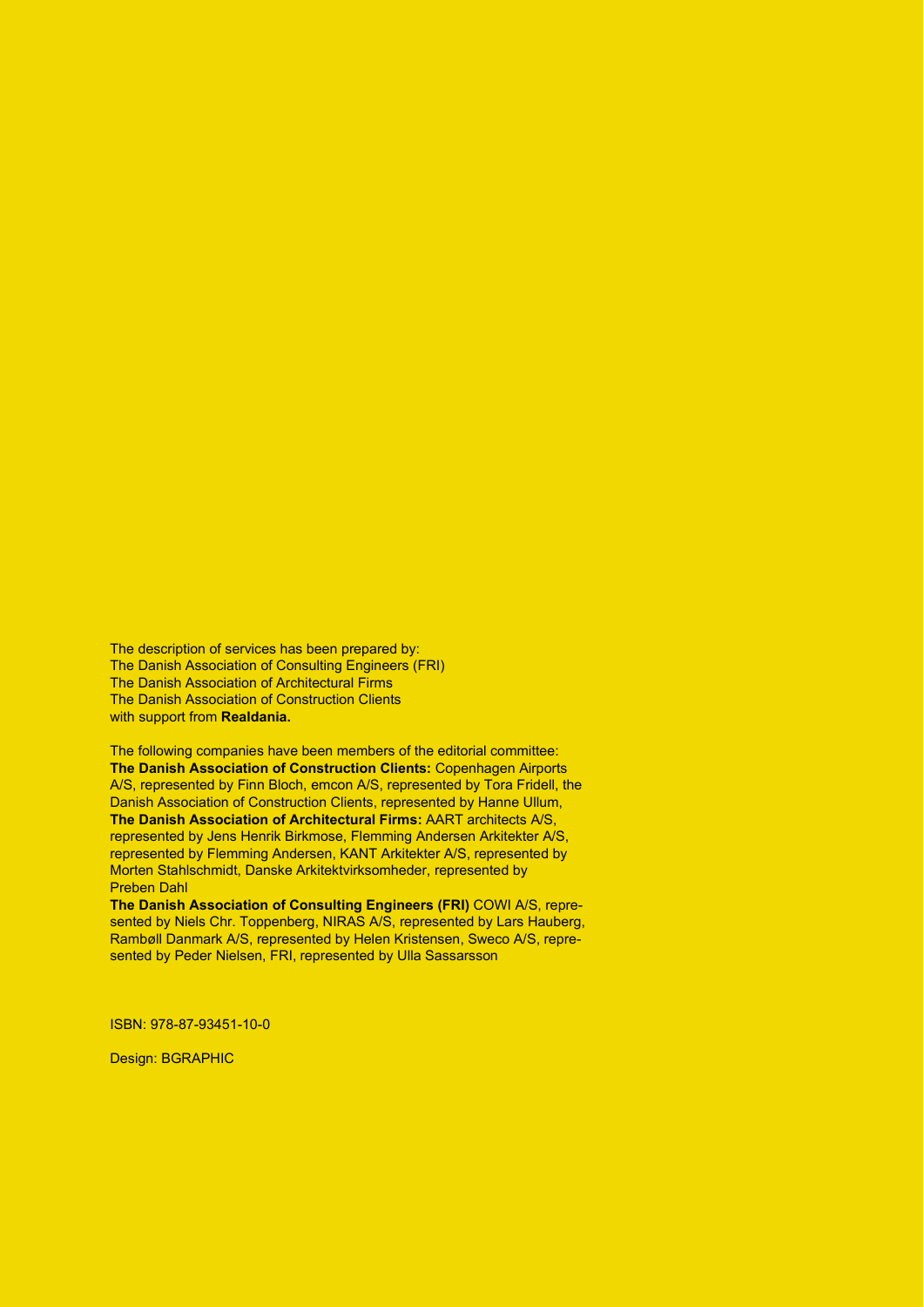The description of services has been prepared by: The Danish Association of Consulting Engineers (FRI) The Danish Association of Architectural Firms The Danish Association of Construction Clients with support from **Realdania.** 

The following companies have been members of the editorial committee: The Danish Association of Construction Clients: Copenhagen Airports A/S, represented by Finn Bloch, emcon A/S, represented by Tora Fridell, the Danish Association of Construction Clients, represented by Hanne Ullum, The Danish Association of Architectural Firms: AART architects A/S, represented by Jens Henrik Birkmose, Flemming Andersen Arkitekter A/S, represented by Flemming Andersen, KANT Arkitekter A/S, represented by Morten Stahlschmidt, Danske Arkitektvirksomheder, represented by Preben Dahl

The Danish Association of Consulting Engineers (FRI) COWI A/S, represented by Niels Chr. Toppenberg, NIRAS A/S, represented by Lars Hauberg, Rambøll Danmark A/S, represented by Helen Kristensen, Sweco A/S, represented by Peder Nielsen, FRI, represented by Ulla Sassarsson

ISBN: 978-87-93451-10-0

Design: BGRAPHIC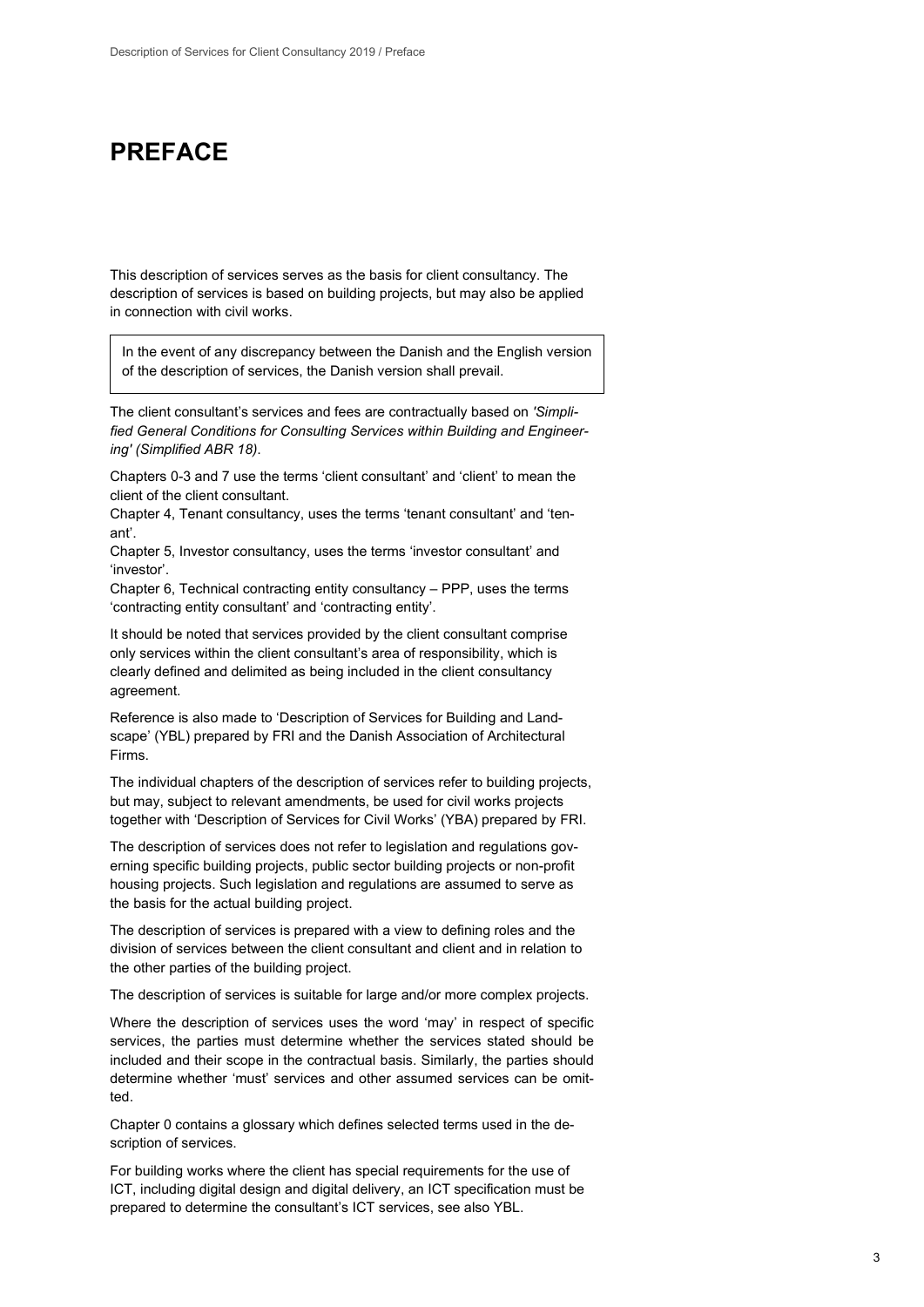# PREFACE

This description of services serves as the basis for client consultancy. The description of services is based on building projects, but may also be applied in connection with civil works.

In the event of any discrepancy between the Danish and the English version of the description of services, the Danish version shall prevail.

The client consultant's services and fees are contractually based on *'Simplified General Conditions for Consulting Services within Building and Engineering' (Simplified ABR 18)*.

Chapters 0-3 and 7 use the terms 'client consultant' and 'client' to mean the client of the client consultant.

Chapter 4, Tenant consultancy, uses the terms 'tenant consultant' and 'tenant'.

Chapter 5, Investor consultancy, uses the terms 'investor consultant' and 'investor'.

Chapter 6, Technical contracting entity consultancy – PPP, uses the terms 'contracting entity consultant' and 'contracting entity'.

It should be noted that services provided by the client consultant comprise only services within the client consultant's area of responsibility, which is clearly defined and delimited as being included in the client consultancy agreement.

Reference is also made to 'Description of Services for Building and Landscape' (YBL) prepared by FRI and the Danish Association of Architectural Firms.

The individual chapters of the description of services refer to building projects, but may, subject to relevant amendments, be used for civil works projects together with 'Description of Services for Civil Works' (YBA) prepared by FRI.

The description of services does not refer to legislation and regulations governing specific building projects, public sector building projects or non-profit housing projects. Such legislation and regulations are assumed to serve as the basis for the actual building project.

The description of services is prepared with a view to defining roles and the division of services between the client consultant and client and in relation to the other parties of the building project.

The description of services is suitable for large and/or more complex projects.

Where the description of services uses the word 'may' in respect of specific services, the parties must determine whether the services stated should be included and their scope in the contractual basis. Similarly, the parties should determine whether 'must' services and other assumed services can be omitted.

Chapter 0 contains a glossary which defines selected terms used in the description of services.

For building works where the client has special requirements for the use of ICT, including digital design and digital delivery, an ICT specification must be prepared to determine the consultant's ICT services, see also YBL.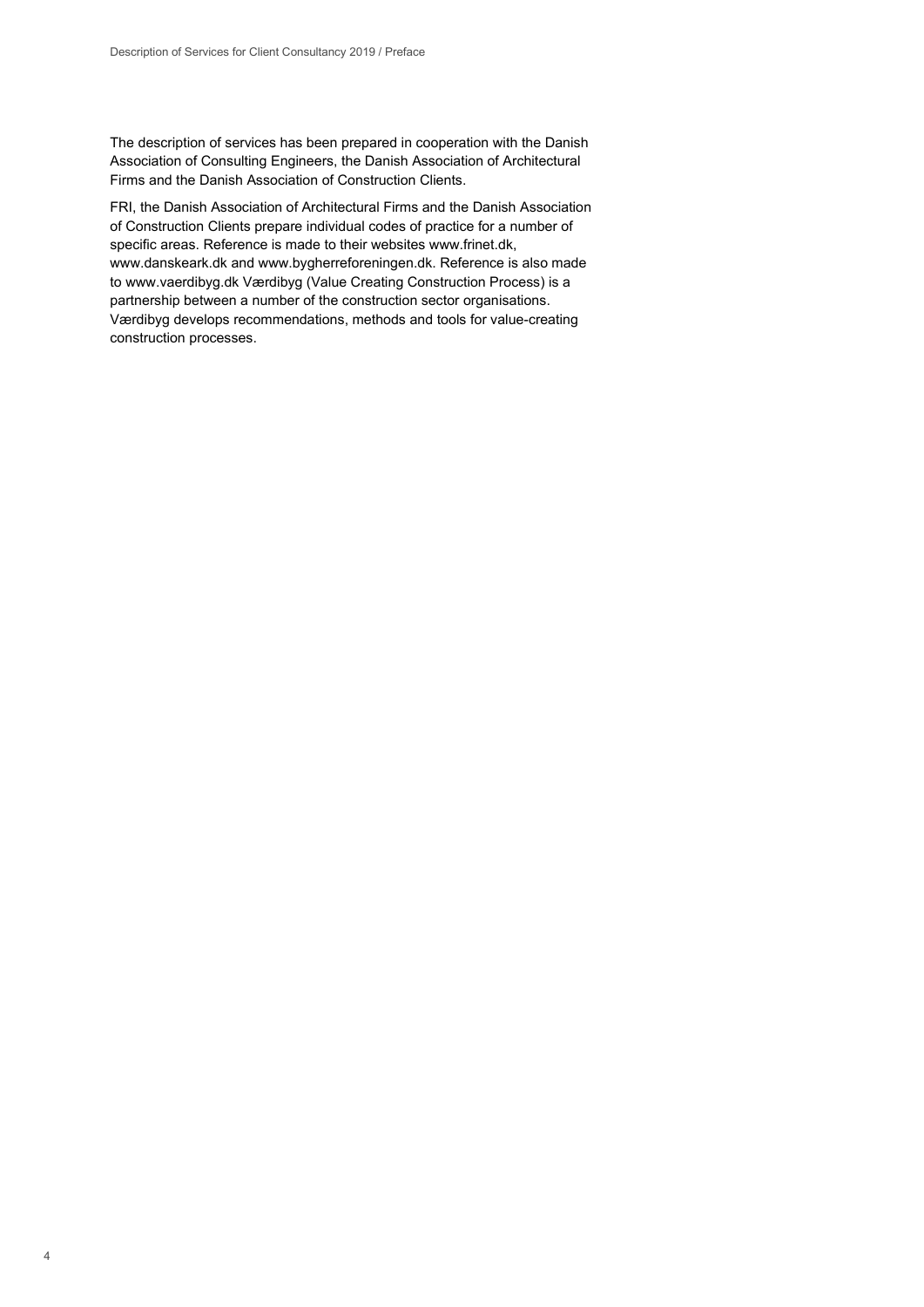The description of services has been prepared in cooperation with the Danish Association of Consulting Engineers, the Danish Association of Architectural Firms and the Danish Association of Construction Clients.

FRI, the Danish Association of Architectural Firms and the Danish Association of Construction Clients prepare individual codes of practice for a number of specific areas. Reference is made to their websites www.frinet.dk, www.danskeark.dk and www.bygherreforeningen.dk. Reference is also made to www.vaerdibyg.dk Værdibyg (Value Creating Construction Process) is a partnership between a number of the construction sector organisations. Værdibyg develops recommendations, methods and tools for value-creating construction processes.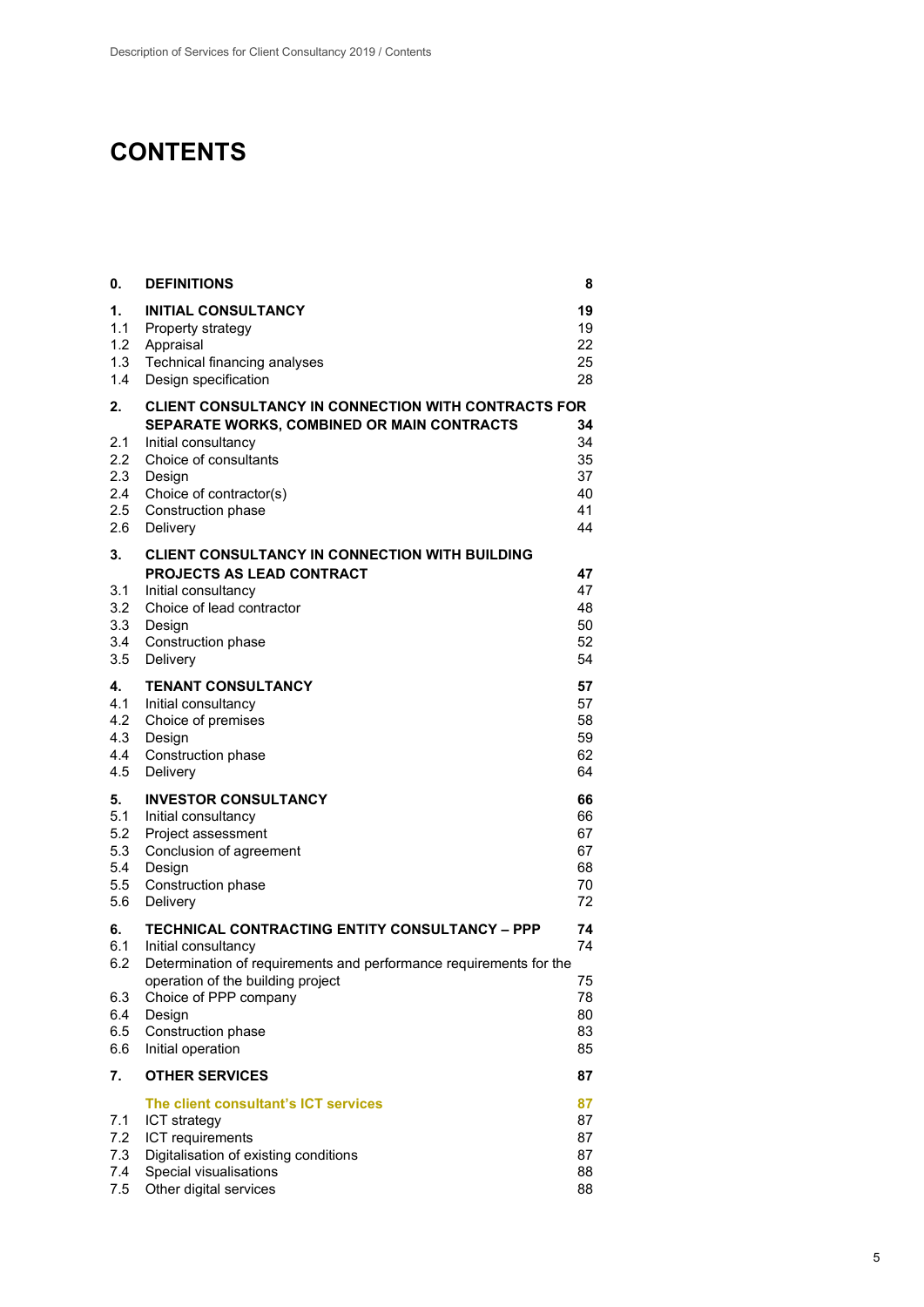# **CONTENTS**

| 0.                                           | <b>DEFINITIONS</b>                                                                                                                                                                                           | 8                                      |
|----------------------------------------------|--------------------------------------------------------------------------------------------------------------------------------------------------------------------------------------------------------------|----------------------------------------|
| 1.<br>1.1<br>1.2<br>1.3<br>1.4               | <b>INITIAL CONSULTANCY</b><br>Property strategy<br>Appraisal<br>Technical financing analyses<br>Design specification                                                                                         | 19<br>19<br>22<br>25<br>28             |
| 2.                                           | <b>CLIENT CONSULTANCY IN CONNECTION WITH CONTRACTS FOR</b><br>SEPARATE WORKS, COMBINED OR MAIN CONTRACTS                                                                                                     | 34                                     |
| 2.1<br>2.2<br>2.3<br>2.4<br>2.5<br>2.6       | Initial consultancy<br>Choice of consultants<br>Design<br>Choice of contractor(s)<br>Construction phase<br>Delivery                                                                                          | 34<br>35<br>37<br>40<br>41<br>44       |
| 3.                                           | <b>CLIENT CONSULTANCY IN CONNECTION WITH BUILDING</b>                                                                                                                                                        |                                        |
| 3.1<br>3.2<br>3.3<br>3.4<br>3.5              | PROJECTS AS LEAD CONTRACT<br>Initial consultancy<br>Choice of lead contractor<br>Design<br>Construction phase<br>Delivery                                                                                    | 47<br>47<br>48<br>50<br>52<br>54       |
| 4.<br>4.1<br>4.2<br>4.3<br>4.4<br>4.5        | <b>TENANT CONSULTANCY</b><br>Initial consultancy<br>Choice of premises<br>Design<br>Construction phase<br>Delivery                                                                                           | 57<br>57<br>58<br>59<br>62<br>64       |
| 5.<br>5.1<br>5.2<br>5.3<br>5.4<br>5.5<br>5.6 | <b>INVESTOR CONSULTANCY</b><br>Initial consultancy<br>Project assessment<br>Conclusion of agreement<br>Design<br>Construction phase<br>Delivery                                                              | 66<br>66<br>67<br>67<br>68<br>70<br>72 |
| 6.                                           | <b>TECHNICAL CONTRACTING ENTITY CONSULTANCY - PPP</b>                                                                                                                                                        | 74                                     |
| 6.1<br>6.2<br>6.3<br>6.4<br>6.5<br>6.6       | Initial consultancy<br>Determination of requirements and performance requirements for the<br>operation of the building project<br>Choice of PPP company<br>Design<br>Construction phase<br>Initial operation | 74<br>75<br>78<br>80<br>83<br>85       |
| 7.                                           | <b>OTHER SERVICES</b>                                                                                                                                                                                        | 87                                     |
| 7.1<br>7.2<br>7.3<br>7.4<br>7.5              | The client consultant's ICT services<br>ICT strategy<br>ICT requirements<br>Digitalisation of existing conditions<br>Special visualisations<br>Other digital services                                        | 87<br>87<br>87<br>87<br>88<br>88       |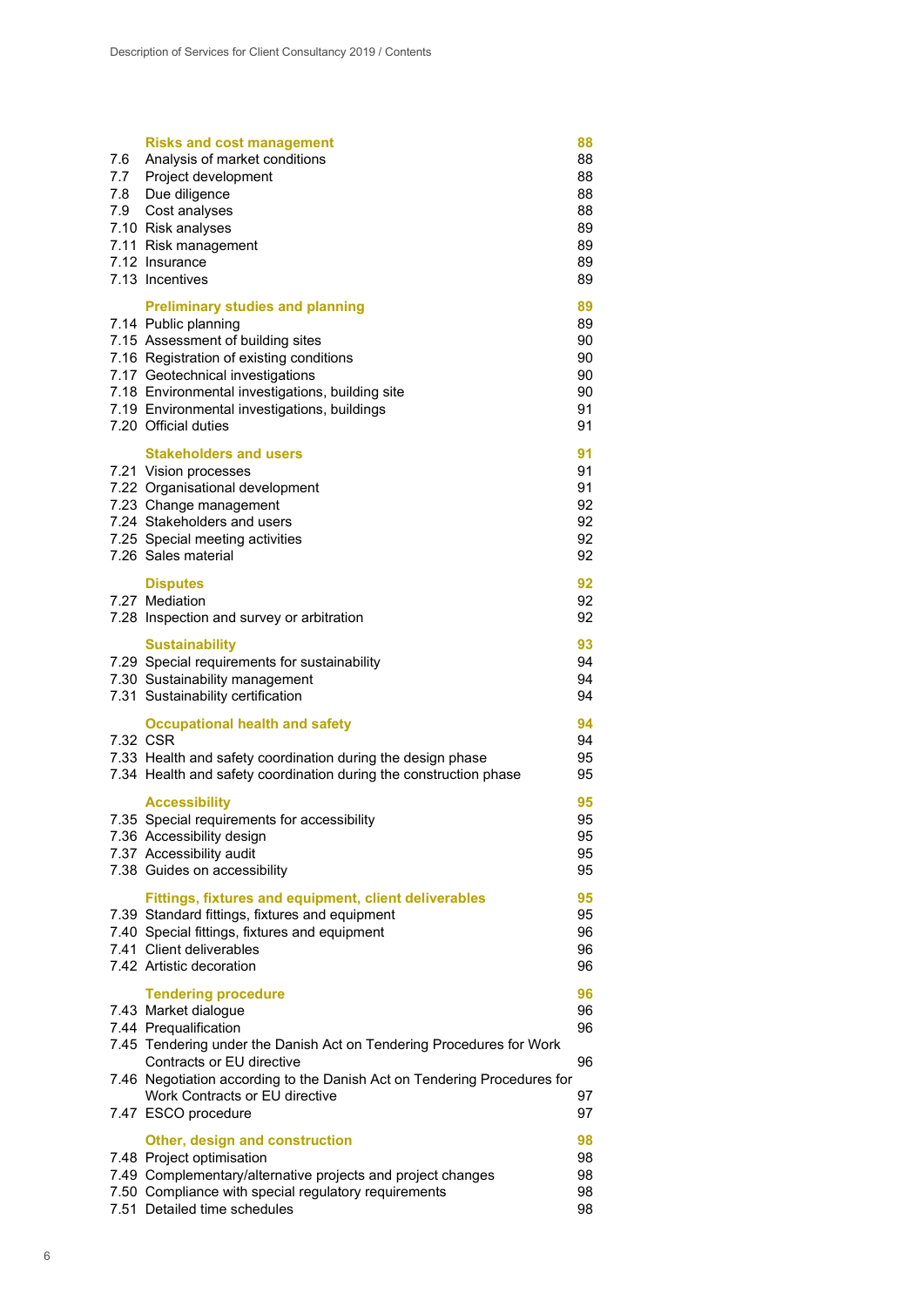|  | <b>Risks and cost management</b><br>7.6 Analysis of market conditions<br>7.7 Project development<br>7.8 Due diligence<br>7.9 Cost analyses<br>7.10 Risk analyses<br>7.11 Risk management<br>7.12 Insurance<br>7.13 Incentives                                                                                                | 88<br>88<br>88<br>88<br>88<br>89<br>89<br>89<br>89 |
|--|------------------------------------------------------------------------------------------------------------------------------------------------------------------------------------------------------------------------------------------------------------------------------------------------------------------------------|----------------------------------------------------|
|  | <b>Preliminary studies and planning</b><br>7.14 Public planning<br>7.15 Assessment of building sites<br>7.16 Registration of existing conditions<br>7.17 Geotechnical investigations<br>7.18 Environmental investigations, building site<br>7.19 Environmental investigations, buildings<br>7.20 Official duties             | 89<br>89<br>90<br>90<br>90<br>90<br>91<br>91       |
|  | <b>Stakeholders and users</b><br>7.21 Vision processes<br>7.22 Organisational development<br>7.23 Change management<br>7.24 Stakeholders and users<br>7.25 Special meeting activities<br>7.26 Sales material                                                                                                                 | 91<br>91<br>91<br>92<br>92<br>92<br>92             |
|  | <b>Disputes</b><br>7.27 Mediation<br>7.28 Inspection and survey or arbitration                                                                                                                                                                                                                                               | 92<br>92<br>92                                     |
|  | <b>Sustainability</b><br>7.29 Special requirements for sustainability<br>7.30 Sustainability management<br>7.31 Sustainability certification                                                                                                                                                                                 | 93<br>94<br>94<br>94                               |
|  | <b>Occupational health and safety</b><br>7.32 CSR<br>7.33 Health and safety coordination during the design phase<br>7.34 Health and safety coordination during the construction phase                                                                                                                                        | 94<br>94<br>95<br>95                               |
|  | <b>Accessibility</b><br>7.35 Special requirements for accessibility<br>7.36 Accessibility design<br>7.37 Accessibility audit<br>7.38 Guides on accessibility                                                                                                                                                                 | 95<br>95<br>95<br>95<br>95                         |
|  | Fittings, fixtures and equipment, client deliverables<br>7.39 Standard fittings, fixtures and equipment<br>7.40 Special fittings, fixtures and equipment<br>7.41 Client deliverables<br>7.42 Artistic decoration                                                                                                             | 95<br>95<br>96<br>96<br>96                         |
|  | <b>Tendering procedure</b><br>7.43 Market dialogue<br>7.44 Prequalification<br>7.45 Tendering under the Danish Act on Tendering Procedures for Work<br>Contracts or EU directive<br>7.46 Negotiation according to the Danish Act on Tendering Procedures for<br><b>Work Contracts or EU directive</b><br>7.47 ESCO procedure | 96<br>96<br>96<br>96<br>97<br>97                   |
|  | Other, design and construction<br>7.48 Project optimisation<br>7.49 Complementary/alternative projects and project changes<br>7.50 Compliance with special regulatory requirements<br>7.51 Detailed time schedules                                                                                                           | 98<br>98<br>98<br>98<br>98                         |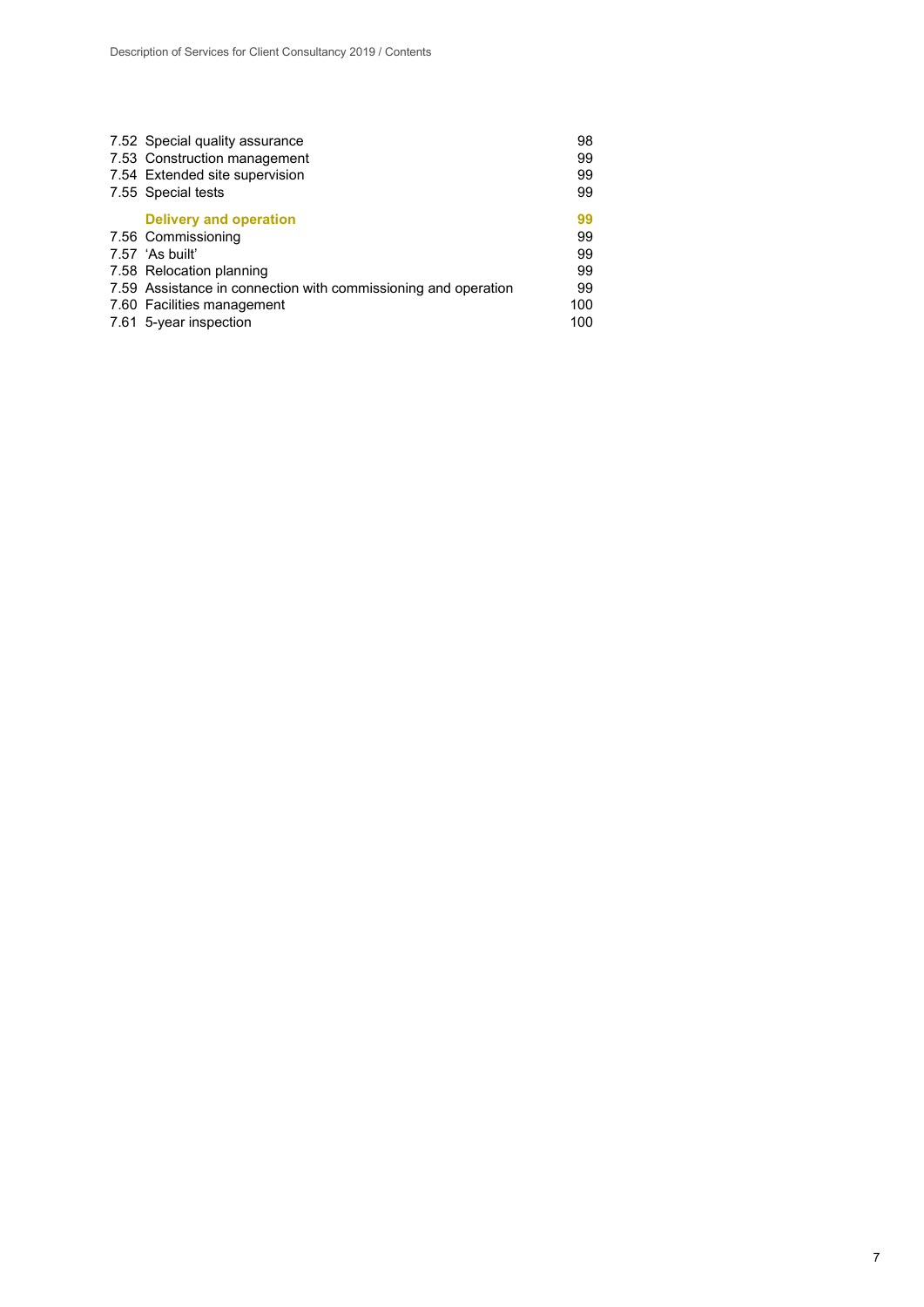| 7.52 Special quality assurance                                 | 98  |
|----------------------------------------------------------------|-----|
| 7.53 Construction management                                   | 99  |
| 7.54 Extended site supervision                                 | 99  |
| 7.55 Special tests                                             | 99  |
| <b>Delivery and operation</b>                                  | 99  |
| 7.56 Commissioning                                             | 99  |
| 7.57 'As built'                                                | 99  |
| 7.58 Relocation planning                                       | 99  |
| 7.59 Assistance in connection with commissioning and operation | 99  |
| 7.60 Facilities management                                     | 100 |
| 7.61 5-year inspection                                         | 100 |
|                                                                |     |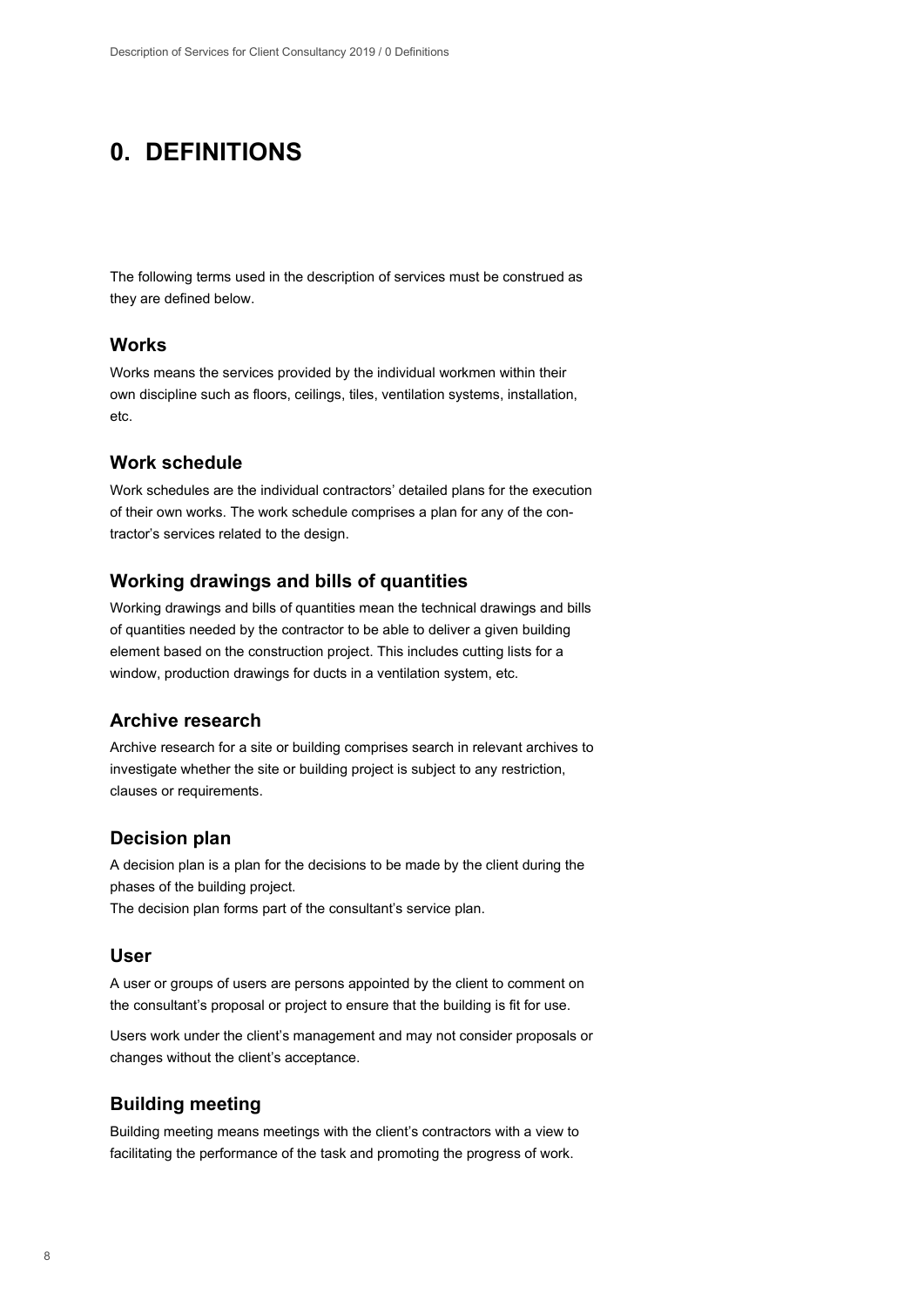# 0. DEFINITIONS

The following terms used in the description of services must be construed as they are defined below.

#### Works

Works means the services provided by the individual workmen within their own discipline such as floors, ceilings, tiles, ventilation systems, installation, etc.

#### Work schedule

Work schedules are the individual contractors' detailed plans for the execution of their own works. The work schedule comprises a plan for any of the contractor's services related to the design.

#### Working drawings and bills of quantities

Working drawings and bills of quantities mean the technical drawings and bills of quantities needed by the contractor to be able to deliver a given building element based on the construction project. This includes cutting lists for a window, production drawings for ducts in a ventilation system, etc.

## Archive research

Archive research for a site or building comprises search in relevant archives to investigate whether the site or building project is subject to any restriction, clauses or requirements.

## Decision plan

A decision plan is a plan for the decisions to be made by the client during the phases of the building project.

The decision plan forms part of the consultant's service plan.

#### User

A user or groups of users are persons appointed by the client to comment on the consultant's proposal or project to ensure that the building is fit for use.

Users work under the client's management and may not consider proposals or changes without the client's acceptance.

## Building meeting

Building meeting means meetings with the client's contractors with a view to facilitating the performance of the task and promoting the progress of work.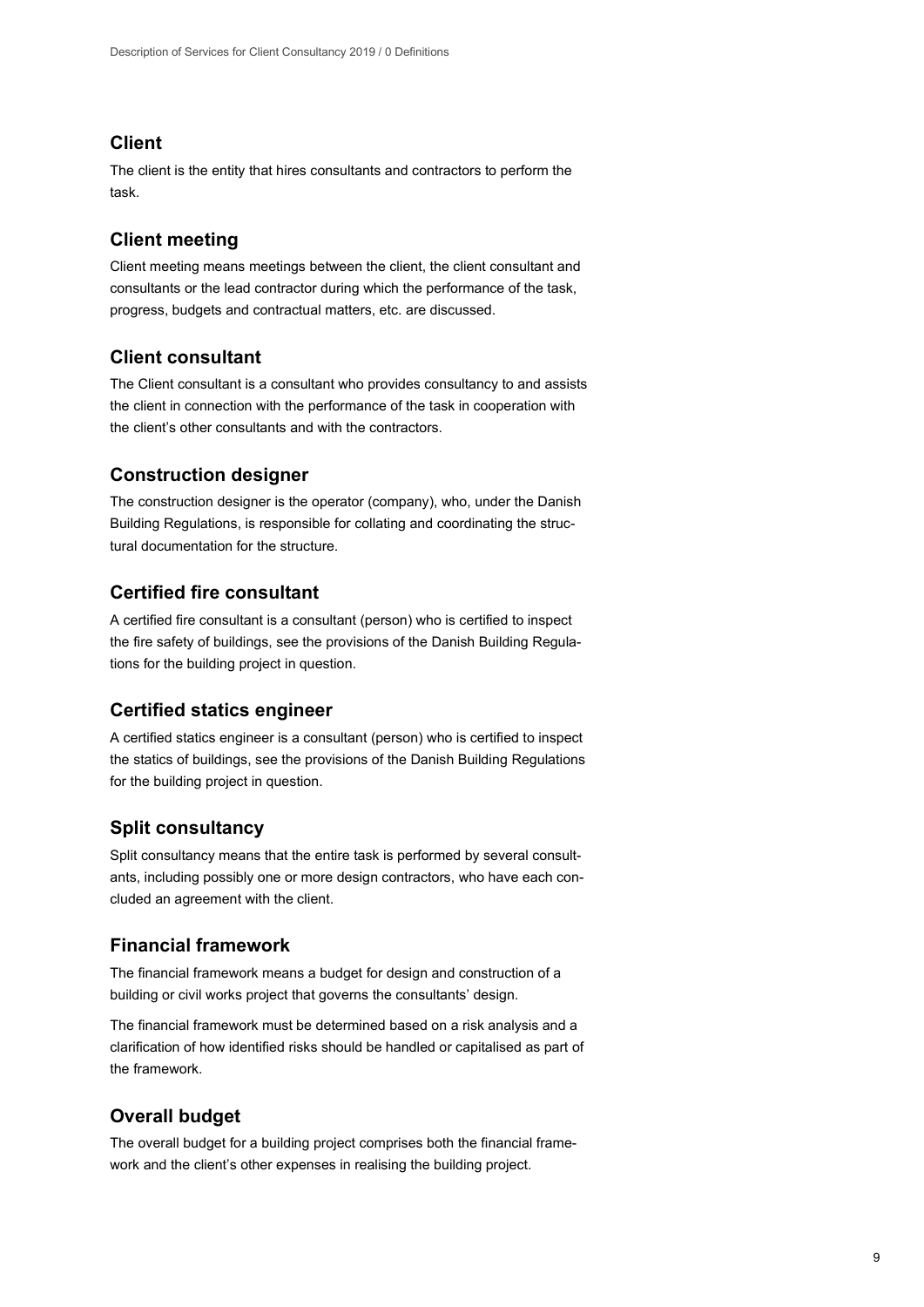## Client

The client is the entity that hires consultants and contractors to perform the task.

#### Client meeting

Client meeting means meetings between the client, the client consultant and consultants or the lead contractor during which the performance of the task, progress, budgets and contractual matters, etc. are discussed.

## Client consultant

The Client consultant is a consultant who provides consultancy to and assists the client in connection with the performance of the task in cooperation with the client's other consultants and with the contractors.

## Construction designer

The construction designer is the operator (company), who, under the Danish Building Regulations, is responsible for collating and coordinating the structural documentation for the structure.

## Certified fire consultant

A certified fire consultant is a consultant (person) who is certified to inspect the fire safety of buildings, see the provisions of the Danish Building Regulations for the building project in question.

## Certified statics engineer

A certified statics engineer is a consultant (person) who is certified to inspect the statics of buildings, see the provisions of the Danish Building Regulations for the building project in question.

## Split consultancy

Split consultancy means that the entire task is performed by several consultants, including possibly one or more design contractors, who have each concluded an agreement with the client.

## Financial framework

The financial framework means a budget for design and construction of a building or civil works project that governs the consultants' design.

The financial framework must be determined based on a risk analysis and a clarification of how identified risks should be handled or capitalised as part of the framework.

## Overall budget

The overall budget for a building project comprises both the financial framework and the client's other expenses in realising the building project.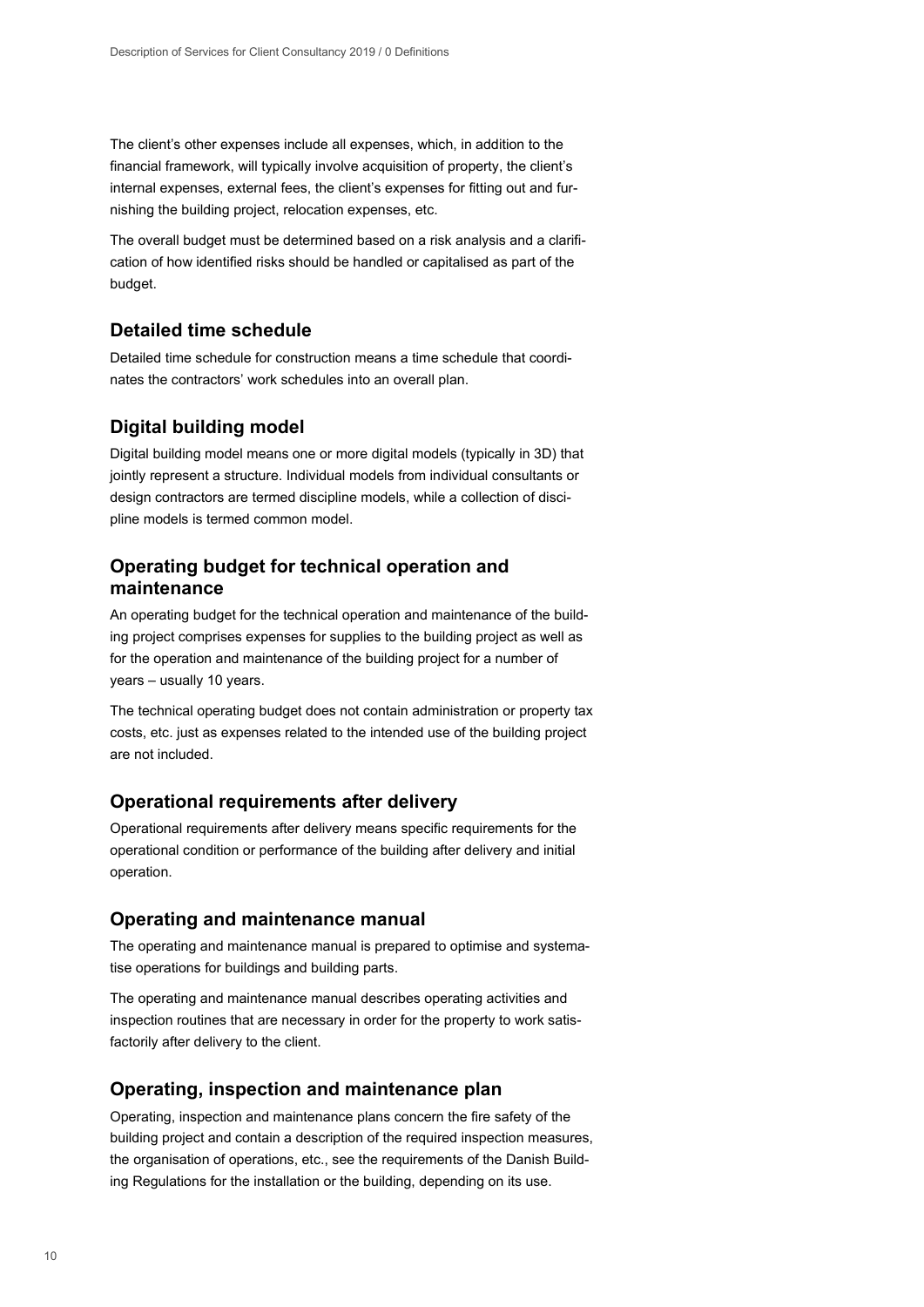The client's other expenses include all expenses, which, in addition to the financial framework, will typically involve acquisition of property, the client's internal expenses, external fees, the client's expenses for fitting out and furnishing the building project, relocation expenses, etc.

The overall budget must be determined based on a risk analysis and a clarification of how identified risks should be handled or capitalised as part of the budget.

## Detailed time schedule

Detailed time schedule for construction means a time schedule that coordinates the contractors' work schedules into an overall plan.

## Digital building model

Digital building model means one or more digital models (typically in 3D) that jointly represent a structure. Individual models from individual consultants or design contractors are termed discipline models, while a collection of discipline models is termed common model.

## Operating budget for technical operation and maintenance

An operating budget for the technical operation and maintenance of the building project comprises expenses for supplies to the building project as well as for the operation and maintenance of the building project for a number of years – usually 10 years.

The technical operating budget does not contain administration or property tax costs, etc. just as expenses related to the intended use of the building project are not included.

## Operational requirements after delivery

Operational requirements after delivery means specific requirements for the operational condition or performance of the building after delivery and initial operation.

## Operating and maintenance manual

The operating and maintenance manual is prepared to optimise and systematise operations for buildings and building parts.

The operating and maintenance manual describes operating activities and inspection routines that are necessary in order for the property to work satisfactorily after delivery to the client.

## Operating, inspection and maintenance plan

Operating, inspection and maintenance plans concern the fire safety of the building project and contain a description of the required inspection measures, the organisation of operations, etc., see the requirements of the Danish Building Regulations for the installation or the building, depending on its use.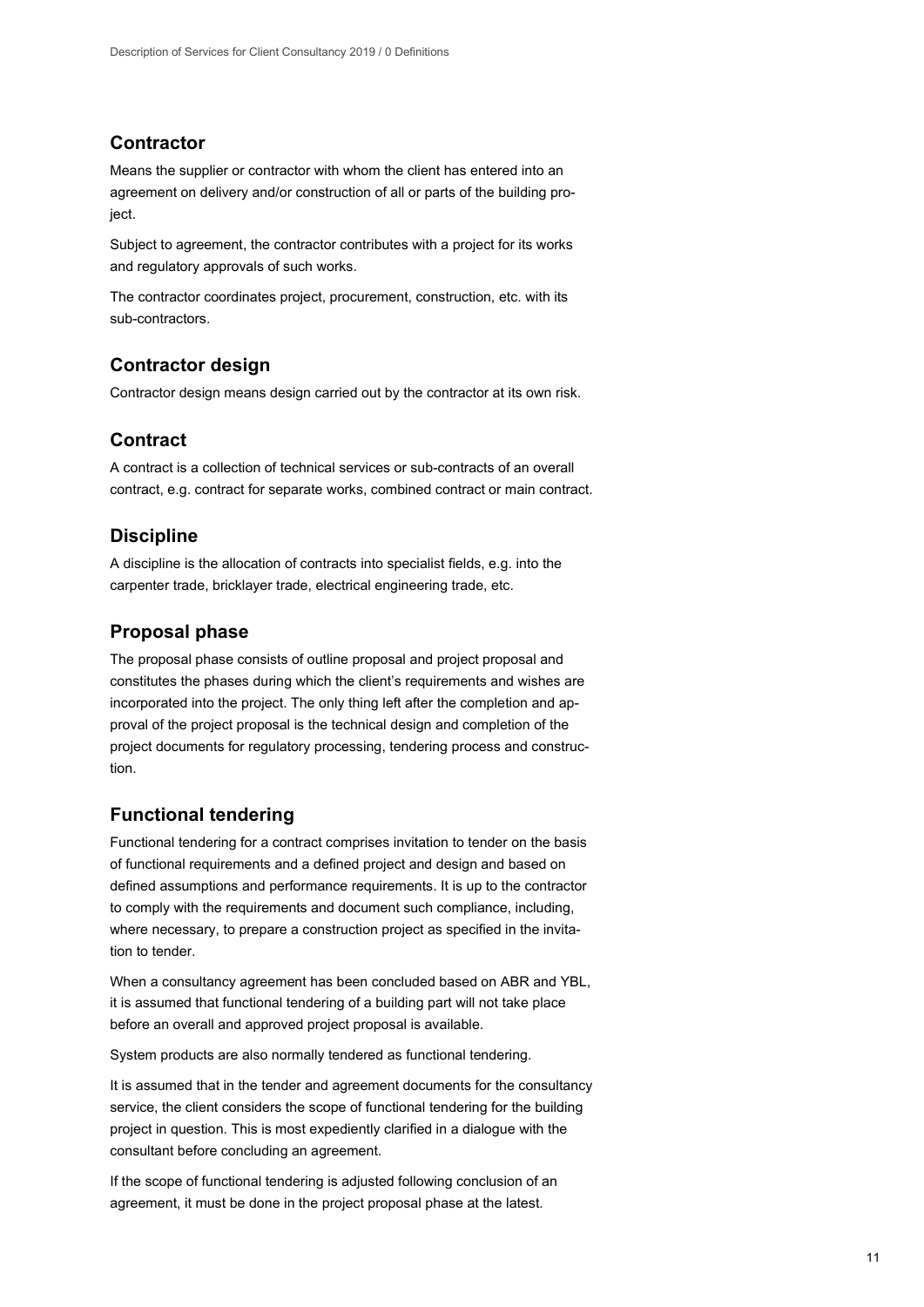#### **Contractor**

Means the supplier or contractor with whom the client has entered into an agreement on delivery and/or construction of all or parts of the building project.

Subject to agreement, the contractor contributes with a project for its works and regulatory approvals of such works.

The contractor coordinates project, procurement, construction, etc. with its sub-contractors.

## Contractor design

Contractor design means design carried out by the contractor at its own risk.

## Contract

A contract is a collection of technical services or sub-contracts of an overall contract, e.g. contract for separate works, combined contract or main contract.

## **Discipline**

A discipline is the allocation of contracts into specialist fields, e.g. into the carpenter trade, bricklayer trade, electrical engineering trade, etc.

## Proposal phase

The proposal phase consists of outline proposal and project proposal and constitutes the phases during which the client's requirements and wishes are incorporated into the project. The only thing left after the completion and approval of the project proposal is the technical design and completion of the project documents for regulatory processing, tendering process and construction.

## Functional tendering

Functional tendering for a contract comprises invitation to tender on the basis of functional requirements and a defined project and design and based on defined assumptions and performance requirements. It is up to the contractor to comply with the requirements and document such compliance, including, where necessary, to prepare a construction project as specified in the invitation to tender.

When a consultancy agreement has been concluded based on ABR and YBL, it is assumed that functional tendering of a building part will not take place before an overall and approved project proposal is available.

System products are also normally tendered as functional tendering.

It is assumed that in the tender and agreement documents for the consultancy service, the client considers the scope of functional tendering for the building project in question. This is most expediently clarified in a dialogue with the consultant before concluding an agreement.

If the scope of functional tendering is adjusted following conclusion of an agreement, it must be done in the project proposal phase at the latest.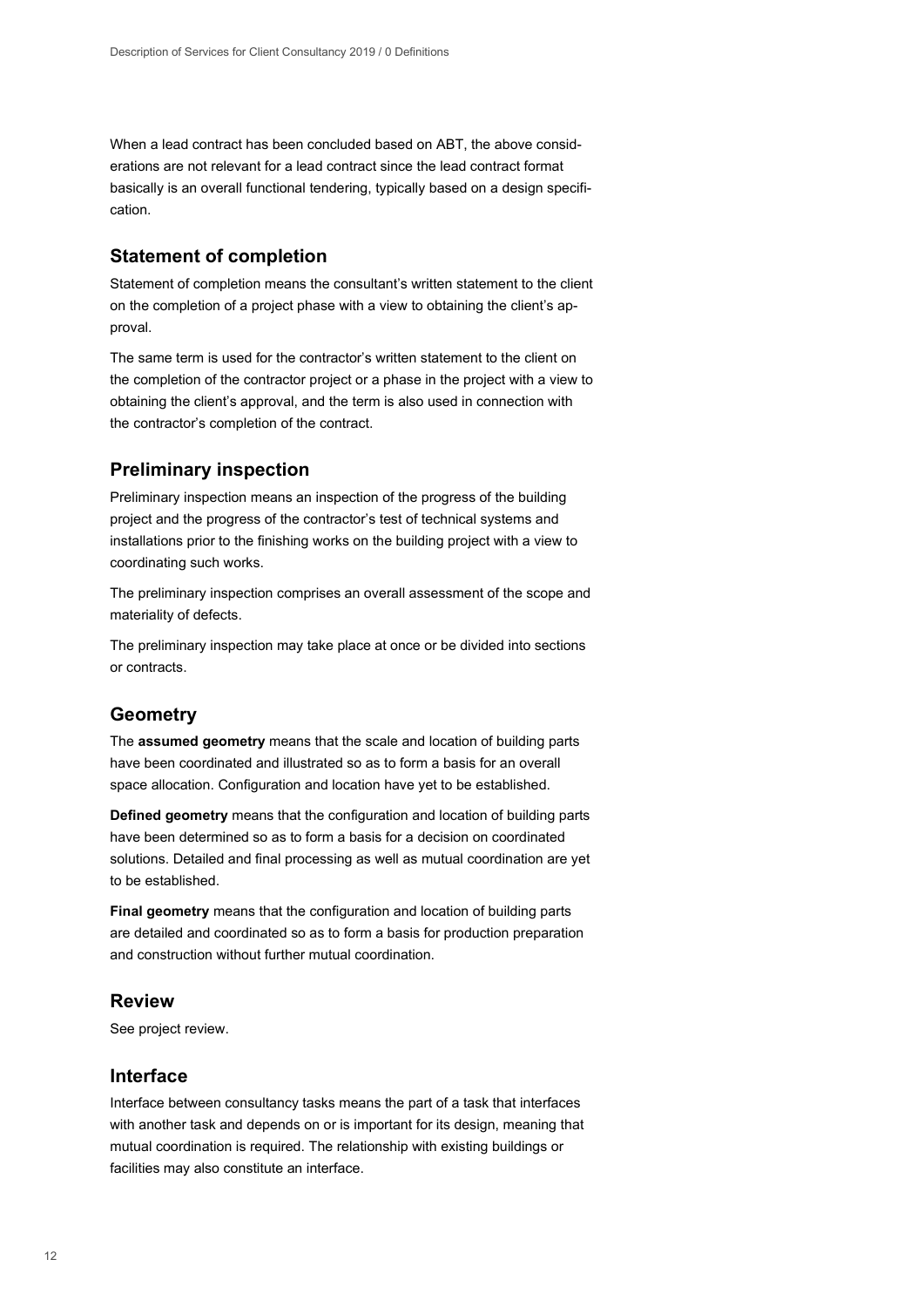When a lead contract has been concluded based on ABT, the above considerations are not relevant for a lead contract since the lead contract format basically is an overall functional tendering, typically based on a design specification.

## Statement of completion

Statement of completion means the consultant's written statement to the client on the completion of a project phase with a view to obtaining the client's approval.

The same term is used for the contractor's written statement to the client on the completion of the contractor project or a phase in the project with a view to obtaining the client's approval, and the term is also used in connection with the contractor's completion of the contract.

## Preliminary inspection

Preliminary inspection means an inspection of the progress of the building project and the progress of the contractor's test of technical systems and installations prior to the finishing works on the building project with a view to coordinating such works.

The preliminary inspection comprises an overall assessment of the scope and materiality of defects.

The preliminary inspection may take place at once or be divided into sections or contracts.

## **Geometry**

The assumed geometry means that the scale and location of building parts have been coordinated and illustrated so as to form a basis for an overall space allocation. Configuration and location have yet to be established.

Defined geometry means that the configuration and location of building parts have been determined so as to form a basis for a decision on coordinated solutions. Detailed and final processing as well as mutual coordination are yet to be established.

Final geometry means that the configuration and location of building parts are detailed and coordinated so as to form a basis for production preparation and construction without further mutual coordination.

## Review

See project review.

#### Interface

Interface between consultancy tasks means the part of a task that interfaces with another task and depends on or is important for its design, meaning that mutual coordination is required. The relationship with existing buildings or facilities may also constitute an interface.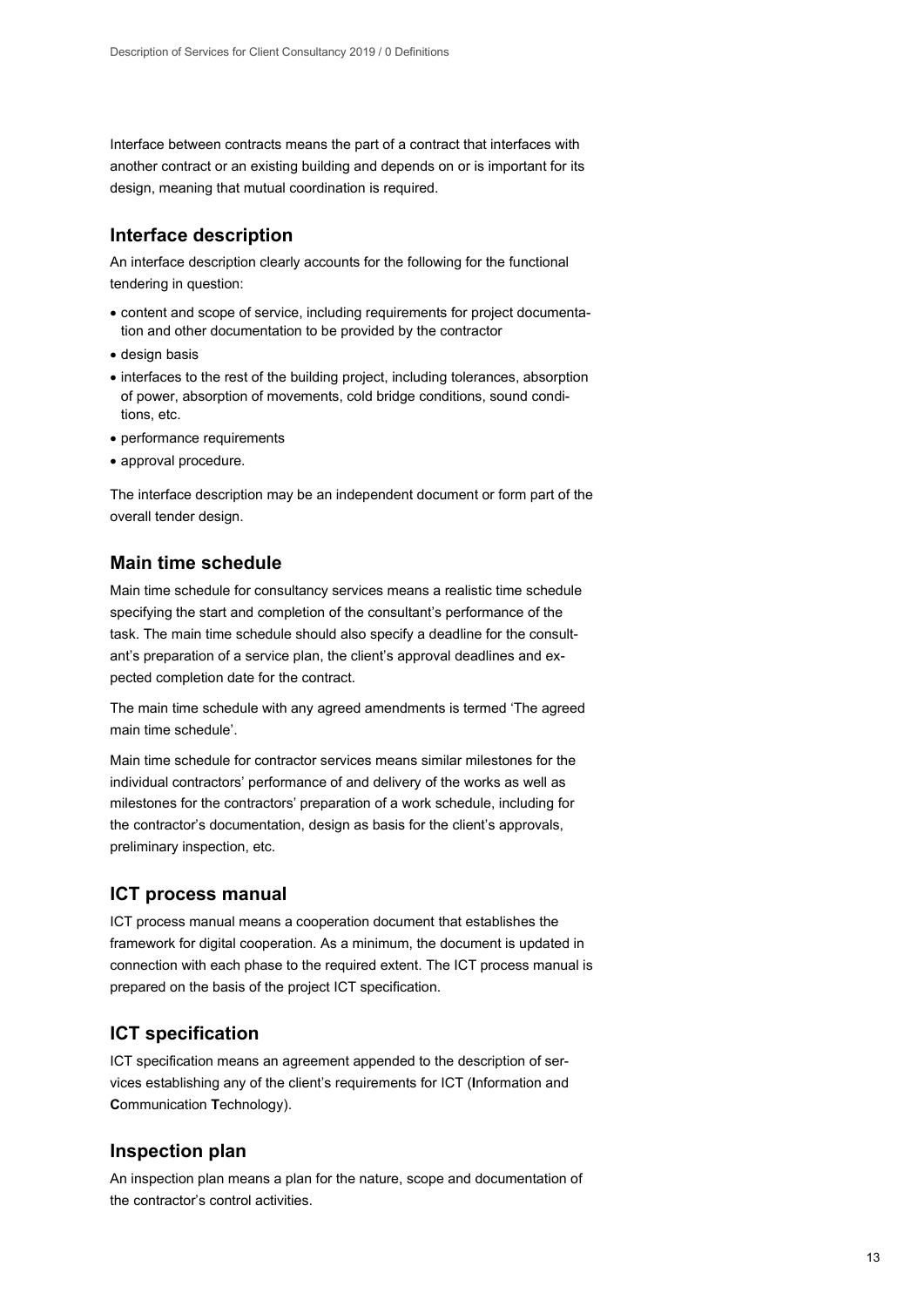Interface between contracts means the part of a contract that interfaces with another contract or an existing building and depends on or is important for its design, meaning that mutual coordination is required.

## Interface description

An interface description clearly accounts for the following for the functional tendering in question:

- content and scope of service, including requirements for project documentation and other documentation to be provided by the contractor
- design basis
- interfaces to the rest of the building project, including tolerances, absorption of power, absorption of movements, cold bridge conditions, sound conditions, etc.
- performance requirements
- approval procedure.

The interface description may be an independent document or form part of the overall tender design.

#### Main time schedule

Main time schedule for consultancy services means a realistic time schedule specifying the start and completion of the consultant's performance of the task. The main time schedule should also specify a deadline for the consultant's preparation of a service plan, the client's approval deadlines and expected completion date for the contract.

The main time schedule with any agreed amendments is termed 'The agreed main time schedule'.

Main time schedule for contractor services means similar milestones for the individual contractors' performance of and delivery of the works as well as milestones for the contractors' preparation of a work schedule, including for the contractor's documentation, design as basis for the client's approvals, preliminary inspection, etc.

#### ICT process manual

ICT process manual means a cooperation document that establishes the framework for digital cooperation. As a minimum, the document is updated in connection with each phase to the required extent. The ICT process manual is prepared on the basis of the project ICT specification.

## ICT specification

ICT specification means an agreement appended to the description of services establishing any of the client's requirements for ICT (Information and Communication Technology).

#### Inspection plan

An inspection plan means a plan for the nature, scope and documentation of the contractor's control activities.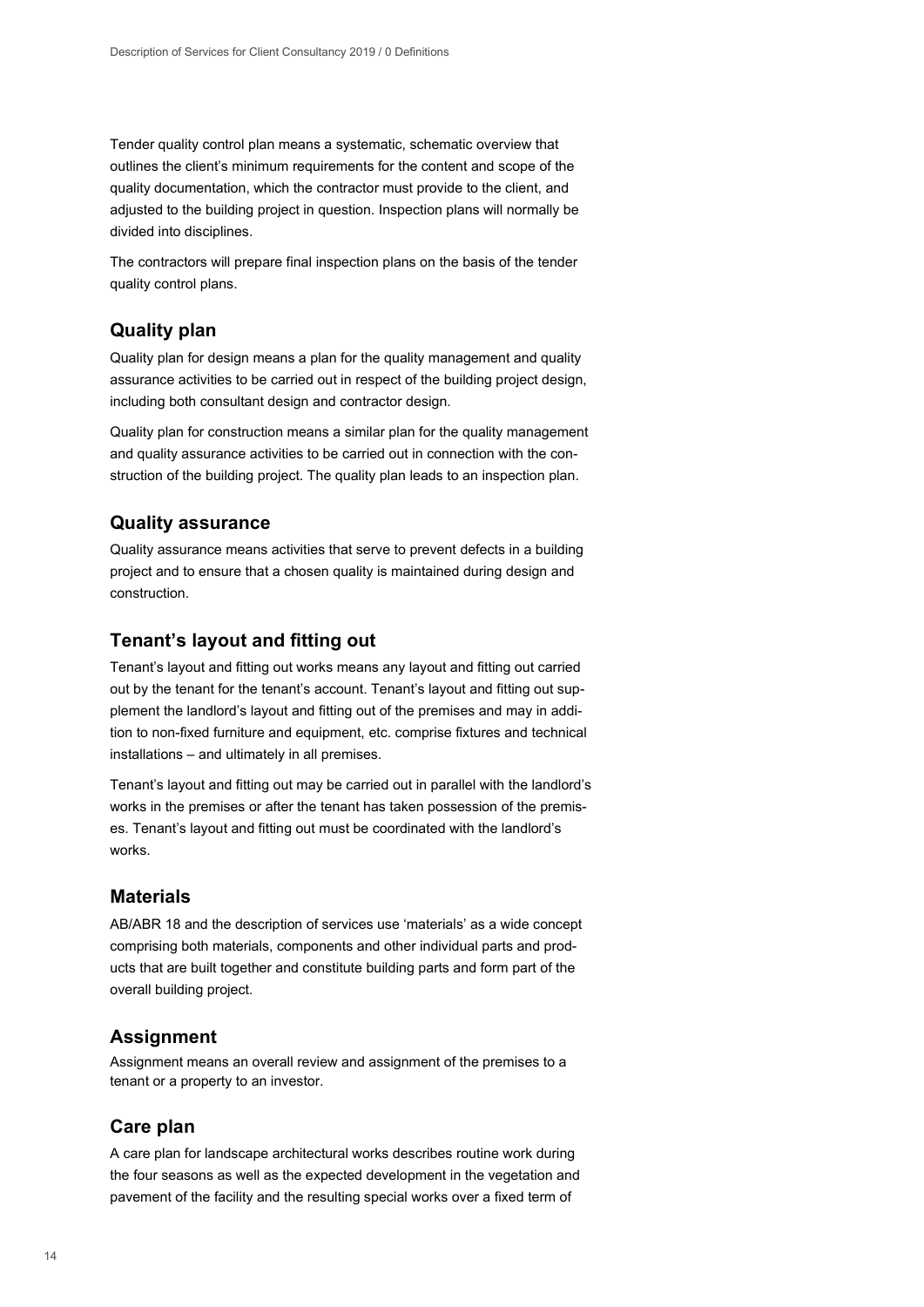Tender quality control plan means a systematic, schematic overview that outlines the client's minimum requirements for the content and scope of the quality documentation, which the contractor must provide to the client, and adjusted to the building project in question. Inspection plans will normally be divided into disciplines.

The contractors will prepare final inspection plans on the basis of the tender quality control plans.

#### Quality plan

Quality plan for design means a plan for the quality management and quality assurance activities to be carried out in respect of the building project design, including both consultant design and contractor design.

Quality plan for construction means a similar plan for the quality management and quality assurance activities to be carried out in connection with the construction of the building project. The quality plan leads to an inspection plan.

#### Quality assurance

Quality assurance means activities that serve to prevent defects in a building project and to ensure that a chosen quality is maintained during design and construction.

## Tenant's layout and fitting out

Tenant's layout and fitting out works means any layout and fitting out carried out by the tenant for the tenant's account. Tenant's layout and fitting out supplement the landlord's layout and fitting out of the premises and may in addition to non-fixed furniture and equipment, etc. comprise fixtures and technical installations – and ultimately in all premises.

Tenant's layout and fitting out may be carried out in parallel with the landlord's works in the premises or after the tenant has taken possession of the premises. Tenant's layout and fitting out must be coordinated with the landlord's works.

## **Materials**

AB/ABR 18 and the description of services use 'materials' as a wide concept comprising both materials, components and other individual parts and products that are built together and constitute building parts and form part of the overall building project.

## Assignment

Assignment means an overall review and assignment of the premises to a tenant or a property to an investor.

## Care plan

A care plan for landscape architectural works describes routine work during the four seasons as well as the expected development in the vegetation and pavement of the facility and the resulting special works over a fixed term of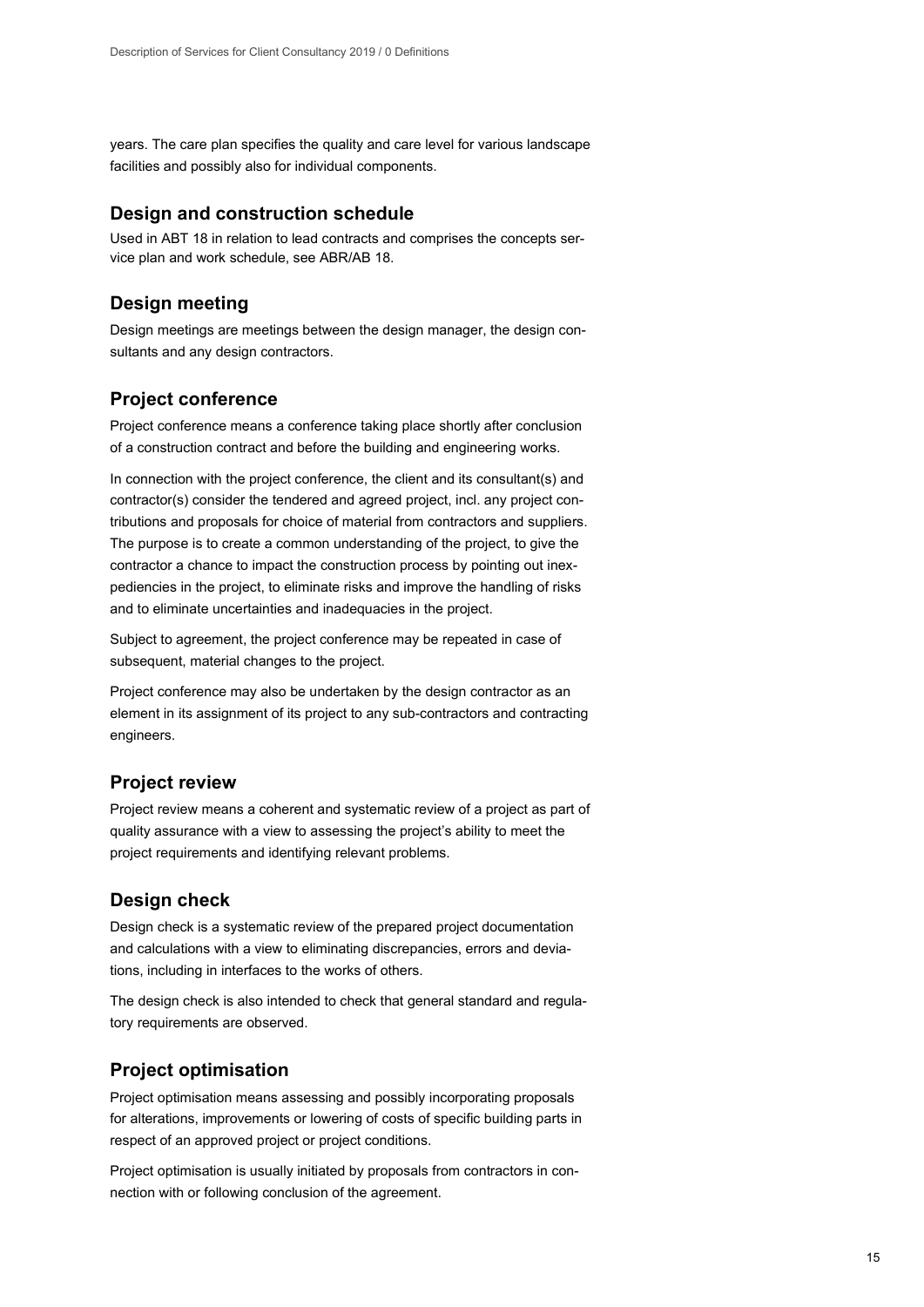years. The care plan specifies the quality and care level for various landscape facilities and possibly also for individual components.

#### Design and construction schedule

Used in ABT 18 in relation to lead contracts and comprises the concepts service plan and work schedule, see ABR/AB 18.

#### Design meeting

Design meetings are meetings between the design manager, the design consultants and any design contractors.

## Project conference

Project conference means a conference taking place shortly after conclusion of a construction contract and before the building and engineering works.

In connection with the project conference, the client and its consultant(s) and contractor(s) consider the tendered and agreed project, incl. any project contributions and proposals for choice of material from contractors and suppliers. The purpose is to create a common understanding of the project, to give the contractor a chance to impact the construction process by pointing out inexpediencies in the project, to eliminate risks and improve the handling of risks and to eliminate uncertainties and inadequacies in the project.

Subject to agreement, the project conference may be repeated in case of subsequent, material changes to the project.

Project conference may also be undertaken by the design contractor as an element in its assignment of its project to any sub-contractors and contracting engineers.

## Project review

Project review means a coherent and systematic review of a project as part of quality assurance with a view to assessing the project's ability to meet the project requirements and identifying relevant problems.

## Design check

Design check is a systematic review of the prepared project documentation and calculations with a view to eliminating discrepancies, errors and deviations, including in interfaces to the works of others.

The design check is also intended to check that general standard and regulatory requirements are observed.

## Project optimisation

Project optimisation means assessing and possibly incorporating proposals for alterations, improvements or lowering of costs of specific building parts in respect of an approved project or project conditions.

Project optimisation is usually initiated by proposals from contractors in connection with or following conclusion of the agreement.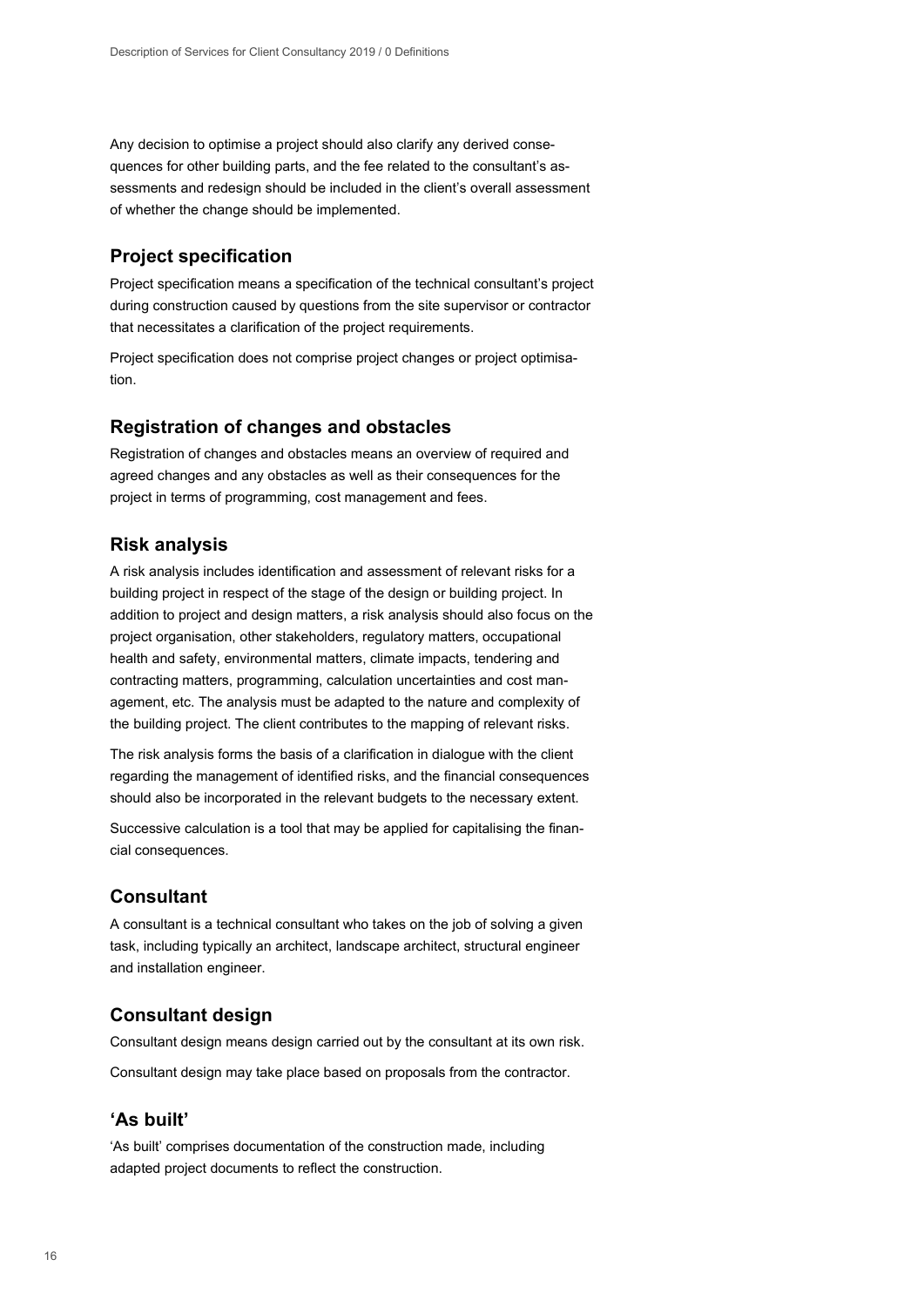Any decision to optimise a project should also clarify any derived consequences for other building parts, and the fee related to the consultant's assessments and redesign should be included in the client's overall assessment of whether the change should be implemented.

## Project specification

Project specification means a specification of the technical consultant's project during construction caused by questions from the site supervisor or contractor that necessitates a clarification of the project requirements.

Project specification does not comprise project changes or project optimisation.

#### Registration of changes and obstacles

Registration of changes and obstacles means an overview of required and agreed changes and any obstacles as well as their consequences for the project in terms of programming, cost management and fees.

#### Risk analysis

A risk analysis includes identification and assessment of relevant risks for a building project in respect of the stage of the design or building project. In addition to project and design matters, a risk analysis should also focus on the project organisation, other stakeholders, regulatory matters, occupational health and safety, environmental matters, climate impacts, tendering and contracting matters, programming, calculation uncertainties and cost management, etc. The analysis must be adapted to the nature and complexity of the building project. The client contributes to the mapping of relevant risks.

The risk analysis forms the basis of a clarification in dialogue with the client regarding the management of identified risks, and the financial consequences should also be incorporated in the relevant budgets to the necessary extent.

Successive calculation is a tool that may be applied for capitalising the financial consequences.

## Consultant

A consultant is a technical consultant who takes on the job of solving a given task, including typically an architect, landscape architect, structural engineer and installation engineer.

## Consultant design

Consultant design means design carried out by the consultant at its own risk.

Consultant design may take place based on proposals from the contractor.

## 'As built'

'As built' comprises documentation of the construction made, including adapted project documents to reflect the construction.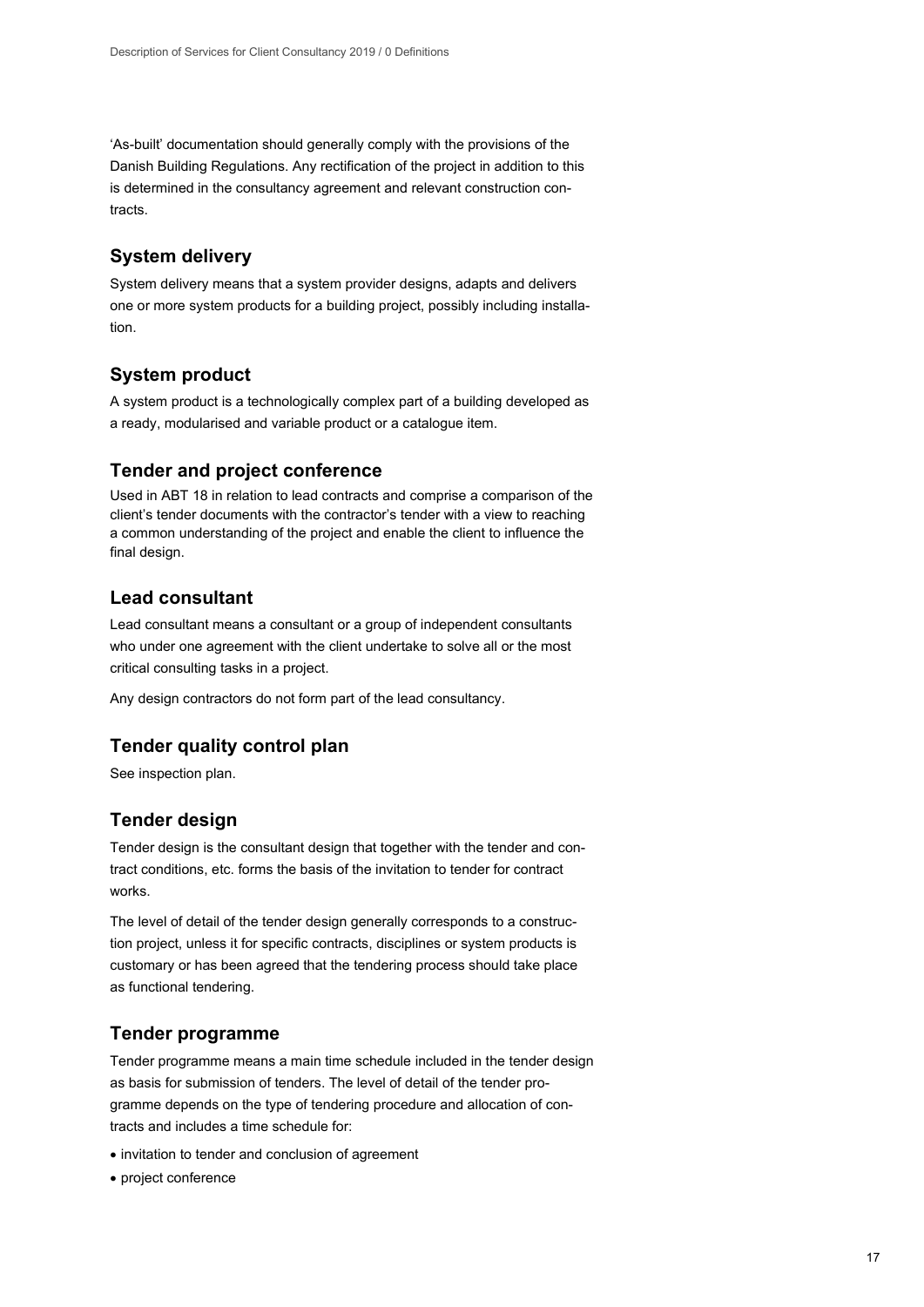'As-built' documentation should generally comply with the provisions of the Danish Building Regulations. Any rectification of the project in addition to this is determined in the consultancy agreement and relevant construction contracts.

## System delivery

System delivery means that a system provider designs, adapts and delivers one or more system products for a building project, possibly including installation.

## System product

A system product is a technologically complex part of a building developed as a ready, modularised and variable product or a catalogue item.

## Tender and project conference

Used in ABT 18 in relation to lead contracts and comprise a comparison of the client's tender documents with the contractor's tender with a view to reaching a common understanding of the project and enable the client to influence the final design.

## Lead consultant

Lead consultant means a consultant or a group of independent consultants who under one agreement with the client undertake to solve all or the most critical consulting tasks in a project.

Any design contractors do not form part of the lead consultancy.

## Tender quality control plan

See inspection plan.

## Tender design

Tender design is the consultant design that together with the tender and contract conditions, etc. forms the basis of the invitation to tender for contract works.

The level of detail of the tender design generally corresponds to a construction project, unless it for specific contracts, disciplines or system products is customary or has been agreed that the tendering process should take place as functional tendering.

## Tender programme

Tender programme means a main time schedule included in the tender design as basis for submission of tenders. The level of detail of the tender programme depends on the type of tendering procedure and allocation of contracts and includes a time schedule for:

- invitation to tender and conclusion of agreement
- project conference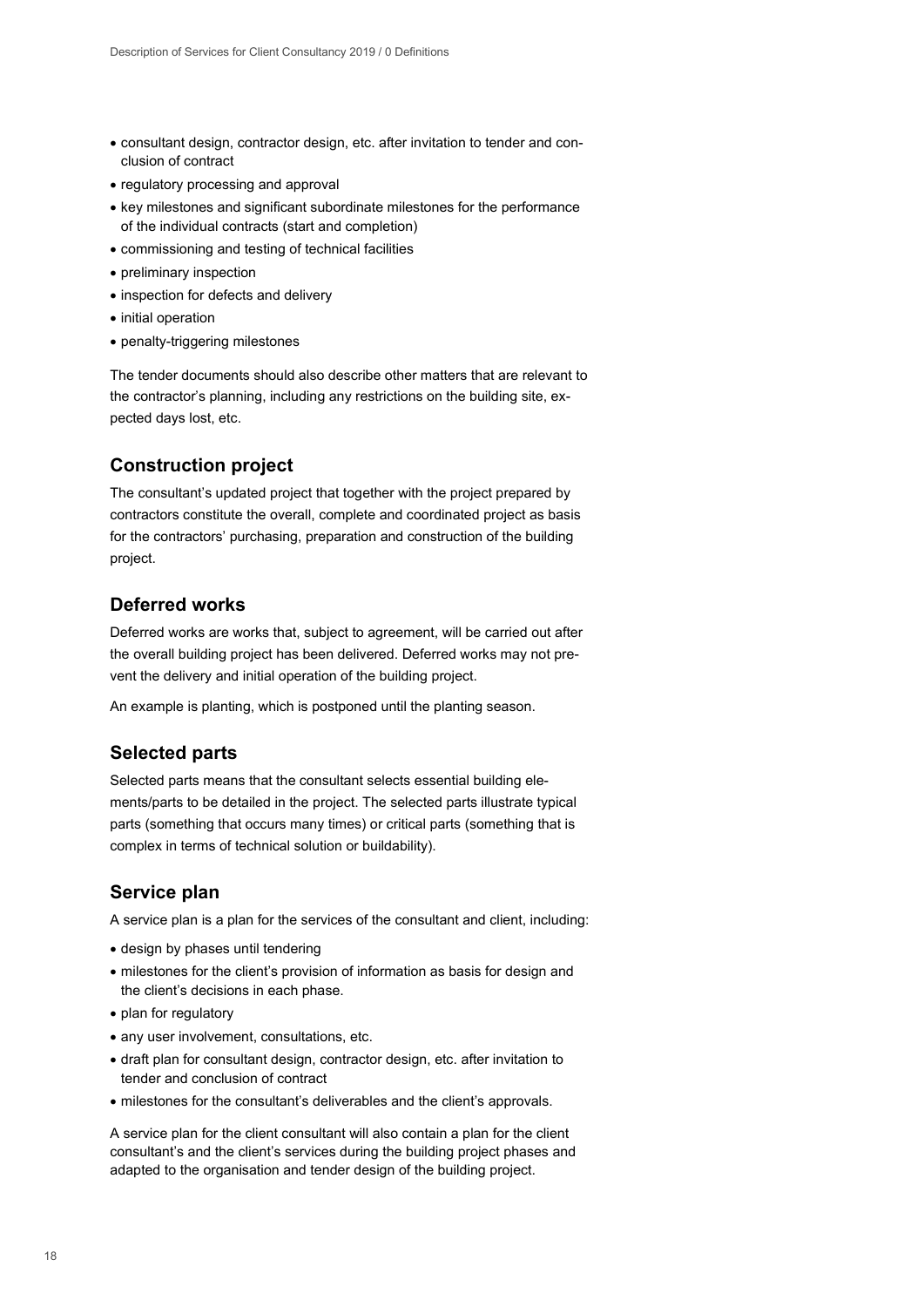- consultant design, contractor design, etc. after invitation to tender and conclusion of contract
- regulatory processing and approval
- key milestones and significant subordinate milestones for the performance of the individual contracts (start and completion)
- commissioning and testing of technical facilities
- preliminary inspection
- inspection for defects and delivery
- initial operation
- penalty-triggering milestones

The tender documents should also describe other matters that are relevant to the contractor's planning, including any restrictions on the building site, expected days lost, etc.

## Construction project

The consultant's updated project that together with the project prepared by contractors constitute the overall, complete and coordinated project as basis for the contractors' purchasing, preparation and construction of the building project.

#### Deferred works

Deferred works are works that, subject to agreement, will be carried out after the overall building project has been delivered. Deferred works may not prevent the delivery and initial operation of the building project.

An example is planting, which is postponed until the planting season.

## Selected parts

Selected parts means that the consultant selects essential building elements/parts to be detailed in the project. The selected parts illustrate typical parts (something that occurs many times) or critical parts (something that is complex in terms of technical solution or buildability).

## Service plan

A service plan is a plan for the services of the consultant and client, including:

- design by phases until tendering
- milestones for the client's provision of information as basis for design and the client's decisions in each phase.
- plan for regulatory
- any user involvement, consultations, etc.
- draft plan for consultant design, contractor design, etc. after invitation to tender and conclusion of contract
- milestones for the consultant's deliverables and the client's approvals.

A service plan for the client consultant will also contain a plan for the client consultant's and the client's services during the building project phases and adapted to the organisation and tender design of the building project.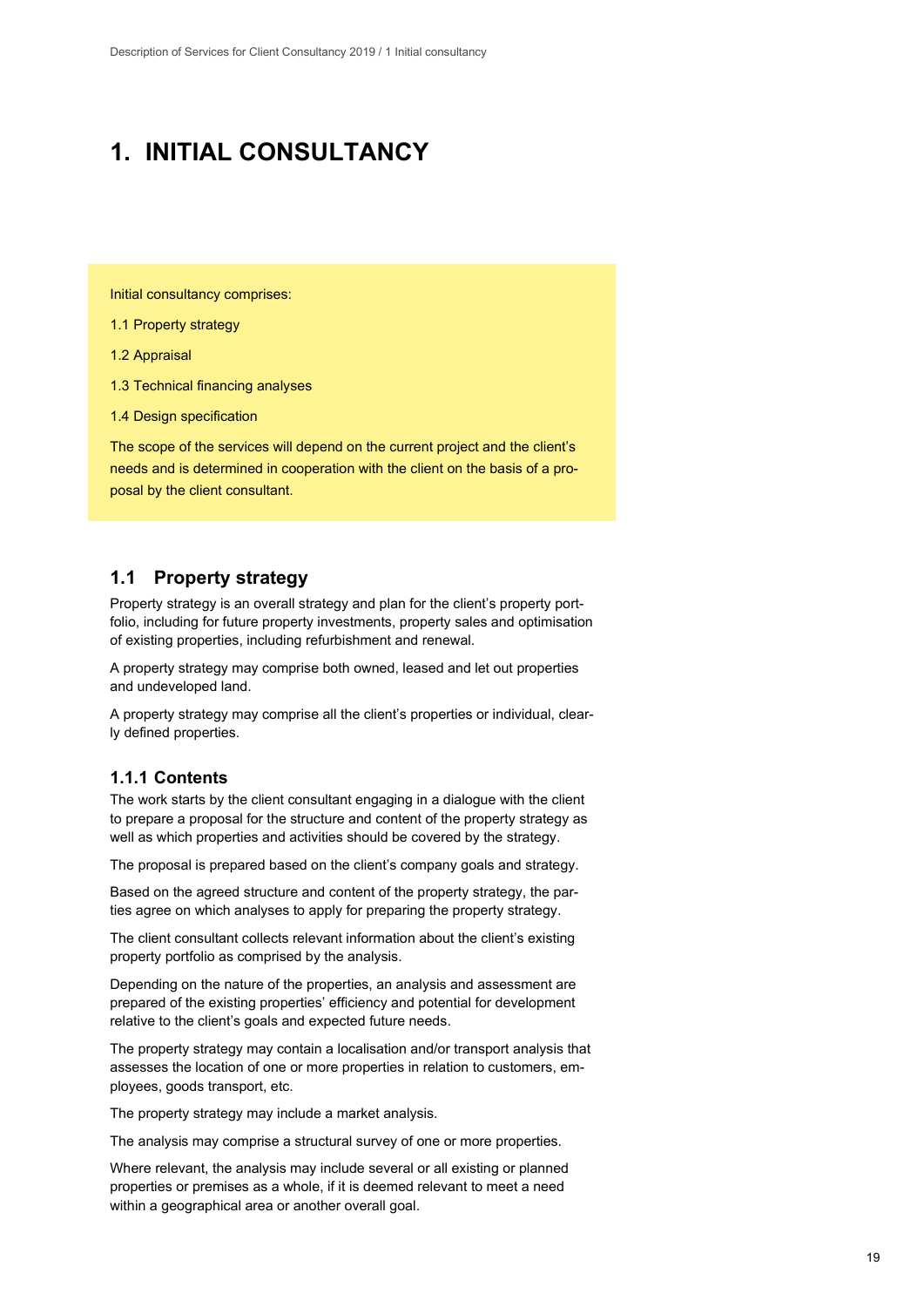# 1 INITIAL CONSULTANCY

Initial consultancy comprises:

- 1.1 Property strategy
- 1.2 Appraisal
- 1.3 Technical financing analyses
- 1.4 Design specification

The scope of the services will depend on the current project and the client's needs and is determined in cooperation with the client on the basis of a proposal by the client consultant.

#### 1.1 Property strategy

Property strategy is an overall strategy and plan for the client's property portfolio, including for future property investments, property sales and optimisation of existing properties, including refurbishment and renewal.

A property strategy may comprise both owned, leased and let out properties and undeveloped land.

A property strategy may comprise all the client's properties or individual, clearly defined properties.

#### 1.1.1 Contents

The work starts by the client consultant engaging in a dialogue with the client to prepare a proposal for the structure and content of the property strategy as well as which properties and activities should be covered by the strategy.

The proposal is prepared based on the client's company goals and strategy.

Based on the agreed structure and content of the property strategy, the parties agree on which analyses to apply for preparing the property strategy.

The client consultant collects relevant information about the client's existing property portfolio as comprised by the analysis.

Depending on the nature of the properties, an analysis and assessment are prepared of the existing properties' efficiency and potential for development relative to the client's goals and expected future needs.

The property strategy may contain a localisation and/or transport analysis that assesses the location of one or more properties in relation to customers, employees, goods transport, etc.

The property strategy may include a market analysis.

The analysis may comprise a structural survey of one or more properties.

Where relevant, the analysis may include several or all existing or planned properties or premises as a whole, if it is deemed relevant to meet a need within a geographical area or another overall goal.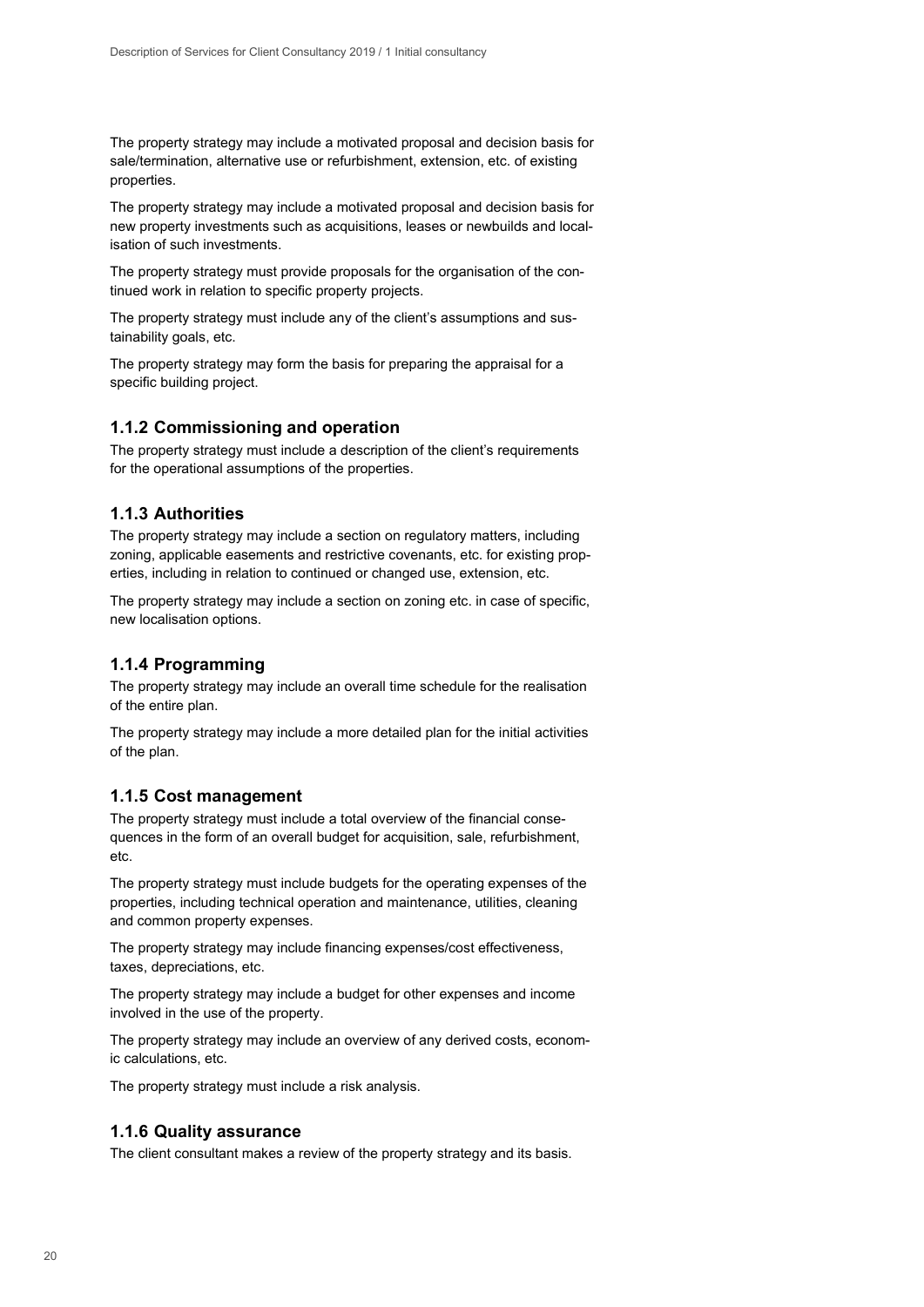The property strategy may include a motivated proposal and decision basis for sale/termination, alternative use or refurbishment, extension, etc. of existing properties.

The property strategy may include a motivated proposal and decision basis for new property investments such as acquisitions, leases or newbuilds and localisation of such investments.

The property strategy must provide proposals for the organisation of the continued work in relation to specific property projects.

The property strategy must include any of the client's assumptions and sustainability goals, etc.

The property strategy may form the basis for preparing the appraisal for a specific building project.

#### 1.1.2 Commissioning and operation

The property strategy must include a description of the client's requirements for the operational assumptions of the properties.

#### 1.1.3 Authorities

The property strategy may include a section on regulatory matters, including zoning, applicable easements and restrictive covenants, etc. for existing properties, including in relation to continued or changed use, extension, etc.

The property strategy may include a section on zoning etc. in case of specific, new localisation options.

#### 1.1.4 Programming

The property strategy may include an overall time schedule for the realisation of the entire plan.

The property strategy may include a more detailed plan for the initial activities of the plan.

#### 1.1.5 Cost management

The property strategy must include a total overview of the financial consequences in the form of an overall budget for acquisition, sale, refurbishment, etc.

The property strategy must include budgets for the operating expenses of the properties, including technical operation and maintenance, utilities, cleaning and common property expenses.

The property strategy may include financing expenses/cost effectiveness, taxes, depreciations, etc.

The property strategy may include a budget for other expenses and income involved in the use of the property.

The property strategy may include an overview of any derived costs, economic calculations, etc.

The property strategy must include a risk analysis.

#### 1.1.6 Quality assurance

The client consultant makes a review of the property strategy and its basis.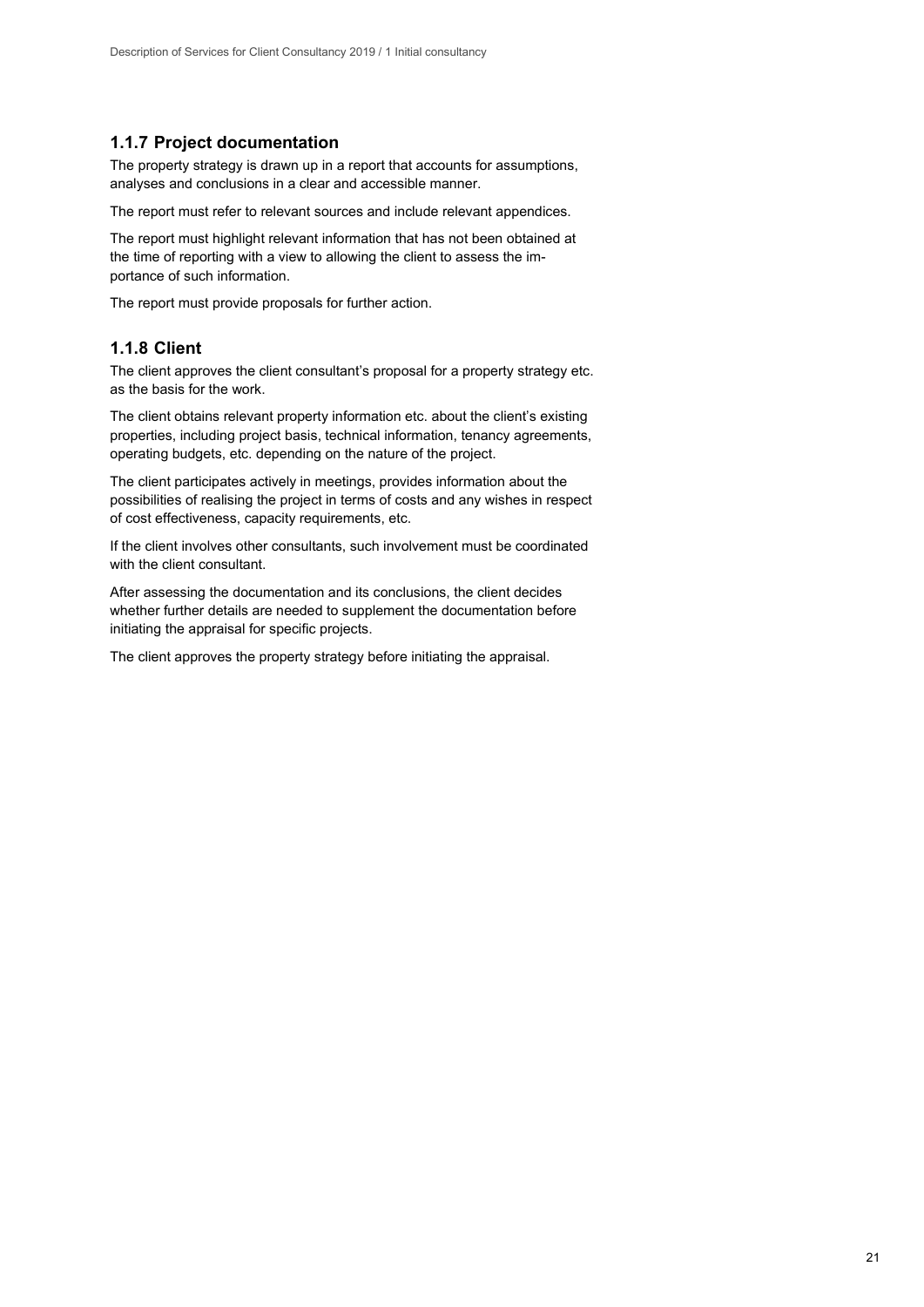#### 1.1.7 Project documentation

The property strategy is drawn up in a report that accounts for assumptions, analyses and conclusions in a clear and accessible manner.

The report must refer to relevant sources and include relevant appendices.

The report must highlight relevant information that has not been obtained at the time of reporting with a view to allowing the client to assess the importance of such information.

The report must provide proposals for further action.

#### 1.1.8 Client

The client approves the client consultant's proposal for a property strategy etc. as the basis for the work.

The client obtains relevant property information etc. about the client's existing properties, including project basis, technical information, tenancy agreements, operating budgets, etc. depending on the nature of the project.

The client participates actively in meetings, provides information about the possibilities of realising the project in terms of costs and any wishes in respect of cost effectiveness, capacity requirements, etc.

If the client involves other consultants, such involvement must be coordinated with the client consultant.

After assessing the documentation and its conclusions, the client decides whether further details are needed to supplement the documentation before initiating the appraisal for specific projects.

The client approves the property strategy before initiating the appraisal.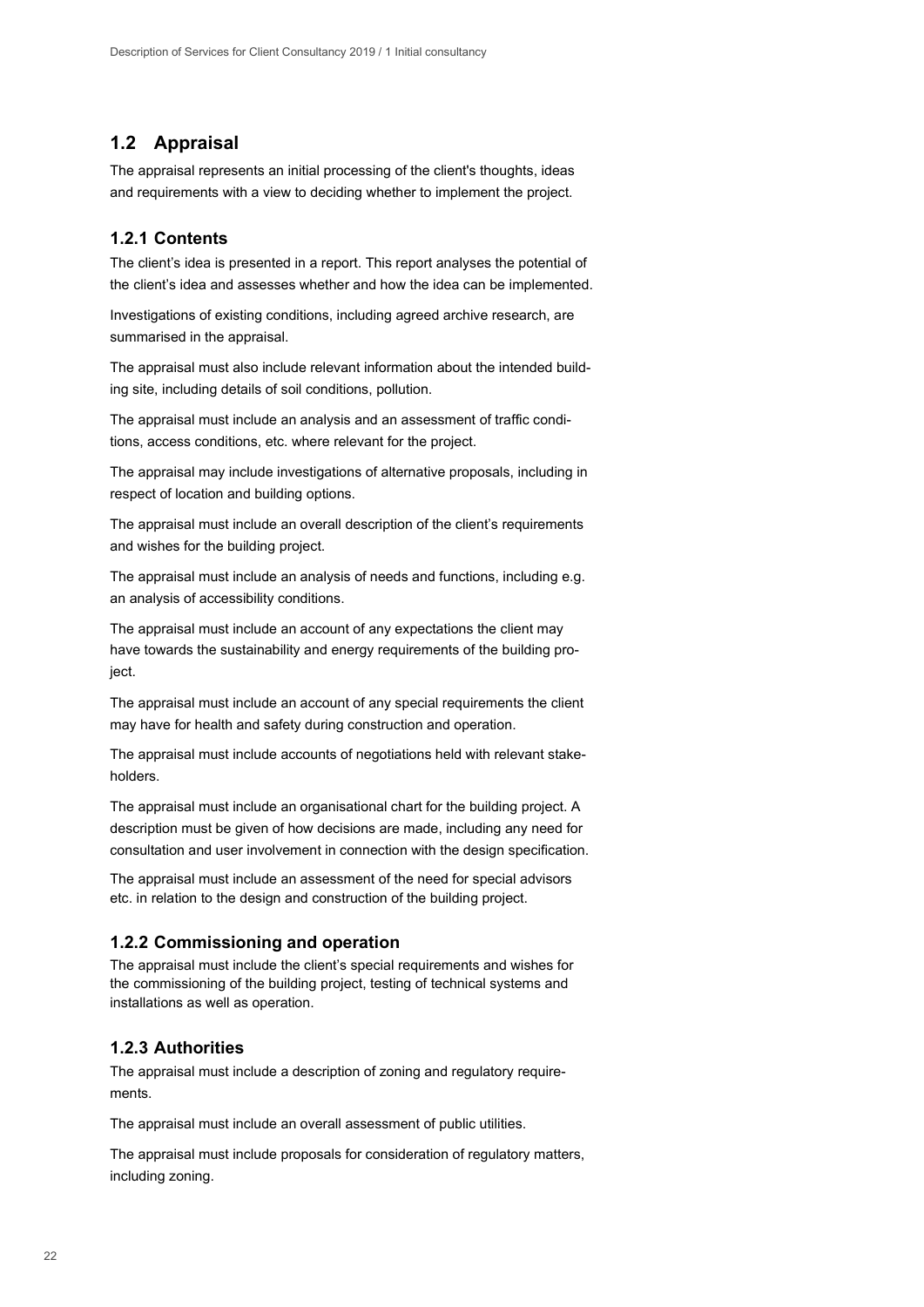#### 1.2 Appraisal

The appraisal represents an initial processing of the client's thoughts, ideas and requirements with a view to deciding whether to implement the project.

#### 1.2.1 Contents

The client's idea is presented in a report. This report analyses the potential of the client's idea and assesses whether and how the idea can be implemented.

Investigations of existing conditions, including agreed archive research, are summarised in the appraisal.

The appraisal must also include relevant information about the intended building site, including details of soil conditions, pollution.

The appraisal must include an analysis and an assessment of traffic conditions, access conditions, etc. where relevant for the project.

The appraisal may include investigations of alternative proposals, including in respect of location and building options.

The appraisal must include an overall description of the client's requirements and wishes for the building project.

The appraisal must include an analysis of needs and functions, including e.g. an analysis of accessibility conditions.

The appraisal must include an account of any expectations the client may have towards the sustainability and energy requirements of the building project.

The appraisal must include an account of any special requirements the client may have for health and safety during construction and operation.

The appraisal must include accounts of negotiations held with relevant stakeholders.

The appraisal must include an organisational chart for the building project. A description must be given of how decisions are made, including any need for consultation and user involvement in connection with the design specification.

The appraisal must include an assessment of the need for special advisors etc. in relation to the design and construction of the building project.

#### 1.2.2 Commissioning and operation

The appraisal must include the client's special requirements and wishes for the commissioning of the building project, testing of technical systems and installations as well as operation.

#### 1.2.3 Authorities

The appraisal must include a description of zoning and regulatory requirements.

The appraisal must include an overall assessment of public utilities.

The appraisal must include proposals for consideration of regulatory matters, including zoning.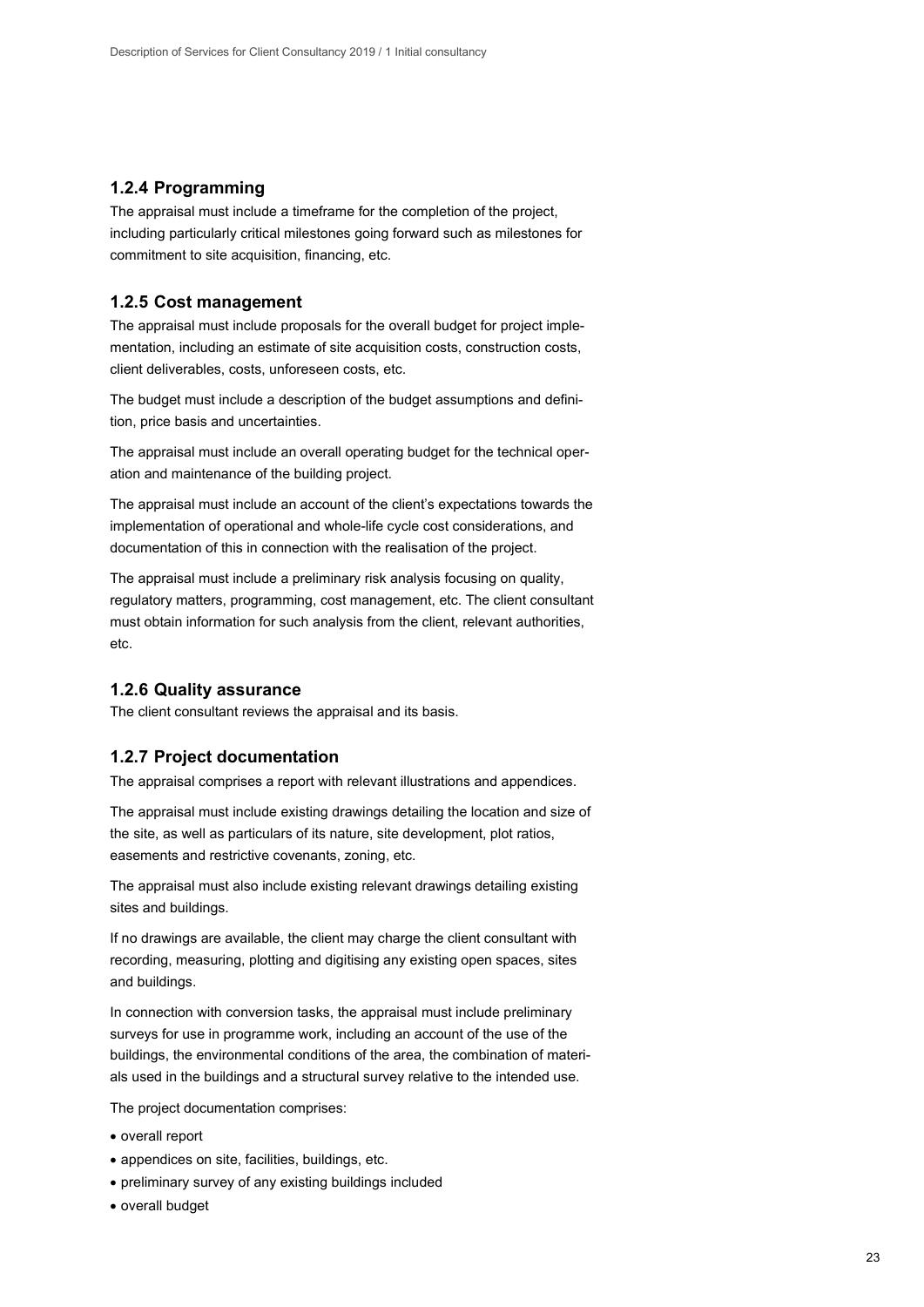#### 1.2.4 Programming

The appraisal must include a timeframe for the completion of the project, including particularly critical milestones going forward such as milestones for commitment to site acquisition, financing, etc.

#### 1.2.5 Cost management

The appraisal must include proposals for the overall budget for project implementation, including an estimate of site acquisition costs, construction costs, client deliverables, costs, unforeseen costs, etc.

The budget must include a description of the budget assumptions and definition, price basis and uncertainties.

The appraisal must include an overall operating budget for the technical operation and maintenance of the building project.

The appraisal must include an account of the client's expectations towards the implementation of operational and whole-life cycle cost considerations, and documentation of this in connection with the realisation of the project.

The appraisal must include a preliminary risk analysis focusing on quality, regulatory matters, programming, cost management, etc. The client consultant must obtain information for such analysis from the client, relevant authorities, etc.

#### 1.2.6 Quality assurance

The client consultant reviews the appraisal and its basis.

#### 1.2.7 Project documentation

The appraisal comprises a report with relevant illustrations and appendices.

The appraisal must include existing drawings detailing the location and size of the site, as well as particulars of its nature, site development, plot ratios, easements and restrictive covenants, zoning, etc.

The appraisal must also include existing relevant drawings detailing existing sites and buildings.

If no drawings are available, the client may charge the client consultant with recording, measuring, plotting and digitising any existing open spaces, sites and buildings.

In connection with conversion tasks, the appraisal must include preliminary surveys for use in programme work, including an account of the use of the buildings, the environmental conditions of the area, the combination of materials used in the buildings and a structural survey relative to the intended use.

The project documentation comprises:

- overall report
- appendices on site, facilities, buildings, etc.
- preliminary survey of any existing buildings included
- overall budget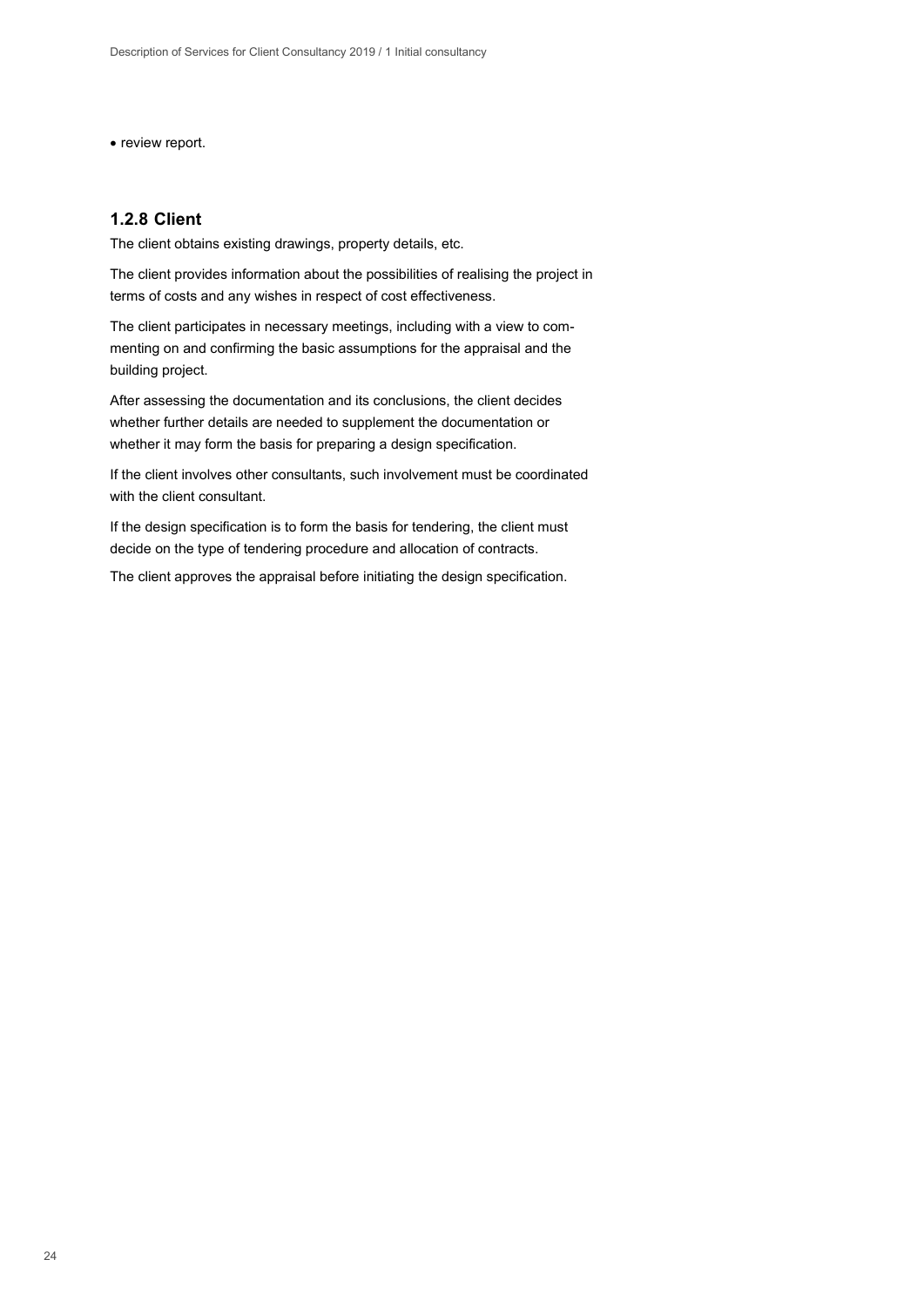• review report.

#### 1.2.8 Client

The client obtains existing drawings, property details, etc.

The client provides information about the possibilities of realising the project in terms of costs and any wishes in respect of cost effectiveness.

The client participates in necessary meetings, including with a view to commenting on and confirming the basic assumptions for the appraisal and the building project.

After assessing the documentation and its conclusions, the client decides whether further details are needed to supplement the documentation or whether it may form the basis for preparing a design specification.

If the client involves other consultants, such involvement must be coordinated with the client consultant.

If the design specification is to form the basis for tendering, the client must decide on the type of tendering procedure and allocation of contracts.

The client approves the appraisal before initiating the design specification.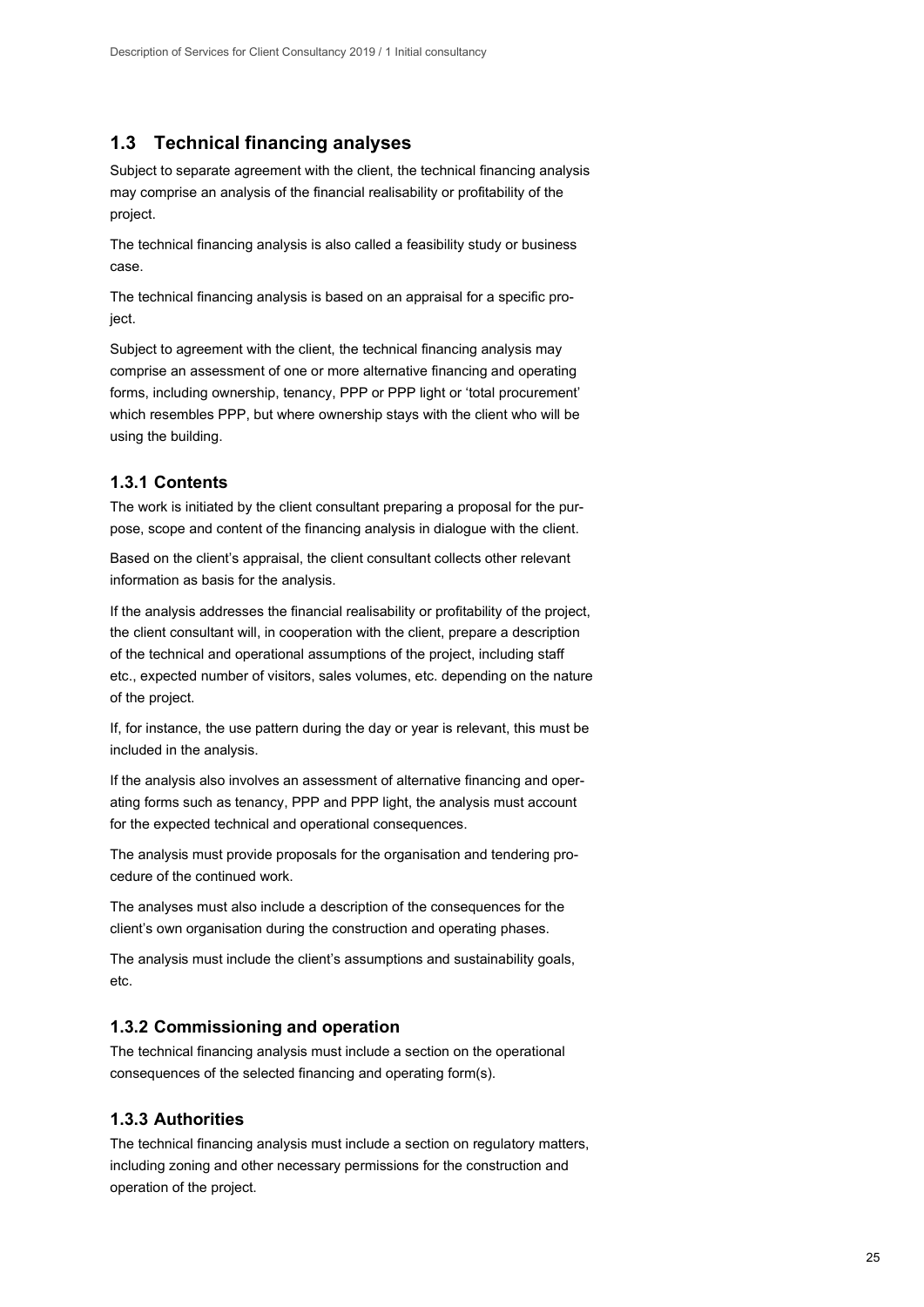## 1.3 Technical financing analyses

Subject to separate agreement with the client, the technical financing analysis may comprise an analysis of the financial realisability or profitability of the project.

The technical financing analysis is also called a feasibility study or business case.

The technical financing analysis is based on an appraisal for a specific project.

Subject to agreement with the client, the technical financing analysis may comprise an assessment of one or more alternative financing and operating forms, including ownership, tenancy, PPP or PPP light or 'total procurement' which resembles PPP, but where ownership stays with the client who will be using the building.

#### 1.3.1 Contents

The work is initiated by the client consultant preparing a proposal for the purpose, scope and content of the financing analysis in dialogue with the client.

Based on the client's appraisal, the client consultant collects other relevant information as basis for the analysis.

If the analysis addresses the financial realisability or profitability of the project, the client consultant will, in cooperation with the client, prepare a description of the technical and operational assumptions of the project, including staff etc., expected number of visitors, sales volumes, etc. depending on the nature of the project.

If, for instance, the use pattern during the day or year is relevant, this must be included in the analysis.

If the analysis also involves an assessment of alternative financing and operating forms such as tenancy, PPP and PPP light, the analysis must account for the expected technical and operational consequences.

The analysis must provide proposals for the organisation and tendering procedure of the continued work.

The analyses must also include a description of the consequences for the client's own organisation during the construction and operating phases.

The analysis must include the client's assumptions and sustainability goals, etc.

#### 1.3.2 Commissioning and operation

The technical financing analysis must include a section on the operational consequences of the selected financing and operating form(s).

#### 1.3.3 Authorities

The technical financing analysis must include a section on regulatory matters, including zoning and other necessary permissions for the construction and operation of the project.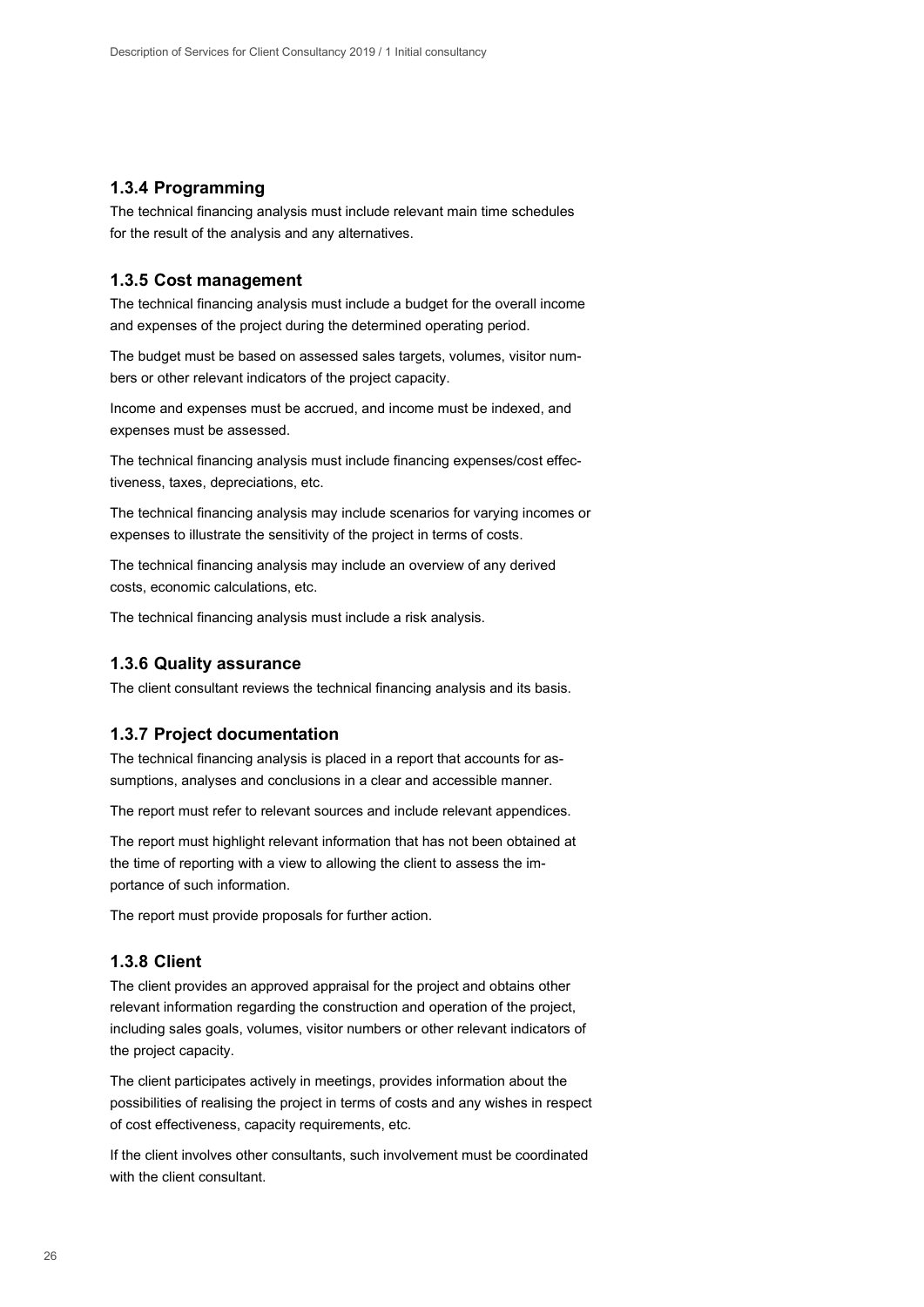#### 1.3.4 Programming

The technical financing analysis must include relevant main time schedules for the result of the analysis and any alternatives.

#### 1.3.5 Cost management

The technical financing analysis must include a budget for the overall income and expenses of the project during the determined operating period.

The budget must be based on assessed sales targets, volumes, visitor numbers or other relevant indicators of the project capacity.

Income and expenses must be accrued, and income must be indexed, and expenses must be assessed.

The technical financing analysis must include financing expenses/cost effectiveness, taxes, depreciations, etc.

The technical financing analysis may include scenarios for varying incomes or expenses to illustrate the sensitivity of the project in terms of costs.

The technical financing analysis may include an overview of any derived costs, economic calculations, etc.

The technical financing analysis must include a risk analysis.

#### 1.3.6 Quality assurance

The client consultant reviews the technical financing analysis and its basis.

#### 1.3.7 Project documentation

The technical financing analysis is placed in a report that accounts for assumptions, analyses and conclusions in a clear and accessible manner.

The report must refer to relevant sources and include relevant appendices.

The report must highlight relevant information that has not been obtained at the time of reporting with a view to allowing the client to assess the importance of such information.

The report must provide proposals for further action.

#### 1.3.8 Client

The client provides an approved appraisal for the project and obtains other relevant information regarding the construction and operation of the project, including sales goals, volumes, visitor numbers or other relevant indicators of the project capacity.

The client participates actively in meetings, provides information about the possibilities of realising the project in terms of costs and any wishes in respect of cost effectiveness, capacity requirements, etc.

If the client involves other consultants, such involvement must be coordinated with the client consultant.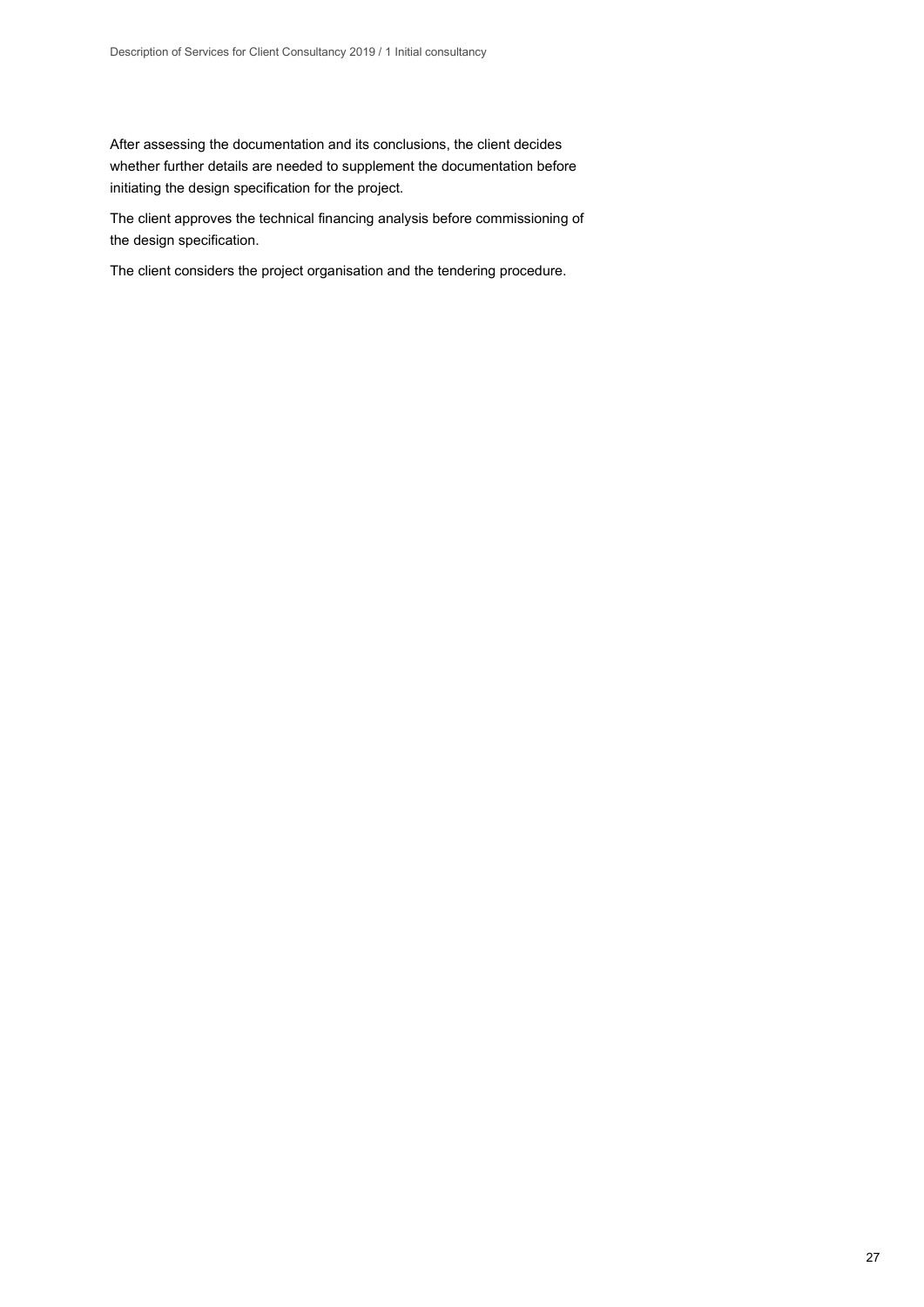After assessing the documentation and its conclusions, the client decides whether further details are needed to supplement the documentation before initiating the design specification for the project.

The client approves the technical financing analysis before commissioning of the design specification.

The client considers the project organisation and the tendering procedure.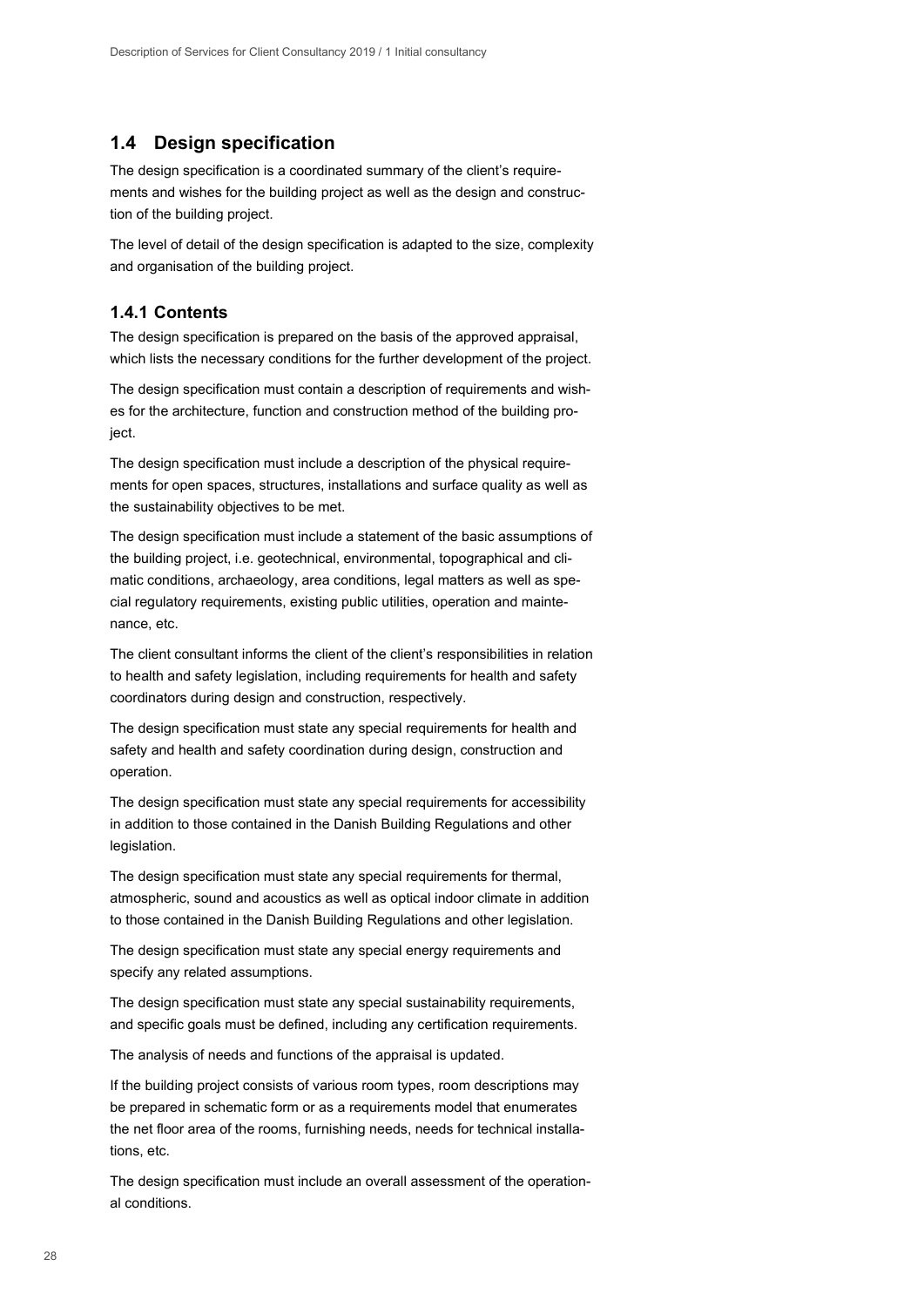#### 1.4 Design specification

The design specification is a coordinated summary of the client's requirements and wishes for the building project as well as the design and construction of the building project.

The level of detail of the design specification is adapted to the size, complexity and organisation of the building project.

#### 1.4.1 Contents

The design specification is prepared on the basis of the approved appraisal, which lists the necessary conditions for the further development of the project.

The design specification must contain a description of requirements and wishes for the architecture, function and construction method of the building project.

The design specification must include a description of the physical requirements for open spaces, structures, installations and surface quality as well as the sustainability objectives to be met.

The design specification must include a statement of the basic assumptions of the building project, i.e. geotechnical, environmental, topographical and climatic conditions, archaeology, area conditions, legal matters as well as special regulatory requirements, existing public utilities, operation and maintenance, etc.

The client consultant informs the client of the client's responsibilities in relation to health and safety legislation, including requirements for health and safety coordinators during design and construction, respectively.

The design specification must state any special requirements for health and safety and health and safety coordination during design, construction and operation.

The design specification must state any special requirements for accessibility in addition to those contained in the Danish Building Regulations and other legislation.

The design specification must state any special requirements for thermal, atmospheric, sound and acoustics as well as optical indoor climate in addition to those contained in the Danish Building Regulations and other legislation.

The design specification must state any special energy requirements and specify any related assumptions.

The design specification must state any special sustainability requirements, and specific goals must be defined, including any certification requirements.

The analysis of needs and functions of the appraisal is updated.

If the building project consists of various room types, room descriptions may be prepared in schematic form or as a requirements model that enumerates the net floor area of the rooms, furnishing needs, needs for technical installations, etc.

The design specification must include an overall assessment of the operational conditions.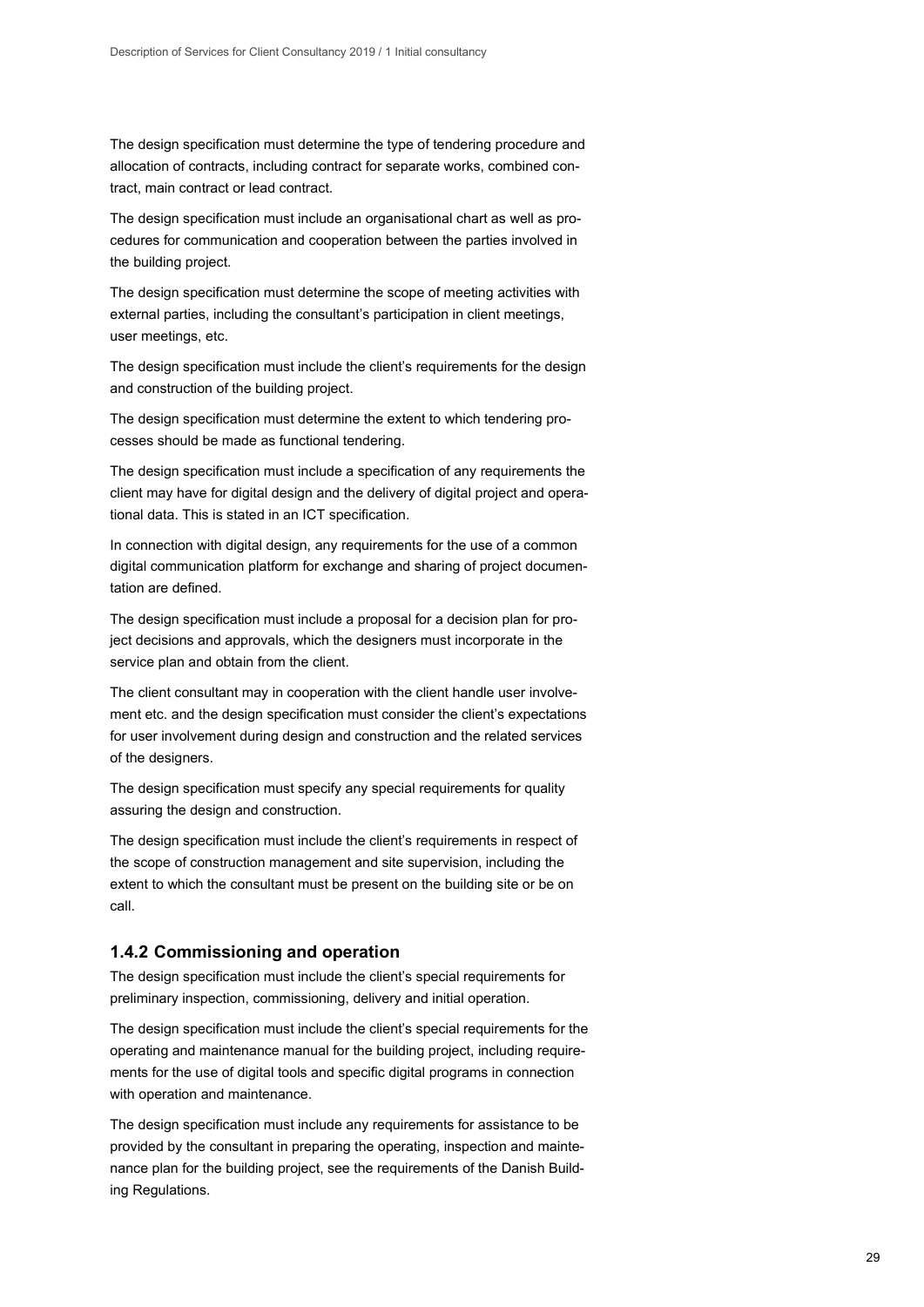The design specification must determine the type of tendering procedure and allocation of contracts, including contract for separate works, combined contract, main contract or lead contract.

The design specification must include an organisational chart as well as procedures for communication and cooperation between the parties involved in the building project.

The design specification must determine the scope of meeting activities with external parties, including the consultant's participation in client meetings, user meetings, etc.

The design specification must include the client's requirements for the design and construction of the building project.

The design specification must determine the extent to which tendering processes should be made as functional tendering.

The design specification must include a specification of any requirements the client may have for digital design and the delivery of digital project and operational data. This is stated in an ICT specification.

In connection with digital design, any requirements for the use of a common digital communication platform for exchange and sharing of project documentation are defined.

The design specification must include a proposal for a decision plan for project decisions and approvals, which the designers must incorporate in the service plan and obtain from the client.

The client consultant may in cooperation with the client handle user involvement etc. and the design specification must consider the client's expectations for user involvement during design and construction and the related services of the designers.

The design specification must specify any special requirements for quality assuring the design and construction.

The design specification must include the client's requirements in respect of the scope of construction management and site supervision, including the extent to which the consultant must be present on the building site or be on call.

#### 1.4.2 Commissioning and operation

The design specification must include the client's special requirements for preliminary inspection, commissioning, delivery and initial operation.

The design specification must include the client's special requirements for the operating and maintenance manual for the building project, including requirements for the use of digital tools and specific digital programs in connection with operation and maintenance.

The design specification must include any requirements for assistance to be provided by the consultant in preparing the operating, inspection and maintenance plan for the building project, see the requirements of the Danish Building Regulations.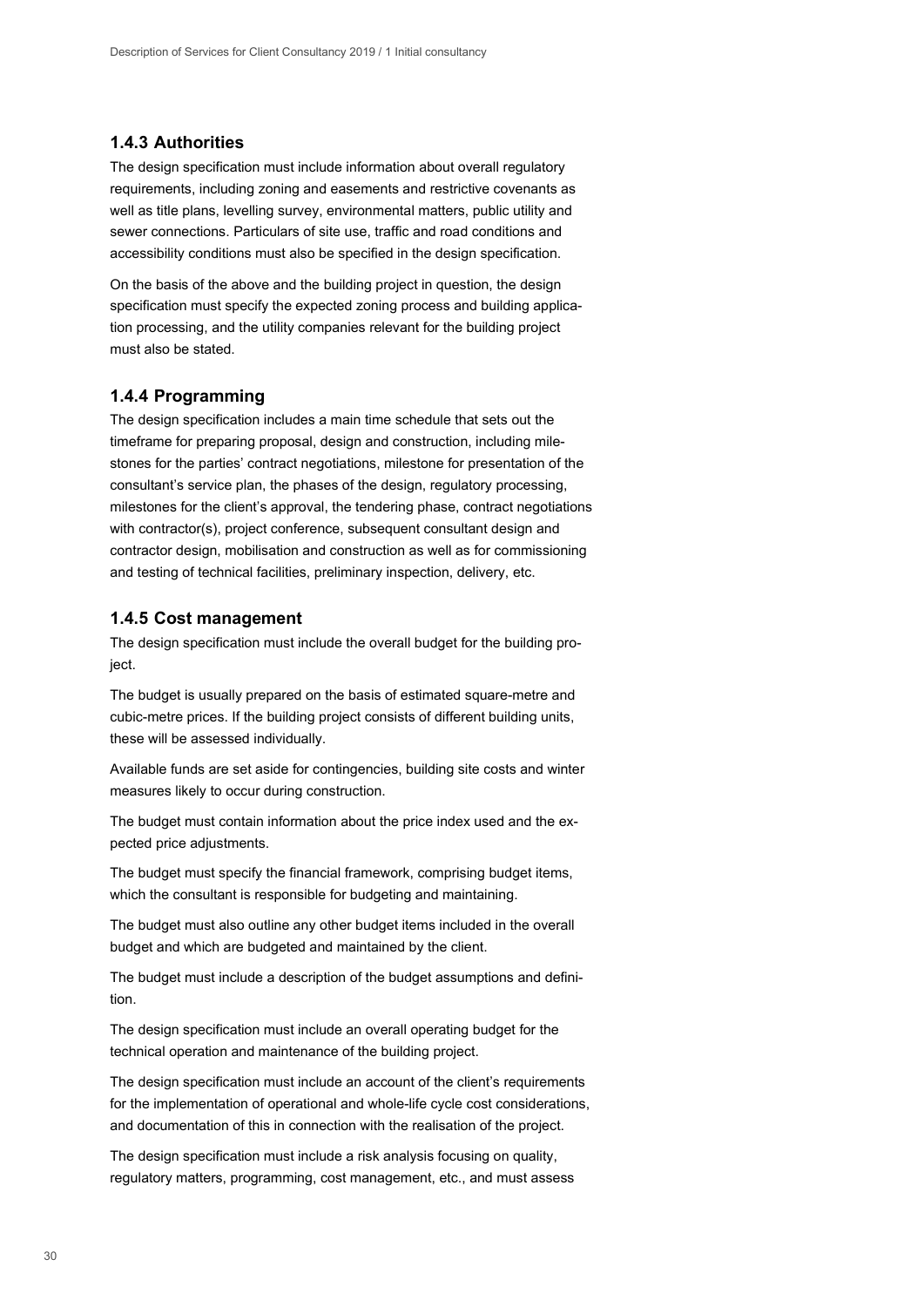#### 1.4.3 Authorities

The design specification must include information about overall regulatory requirements, including zoning and easements and restrictive covenants as well as title plans, levelling survey, environmental matters, public utility and sewer connections. Particulars of site use, traffic and road conditions and accessibility conditions must also be specified in the design specification.

On the basis of the above and the building project in question, the design specification must specify the expected zoning process and building application processing, and the utility companies relevant for the building project must also be stated.

#### 1.4.4 Programming

The design specification includes a main time schedule that sets out the timeframe for preparing proposal, design and construction, including milestones for the parties' contract negotiations, milestone for presentation of the consultant's service plan, the phases of the design, regulatory processing, milestones for the client's approval, the tendering phase, contract negotiations with contractor(s), project conference, subsequent consultant design and contractor design, mobilisation and construction as well as for commissioning and testing of technical facilities, preliminary inspection, delivery, etc.

#### 1.4.5 Cost management

The design specification must include the overall budget for the building project.

The budget is usually prepared on the basis of estimated square-metre and cubic-metre prices. If the building project consists of different building units, these will be assessed individually.

Available funds are set aside for contingencies, building site costs and winter measures likely to occur during construction.

The budget must contain information about the price index used and the expected price adjustments.

The budget must specify the financial framework, comprising budget items, which the consultant is responsible for budgeting and maintaining.

The budget must also outline any other budget items included in the overall budget and which are budgeted and maintained by the client.

The budget must include a description of the budget assumptions and definition.

The design specification must include an overall operating budget for the technical operation and maintenance of the building project.

The design specification must include an account of the client's requirements for the implementation of operational and whole-life cycle cost considerations, and documentation of this in connection with the realisation of the project.

The design specification must include a risk analysis focusing on quality, regulatory matters, programming, cost management, etc., and must assess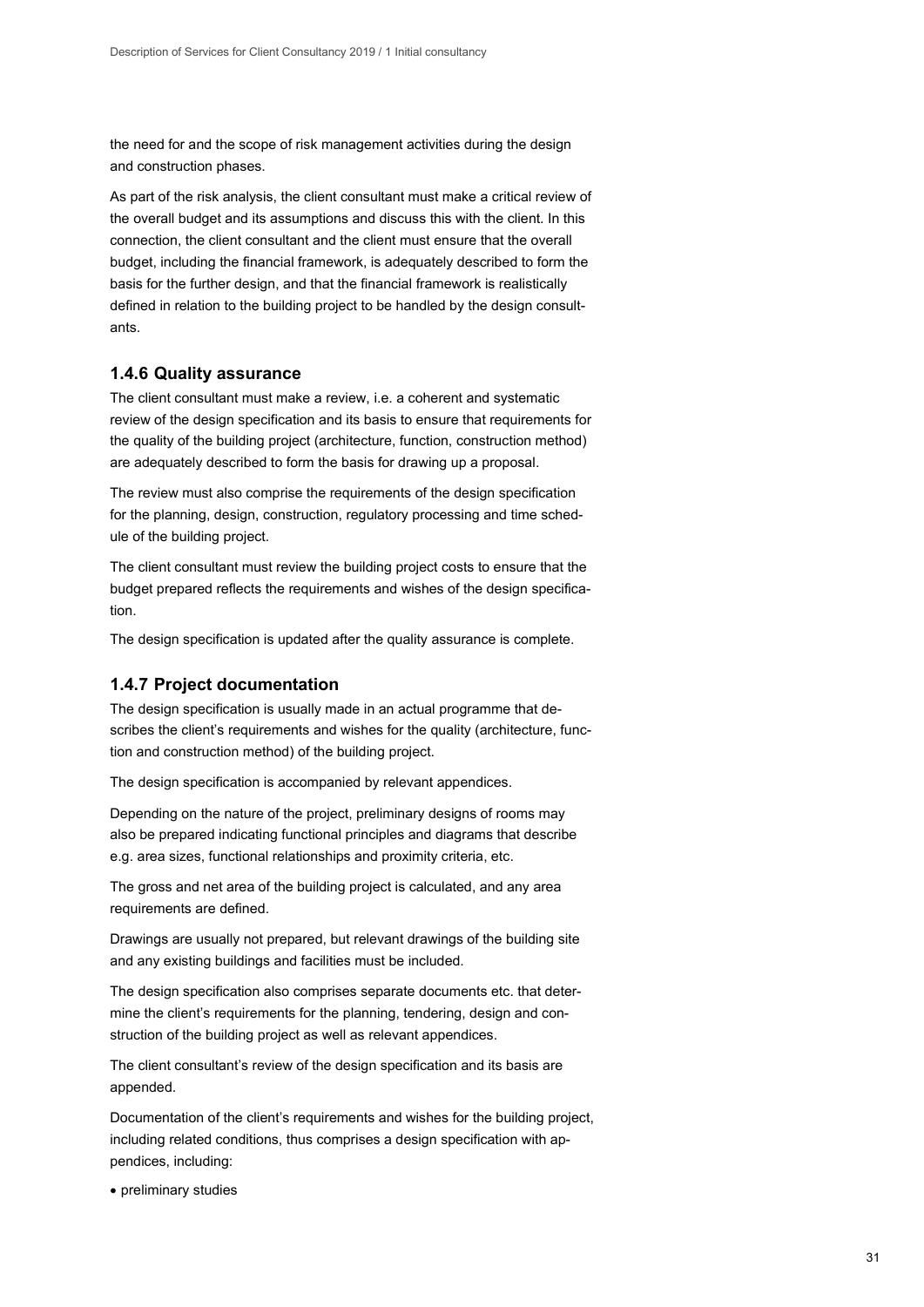the need for and the scope of risk management activities during the design and construction phases.

As part of the risk analysis, the client consultant must make a critical review of the overall budget and its assumptions and discuss this with the client. In this connection, the client consultant and the client must ensure that the overall budget, including the financial framework, is adequately described to form the basis for the further design, and that the financial framework is realistically defined in relation to the building project to be handled by the design consultants.

#### 1.4.6 Quality assurance

The client consultant must make a review, i.e. a coherent and systematic review of the design specification and its basis to ensure that requirements for the quality of the building project (architecture, function, construction method) are adequately described to form the basis for drawing up a proposal.

The review must also comprise the requirements of the design specification for the planning, design, construction, regulatory processing and time schedule of the building project.

The client consultant must review the building project costs to ensure that the budget prepared reflects the requirements and wishes of the design specification.

The design specification is updated after the quality assurance is complete.

#### 1.4.7 Project documentation

The design specification is usually made in an actual programme that describes the client's requirements and wishes for the quality (architecture, function and construction method) of the building project.

The design specification is accompanied by relevant appendices.

Depending on the nature of the project, preliminary designs of rooms may also be prepared indicating functional principles and diagrams that describe e.g. area sizes, functional relationships and proximity criteria, etc.

The gross and net area of the building project is calculated, and any area requirements are defined.

Drawings are usually not prepared, but relevant drawings of the building site and any existing buildings and facilities must be included.

The design specification also comprises separate documents etc. that determine the client's requirements for the planning, tendering, design and construction of the building project as well as relevant appendices.

The client consultant's review of the design specification and its basis are appended.

Documentation of the client's requirements and wishes for the building project, including related conditions, thus comprises a design specification with appendices, including:

preliminary studies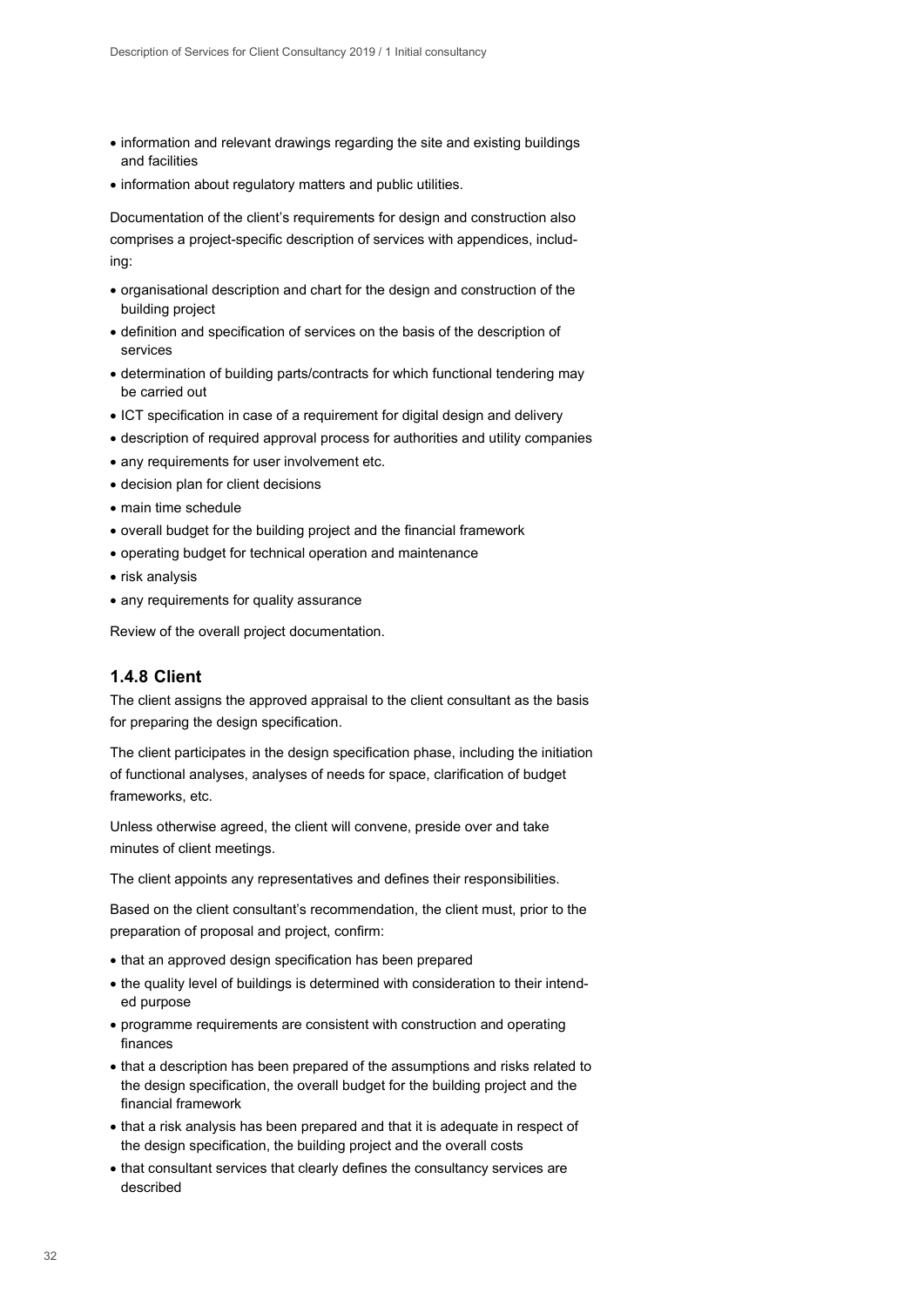- information and relevant drawings regarding the site and existing buildings and facilities
- information about regulatory matters and public utilities.

Documentation of the client's requirements for design and construction also comprises a project-specific description of services with appendices, including:

- organisational description and chart for the design and construction of the building project
- definition and specification of services on the basis of the description of services
- determination of building parts/contracts for which functional tendering may be carried out
- ICT specification in case of a requirement for digital design and delivery
- description of required approval process for authorities and utility companies
- any requirements for user involvement etc.
- decision plan for client decisions
- main time schedule
- overall budget for the building project and the financial framework
- operating budget for technical operation and maintenance
- risk analysis
- any requirements for quality assurance

Review of the overall project documentation.

#### 1.4.8 Client

The client assigns the approved appraisal to the client consultant as the basis for preparing the design specification.

The client participates in the design specification phase, including the initiation of functional analyses, analyses of needs for space, clarification of budget frameworks, etc.

Unless otherwise agreed, the client will convene, preside over and take minutes of client meetings.

The client appoints any representatives and defines their responsibilities.

Based on the client consultant's recommendation, the client must, prior to the preparation of proposal and project, confirm:

- that an approved design specification has been prepared
- the quality level of buildings is determined with consideration to their intended purpose
- programme requirements are consistent with construction and operating finances
- that a description has been prepared of the assumptions and risks related to the design specification, the overall budget for the building project and the financial framework
- that a risk analysis has been prepared and that it is adequate in respect of the design specification, the building project and the overall costs
- that consultant services that clearly defines the consultancy services are described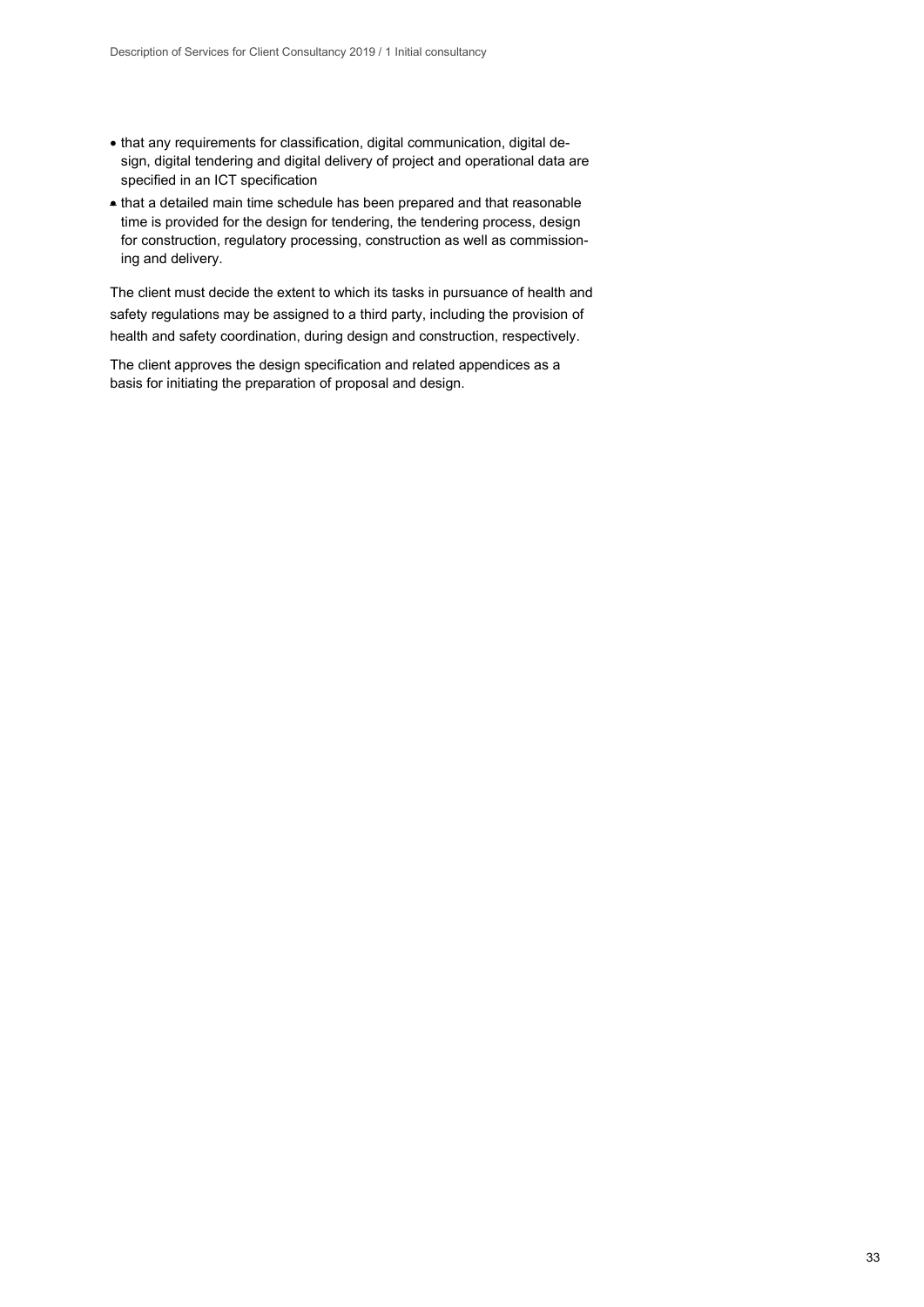- that any requirements for classification, digital communication, digital design, digital tendering and digital delivery of project and operational data are specified in an ICT specification
- that a detailed main time schedule has been prepared and that reasonable time is provided for the design for tendering, the tendering process, design for construction, regulatory processing, construction as well as commissioning and delivery.

The client must decide the extent to which its tasks in pursuance of health and safety regulations may be assigned to a third party, including the provision of health and safety coordination, during design and construction, respectively.

The client approves the design specification and related appendices as a basis for initiating the preparation of proposal and design.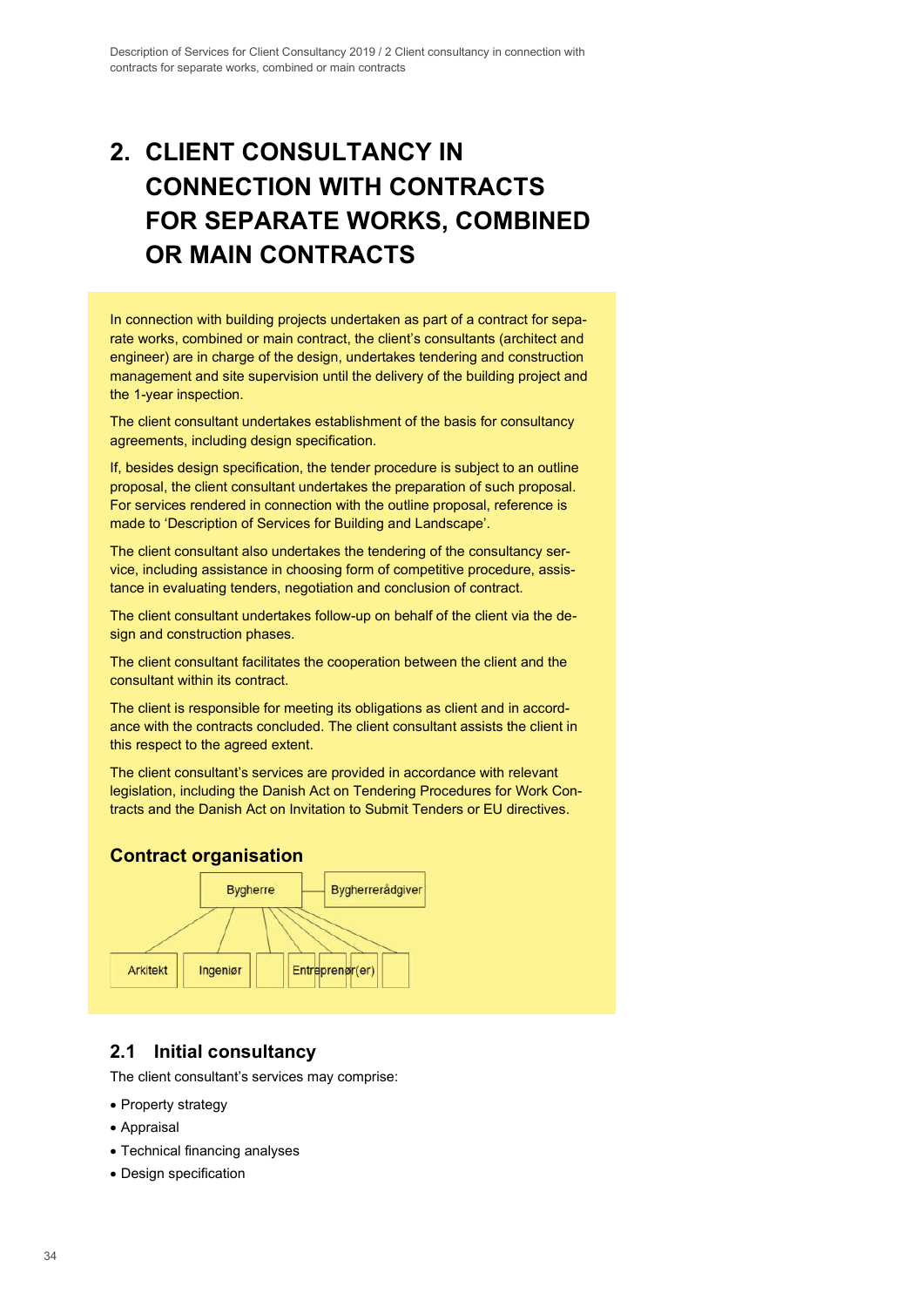# 2. CLIENT CONSULTANCY IN CONNECTION WITH CONTRACTS FOR SEPARATE WORKS, COMBINED OR MAIN CONTRACTS

In connection with building projects undertaken as part of a contract for separate works, combined or main contract, the client's consultants (architect and engineer) are in charge of the design, undertakes tendering and construction management and site supervision until the delivery of the building project and the 1-year inspection.

The client consultant undertakes establishment of the basis for consultancy agreements, including design specification.

If, besides design specification, the tender procedure is subject to an outline proposal, the client consultant undertakes the preparation of such proposal. For services rendered in connection with the outline proposal, reference is made to 'Description of Services for Building and Landscape'.

The client consultant also undertakes the tendering of the consultancy service, including assistance in choosing form of competitive procedure, assistance in evaluating tenders, negotiation and conclusion of contract.

The client consultant undertakes follow-up on behalf of the client via the design and construction phases.

The client consultant facilitates the cooperation between the client and the consultant within its contract.

The client is responsible for meeting its obligations as client and in accordance with the contracts concluded. The client consultant assists the client in this respect to the agreed extent.

The client consultant's services are provided in accordance with relevant legislation, including the Danish Act on Tendering Procedures for Work Contracts and the Danish Act on Invitation to Submit Tenders or EU directives.



## 2.1 Initial consultancy

The client consultant's services may comprise:

- Property strategy
- Appraisal
- Technical financing analyses
- Design specification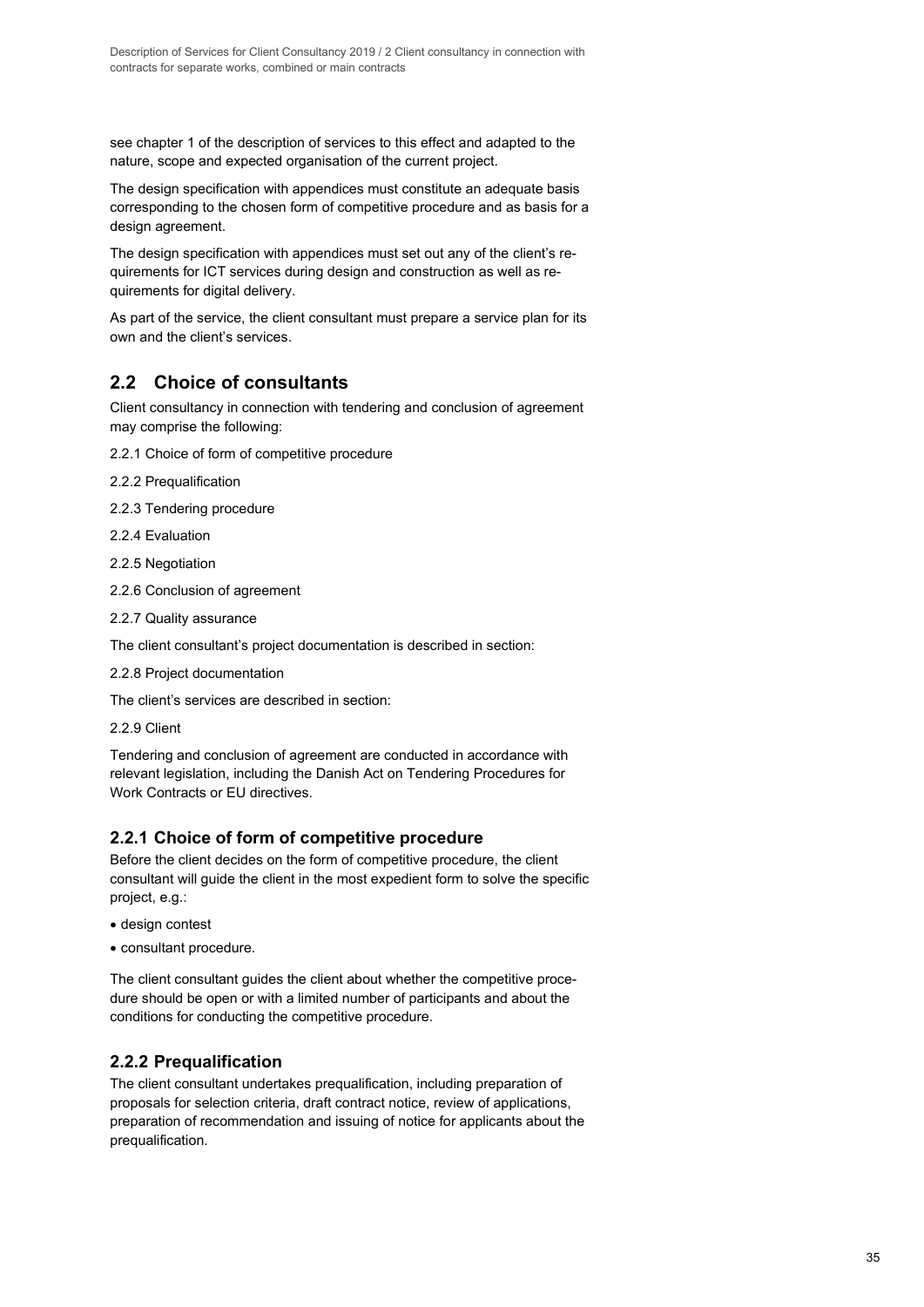see chapter 1 of the description of services to this effect and adapted to the nature, scope and expected organisation of the current project.

The design specification with appendices must constitute an adequate basis corresponding to the chosen form of competitive procedure and as basis for a design agreement.

The design specification with appendices must set out any of the client's requirements for ICT services during design and construction as well as requirements for digital delivery.

As part of the service, the client consultant must prepare a service plan for its own and the client's services.

## 2.2 Choice of consultants

Client consultancy in connection with tendering and conclusion of agreement may comprise the following:

- 2.2.1 Choice of form of competitive procedure
- 2.2.2 Prequalification
- 2.2.3 Tendering procedure
- 2.2.4 Evaluation
- 2.2.5 Negotiation
- 2.2.6 Conclusion of agreement
- 2.2.7 Quality assurance

The client consultant's project documentation is described in section:

2.2.8 Project documentation

The client's services are described in section:

2.2.9 Client

Tendering and conclusion of agreement are conducted in accordance with relevant legislation, including the Danish Act on Tendering Procedures for Work Contracts or EU directives.

## 2.2.1 Choice of form of competitive procedure

Before the client decides on the form of competitive procedure, the client consultant will guide the client in the most expedient form to solve the specific project, e.g.:

- design contest
- consultant procedure.

The client consultant guides the client about whether the competitive procedure should be open or with a limited number of participants and about the conditions for conducting the competitive procedure.

#### 2.2.2 Prequalification

The client consultant undertakes prequalification, including preparation of proposals for selection criteria, draft contract notice, review of applications, preparation of recommendation and issuing of notice for applicants about the prequalification.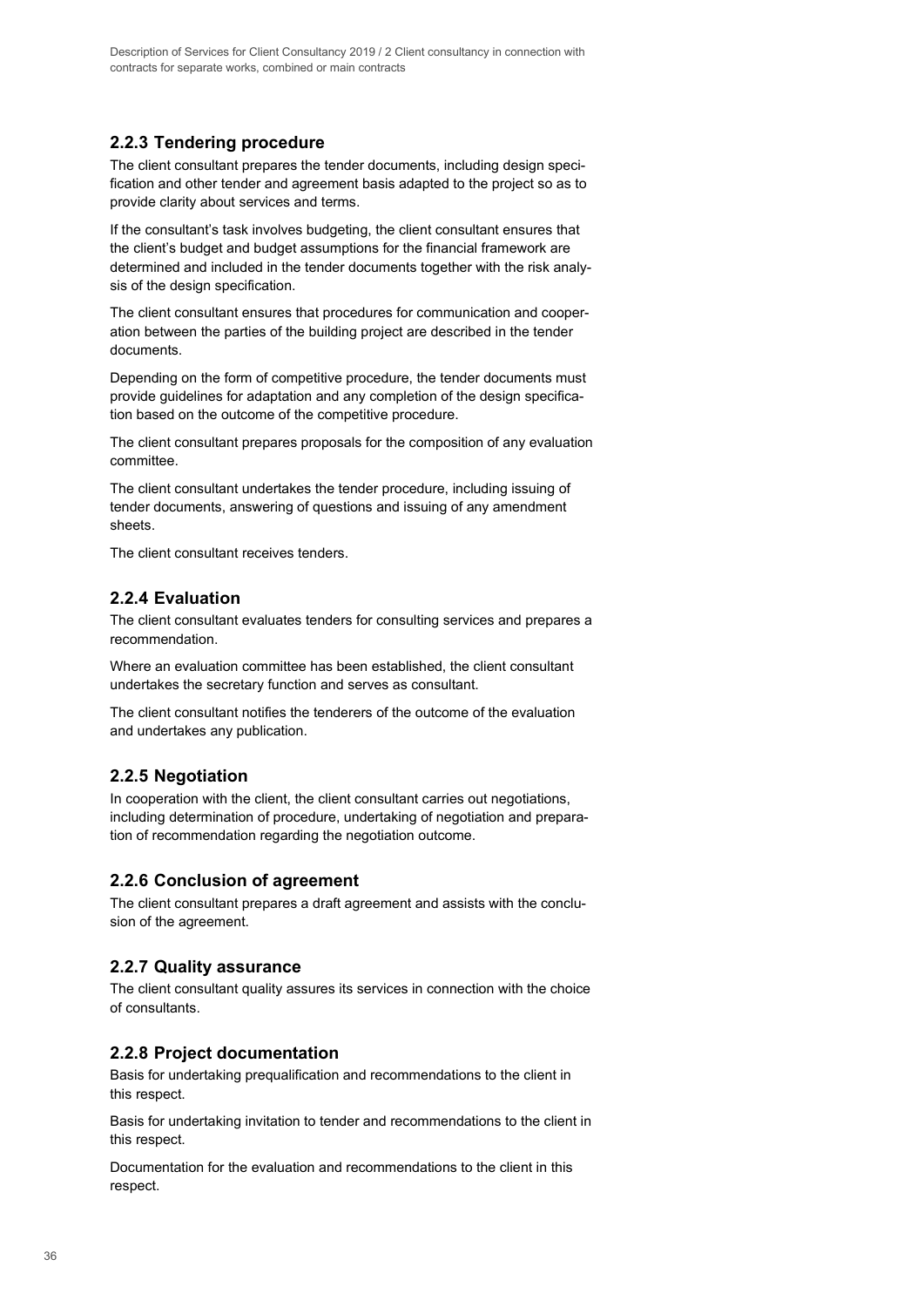#### 2.2.3 Tendering procedure

The client consultant prepares the tender documents, including design specification and other tender and agreement basis adapted to the project so as to provide clarity about services and terms.

If the consultant's task involves budgeting, the client consultant ensures that the client's budget and budget assumptions for the financial framework are determined and included in the tender documents together with the risk analysis of the design specification.

The client consultant ensures that procedures for communication and cooperation between the parties of the building project are described in the tender documents.

Depending on the form of competitive procedure, the tender documents must provide guidelines for adaptation and any completion of the design specification based on the outcome of the competitive procedure.

The client consultant prepares proposals for the composition of any evaluation committee.

The client consultant undertakes the tender procedure, including issuing of tender documents, answering of questions and issuing of any amendment sheets.

The client consultant receives tenders.

#### 2.2.4 Evaluation

The client consultant evaluates tenders for consulting services and prepares a recommendation.

Where an evaluation committee has been established, the client consultant undertakes the secretary function and serves as consultant.

The client consultant notifies the tenderers of the outcome of the evaluation and undertakes any publication.

#### 2.2.5 Negotiation

In cooperation with the client, the client consultant carries out negotiations, including determination of procedure, undertaking of negotiation and preparation of recommendation regarding the negotiation outcome.

#### 2.2.6 Conclusion of agreement

The client consultant prepares a draft agreement and assists with the conclusion of the agreement.

#### 2.2.7 Quality assurance

The client consultant quality assures its services in connection with the choice of consultants.

#### 2.2.8 Project documentation

Basis for undertaking prequalification and recommendations to the client in this respect.

Basis for undertaking invitation to tender and recommendations to the client in this respect.

Documentation for the evaluation and recommendations to the client in this respect.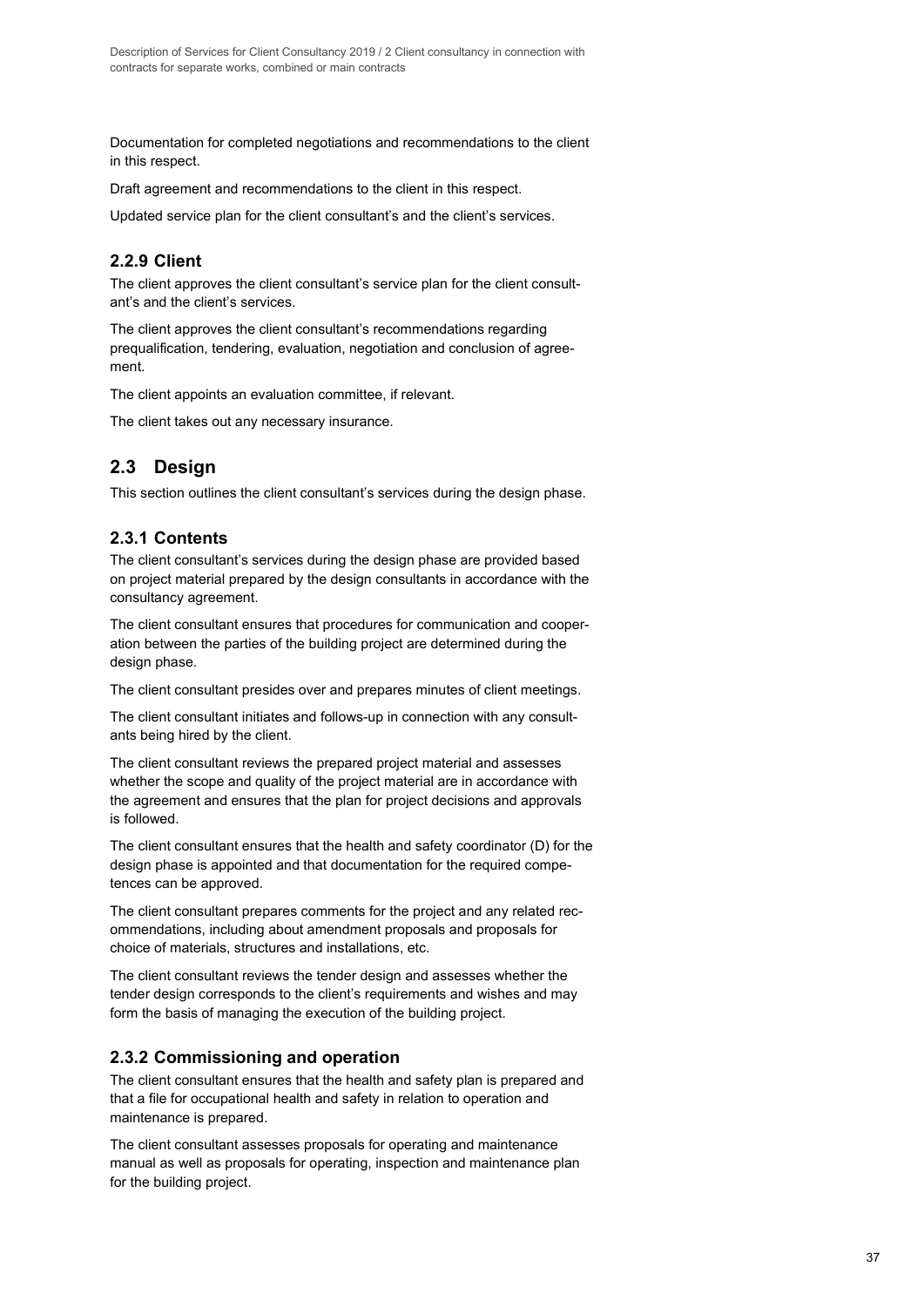Documentation for completed negotiations and recommendations to the client in this respect.

Draft agreement and recommendations to the client in this respect.

Updated service plan for the client consultant's and the client's services.

## 2.2.9 Client

The client approves the client consultant's service plan for the client consultant's and the client's services.

The client approves the client consultant's recommendations regarding prequalification, tendering, evaluation, negotiation and conclusion of agreement.

The client appoints an evaluation committee, if relevant.

The client takes out any necessary insurance.

## 2.3 Design

This section outlines the client consultant's services during the design phase.

#### 2.3.1 Contents

The client consultant's services during the design phase are provided based on project material prepared by the design consultants in accordance with the consultancy agreement.

The client consultant ensures that procedures for communication and cooperation between the parties of the building project are determined during the design phase.

The client consultant presides over and prepares minutes of client meetings.

The client consultant initiates and follows-up in connection with any consultants being hired by the client.

The client consultant reviews the prepared project material and assesses whether the scope and quality of the project material are in accordance with the agreement and ensures that the plan for project decisions and approvals is followed.

The client consultant ensures that the health and safety coordinator (D) for the design phase is appointed and that documentation for the required competences can be approved.

The client consultant prepares comments for the project and any related recommendations, including about amendment proposals and proposals for choice of materials, structures and installations, etc.

The client consultant reviews the tender design and assesses whether the tender design corresponds to the client's requirements and wishes and may form the basis of managing the execution of the building project.

#### 2.3.2 Commissioning and operation

The client consultant ensures that the health and safety plan is prepared and that a file for occupational health and safety in relation to operation and maintenance is prepared.

The client consultant assesses proposals for operating and maintenance manual as well as proposals for operating, inspection and maintenance plan for the building project.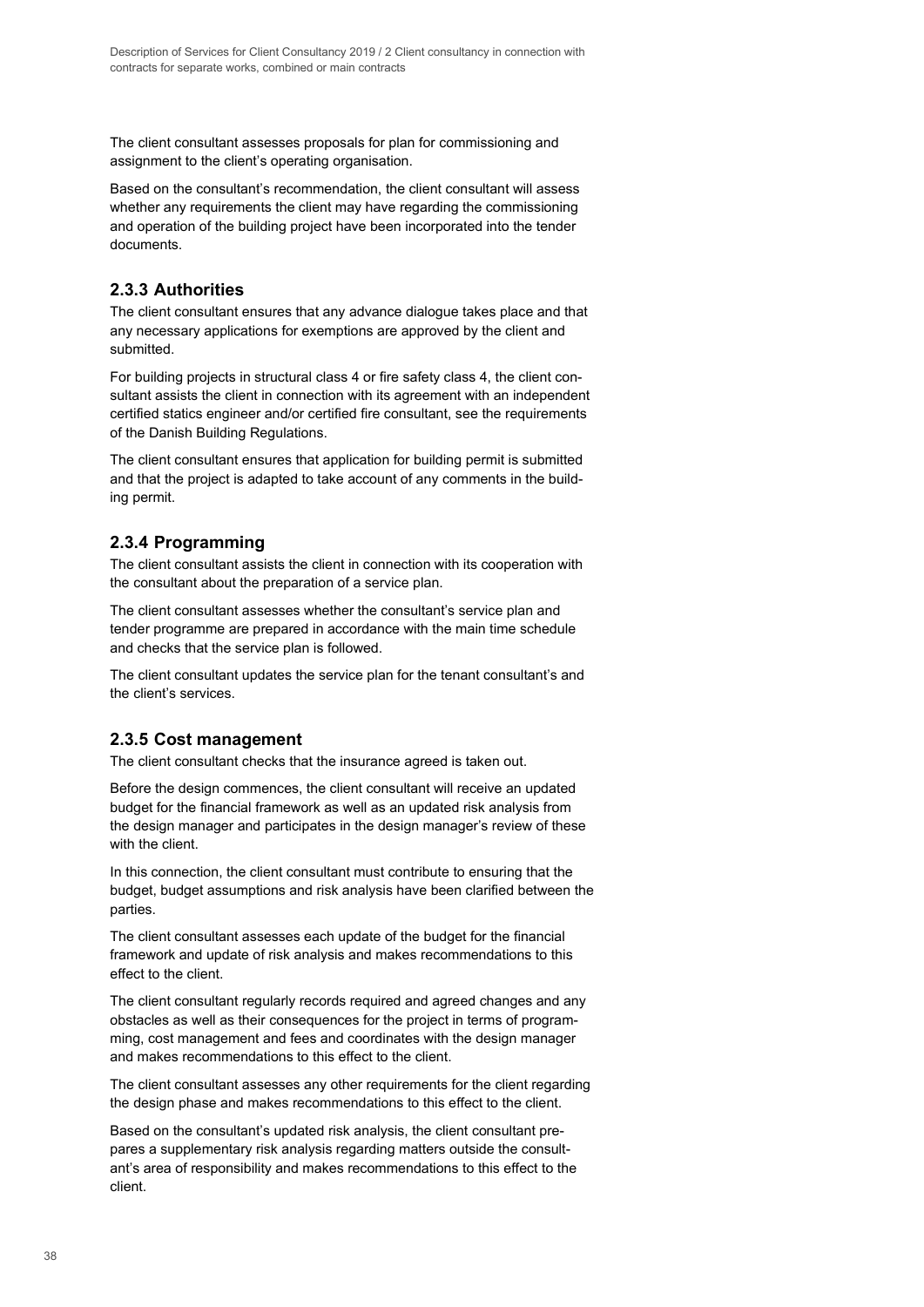The client consultant assesses proposals for plan for commissioning and assignment to the client's operating organisation.

Based on the consultant's recommendation, the client consultant will assess whether any requirements the client may have regarding the commissioning and operation of the building project have been incorporated into the tender documents.

## 2.3.3 Authorities

The client consultant ensures that any advance dialogue takes place and that any necessary applications for exemptions are approved by the client and submitted.

For building projects in structural class 4 or fire safety class 4, the client consultant assists the client in connection with its agreement with an independent certified statics engineer and/or certified fire consultant, see the requirements of the Danish Building Regulations.

The client consultant ensures that application for building permit is submitted and that the project is adapted to take account of any comments in the building permit.

## 2.3.4 Programming

The client consultant assists the client in connection with its cooperation with the consultant about the preparation of a service plan.

The client consultant assesses whether the consultant's service plan and tender programme are prepared in accordance with the main time schedule and checks that the service plan is followed.

The client consultant updates the service plan for the tenant consultant's and the client's services.

## 2.3.5 Cost management

The client consultant checks that the insurance agreed is taken out.

Before the design commences, the client consultant will receive an updated budget for the financial framework as well as an updated risk analysis from the design manager and participates in the design manager's review of these with the client.

In this connection, the client consultant must contribute to ensuring that the budget, budget assumptions and risk analysis have been clarified between the parties.

The client consultant assesses each update of the budget for the financial framework and update of risk analysis and makes recommendations to this effect to the client.

The client consultant regularly records required and agreed changes and any obstacles as well as their consequences for the project in terms of programming, cost management and fees and coordinates with the design manager and makes recommendations to this effect to the client.

The client consultant assesses any other requirements for the client regarding the design phase and makes recommendations to this effect to the client.

Based on the consultant's updated risk analysis, the client consultant prepares a supplementary risk analysis regarding matters outside the consultant's area of responsibility and makes recommendations to this effect to the client.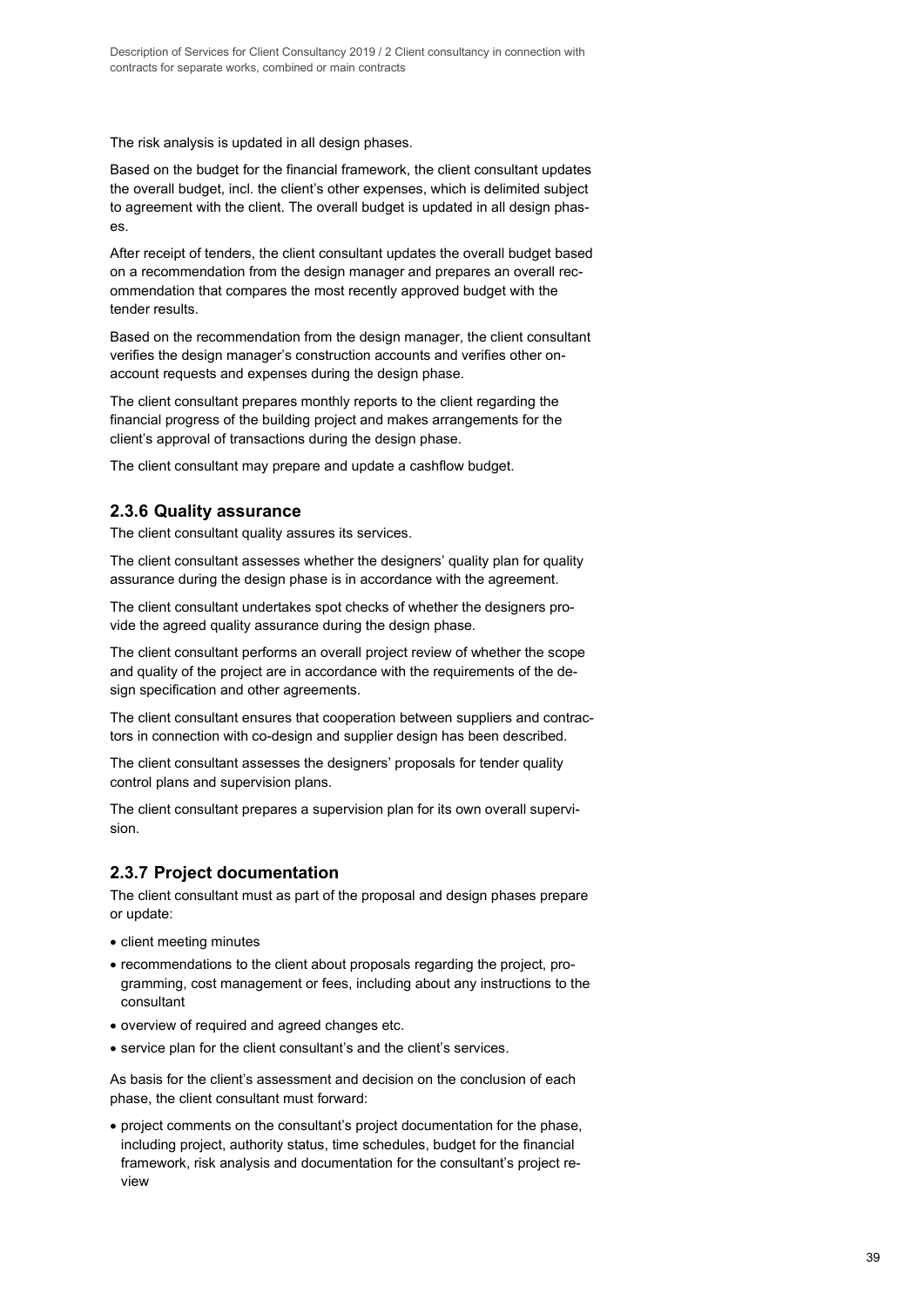The risk analysis is updated in all design phases.

Based on the budget for the financial framework, the client consultant updates the overall budget, incl. the client's other expenses, which is delimited subject to agreement with the client. The overall budget is updated in all design phases.

After receipt of tenders, the client consultant updates the overall budget based on a recommendation from the design manager and prepares an overall recommendation that compares the most recently approved budget with the tender results.

Based on the recommendation from the design manager, the client consultant verifies the design manager's construction accounts and verifies other onaccount requests and expenses during the design phase.

The client consultant prepares monthly reports to the client regarding the financial progress of the building project and makes arrangements for the client's approval of transactions during the design phase.

The client consultant may prepare and update a cashflow budget.

## 2.3.6 Quality assurance

The client consultant quality assures its services.

The client consultant assesses whether the designers' quality plan for quality assurance during the design phase is in accordance with the agreement.

The client consultant undertakes spot checks of whether the designers provide the agreed quality assurance during the design phase.

The client consultant performs an overall project review of whether the scope and quality of the project are in accordance with the requirements of the design specification and other agreements.

The client consultant ensures that cooperation between suppliers and contractors in connection with co-design and supplier design has been described.

The client consultant assesses the designers' proposals for tender quality control plans and supervision plans.

The client consultant prepares a supervision plan for its own overall supervision.

#### 2.3.7 Project documentation

The client consultant must as part of the proposal and design phases prepare or update:

- client meeting minutes
- recommendations to the client about proposals regarding the project, programming, cost management or fees, including about any instructions to the consultant
- overview of required and agreed changes etc.
- service plan for the client consultant's and the client's services.

As basis for the client's assessment and decision on the conclusion of each phase, the client consultant must forward:

 project comments on the consultant's project documentation for the phase, including project, authority status, time schedules, budget for the financial framework, risk analysis and documentation for the consultant's project review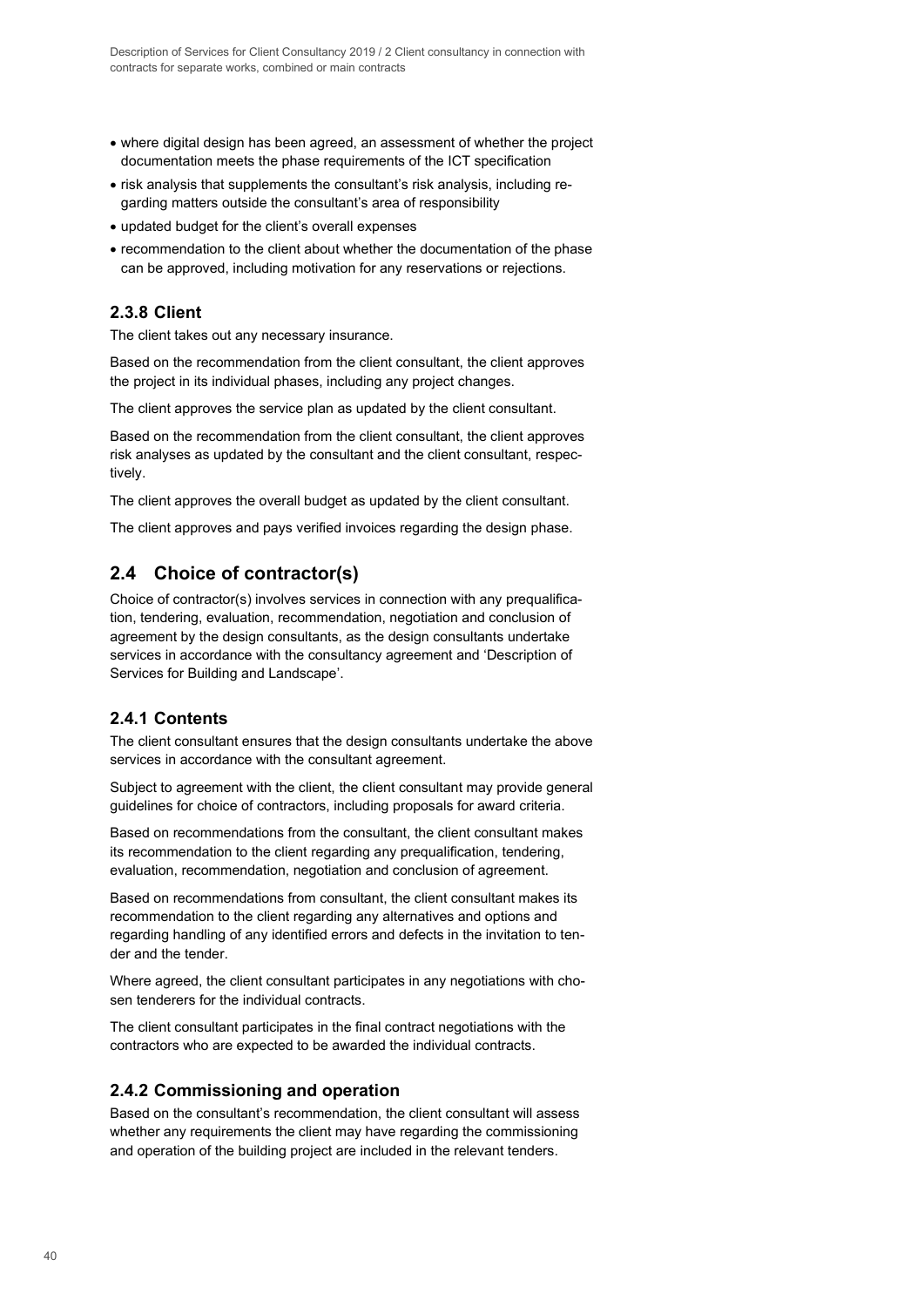- where digital design has been agreed, an assessment of whether the project documentation meets the phase requirements of the ICT specification
- risk analysis that supplements the consultant's risk analysis, including regarding matters outside the consultant's area of responsibility
- updated budget for the client's overall expenses
- recommendation to the client about whether the documentation of the phase can be approved, including motivation for any reservations or rejections.

## 2.3.8 Client

The client takes out any necessary insurance.

Based on the recommendation from the client consultant, the client approves the project in its individual phases, including any project changes.

The client approves the service plan as updated by the client consultant.

Based on the recommendation from the client consultant, the client approves risk analyses as updated by the consultant and the client consultant, respectively.

The client approves the overall budget as updated by the client consultant.

The client approves and pays verified invoices regarding the design phase.

## 2.4 Choice of contractor(s)

Choice of contractor(s) involves services in connection with any prequalification, tendering, evaluation, recommendation, negotiation and conclusion of agreement by the design consultants, as the design consultants undertake services in accordance with the consultancy agreement and 'Description of Services for Building and Landscape'.

## 2.4.1 Contents

The client consultant ensures that the design consultants undertake the above services in accordance with the consultant agreement.

Subject to agreement with the client, the client consultant may provide general guidelines for choice of contractors, including proposals for award criteria.

Based on recommendations from the consultant, the client consultant makes its recommendation to the client regarding any prequalification, tendering, evaluation, recommendation, negotiation and conclusion of agreement.

Based on recommendations from consultant, the client consultant makes its recommendation to the client regarding any alternatives and options and regarding handling of any identified errors and defects in the invitation to tender and the tender.

Where agreed, the client consultant participates in any negotiations with chosen tenderers for the individual contracts.

The client consultant participates in the final contract negotiations with the contractors who are expected to be awarded the individual contracts.

## 2.4.2 Commissioning and operation

Based on the consultant's recommendation, the client consultant will assess whether any requirements the client may have regarding the commissioning and operation of the building project are included in the relevant tenders.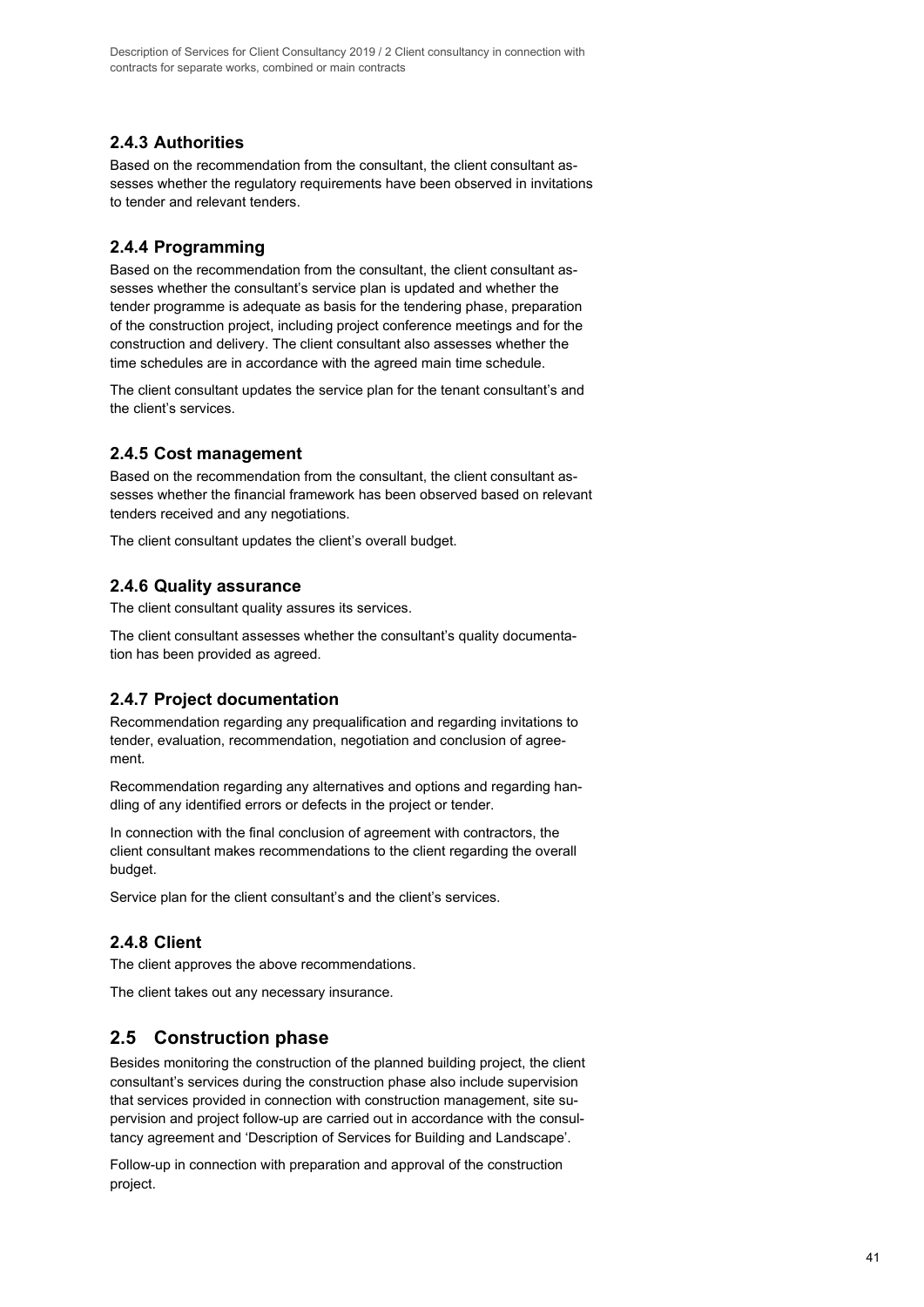## 2.4.3 Authorities

Based on the recommendation from the consultant, the client consultant assesses whether the regulatory requirements have been observed in invitations to tender and relevant tenders.

## 2.4.4 Programming

Based on the recommendation from the consultant, the client consultant assesses whether the consultant's service plan is updated and whether the tender programme is adequate as basis for the tendering phase, preparation of the construction project, including project conference meetings and for the construction and delivery. The client consultant also assesses whether the time schedules are in accordance with the agreed main time schedule.

The client consultant updates the service plan for the tenant consultant's and the client's services.

## 2.4.5 Cost management

Based on the recommendation from the consultant, the client consultant assesses whether the financial framework has been observed based on relevant tenders received and any negotiations.

The client consultant updates the client's overall budget.

## 2.4.6 Quality assurance

The client consultant quality assures its services.

The client consultant assesses whether the consultant's quality documentation has been provided as agreed.

## 2.4.7 Project documentation

Recommendation regarding any prequalification and regarding invitations to tender, evaluation, recommendation, negotiation and conclusion of agreement.

Recommendation regarding any alternatives and options and regarding handling of any identified errors or defects in the project or tender.

In connection with the final conclusion of agreement with contractors, the client consultant makes recommendations to the client regarding the overall budget.

Service plan for the client consultant's and the client's services.

## 2.4.8 Client

The client approves the above recommendations.

The client takes out any necessary insurance.

## 2.5 Construction phase

Besides monitoring the construction of the planned building project, the client consultant's services during the construction phase also include supervision that services provided in connection with construction management, site supervision and project follow-up are carried out in accordance with the consultancy agreement and 'Description of Services for Building and Landscape'.

Follow-up in connection with preparation and approval of the construction project.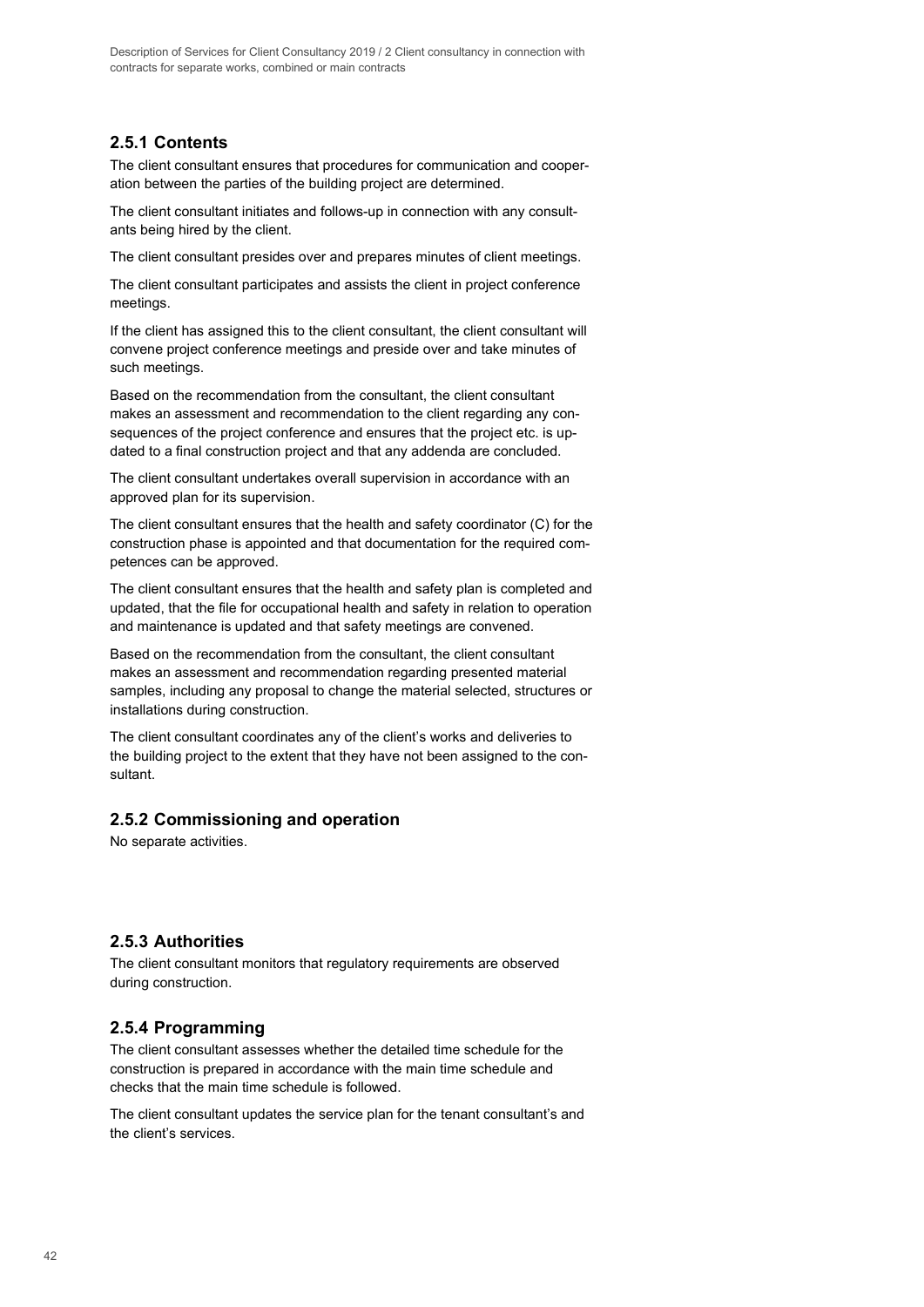#### 2.5.1 Contents

The client consultant ensures that procedures for communication and cooperation between the parties of the building project are determined.

The client consultant initiates and follows-up in connection with any consultants being hired by the client.

The client consultant presides over and prepares minutes of client meetings.

The client consultant participates and assists the client in project conference meetings.

If the client has assigned this to the client consultant, the client consultant will convene project conference meetings and preside over and take minutes of such meetings.

Based on the recommendation from the consultant, the client consultant makes an assessment and recommendation to the client regarding any consequences of the project conference and ensures that the project etc. is updated to a final construction project and that any addenda are concluded.

The client consultant undertakes overall supervision in accordance with an approved plan for its supervision.

The client consultant ensures that the health and safety coordinator (C) for the construction phase is appointed and that documentation for the required competences can be approved.

The client consultant ensures that the health and safety plan is completed and updated, that the file for occupational health and safety in relation to operation and maintenance is updated and that safety meetings are convened.

Based on the recommendation from the consultant, the client consultant makes an assessment and recommendation regarding presented material samples, including any proposal to change the material selected, structures or installations during construction.

The client consultant coordinates any of the client's works and deliveries to the building project to the extent that they have not been assigned to the consultant.

#### 2.5.2 Commissioning and operation

No separate activities.

## 2.5.3 Authorities

The client consultant monitors that regulatory requirements are observed during construction.

#### 2.5.4 Programming

The client consultant assesses whether the detailed time schedule for the construction is prepared in accordance with the main time schedule and checks that the main time schedule is followed.

The client consultant updates the service plan for the tenant consultant's and the client's services.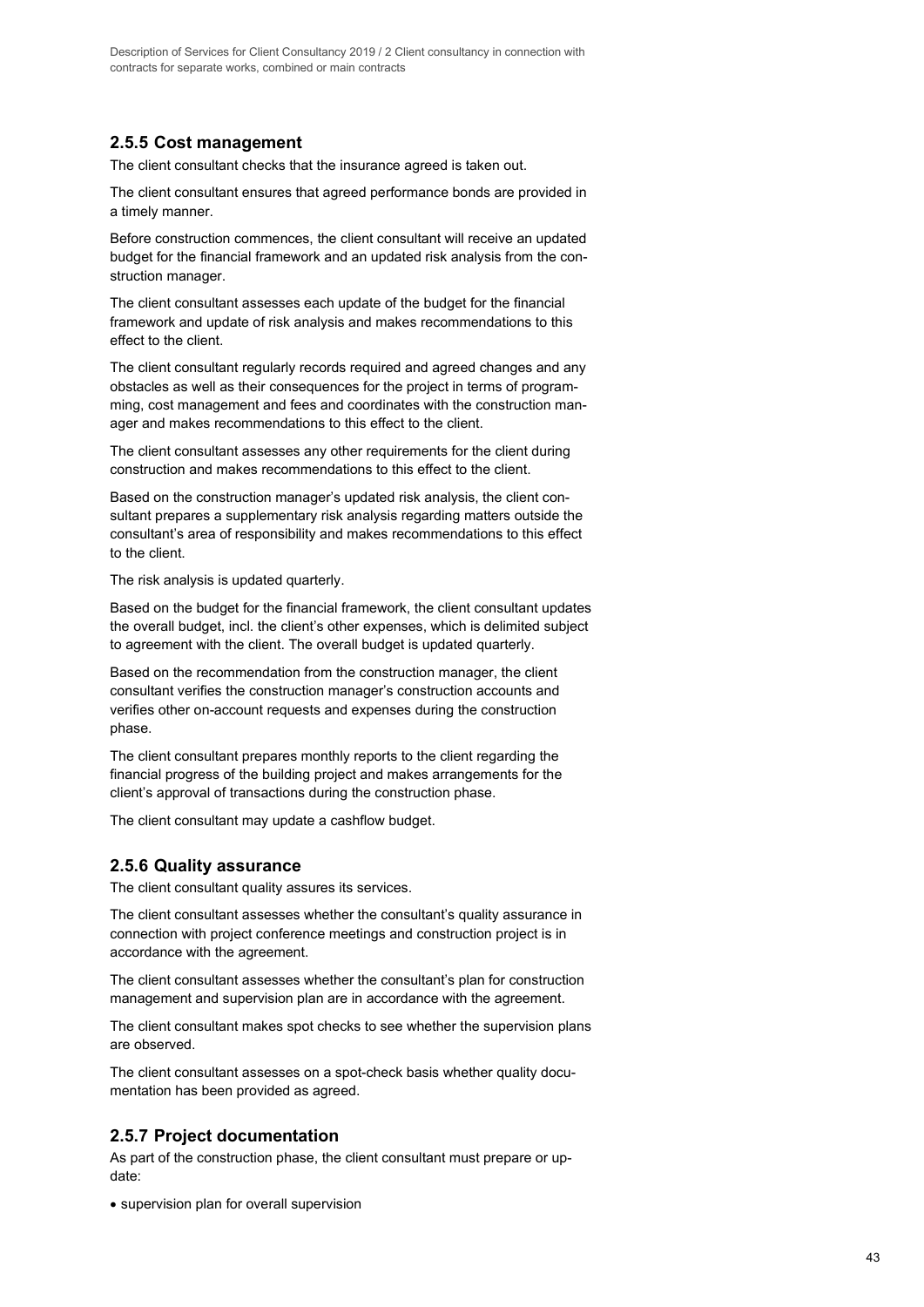#### 2.5.5 Cost management

The client consultant checks that the insurance agreed is taken out.

The client consultant ensures that agreed performance bonds are provided in a timely manner.

Before construction commences, the client consultant will receive an updated budget for the financial framework and an updated risk analysis from the construction manager.

The client consultant assesses each update of the budget for the financial framework and update of risk analysis and makes recommendations to this effect to the client.

The client consultant regularly records required and agreed changes and any obstacles as well as their consequences for the project in terms of programming, cost management and fees and coordinates with the construction manager and makes recommendations to this effect to the client.

The client consultant assesses any other requirements for the client during construction and makes recommendations to this effect to the client.

Based on the construction manager's updated risk analysis, the client consultant prepares a supplementary risk analysis regarding matters outside the consultant's area of responsibility and makes recommendations to this effect to the client.

The risk analysis is updated quarterly.

Based on the budget for the financial framework, the client consultant updates the overall budget, incl. the client's other expenses, which is delimited subject to agreement with the client. The overall budget is updated quarterly.

Based on the recommendation from the construction manager, the client consultant verifies the construction manager's construction accounts and verifies other on-account requests and expenses during the construction phase.

The client consultant prepares monthly reports to the client regarding the financial progress of the building project and makes arrangements for the client's approval of transactions during the construction phase.

The client consultant may update a cashflow budget.

## 2.5.6 Quality assurance

The client consultant quality assures its services.

The client consultant assesses whether the consultant's quality assurance in connection with project conference meetings and construction project is in accordance with the agreement.

The client consultant assesses whether the consultant's plan for construction management and supervision plan are in accordance with the agreement.

The client consultant makes spot checks to see whether the supervision plans are observed.

The client consultant assesses on a spot-check basis whether quality documentation has been provided as agreed.

## 2.5.7 Project documentation

As part of the construction phase, the client consultant must prepare or update:

supervision plan for overall supervision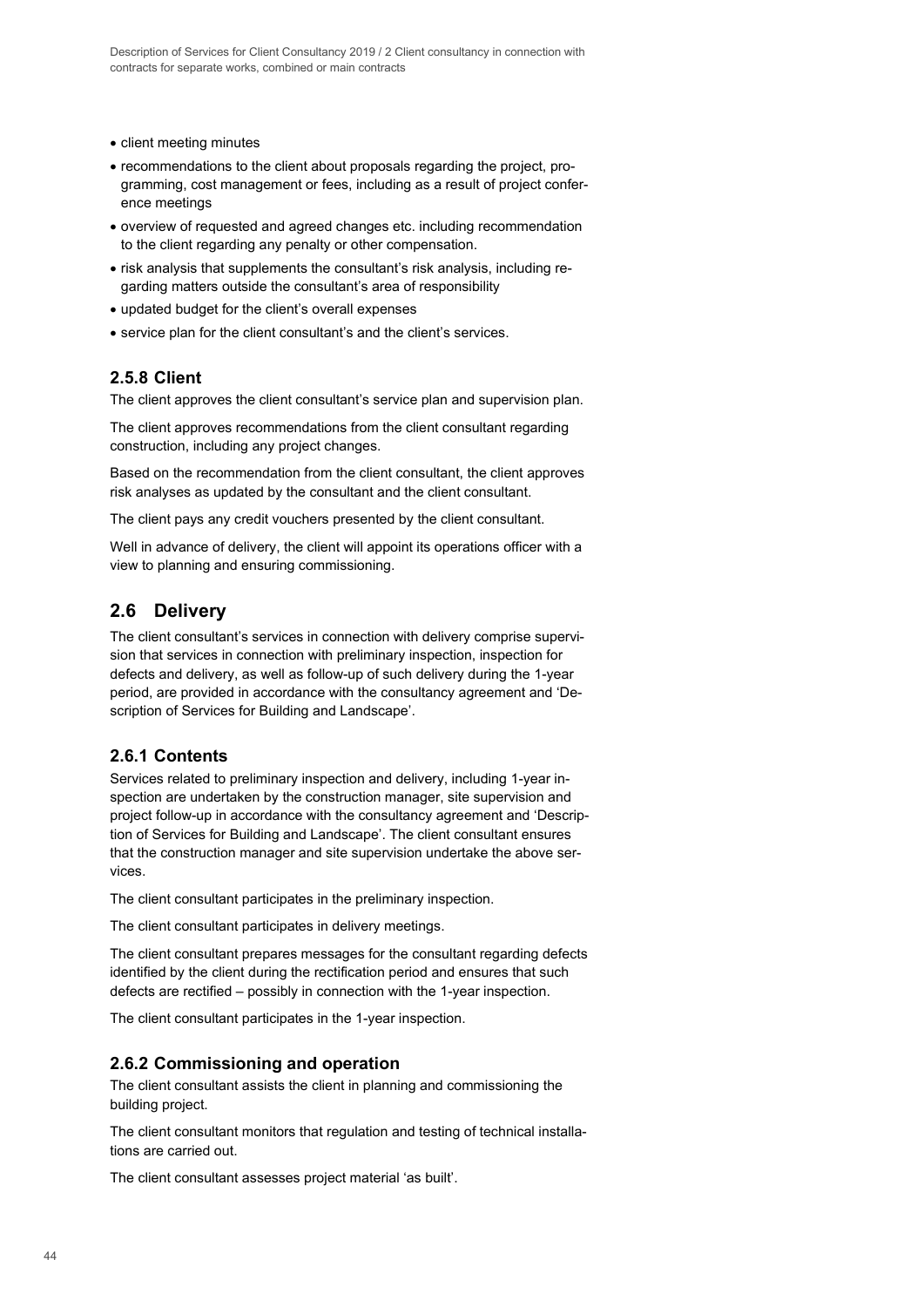- client meeting minutes
- recommendations to the client about proposals regarding the project, programming, cost management or fees, including as a result of project conference meetings
- overview of requested and agreed changes etc. including recommendation to the client regarding any penalty or other compensation.
- risk analysis that supplements the consultant's risk analysis, including regarding matters outside the consultant's area of responsibility
- updated budget for the client's overall expenses
- service plan for the client consultant's and the client's services.

#### 2.5.8 Client

The client approves the client consultant's service plan and supervision plan.

The client approves recommendations from the client consultant regarding construction, including any project changes.

Based on the recommendation from the client consultant, the client approves risk analyses as updated by the consultant and the client consultant.

The client pays any credit vouchers presented by the client consultant.

Well in advance of delivery, the client will appoint its operations officer with a view to planning and ensuring commissioning.

## 2.6 Delivery

The client consultant's services in connection with delivery comprise supervision that services in connection with preliminary inspection, inspection for defects and delivery, as well as follow-up of such delivery during the 1-year period, are provided in accordance with the consultancy agreement and 'Description of Services for Building and Landscape'.

#### 2.6.1 Contents

Services related to preliminary inspection and delivery, including 1-year inspection are undertaken by the construction manager, site supervision and project follow-up in accordance with the consultancy agreement and 'Description of Services for Building and Landscape'. The client consultant ensures that the construction manager and site supervision undertake the above services.

The client consultant participates in the preliminary inspection.

The client consultant participates in delivery meetings.

The client consultant prepares messages for the consultant regarding defects identified by the client during the rectification period and ensures that such defects are rectified – possibly in connection with the 1-year inspection.

The client consultant participates in the 1-year inspection.

#### 2.6.2 Commissioning and operation

The client consultant assists the client in planning and commissioning the building project.

The client consultant monitors that regulation and testing of technical installations are carried out.

The client consultant assesses project material 'as built'.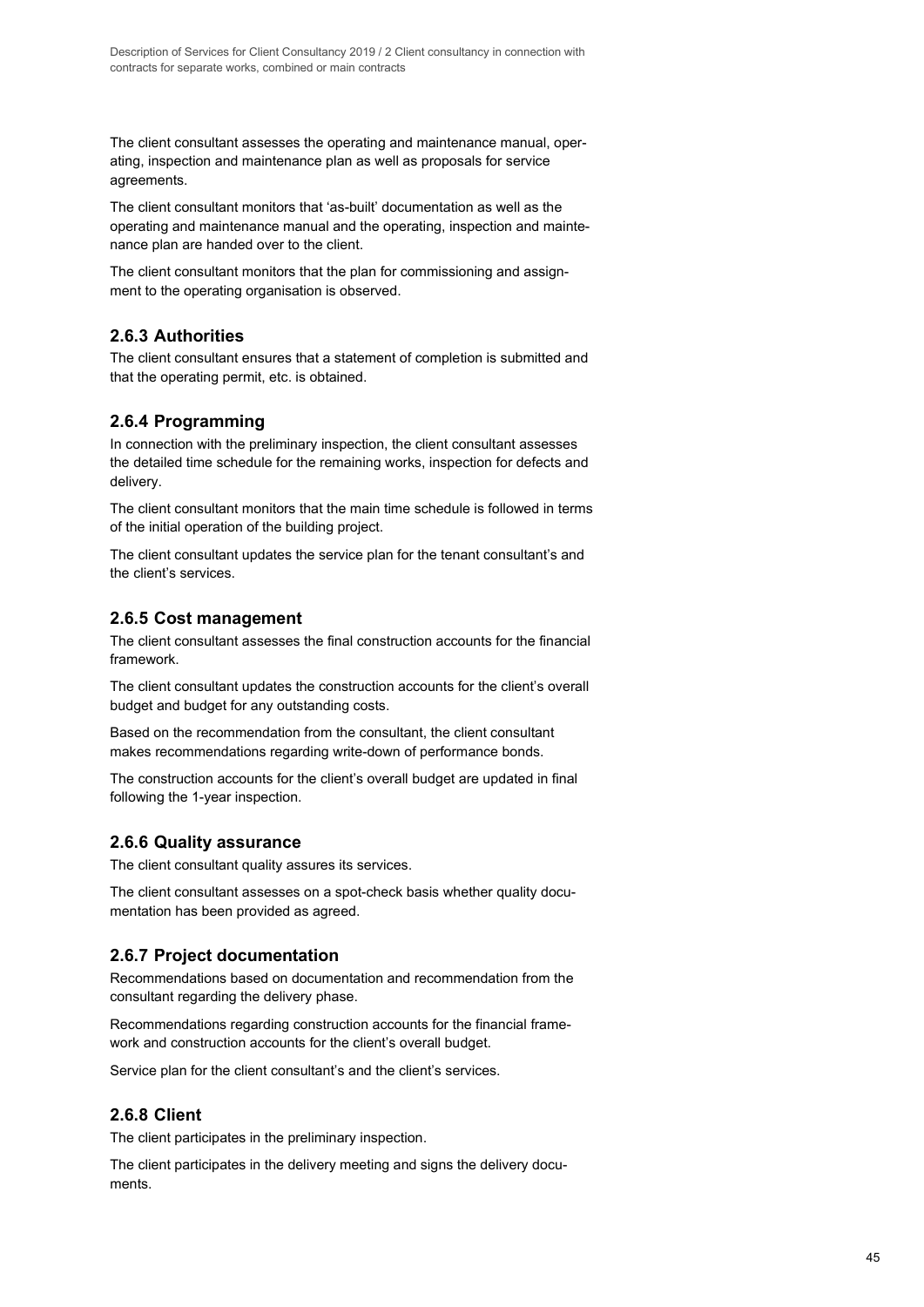The client consultant assesses the operating and maintenance manual, operating, inspection and maintenance plan as well as proposals for service agreements.

The client consultant monitors that 'as-built' documentation as well as the operating and maintenance manual and the operating, inspection and maintenance plan are handed over to the client.

The client consultant monitors that the plan for commissioning and assignment to the operating organisation is observed.

## 2.6.3 Authorities

The client consultant ensures that a statement of completion is submitted and that the operating permit, etc. is obtained.

## 2.6.4 Programming

In connection with the preliminary inspection, the client consultant assesses the detailed time schedule for the remaining works, inspection for defects and delivery.

The client consultant monitors that the main time schedule is followed in terms of the initial operation of the building project.

The client consultant updates the service plan for the tenant consultant's and the client's services.

## 2.6.5 Cost management

The client consultant assesses the final construction accounts for the financial framework.

The client consultant updates the construction accounts for the client's overall budget and budget for any outstanding costs.

Based on the recommendation from the consultant, the client consultant makes recommendations regarding write-down of performance bonds.

The construction accounts for the client's overall budget are updated in final following the 1-year inspection.

## 2.6.6 Quality assurance

The client consultant quality assures its services.

The client consultant assesses on a spot-check basis whether quality documentation has been provided as agreed.

## 2.6.7 Project documentation

Recommendations based on documentation and recommendation from the consultant regarding the delivery phase.

Recommendations regarding construction accounts for the financial framework and construction accounts for the client's overall budget.

Service plan for the client consultant's and the client's services.

## 2.6.8 Client

The client participates in the preliminary inspection.

The client participates in the delivery meeting and signs the delivery documents.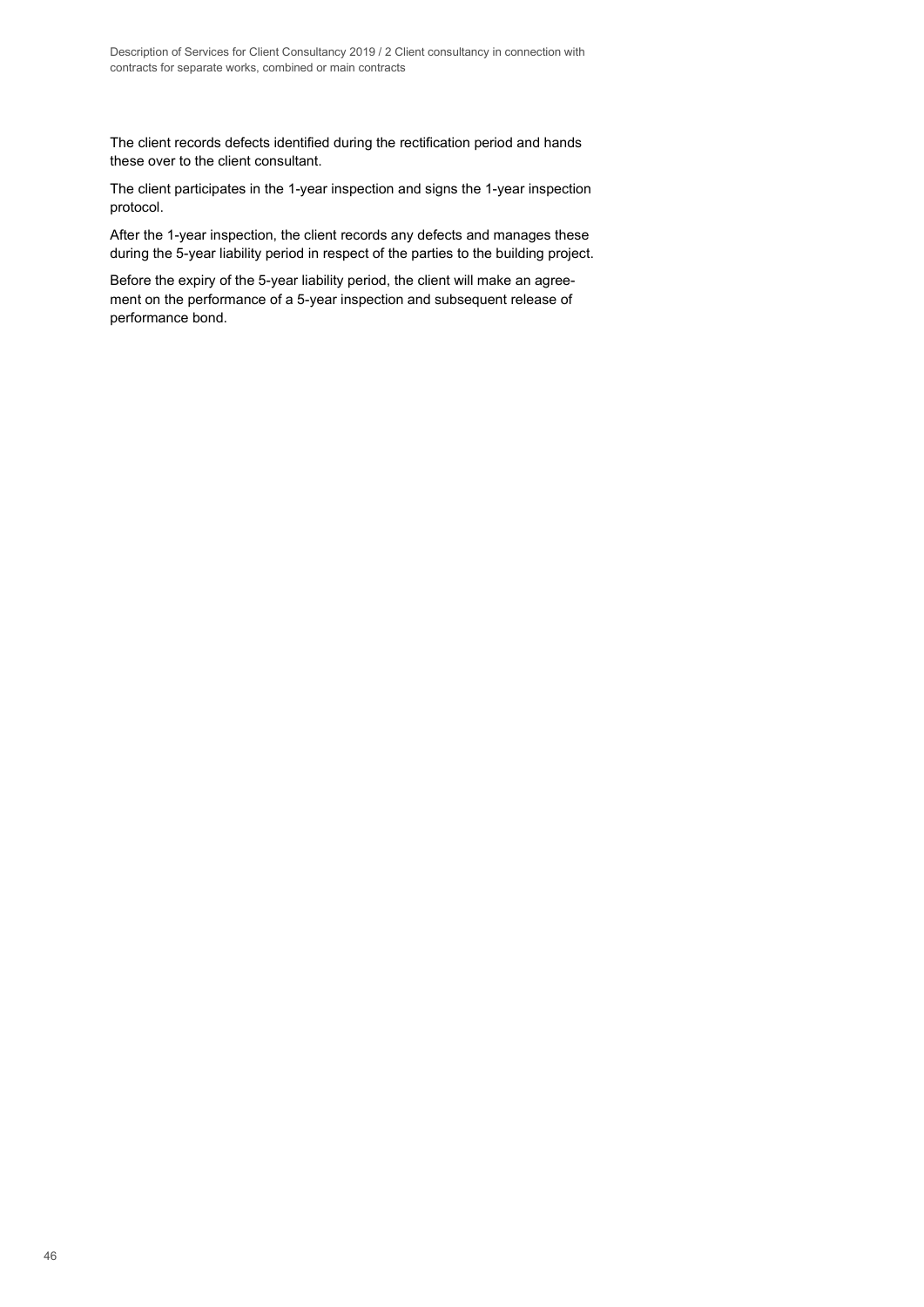The client records defects identified during the rectification period and hands these over to the client consultant.

The client participates in the 1-year inspection and signs the 1-year inspection protocol.

After the 1-year inspection, the client records any defects and manages these during the 5-year liability period in respect of the parties to the building project.

Before the expiry of the 5-year liability period, the client will make an agreement on the performance of a 5-year inspection and subsequent release of performance bond.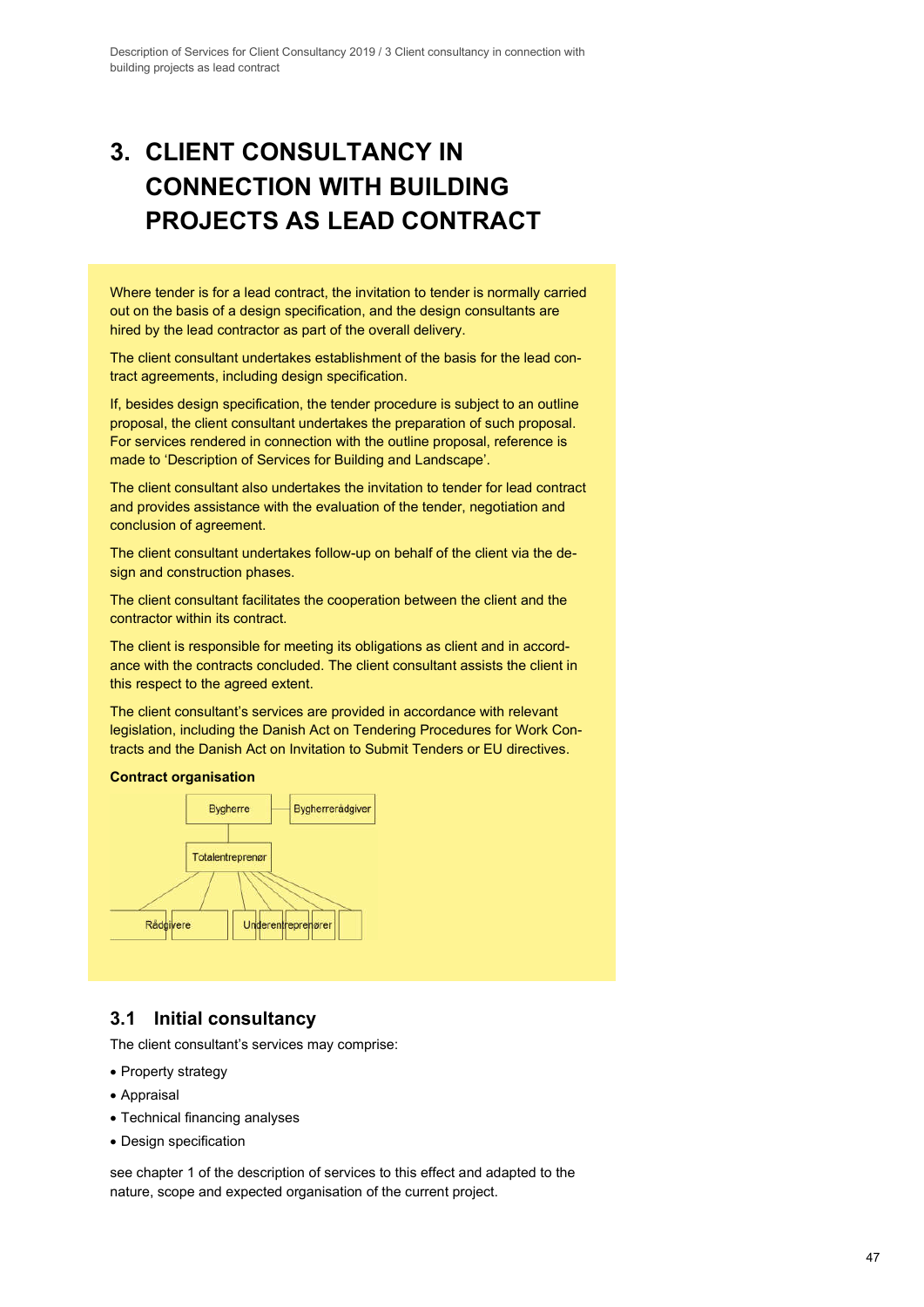# 3. CLIENT CONSULTANCY IN CONNECTION WITH BUILDING PROJECTS AS LEAD CONTRACT

Where tender is for a lead contract, the invitation to tender is normally carried out on the basis of a design specification, and the design consultants are hired by the lead contractor as part of the overall delivery.

The client consultant undertakes establishment of the basis for the lead contract agreements, including design specification.

If, besides design specification, the tender procedure is subject to an outline proposal, the client consultant undertakes the preparation of such proposal. For services rendered in connection with the outline proposal, reference is made to 'Description of Services for Building and Landscape'.

The client consultant also undertakes the invitation to tender for lead contract and provides assistance with the evaluation of the tender, negotiation and conclusion of agreement.

The client consultant undertakes follow-up on behalf of the client via the design and construction phases.

The client consultant facilitates the cooperation between the client and the contractor within its contract.

The client is responsible for meeting its obligations as client and in accordance with the contracts concluded. The client consultant assists the client in this respect to the agreed extent.

The client consultant's services are provided in accordance with relevant legislation, including the Danish Act on Tendering Procedures for Work Contracts and the Danish Act on Invitation to Submit Tenders or EU directives.

#### Contract organisation



## 3.1 Initial consultancy

The client consultant's services may comprise:

- Property strategy
- Appraisal
- Technical financing analyses
- Design specification

see chapter 1 of the description of services to this effect and adapted to the nature, scope and expected organisation of the current project.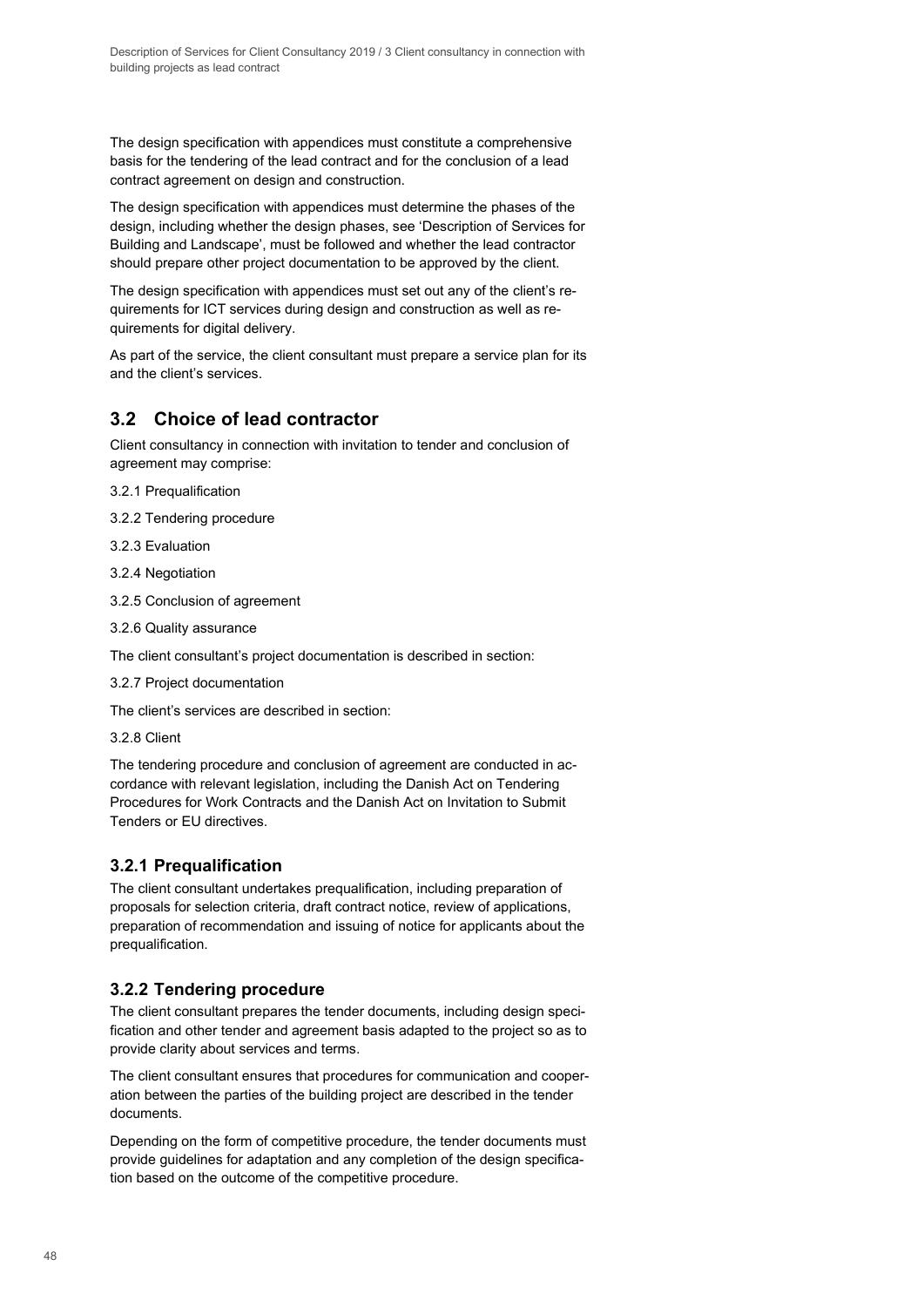The design specification with appendices must constitute a comprehensive basis for the tendering of the lead contract and for the conclusion of a lead contract agreement on design and construction.

The design specification with appendices must determine the phases of the design, including whether the design phases, see 'Description of Services for Building and Landscape', must be followed and whether the lead contractor should prepare other project documentation to be approved by the client.

The design specification with appendices must set out any of the client's requirements for ICT services during design and construction as well as requirements for digital delivery.

As part of the service, the client consultant must prepare a service plan for its and the client's services.

## 3.2 Choice of lead contractor

Client consultancy in connection with invitation to tender and conclusion of agreement may comprise:

3.2.1 Prequalification

3.2.2 Tendering procedure

3.2.3 Evaluation

3.2.4 Negotiation

3.2.5 Conclusion of agreement

3.2.6 Quality assurance

The client consultant's project documentation is described in section:

3.2.7 Project documentation

The client's services are described in section:

3.2.8 Client

The tendering procedure and conclusion of agreement are conducted in accordance with relevant legislation, including the Danish Act on Tendering Procedures for Work Contracts and the Danish Act on Invitation to Submit Tenders or EU directives.

## 3.2.1 Prequalification

The client consultant undertakes prequalification, including preparation of proposals for selection criteria, draft contract notice, review of applications, preparation of recommendation and issuing of notice for applicants about the prequalification.

## 3.2.2 Tendering procedure

The client consultant prepares the tender documents, including design specification and other tender and agreement basis adapted to the project so as to provide clarity about services and terms.

The client consultant ensures that procedures for communication and cooperation between the parties of the building project are described in the tender documents.

Depending on the form of competitive procedure, the tender documents must provide guidelines for adaptation and any completion of the design specification based on the outcome of the competitive procedure.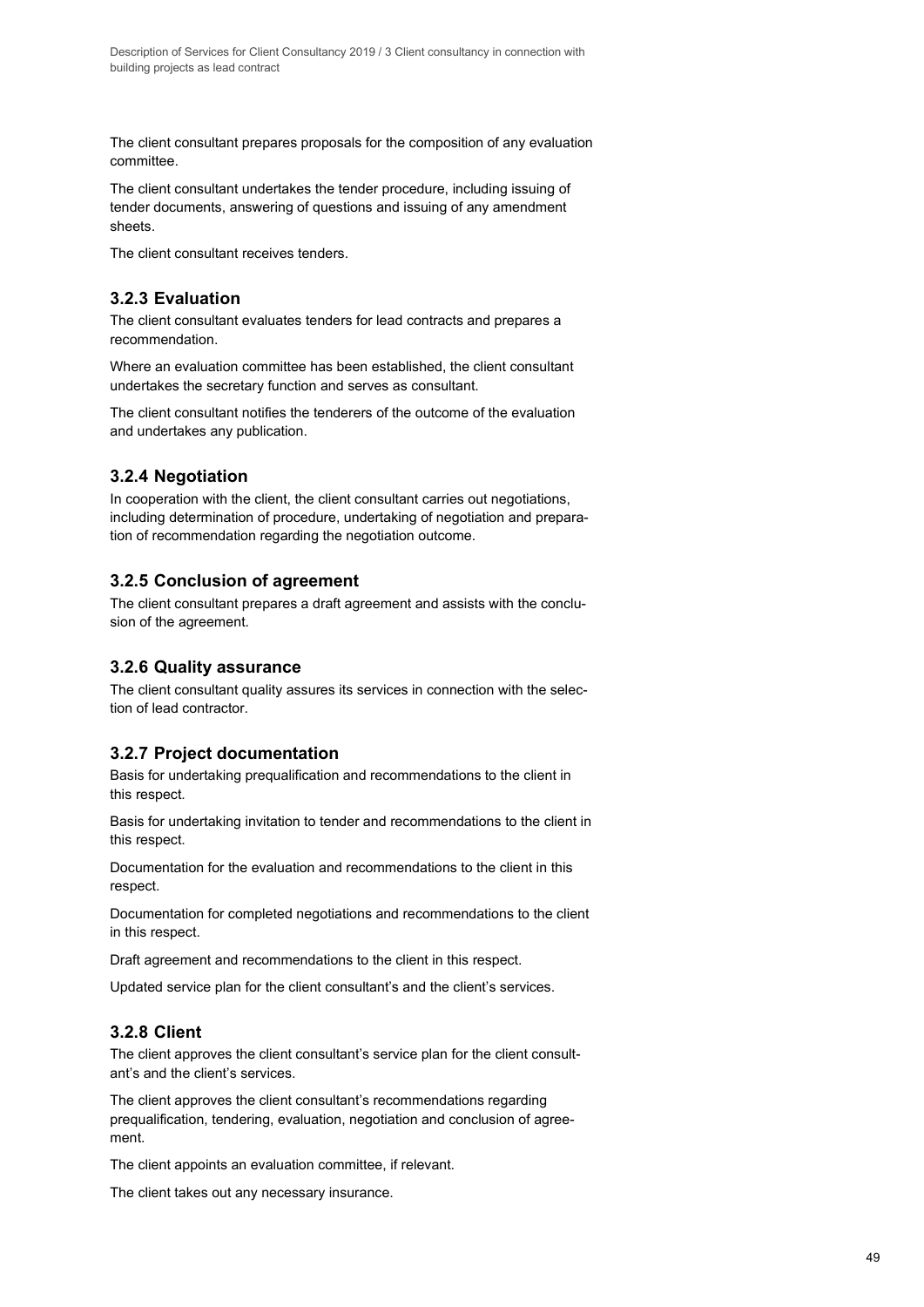The client consultant prepares proposals for the composition of any evaluation committee.

The client consultant undertakes the tender procedure, including issuing of tender documents, answering of questions and issuing of any amendment sheets.

The client consultant receives tenders.

## 3.2.3 Evaluation

The client consultant evaluates tenders for lead contracts and prepares a recommendation.

Where an evaluation committee has been established, the client consultant undertakes the secretary function and serves as consultant.

The client consultant notifies the tenderers of the outcome of the evaluation and undertakes any publication.

## 3.2.4 Negotiation

In cooperation with the client, the client consultant carries out negotiations, including determination of procedure, undertaking of negotiation and preparation of recommendation regarding the negotiation outcome.

## 3.2.5 Conclusion of agreement

The client consultant prepares a draft agreement and assists with the conclusion of the agreement.

## 3.2.6 Quality assurance

The client consultant quality assures its services in connection with the selection of lead contractor.

## 3.2.7 Project documentation

Basis for undertaking prequalification and recommendations to the client in this respect.

Basis for undertaking invitation to tender and recommendations to the client in this respect.

Documentation for the evaluation and recommendations to the client in this respect.

Documentation for completed negotiations and recommendations to the client in this respect.

Draft agreement and recommendations to the client in this respect.

Updated service plan for the client consultant's and the client's services.

## 3.2.8 Client

The client approves the client consultant's service plan for the client consultant's and the client's services.

The client approves the client consultant's recommendations regarding prequalification, tendering, evaluation, negotiation and conclusion of agreement.

The client appoints an evaluation committee, if relevant.

The client takes out any necessary insurance.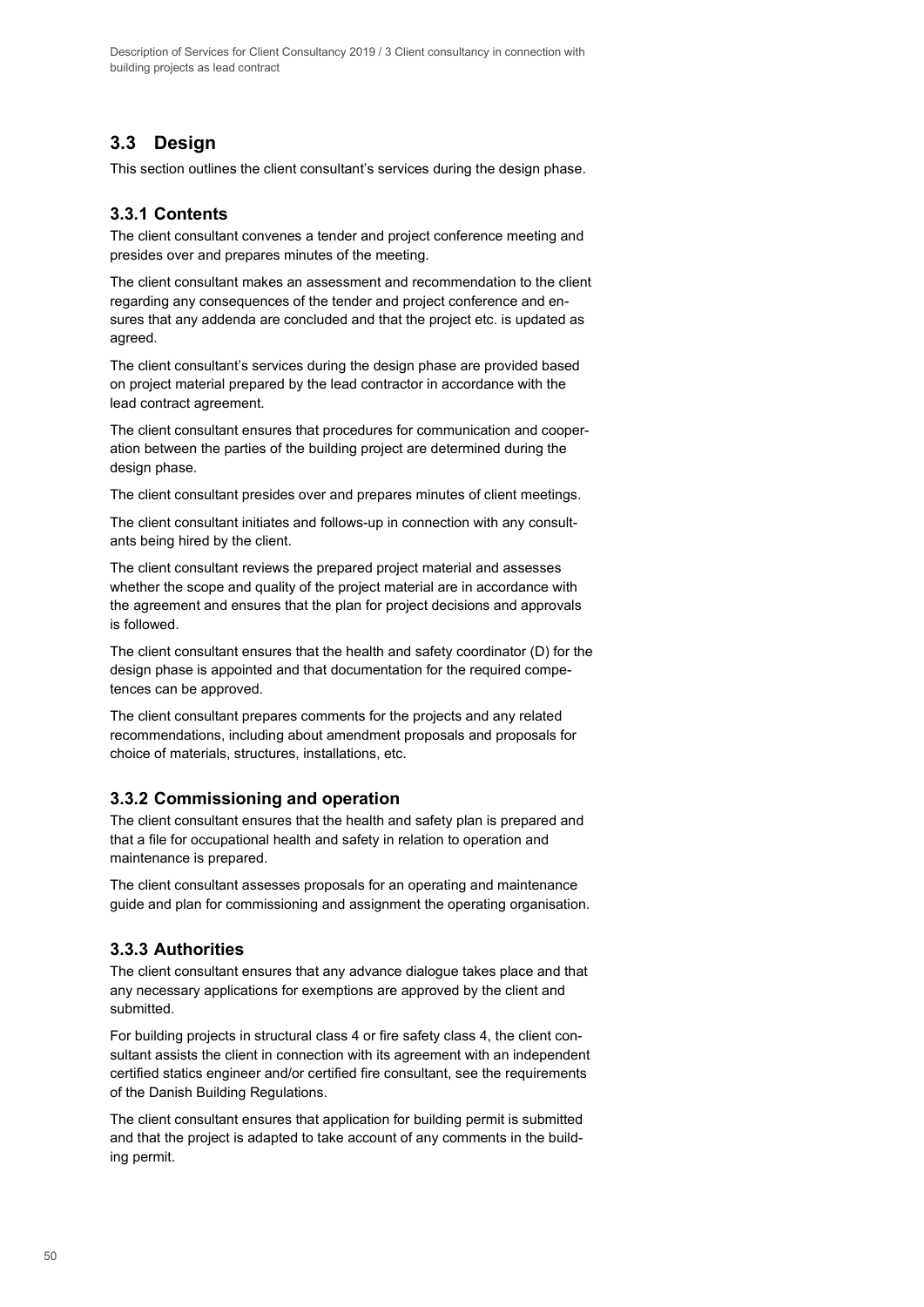## 3.3 Design

This section outlines the client consultant's services during the design phase.

## 3.3.1 Contents

The client consultant convenes a tender and project conference meeting and presides over and prepares minutes of the meeting.

The client consultant makes an assessment and recommendation to the client regarding any consequences of the tender and project conference and ensures that any addenda are concluded and that the project etc. is updated as agreed.

The client consultant's services during the design phase are provided based on project material prepared by the lead contractor in accordance with the lead contract agreement.

The client consultant ensures that procedures for communication and cooperation between the parties of the building project are determined during the design phase.

The client consultant presides over and prepares minutes of client meetings.

The client consultant initiates and follows-up in connection with any consultants being hired by the client.

The client consultant reviews the prepared project material and assesses whether the scope and quality of the project material are in accordance with the agreement and ensures that the plan for project decisions and approvals is followed.

The client consultant ensures that the health and safety coordinator (D) for the design phase is appointed and that documentation for the required competences can be approved.

The client consultant prepares comments for the projects and any related recommendations, including about amendment proposals and proposals for choice of materials, structures, installations, etc.

## 3.3.2 Commissioning and operation

The client consultant ensures that the health and safety plan is prepared and that a file for occupational health and safety in relation to operation and maintenance is prepared.

The client consultant assesses proposals for an operating and maintenance guide and plan for commissioning and assignment the operating organisation.

## 3.3.3 Authorities

The client consultant ensures that any advance dialogue takes place and that any necessary applications for exemptions are approved by the client and submitted.

For building projects in structural class 4 or fire safety class 4, the client consultant assists the client in connection with its agreement with an independent certified statics engineer and/or certified fire consultant, see the requirements of the Danish Building Regulations.

The client consultant ensures that application for building permit is submitted and that the project is adapted to take account of any comments in the building permit.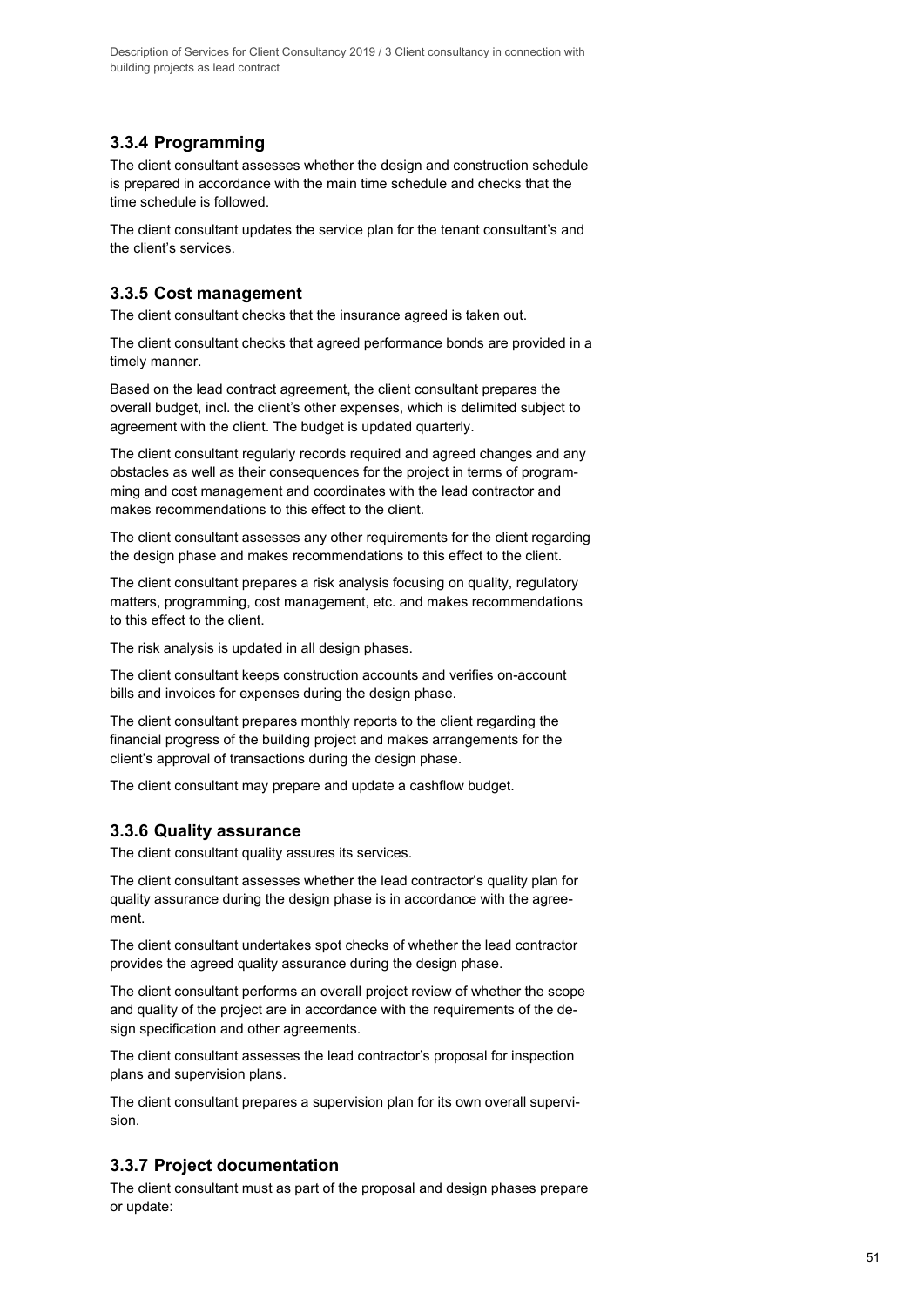## 3.3.4 Programming

The client consultant assesses whether the design and construction schedule is prepared in accordance with the main time schedule and checks that the time schedule is followed.

The client consultant updates the service plan for the tenant consultant's and the client's services.

## 3.3.5 Cost management

The client consultant checks that the insurance agreed is taken out.

The client consultant checks that agreed performance bonds are provided in a timely manner.

Based on the lead contract agreement, the client consultant prepares the overall budget, incl. the client's other expenses, which is delimited subject to agreement with the client. The budget is updated quarterly.

The client consultant regularly records required and agreed changes and any obstacles as well as their consequences for the project in terms of programming and cost management and coordinates with the lead contractor and makes recommendations to this effect to the client.

The client consultant assesses any other requirements for the client regarding the design phase and makes recommendations to this effect to the client.

The client consultant prepares a risk analysis focusing on quality, regulatory matters, programming, cost management, etc. and makes recommendations to this effect to the client.

The risk analysis is updated in all design phases.

The client consultant keeps construction accounts and verifies on-account bills and invoices for expenses during the design phase.

The client consultant prepares monthly reports to the client regarding the financial progress of the building project and makes arrangements for the client's approval of transactions during the design phase.

The client consultant may prepare and update a cashflow budget.

## 3.3.6 Quality assurance

The client consultant quality assures its services.

The client consultant assesses whether the lead contractor's quality plan for quality assurance during the design phase is in accordance with the agreement.

The client consultant undertakes spot checks of whether the lead contractor provides the agreed quality assurance during the design phase.

The client consultant performs an overall project review of whether the scope and quality of the project are in accordance with the requirements of the design specification and other agreements.

The client consultant assesses the lead contractor's proposal for inspection plans and supervision plans.

The client consultant prepares a supervision plan for its own overall supervision.

## 3.3.7 Project documentation

The client consultant must as part of the proposal and design phases prepare or update: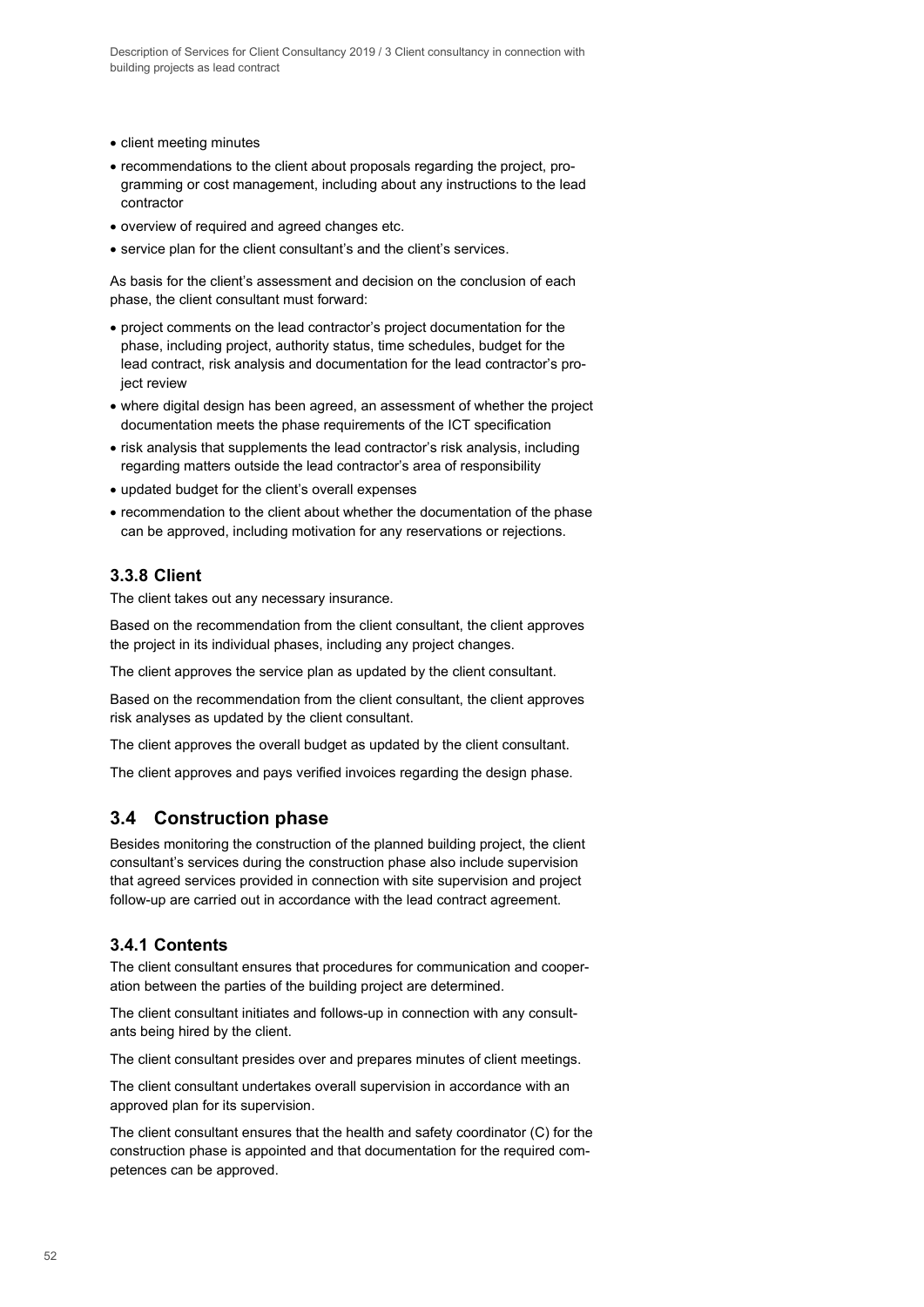- client meeting minutes
- recommendations to the client about proposals regarding the project, programming or cost management, including about any instructions to the lead contractor
- overview of required and agreed changes etc.
- service plan for the client consultant's and the client's services.

As basis for the client's assessment and decision on the conclusion of each phase, the client consultant must forward:

- project comments on the lead contractor's project documentation for the phase, including project, authority status, time schedules, budget for the lead contract, risk analysis and documentation for the lead contractor's project review
- where digital design has been agreed, an assessment of whether the project documentation meets the phase requirements of the ICT specification
- risk analysis that supplements the lead contractor's risk analysis, including regarding matters outside the lead contractor's area of responsibility
- updated budget for the client's overall expenses
- recommendation to the client about whether the documentation of the phase can be approved, including motivation for any reservations or rejections.

### 3.3.8 Client

The client takes out any necessary insurance.

Based on the recommendation from the client consultant, the client approves the project in its individual phases, including any project changes.

The client approves the service plan as updated by the client consultant.

Based on the recommendation from the client consultant, the client approves risk analyses as updated by the client consultant.

The client approves the overall budget as updated by the client consultant.

The client approves and pays verified invoices regarding the design phase.

## 3.4 Construction phase

Besides monitoring the construction of the planned building project, the client consultant's services during the construction phase also include supervision that agreed services provided in connection with site supervision and project follow-up are carried out in accordance with the lead contract agreement.

#### 3.4.1 Contents

The client consultant ensures that procedures for communication and cooperation between the parties of the building project are determined.

The client consultant initiates and follows-up in connection with any consultants being hired by the client.

The client consultant presides over and prepares minutes of client meetings.

The client consultant undertakes overall supervision in accordance with an approved plan for its supervision.

The client consultant ensures that the health and safety coordinator (C) for the construction phase is appointed and that documentation for the required competences can be approved.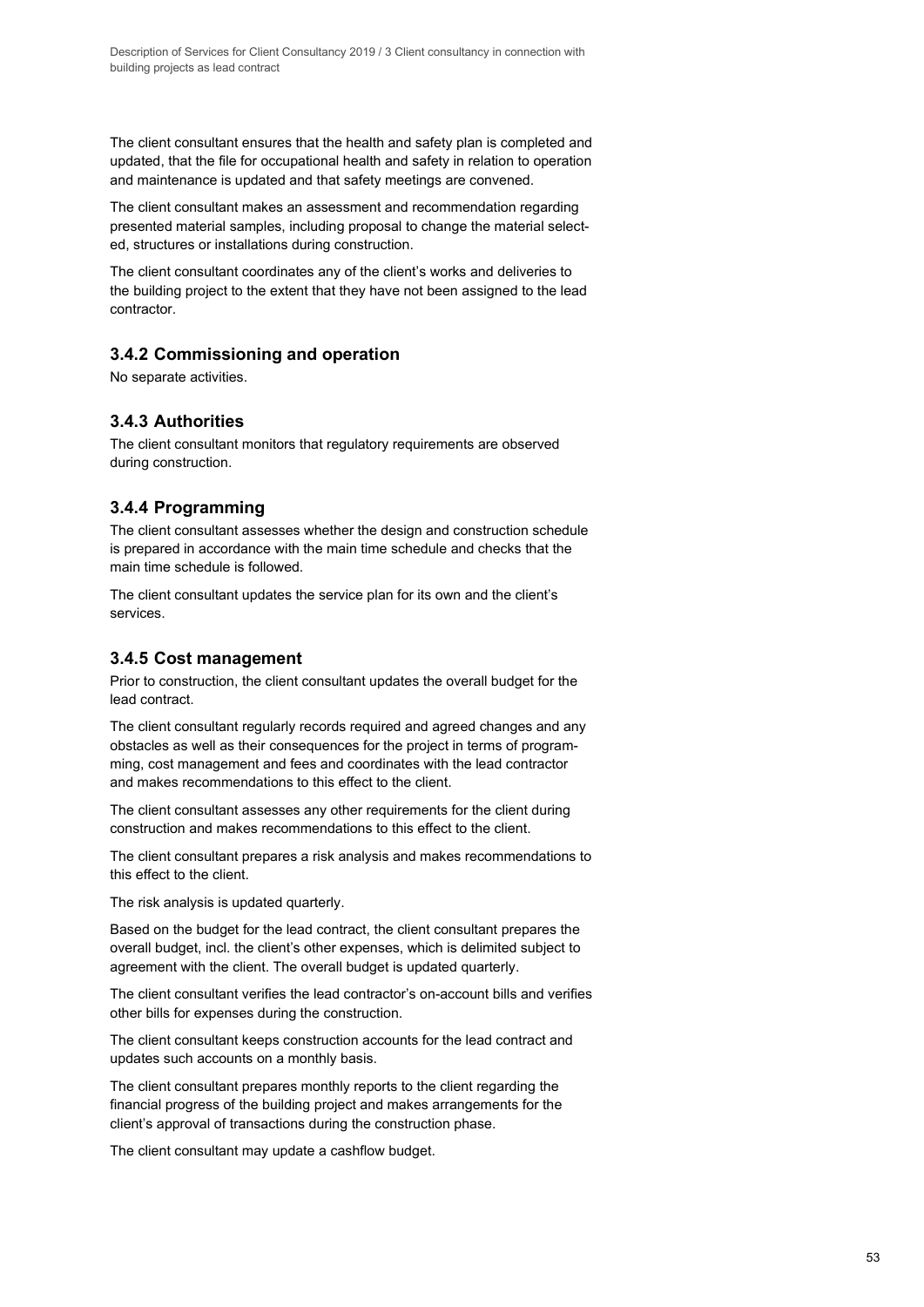The client consultant ensures that the health and safety plan is completed and updated, that the file for occupational health and safety in relation to operation and maintenance is updated and that safety meetings are convened.

The client consultant makes an assessment and recommendation regarding presented material samples, including proposal to change the material selected, structures or installations during construction.

The client consultant coordinates any of the client's works and deliveries to the building project to the extent that they have not been assigned to the lead contractor.

## 3.4.2 Commissioning and operation

No separate activities.

## 3.4.3 Authorities

The client consultant monitors that regulatory requirements are observed during construction.

## 3.4.4 Programming

The client consultant assesses whether the design and construction schedule is prepared in accordance with the main time schedule and checks that the main time schedule is followed.

The client consultant updates the service plan for its own and the client's services.

## 3.4.5 Cost management

Prior to construction, the client consultant updates the overall budget for the lead contract.

The client consultant regularly records required and agreed changes and any obstacles as well as their consequences for the project in terms of programming, cost management and fees and coordinates with the lead contractor and makes recommendations to this effect to the client.

The client consultant assesses any other requirements for the client during construction and makes recommendations to this effect to the client.

The client consultant prepares a risk analysis and makes recommendations to this effect to the client.

The risk analysis is updated quarterly.

Based on the budget for the lead contract, the client consultant prepares the overall budget, incl. the client's other expenses, which is delimited subject to agreement with the client. The overall budget is updated quarterly.

The client consultant verifies the lead contractor's on-account bills and verifies other bills for expenses during the construction.

The client consultant keeps construction accounts for the lead contract and updates such accounts on a monthly basis.

The client consultant prepares monthly reports to the client regarding the financial progress of the building project and makes arrangements for the client's approval of transactions during the construction phase.

The client consultant may update a cashflow budget.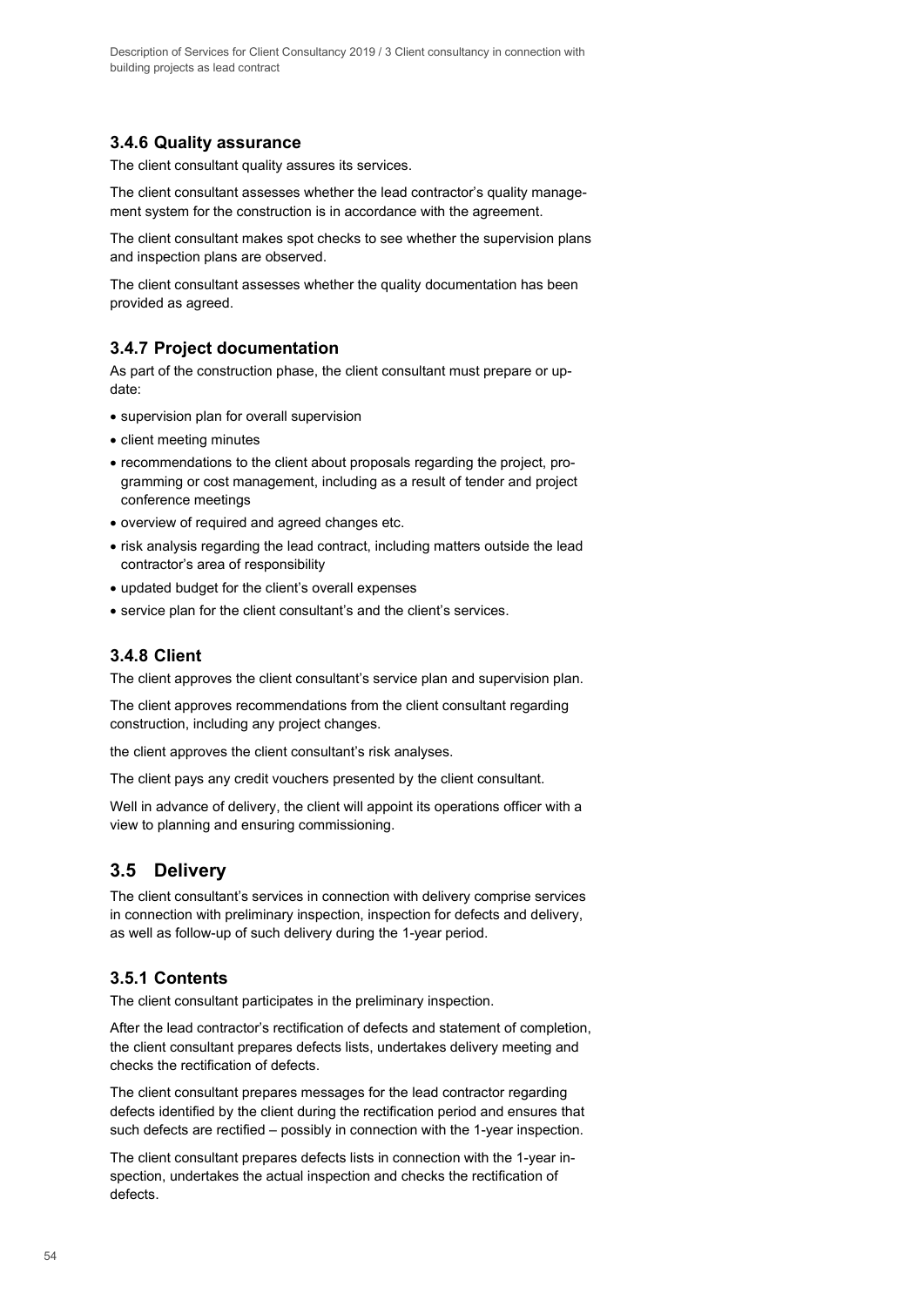#### 3.4.6 Quality assurance

The client consultant quality assures its services.

The client consultant assesses whether the lead contractor's quality management system for the construction is in accordance with the agreement.

The client consultant makes spot checks to see whether the supervision plans and inspection plans are observed.

The client consultant assesses whether the quality documentation has been provided as agreed.

### 3.4.7 Project documentation

As part of the construction phase, the client consultant must prepare or update:

- supervision plan for overall supervision
- client meeting minutes
- recommendations to the client about proposals regarding the project, programming or cost management, including as a result of tender and project conference meetings
- overview of required and agreed changes etc.
- risk analysis regarding the lead contract, including matters outside the lead contractor's area of responsibility
- updated budget for the client's overall expenses
- service plan for the client consultant's and the client's services.

## 3.4.8 Client

The client approves the client consultant's service plan and supervision plan.

The client approves recommendations from the client consultant regarding construction, including any project changes.

the client approves the client consultant's risk analyses.

The client pays any credit vouchers presented by the client consultant.

Well in advance of delivery, the client will appoint its operations officer with a view to planning and ensuring commissioning.

## 3.5 Delivery

The client consultant's services in connection with delivery comprise services in connection with preliminary inspection, inspection for defects and delivery, as well as follow-up of such delivery during the 1-year period.

## 3.5.1 Contents

The client consultant participates in the preliminary inspection.

After the lead contractor's rectification of defects and statement of completion, the client consultant prepares defects lists, undertakes delivery meeting and checks the rectification of defects.

The client consultant prepares messages for the lead contractor regarding defects identified by the client during the rectification period and ensures that such defects are rectified – possibly in connection with the 1-year inspection.

The client consultant prepares defects lists in connection with the 1-year inspection, undertakes the actual inspection and checks the rectification of defects.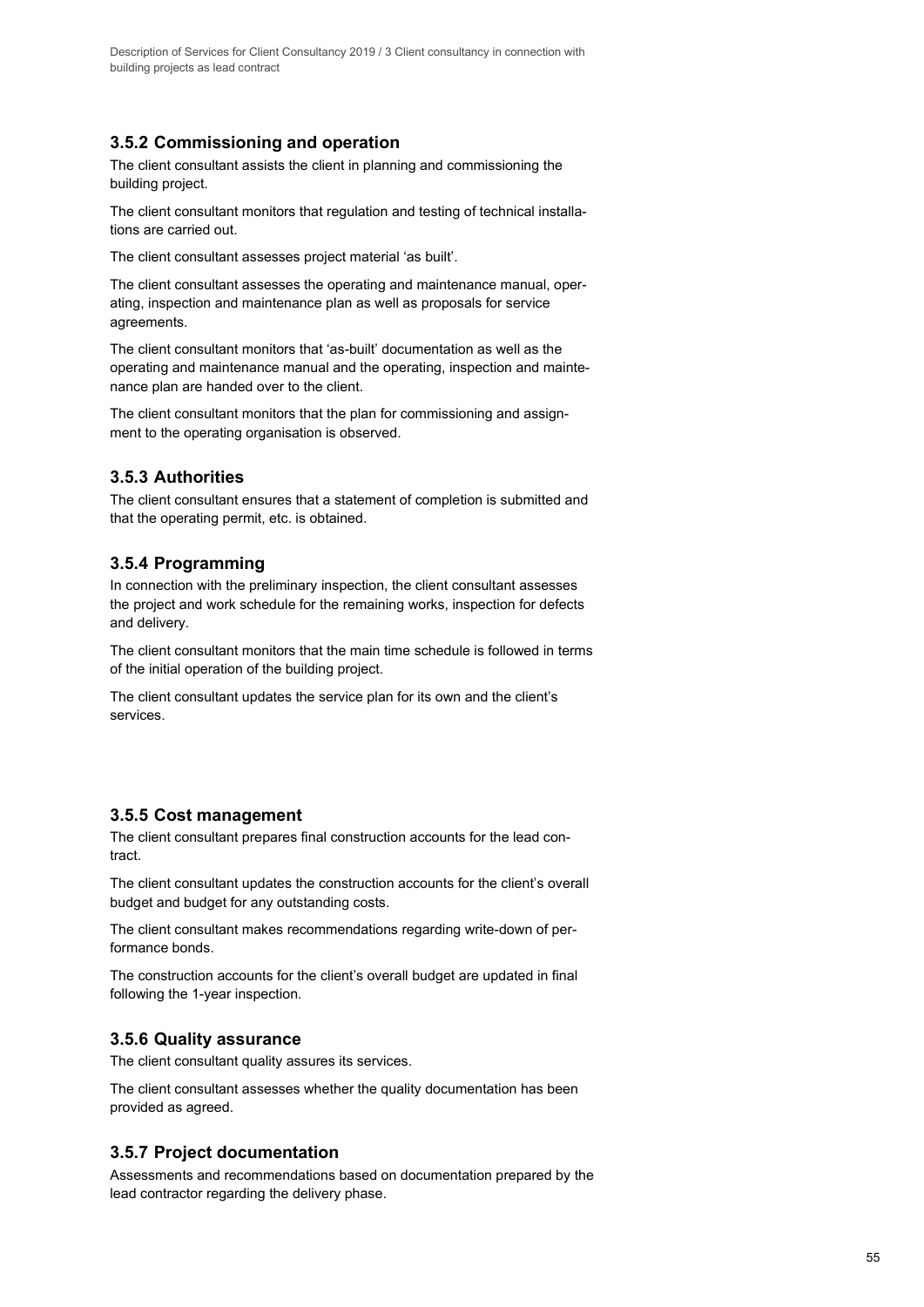## 3.5.2 Commissioning and operation

The client consultant assists the client in planning and commissioning the building project.

The client consultant monitors that regulation and testing of technical installations are carried out.

The client consultant assesses project material 'as built'.

The client consultant assesses the operating and maintenance manual, operating, inspection and maintenance plan as well as proposals for service agreements.

The client consultant monitors that 'as-built' documentation as well as the operating and maintenance manual and the operating, inspection and maintenance plan are handed over to the client.

The client consultant monitors that the plan for commissioning and assignment to the operating organisation is observed.

## 3.5.3 Authorities

The client consultant ensures that a statement of completion is submitted and that the operating permit, etc. is obtained.

## 3.5.4 Programming

In connection with the preliminary inspection, the client consultant assesses the project and work schedule for the remaining works, inspection for defects and delivery.

The client consultant monitors that the main time schedule is followed in terms of the initial operation of the building project.

The client consultant updates the service plan for its own and the client's services.

## 3.5.5 Cost management

The client consultant prepares final construction accounts for the lead contract.

The client consultant updates the construction accounts for the client's overall budget and budget for any outstanding costs.

The client consultant makes recommendations regarding write-down of performance bonds.

The construction accounts for the client's overall budget are updated in final following the 1-year inspection.

## 3.5.6 Quality assurance

The client consultant quality assures its services.

The client consultant assesses whether the quality documentation has been provided as agreed.

## 3.5.7 Project documentation

Assessments and recommendations based on documentation prepared by the lead contractor regarding the delivery phase.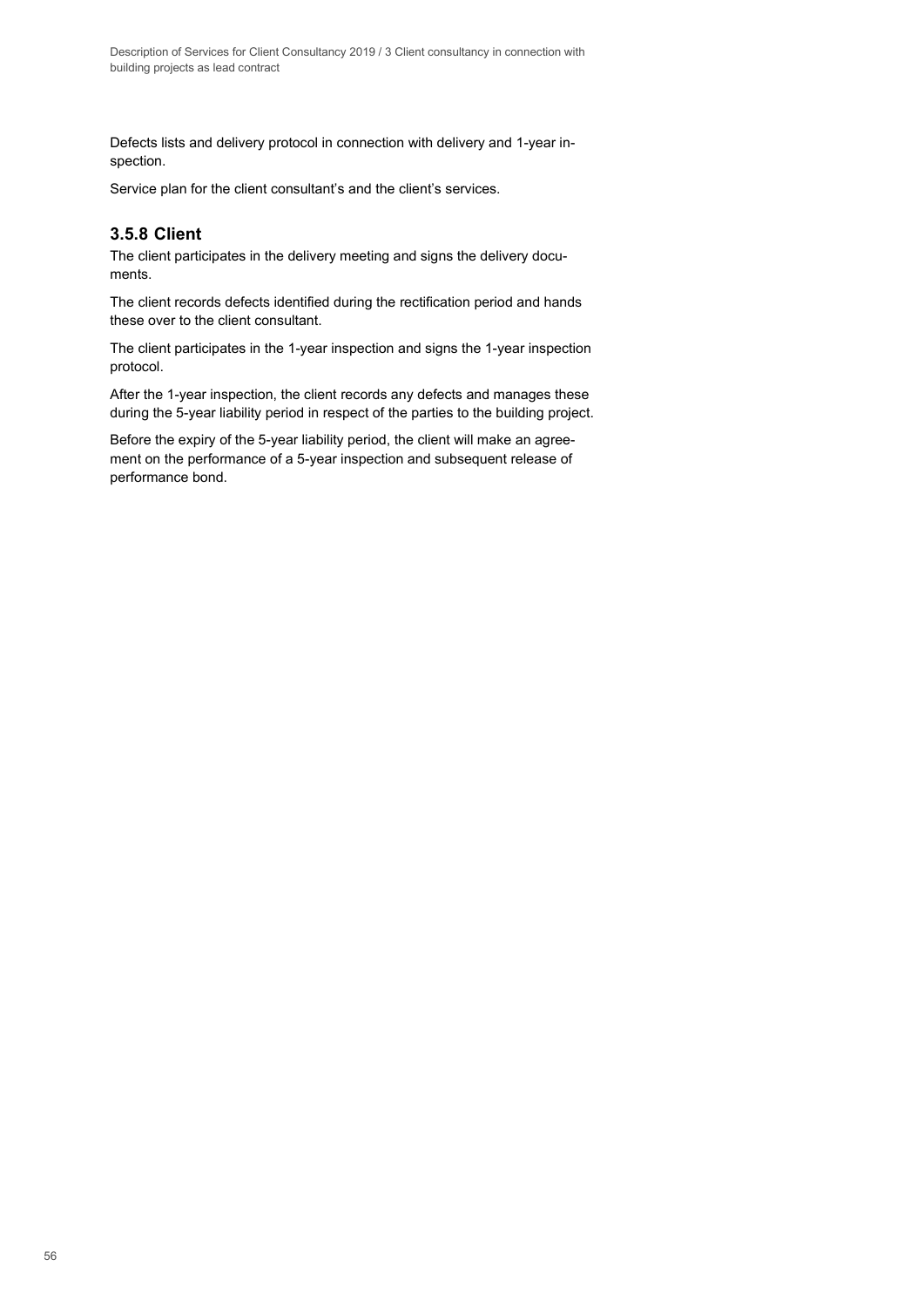Defects lists and delivery protocol in connection with delivery and 1-year inspection.

Service plan for the client consultant's and the client's services.

## 3.5.8 Client

The client participates in the delivery meeting and signs the delivery documents.

The client records defects identified during the rectification period and hands these over to the client consultant.

The client participates in the 1-year inspection and signs the 1-year inspection protocol.

After the 1-year inspection, the client records any defects and manages these during the 5-year liability period in respect of the parties to the building project.

Before the expiry of the 5-year liability period, the client will make an agreement on the performance of a 5-year inspection and subsequent release of performance bond.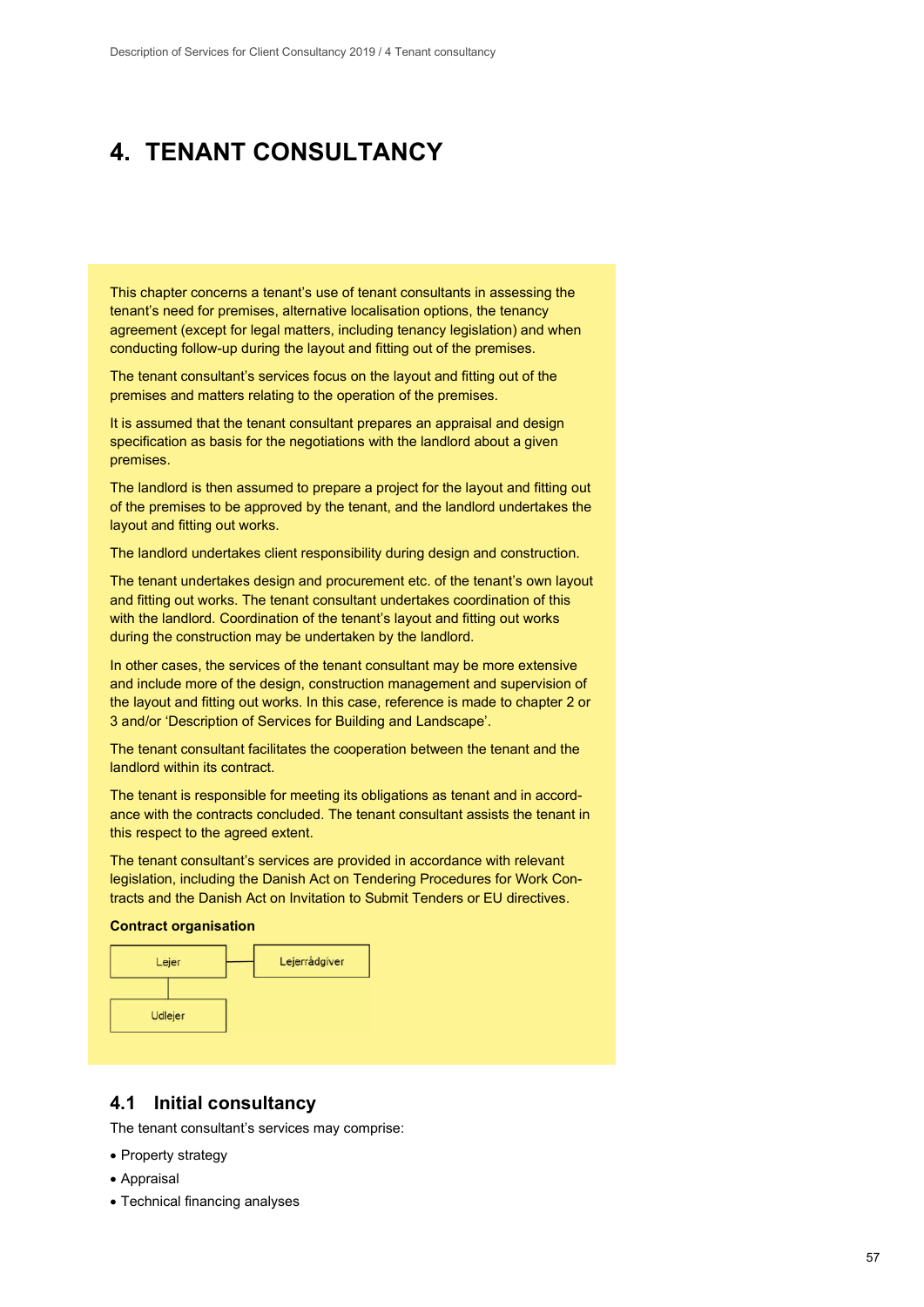## 4 TENANT CONSULTANCY

This chapter concerns a tenant's use of tenant consultants in assessing the tenant's need for premises, alternative localisation options, the tenancy agreement (except for legal matters, including tenancy legislation) and when conducting follow-up during the layout and fitting out of the premises.

The tenant consultant's services focus on the layout and fitting out of the premises and matters relating to the operation of the premises.

It is assumed that the tenant consultant prepares an appraisal and design specification as basis for the negotiations with the landlord about a given premises.

The landlord is then assumed to prepare a project for the layout and fitting out of the premises to be approved by the tenant, and the landlord undertakes the layout and fitting out works.

The landlord undertakes client responsibility during design and construction.

The tenant undertakes design and procurement etc. of the tenant's own layout and fitting out works. The tenant consultant undertakes coordination of this with the landlord. Coordination of the tenant's layout and fitting out works during the construction may be undertaken by the landlord.

In other cases, the services of the tenant consultant may be more extensive and include more of the design, construction management and supervision of the layout and fitting out works. In this case, reference is made to chapter 2 or 3 and/or 'Description of Services for Building and Landscape'.

The tenant consultant facilitates the cooperation between the tenant and the landlord within its contract.

The tenant is responsible for meeting its obligations as tenant and in accordance with the contracts concluded. The tenant consultant assists the tenant in this respect to the agreed extent.

The tenant consultant's services are provided in accordance with relevant legislation, including the Danish Act on Tendering Procedures for Work Contracts and the Danish Act on Invitation to Submit Tenders or EU directives.

#### Contract organisation



## 4.1 Initial consultancy

The tenant consultant's services may comprise:

- Property strategy
- Appraisal
- Technical financing analyses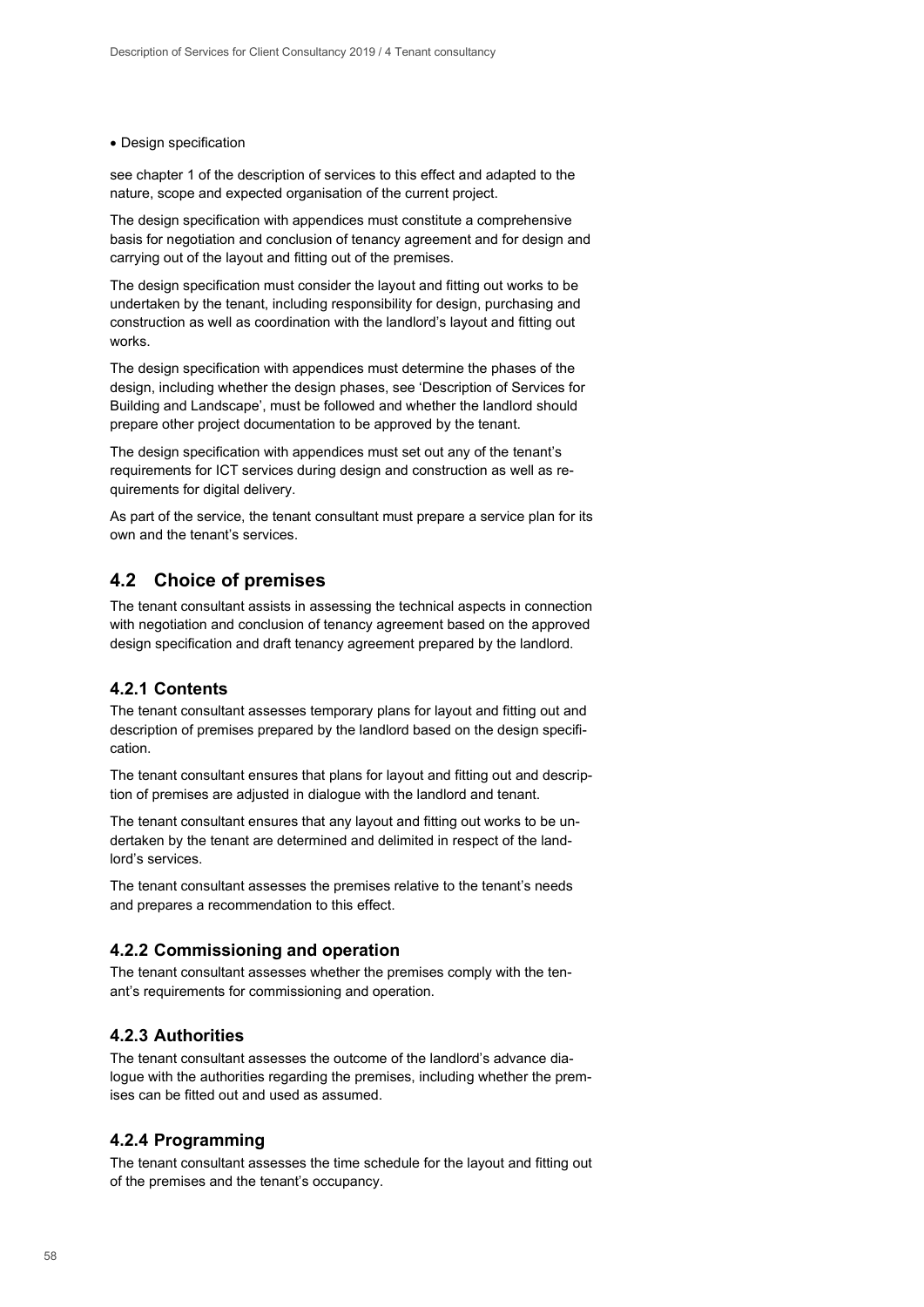#### Design specification

see chapter 1 of the description of services to this effect and adapted to the nature, scope and expected organisation of the current project.

The design specification with appendices must constitute a comprehensive basis for negotiation and conclusion of tenancy agreement and for design and carrying out of the layout and fitting out of the premises.

The design specification must consider the layout and fitting out works to be undertaken by the tenant, including responsibility for design, purchasing and construction as well as coordination with the landlord's layout and fitting out works.

The design specification with appendices must determine the phases of the design, including whether the design phases, see 'Description of Services for Building and Landscape', must be followed and whether the landlord should prepare other project documentation to be approved by the tenant.

The design specification with appendices must set out any of the tenant's requirements for ICT services during design and construction as well as requirements for digital delivery.

As part of the service, the tenant consultant must prepare a service plan for its own and the tenant's services.

## 4.2 Choice of premises

The tenant consultant assists in assessing the technical aspects in connection with negotiation and conclusion of tenancy agreement based on the approved design specification and draft tenancy agreement prepared by the landlord.

#### 4.2.1 Contents

The tenant consultant assesses temporary plans for layout and fitting out and description of premises prepared by the landlord based on the design specification.

The tenant consultant ensures that plans for layout and fitting out and description of premises are adjusted in dialogue with the landlord and tenant.

The tenant consultant ensures that any layout and fitting out works to be undertaken by the tenant are determined and delimited in respect of the landlord's services.

The tenant consultant assesses the premises relative to the tenant's needs and prepares a recommendation to this effect.

#### 4.2.2 Commissioning and operation

The tenant consultant assesses whether the premises comply with the tenant's requirements for commissioning and operation.

#### 4.2.3 Authorities

The tenant consultant assesses the outcome of the landlord's advance dialogue with the authorities regarding the premises, including whether the premises can be fitted out and used as assumed.

#### 4.2.4 Programming

The tenant consultant assesses the time schedule for the layout and fitting out of the premises and the tenant's occupancy.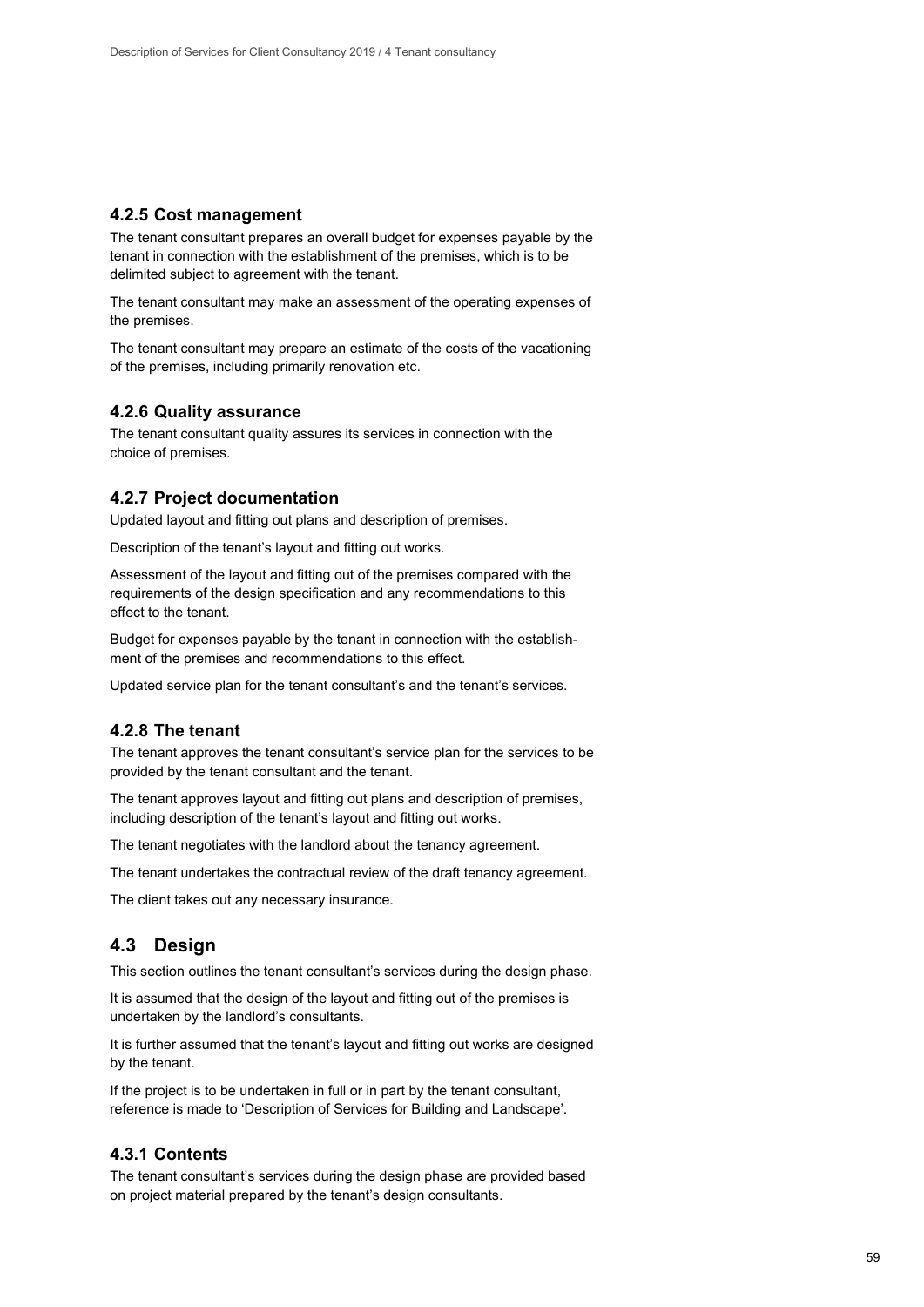#### 4.2.5 Cost management

The tenant consultant prepares an overall budget for expenses payable by the tenant in connection with the establishment of the premises, which is to be delimited subject to agreement with the tenant.

The tenant consultant may make an assessment of the operating expenses of the premises.

The tenant consultant may prepare an estimate of the costs of the vacationing of the premises, including primarily renovation etc.

#### 4.2.6 Quality assurance

The tenant consultant quality assures its services in connection with the choice of premises.

#### 4.2.7 Project documentation

Updated layout and fitting out plans and description of premises.

Description of the tenant's layout and fitting out works.

Assessment of the layout and fitting out of the premises compared with the requirements of the design specification and any recommendations to this effect to the tenant.

Budget for expenses payable by the tenant in connection with the establishment of the premises and recommendations to this effect.

Updated service plan for the tenant consultant's and the tenant's services.

#### 4.2.8 The tenant

The tenant approves the tenant consultant's service plan for the services to be provided by the tenant consultant and the tenant.

The tenant approves layout and fitting out plans and description of premises, including description of the tenant's layout and fitting out works.

The tenant negotiates with the landlord about the tenancy agreement.

The tenant undertakes the contractual review of the draft tenancy agreement.

The client takes out any necessary insurance.

## 4.3 Design

This section outlines the tenant consultant's services during the design phase.

It is assumed that the design of the layout and fitting out of the premises is undertaken by the landlord's consultants.

It is further assumed that the tenant's layout and fitting out works are designed by the tenant.

If the project is to be undertaken in full or in part by the tenant consultant, reference is made to 'Description of Services for Building and Landscape'.

#### 4.3.1 Contents

The tenant consultant's services during the design phase are provided based on project material prepared by the tenant's design consultants.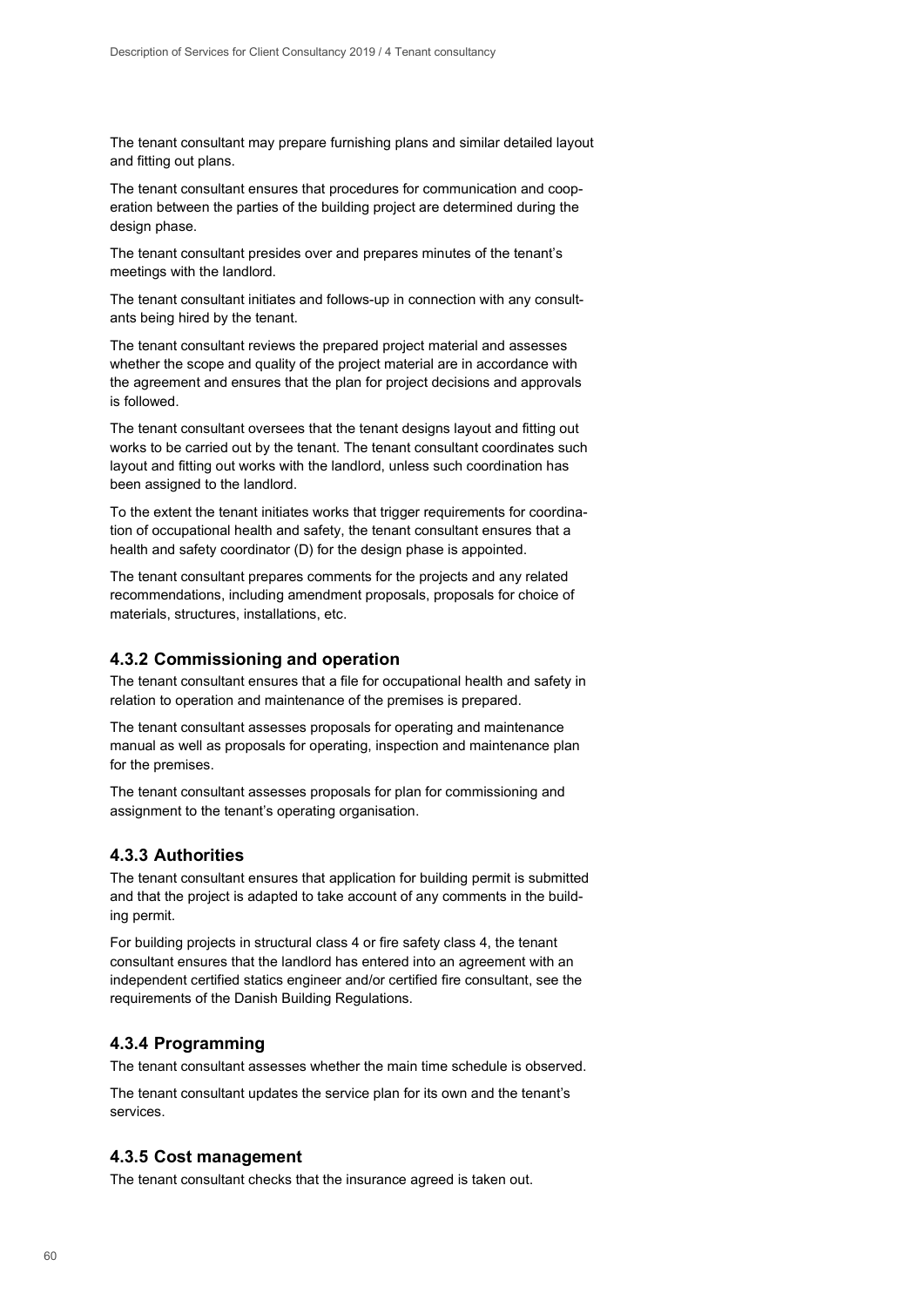The tenant consultant may prepare furnishing plans and similar detailed layout and fitting out plans.

The tenant consultant ensures that procedures for communication and cooperation between the parties of the building project are determined during the design phase.

The tenant consultant presides over and prepares minutes of the tenant's meetings with the landlord.

The tenant consultant initiates and follows-up in connection with any consultants being hired by the tenant.

The tenant consultant reviews the prepared project material and assesses whether the scope and quality of the project material are in accordance with the agreement and ensures that the plan for project decisions and approvals is followed.

The tenant consultant oversees that the tenant designs layout and fitting out works to be carried out by the tenant. The tenant consultant coordinates such layout and fitting out works with the landlord, unless such coordination has been assigned to the landlord.

To the extent the tenant initiates works that trigger requirements for coordination of occupational health and safety, the tenant consultant ensures that a health and safety coordinator (D) for the design phase is appointed.

The tenant consultant prepares comments for the projects and any related recommendations, including amendment proposals, proposals for choice of materials, structures, installations, etc.

#### 4.3.2 Commissioning and operation

The tenant consultant ensures that a file for occupational health and safety in relation to operation and maintenance of the premises is prepared.

The tenant consultant assesses proposals for operating and maintenance manual as well as proposals for operating, inspection and maintenance plan for the premises.

The tenant consultant assesses proposals for plan for commissioning and assignment to the tenant's operating organisation.

#### 4.3.3 Authorities

The tenant consultant ensures that application for building permit is submitted and that the project is adapted to take account of any comments in the building permit.

For building projects in structural class 4 or fire safety class 4, the tenant consultant ensures that the landlord has entered into an agreement with an independent certified statics engineer and/or certified fire consultant, see the requirements of the Danish Building Regulations.

#### 4.3.4 Programming

The tenant consultant assesses whether the main time schedule is observed.

The tenant consultant updates the service plan for its own and the tenant's services.

### 4.3.5 Cost management

The tenant consultant checks that the insurance agreed is taken out.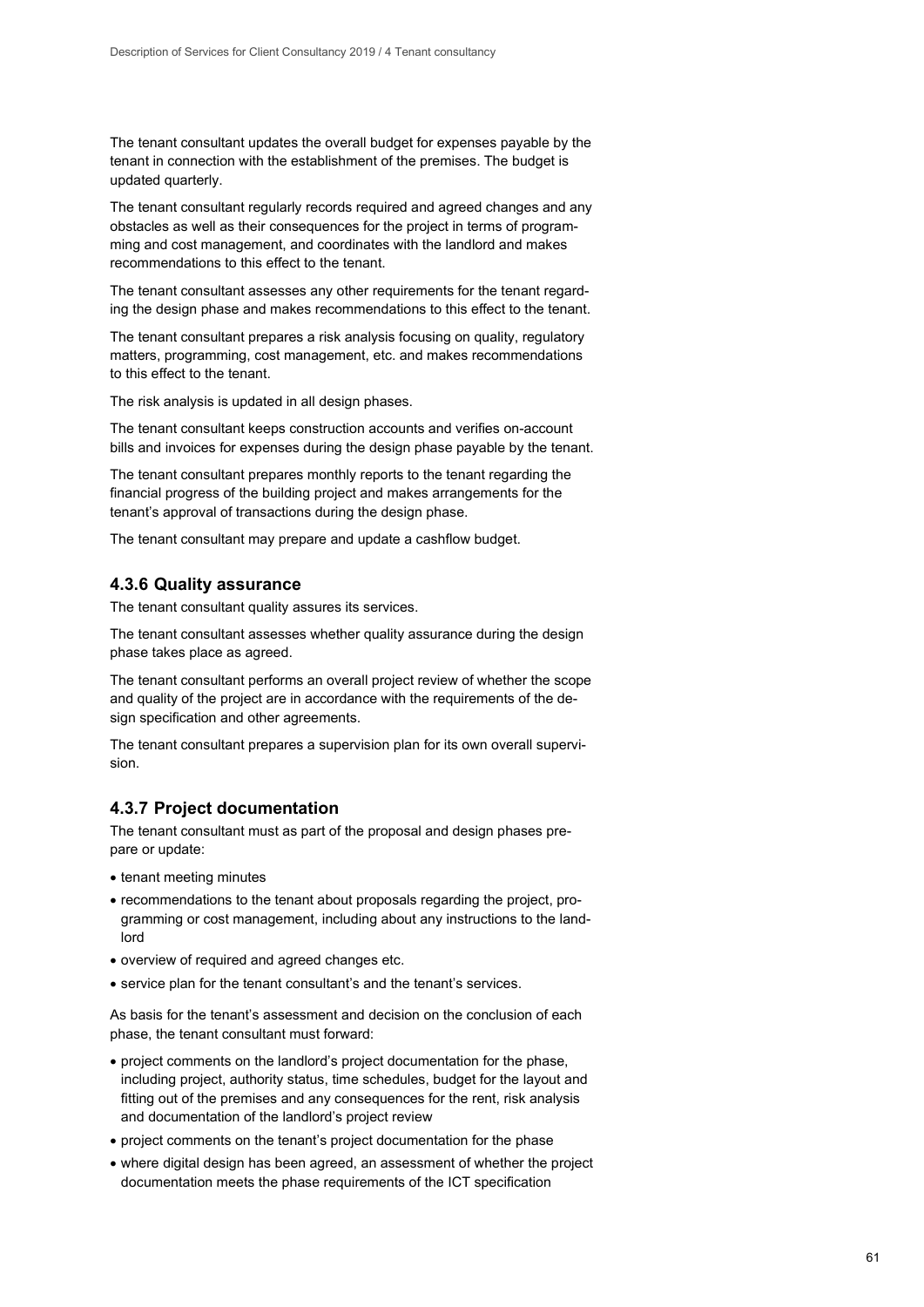The tenant consultant updates the overall budget for expenses payable by the tenant in connection with the establishment of the premises. The budget is updated quarterly.

The tenant consultant regularly records required and agreed changes and any obstacles as well as their consequences for the project in terms of programming and cost management, and coordinates with the landlord and makes recommendations to this effect to the tenant.

The tenant consultant assesses any other requirements for the tenant regarding the design phase and makes recommendations to this effect to the tenant.

The tenant consultant prepares a risk analysis focusing on quality, regulatory matters, programming, cost management, etc. and makes recommendations to this effect to the tenant.

The risk analysis is updated in all design phases.

The tenant consultant keeps construction accounts and verifies on-account bills and invoices for expenses during the design phase payable by the tenant.

The tenant consultant prepares monthly reports to the tenant regarding the financial progress of the building project and makes arrangements for the tenant's approval of transactions during the design phase.

The tenant consultant may prepare and update a cashflow budget.

#### 4.3.6 Quality assurance

The tenant consultant quality assures its services.

The tenant consultant assesses whether quality assurance during the design phase takes place as agreed.

The tenant consultant performs an overall project review of whether the scope and quality of the project are in accordance with the requirements of the design specification and other agreements.

The tenant consultant prepares a supervision plan for its own overall supervision.

## 4.3.7 Project documentation

The tenant consultant must as part of the proposal and design phases prepare or update:

- tenant meeting minutes
- recommendations to the tenant about proposals regarding the project, programming or cost management, including about any instructions to the landlord
- overview of required and agreed changes etc.
- service plan for the tenant consultant's and the tenant's services.

As basis for the tenant's assessment and decision on the conclusion of each phase, the tenant consultant must forward:

- project comments on the landlord's project documentation for the phase, including project, authority status, time schedules, budget for the layout and fitting out of the premises and any consequences for the rent, risk analysis and documentation of the landlord's project review
- project comments on the tenant's project documentation for the phase
- where digital design has been agreed, an assessment of whether the project documentation meets the phase requirements of the ICT specification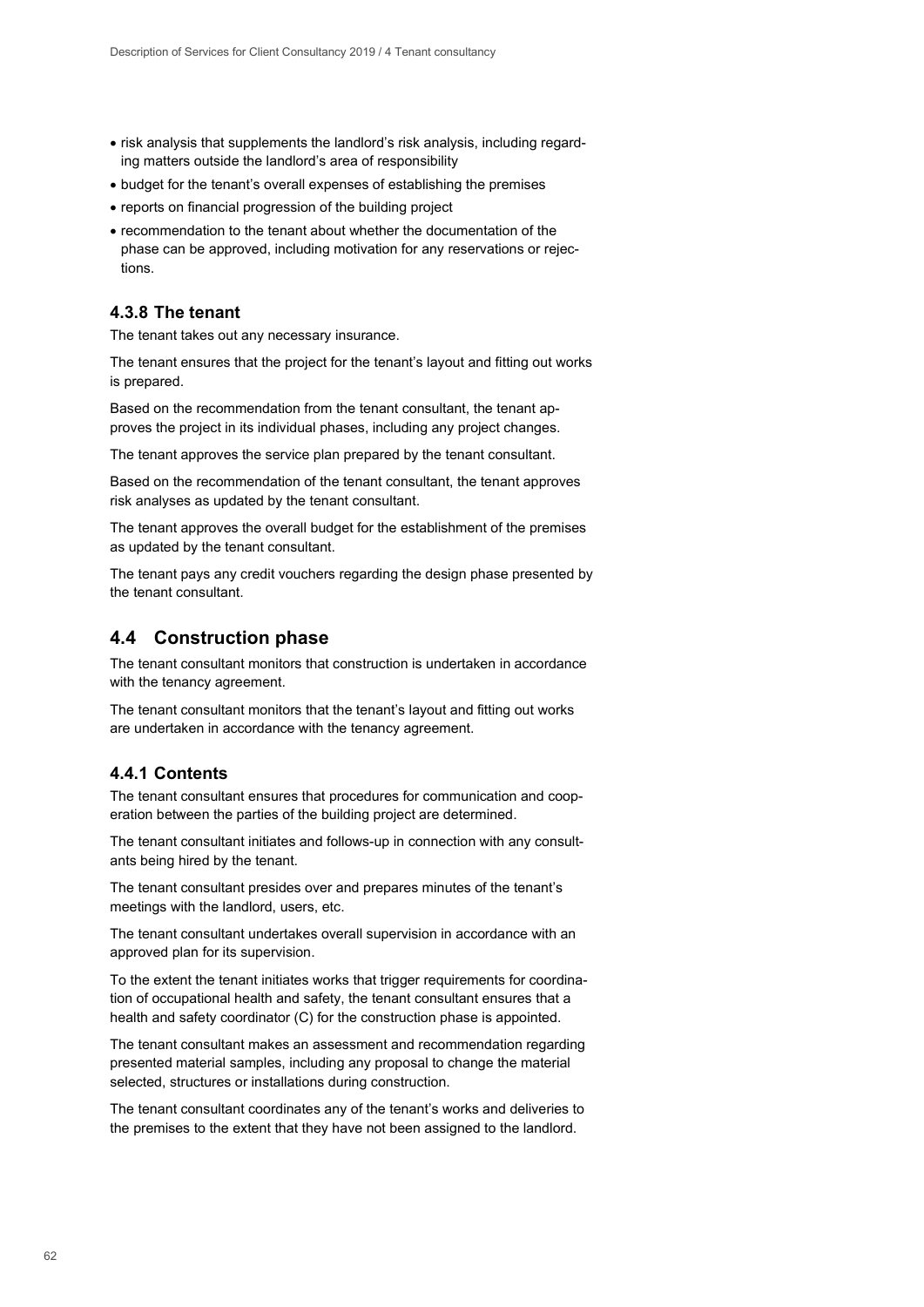- risk analysis that supplements the landlord's risk analysis, including regarding matters outside the landlord's area of responsibility
- budget for the tenant's overall expenses of establishing the premises
- reports on financial progression of the building project
- recommendation to the tenant about whether the documentation of the phase can be approved, including motivation for any reservations or rejections.

#### 4.3.8 The tenant

The tenant takes out any necessary insurance.

The tenant ensures that the project for the tenant's layout and fitting out works is prepared.

Based on the recommendation from the tenant consultant, the tenant approves the project in its individual phases, including any project changes.

The tenant approves the service plan prepared by the tenant consultant.

Based on the recommendation of the tenant consultant, the tenant approves risk analyses as updated by the tenant consultant.

The tenant approves the overall budget for the establishment of the premises as updated by the tenant consultant.

The tenant pays any credit vouchers regarding the design phase presented by the tenant consultant.

#### 4.4 Construction phase

The tenant consultant monitors that construction is undertaken in accordance with the tenancy agreement.

The tenant consultant monitors that the tenant's layout and fitting out works are undertaken in accordance with the tenancy agreement.

#### 4.4.1 Contents

The tenant consultant ensures that procedures for communication and cooperation between the parties of the building project are determined.

The tenant consultant initiates and follows-up in connection with any consultants being hired by the tenant.

The tenant consultant presides over and prepares minutes of the tenant's meetings with the landlord, users, etc.

The tenant consultant undertakes overall supervision in accordance with an approved plan for its supervision.

To the extent the tenant initiates works that trigger requirements for coordination of occupational health and safety, the tenant consultant ensures that a health and safety coordinator (C) for the construction phase is appointed.

The tenant consultant makes an assessment and recommendation regarding presented material samples, including any proposal to change the material selected, structures or installations during construction.

The tenant consultant coordinates any of the tenant's works and deliveries to the premises to the extent that they have not been assigned to the landlord.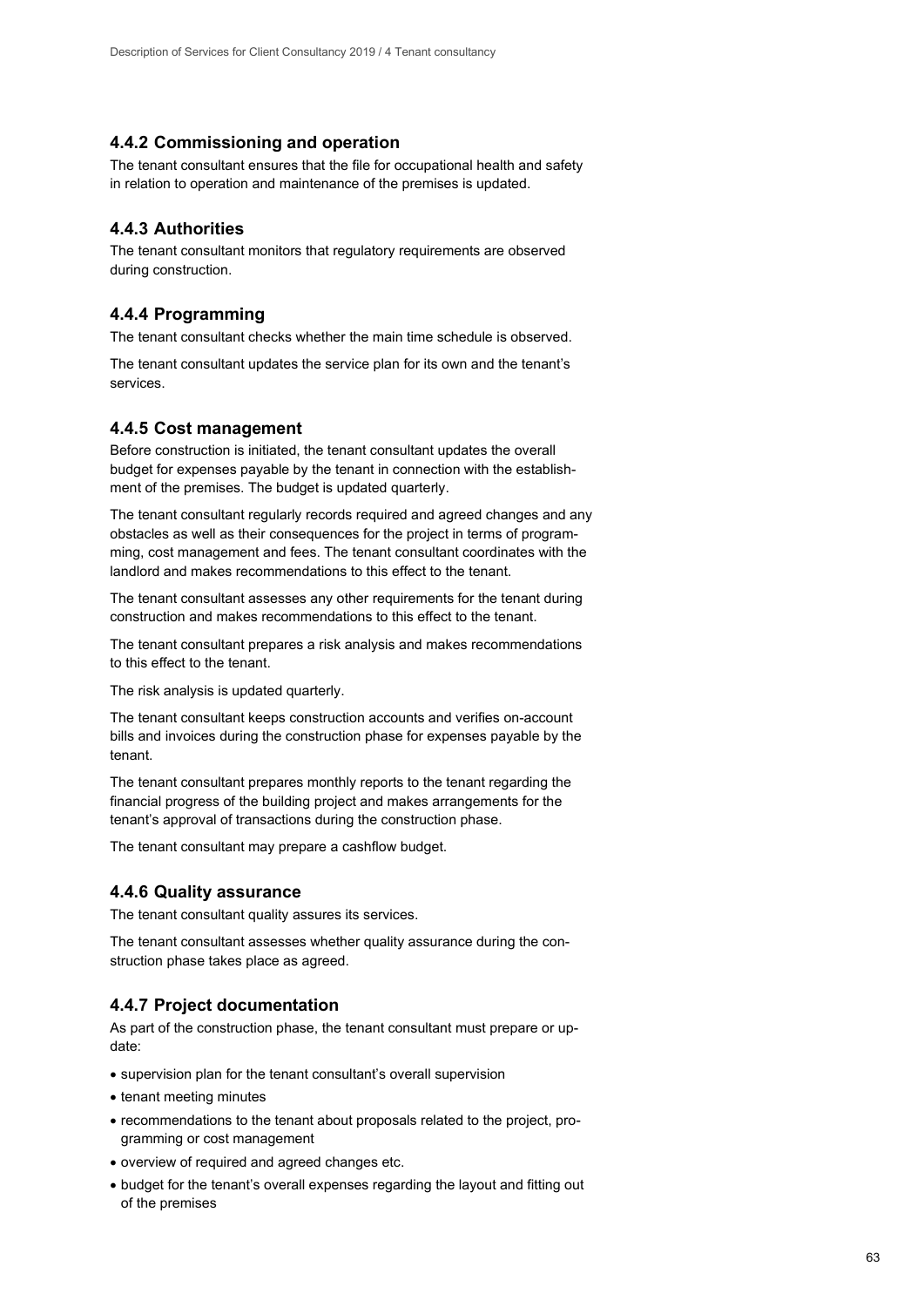#### 4.4.2 Commissioning and operation

The tenant consultant ensures that the file for occupational health and safety in relation to operation and maintenance of the premises is updated.

### 4.4.3 Authorities

The tenant consultant monitors that regulatory requirements are observed during construction.

#### 4.4.4 Programming

The tenant consultant checks whether the main time schedule is observed.

The tenant consultant updates the service plan for its own and the tenant's services.

#### 4.4.5 Cost management

Before construction is initiated, the tenant consultant updates the overall budget for expenses payable by the tenant in connection with the establishment of the premises. The budget is updated quarterly.

The tenant consultant regularly records required and agreed changes and any obstacles as well as their consequences for the project in terms of programming, cost management and fees. The tenant consultant coordinates with the landlord and makes recommendations to this effect to the tenant.

The tenant consultant assesses any other requirements for the tenant during construction and makes recommendations to this effect to the tenant.

The tenant consultant prepares a risk analysis and makes recommendations to this effect to the tenant.

The risk analysis is updated quarterly.

The tenant consultant keeps construction accounts and verifies on-account bills and invoices during the construction phase for expenses payable by the tenant.

The tenant consultant prepares monthly reports to the tenant regarding the financial progress of the building project and makes arrangements for the tenant's approval of transactions during the construction phase.

The tenant consultant may prepare a cashflow budget.

#### 4.4.6 Quality assurance

The tenant consultant quality assures its services.

The tenant consultant assesses whether quality assurance during the construction phase takes place as agreed.

#### 4.4.7 Project documentation

As part of the construction phase, the tenant consultant must prepare or update:

- supervision plan for the tenant consultant's overall supervision
- tenant meeting minutes
- recommendations to the tenant about proposals related to the project, programming or cost management
- overview of required and agreed changes etc.
- budget for the tenant's overall expenses regarding the layout and fitting out of the premises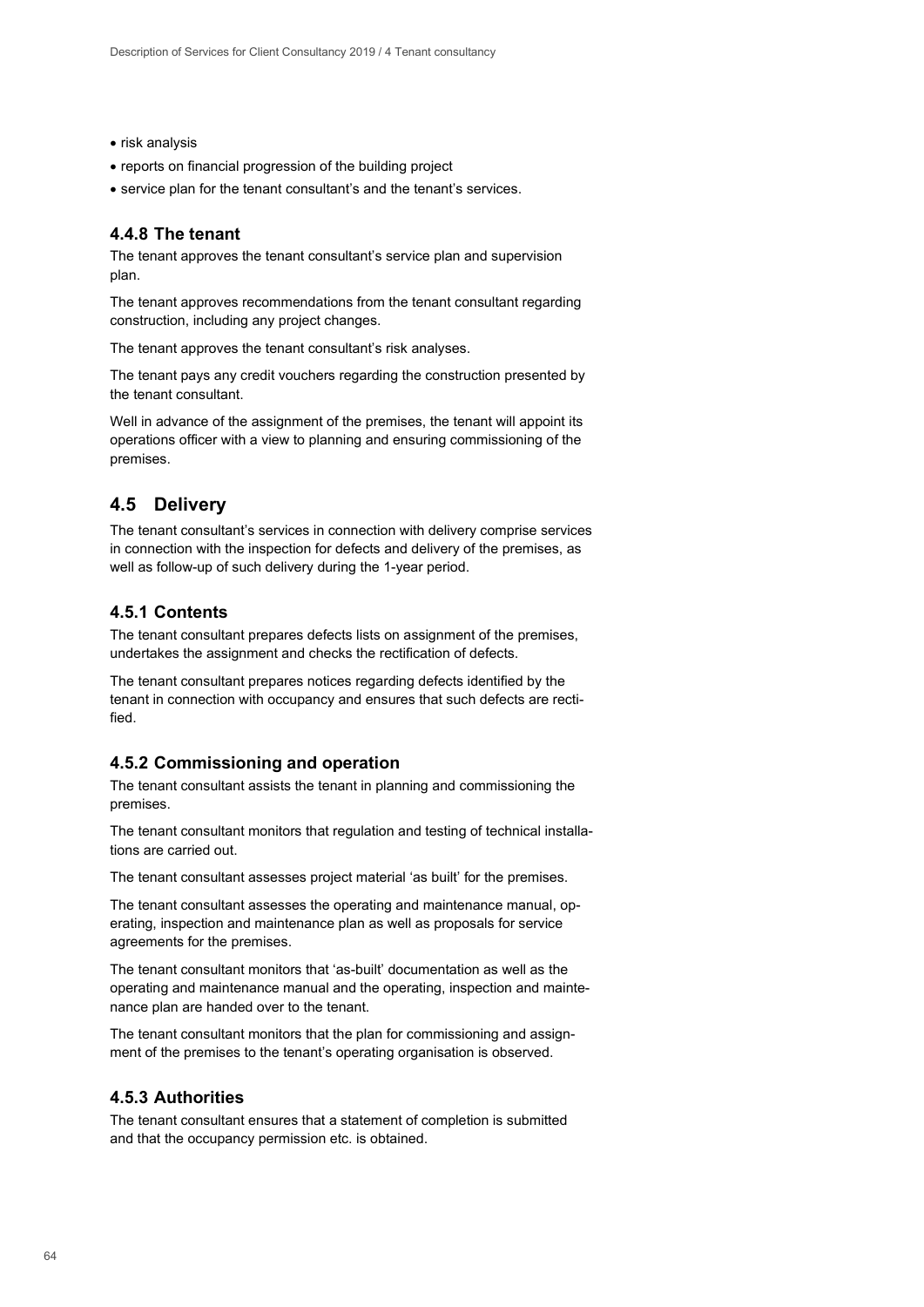- risk analysis
- reports on financial progression of the building project
- service plan for the tenant consultant's and the tenant's services.

#### 4.4.8 The tenant

The tenant approves the tenant consultant's service plan and supervision plan.

The tenant approves recommendations from the tenant consultant regarding construction, including any project changes.

The tenant approves the tenant consultant's risk analyses.

The tenant pays any credit vouchers regarding the construction presented by the tenant consultant.

Well in advance of the assignment of the premises, the tenant will appoint its operations officer with a view to planning and ensuring commissioning of the premises.

## 4.5 Delivery

The tenant consultant's services in connection with delivery comprise services in connection with the inspection for defects and delivery of the premises, as well as follow-up of such delivery during the 1-year period.

#### 4.5.1 Contents

The tenant consultant prepares defects lists on assignment of the premises, undertakes the assignment and checks the rectification of defects.

The tenant consultant prepares notices regarding defects identified by the tenant in connection with occupancy and ensures that such defects are rectified.

#### 4.5.2 Commissioning and operation

The tenant consultant assists the tenant in planning and commissioning the premises.

The tenant consultant monitors that regulation and testing of technical installations are carried out.

The tenant consultant assesses project material 'as built' for the premises.

The tenant consultant assesses the operating and maintenance manual, operating, inspection and maintenance plan as well as proposals for service agreements for the premises.

The tenant consultant monitors that 'as-built' documentation as well as the operating and maintenance manual and the operating, inspection and maintenance plan are handed over to the tenant.

The tenant consultant monitors that the plan for commissioning and assignment of the premises to the tenant's operating organisation is observed.

#### 4.5.3 Authorities

The tenant consultant ensures that a statement of completion is submitted and that the occupancy permission etc. is obtained.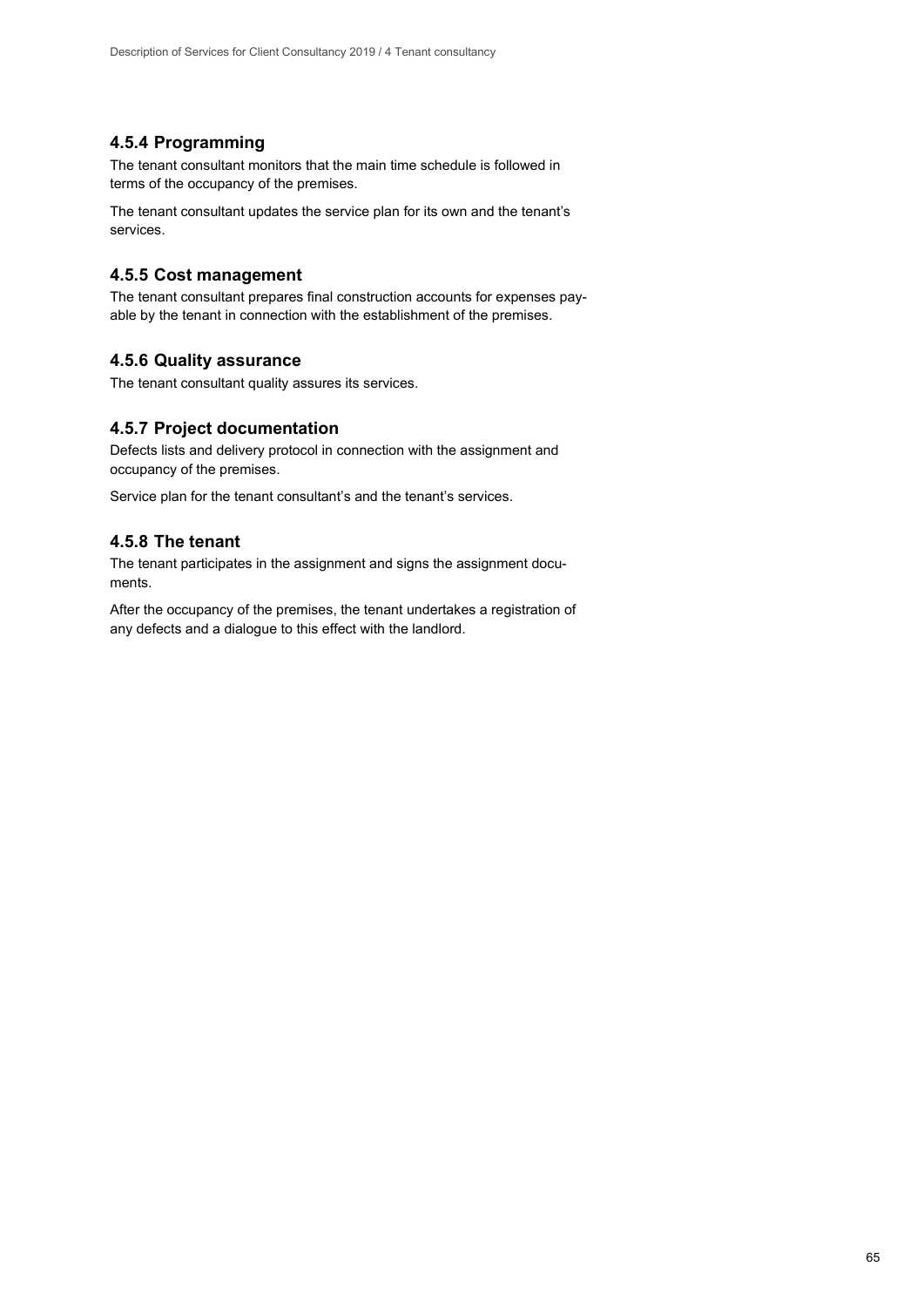#### 4.5.4 Programming

The tenant consultant monitors that the main time schedule is followed in terms of the occupancy of the premises.

The tenant consultant updates the service plan for its own and the tenant's services.

#### 4.5.5 Cost management

The tenant consultant prepares final construction accounts for expenses payable by the tenant in connection with the establishment of the premises.

#### 4.5.6 Quality assurance

The tenant consultant quality assures its services.

#### 4.5.7 Project documentation

Defects lists and delivery protocol in connection with the assignment and occupancy of the premises.

Service plan for the tenant consultant's and the tenant's services.

## 4.5.8 The tenant

The tenant participates in the assignment and signs the assignment documents.

After the occupancy of the premises, the tenant undertakes a registration of any defects and a dialogue to this effect with the landlord.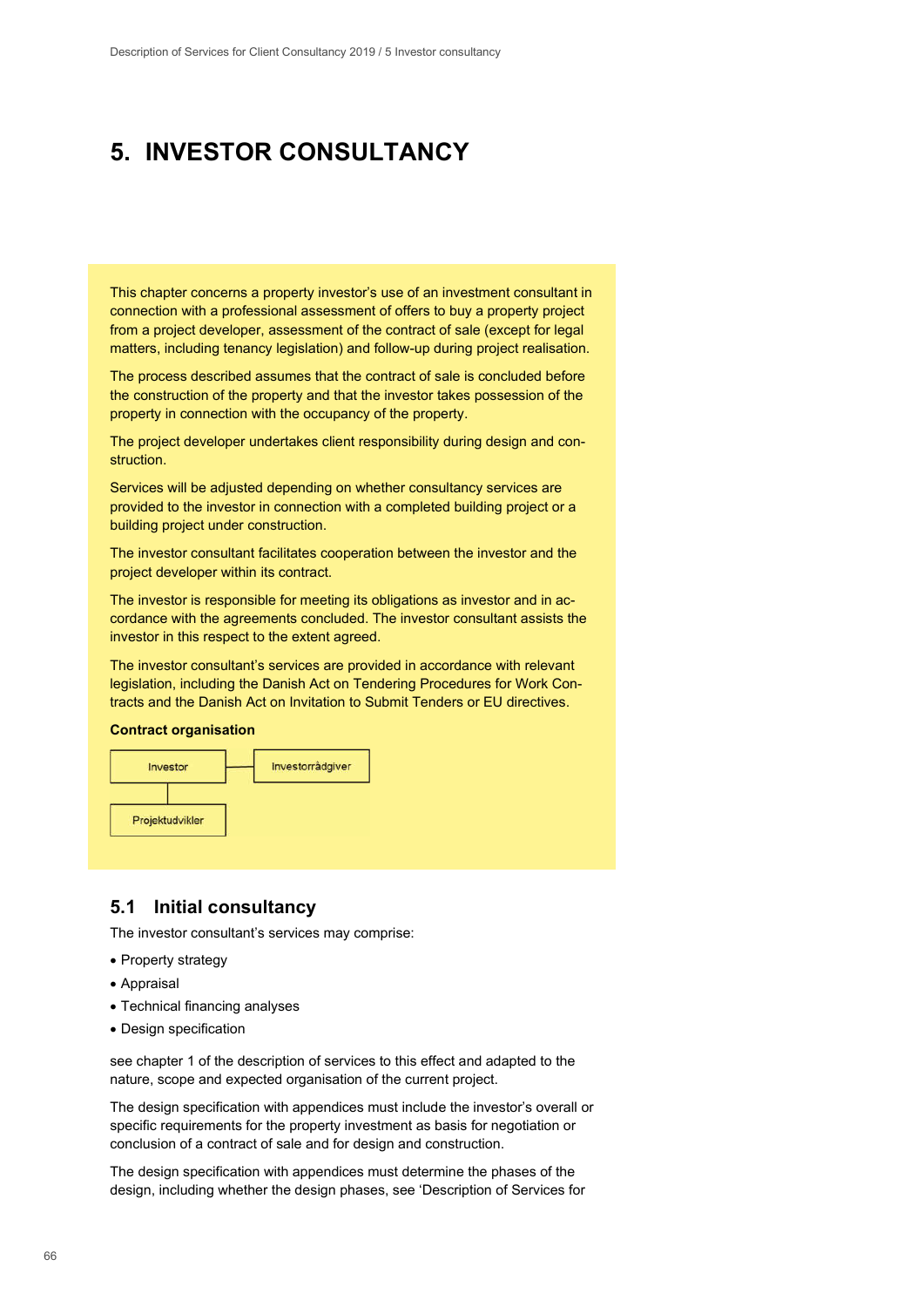## 5. INVESTOR CONSULTANCY

This chapter concerns a property investor's use of an investment consultant in connection with a professional assessment of offers to buy a property project from a project developer, assessment of the contract of sale (except for legal matters, including tenancy legislation) and follow-up during project realisation.

The process described assumes that the contract of sale is concluded before the construction of the property and that the investor takes possession of the property in connection with the occupancy of the property.

The project developer undertakes client responsibility during design and construction.

Services will be adjusted depending on whether consultancy services are provided to the investor in connection with a completed building project or a building project under construction.

The investor consultant facilitates cooperation between the investor and the project developer within its contract.

The investor is responsible for meeting its obligations as investor and in accordance with the agreements concluded. The investor consultant assists the investor in this respect to the extent agreed.

The investor consultant's services are provided in accordance with relevant legislation, including the Danish Act on Tendering Procedures for Work Contracts and the Danish Act on Invitation to Submit Tenders or EU directives.

#### Contract organisation



## 5.1 Initial consultancy

The investor consultant's services may comprise:

- Property strategy
- Appraisal
- Technical financing analyses
- Design specification

see chapter 1 of the description of services to this effect and adapted to the nature, scope and expected organisation of the current project.

The design specification with appendices must include the investor's overall or specific requirements for the property investment as basis for negotiation or conclusion of a contract of sale and for design and construction.

The design specification with appendices must determine the phases of the design, including whether the design phases, see 'Description of Services for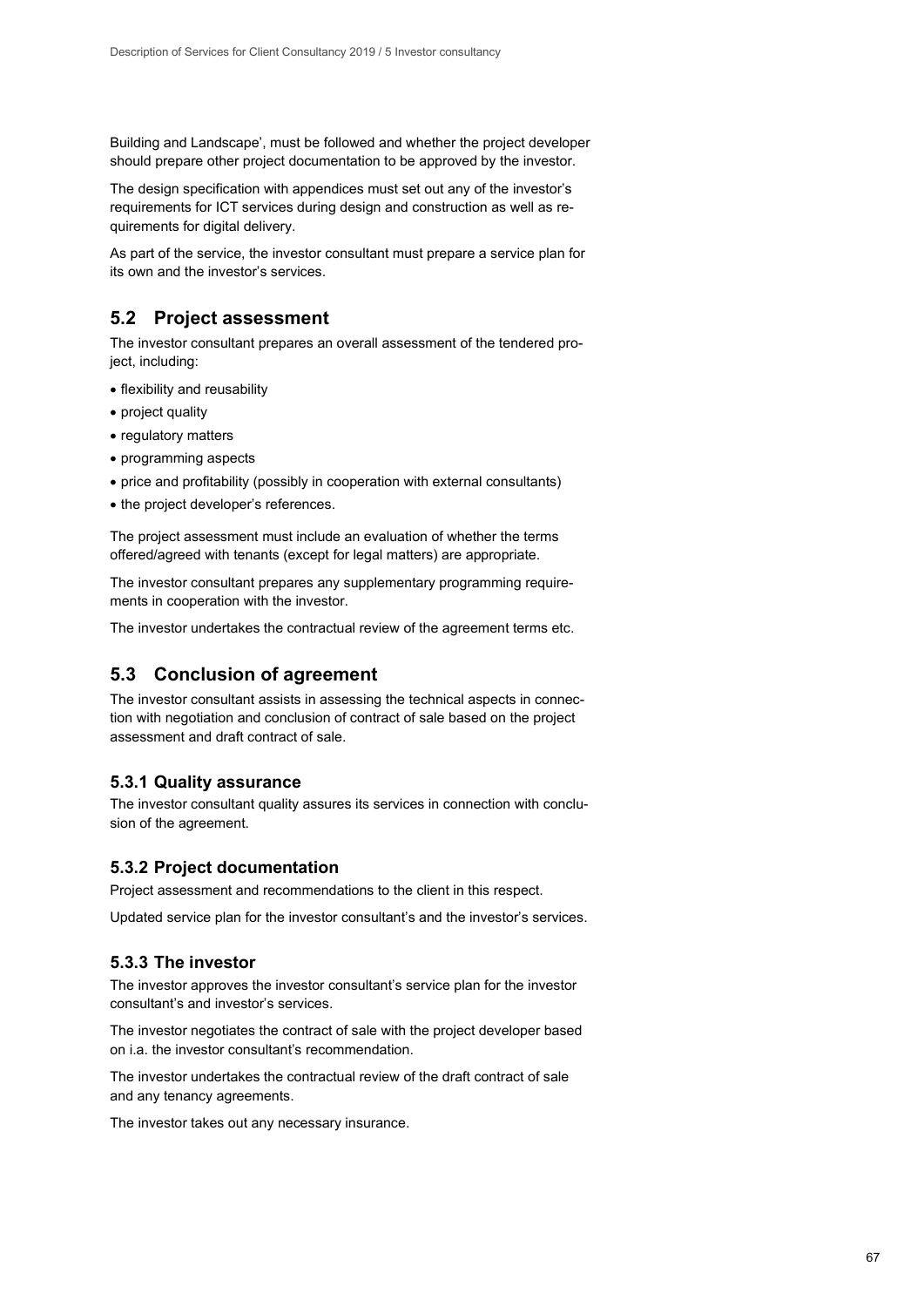Building and Landscape', must be followed and whether the project developer should prepare other project documentation to be approved by the investor.

The design specification with appendices must set out any of the investor's requirements for ICT services during design and construction as well as requirements for digital delivery.

As part of the service, the investor consultant must prepare a service plan for its own and the investor's services.

## 5.2 Project assessment

The investor consultant prepares an overall assessment of the tendered project, including:

- flexibility and reusability
- project quality
- regulatory matters
- programming aspects
- price and profitability (possibly in cooperation with external consultants)
- the project developer's references.

The project assessment must include an evaluation of whether the terms offered/agreed with tenants (except for legal matters) are appropriate.

The investor consultant prepares any supplementary programming requirements in cooperation with the investor.

The investor undertakes the contractual review of the agreement terms etc.

## 5.3 Conclusion of agreement

The investor consultant assists in assessing the technical aspects in connection with negotiation and conclusion of contract of sale based on the project assessment and draft contract of sale.

#### 5.3.1 Quality assurance

The investor consultant quality assures its services in connection with conclusion of the agreement.

#### 5.3.2 Project documentation

Project assessment and recommendations to the client in this respect.

Updated service plan for the investor consultant's and the investor's services.

#### 5.3.3 The investor

The investor approves the investor consultant's service plan for the investor consultant's and investor's services.

The investor negotiates the contract of sale with the project developer based on i.a. the investor consultant's recommendation.

The investor undertakes the contractual review of the draft contract of sale and any tenancy agreements.

The investor takes out any necessary insurance.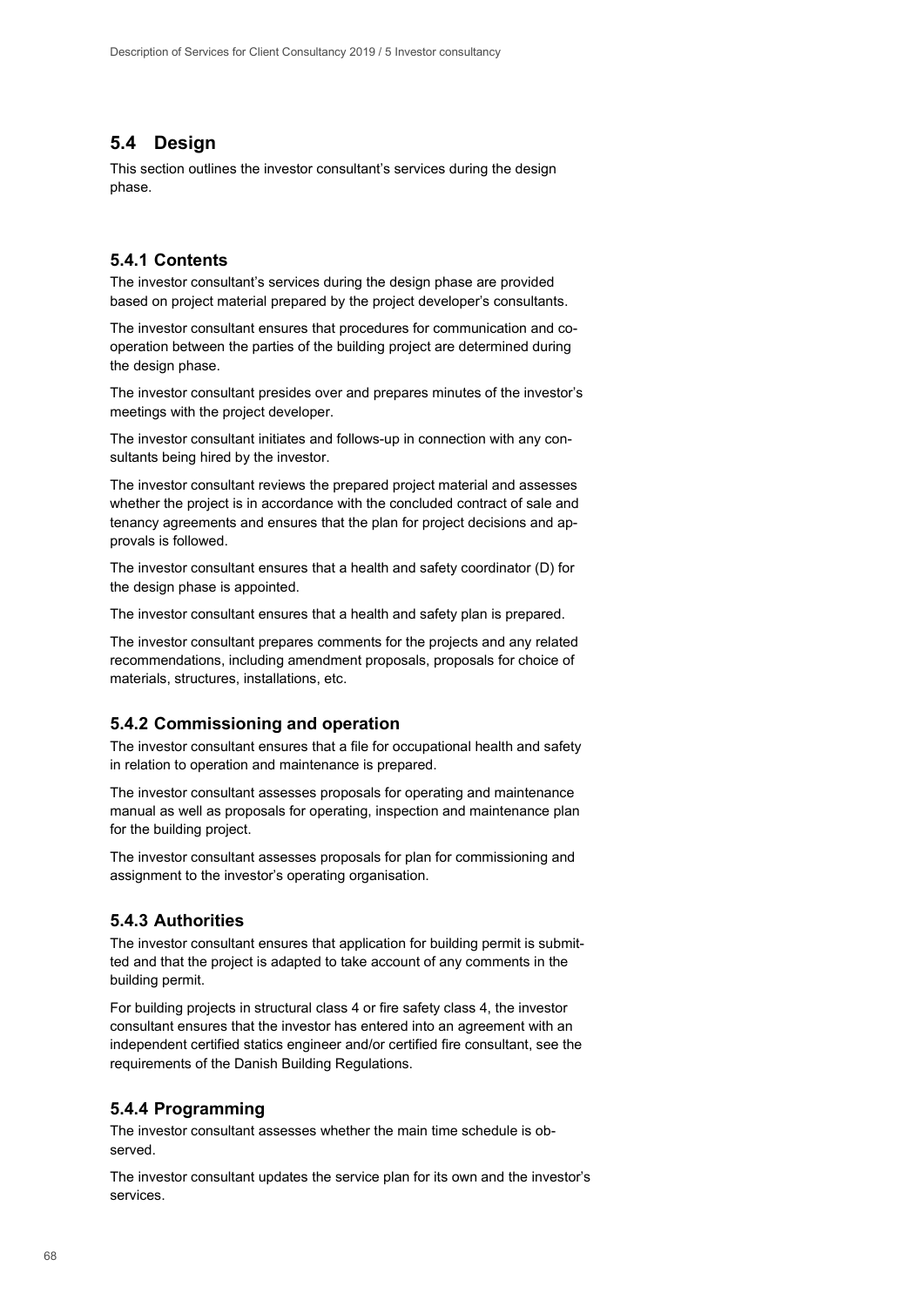## 5.4 Design

This section outlines the investor consultant's services during the design phase.

#### 5.4.1 Contents

The investor consultant's services during the design phase are provided based on project material prepared by the project developer's consultants.

The investor consultant ensures that procedures for communication and cooperation between the parties of the building project are determined during the design phase.

The investor consultant presides over and prepares minutes of the investor's meetings with the project developer.

The investor consultant initiates and follows-up in connection with any consultants being hired by the investor.

The investor consultant reviews the prepared project material and assesses whether the project is in accordance with the concluded contract of sale and tenancy agreements and ensures that the plan for project decisions and approvals is followed.

The investor consultant ensures that a health and safety coordinator (D) for the design phase is appointed.

The investor consultant ensures that a health and safety plan is prepared.

The investor consultant prepares comments for the projects and any related recommendations, including amendment proposals, proposals for choice of materials, structures, installations, etc.

#### 5.4.2 Commissioning and operation

The investor consultant ensures that a file for occupational health and safety in relation to operation and maintenance is prepared.

The investor consultant assesses proposals for operating and maintenance manual as well as proposals for operating, inspection and maintenance plan for the building project.

The investor consultant assesses proposals for plan for commissioning and assignment to the investor's operating organisation.

#### 5.4.3 Authorities

The investor consultant ensures that application for building permit is submitted and that the project is adapted to take account of any comments in the building permit.

For building projects in structural class 4 or fire safety class 4, the investor consultant ensures that the investor has entered into an agreement with an independent certified statics engineer and/or certified fire consultant, see the requirements of the Danish Building Regulations.

#### 5.4.4 Programming

The investor consultant assesses whether the main time schedule is observed.

The investor consultant updates the service plan for its own and the investor's services.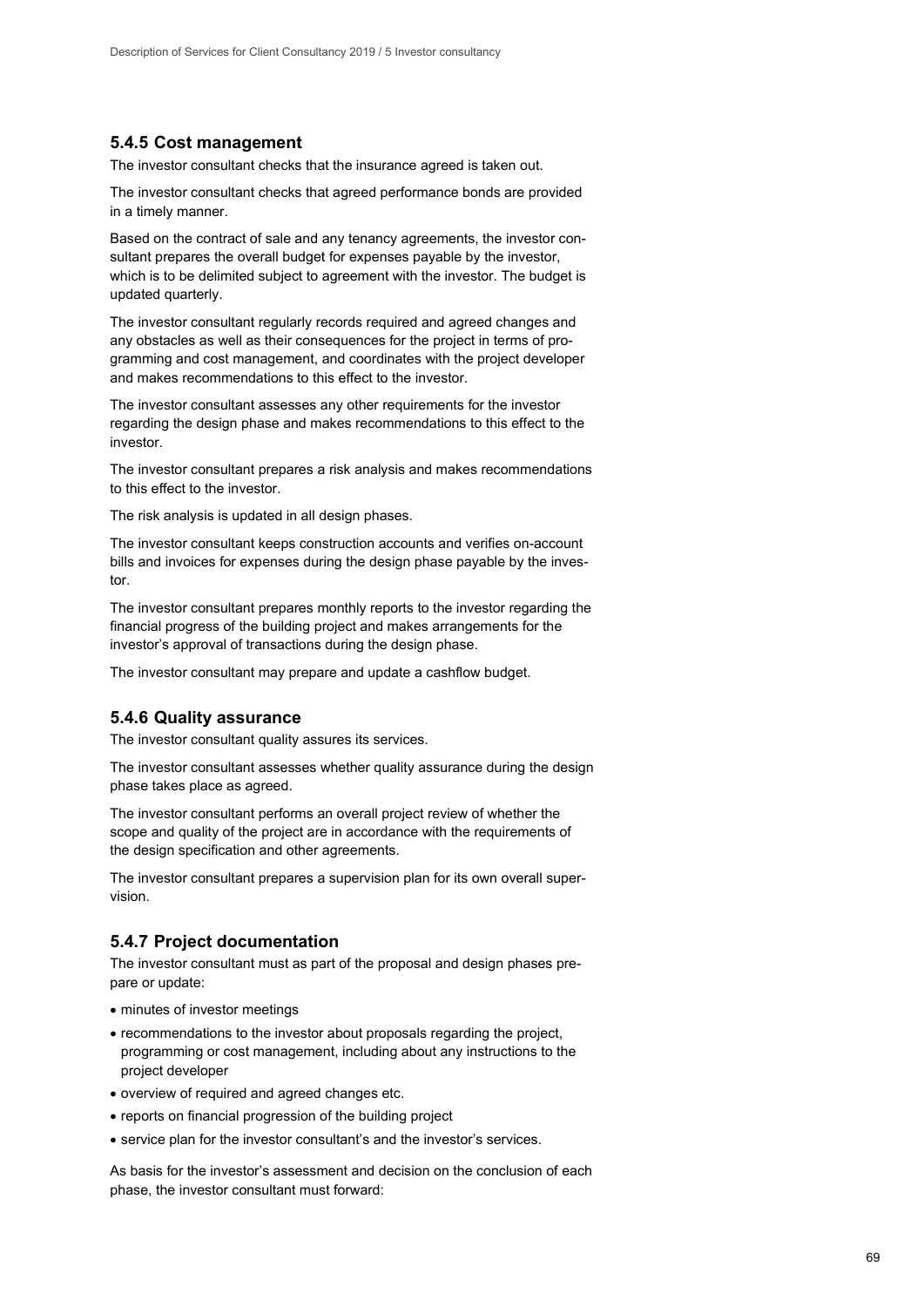#### 5.4.5 Cost management

The investor consultant checks that the insurance agreed is taken out.

The investor consultant checks that agreed performance bonds are provided in a timely manner.

Based on the contract of sale and any tenancy agreements, the investor consultant prepares the overall budget for expenses payable by the investor, which is to be delimited subject to agreement with the investor. The budget is updated quarterly.

The investor consultant regularly records required and agreed changes and any obstacles as well as their consequences for the project in terms of programming and cost management, and coordinates with the project developer and makes recommendations to this effect to the investor.

The investor consultant assesses any other requirements for the investor regarding the design phase and makes recommendations to this effect to the investor.

The investor consultant prepares a risk analysis and makes recommendations to this effect to the investor.

The risk analysis is updated in all design phases.

The investor consultant keeps construction accounts and verifies on-account bills and invoices for expenses during the design phase payable by the investor.

The investor consultant prepares monthly reports to the investor regarding the financial progress of the building project and makes arrangements for the investor's approval of transactions during the design phase.

The investor consultant may prepare and update a cashflow budget.

#### 5.4.6 Quality assurance

The investor consultant quality assures its services.

The investor consultant assesses whether quality assurance during the design phase takes place as agreed.

The investor consultant performs an overall project review of whether the scope and quality of the project are in accordance with the requirements of the design specification and other agreements.

The investor consultant prepares a supervision plan for its own overall supervision.

#### 5.4.7 Project documentation

The investor consultant must as part of the proposal and design phases prepare or update:

- minutes of investor meetings
- recommendations to the investor about proposals regarding the project, programming or cost management, including about any instructions to the project developer
- overview of required and agreed changes etc.
- reports on financial progression of the building project
- service plan for the investor consultant's and the investor's services.

As basis for the investor's assessment and decision on the conclusion of each phase, the investor consultant must forward: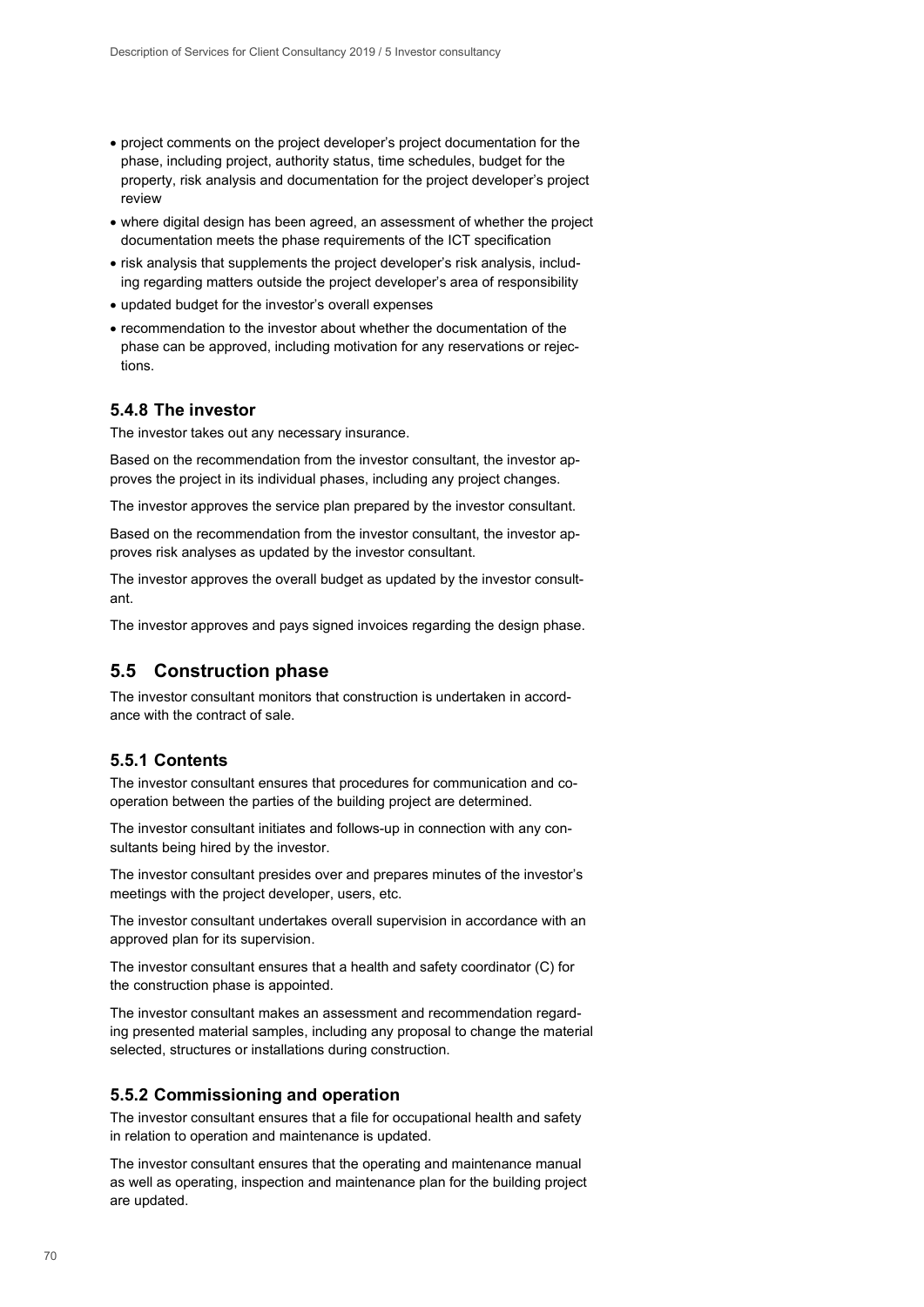- project comments on the project developer's project documentation for the phase, including project, authority status, time schedules, budget for the property, risk analysis and documentation for the project developer's project review
- where digital design has been agreed, an assessment of whether the project documentation meets the phase requirements of the ICT specification
- risk analysis that supplements the project developer's risk analysis, including regarding matters outside the project developer's area of responsibility
- updated budget for the investor's overall expenses
- recommendation to the investor about whether the documentation of the phase can be approved, including motivation for any reservations or rejections.

#### 5.4.8 The investor

The investor takes out any necessary insurance.

Based on the recommendation from the investor consultant, the investor approves the project in its individual phases, including any project changes.

The investor approves the service plan prepared by the investor consultant.

Based on the recommendation from the investor consultant, the investor approves risk analyses as updated by the investor consultant.

The investor approves the overall budget as updated by the investor consultant.

The investor approves and pays signed invoices regarding the design phase.

## 5.5 Construction phase

The investor consultant monitors that construction is undertaken in accordance with the contract of sale.

#### 5.5.1 Contents

The investor consultant ensures that procedures for communication and cooperation between the parties of the building project are determined.

The investor consultant initiates and follows-up in connection with any consultants being hired by the investor.

The investor consultant presides over and prepares minutes of the investor's meetings with the project developer, users, etc.

The investor consultant undertakes overall supervision in accordance with an approved plan for its supervision.

The investor consultant ensures that a health and safety coordinator (C) for the construction phase is appointed.

The investor consultant makes an assessment and recommendation regarding presented material samples, including any proposal to change the material selected, structures or installations during construction.

#### 5.5.2 Commissioning and operation

The investor consultant ensures that a file for occupational health and safety in relation to operation and maintenance is updated.

The investor consultant ensures that the operating and maintenance manual as well as operating, inspection and maintenance plan for the building project are updated.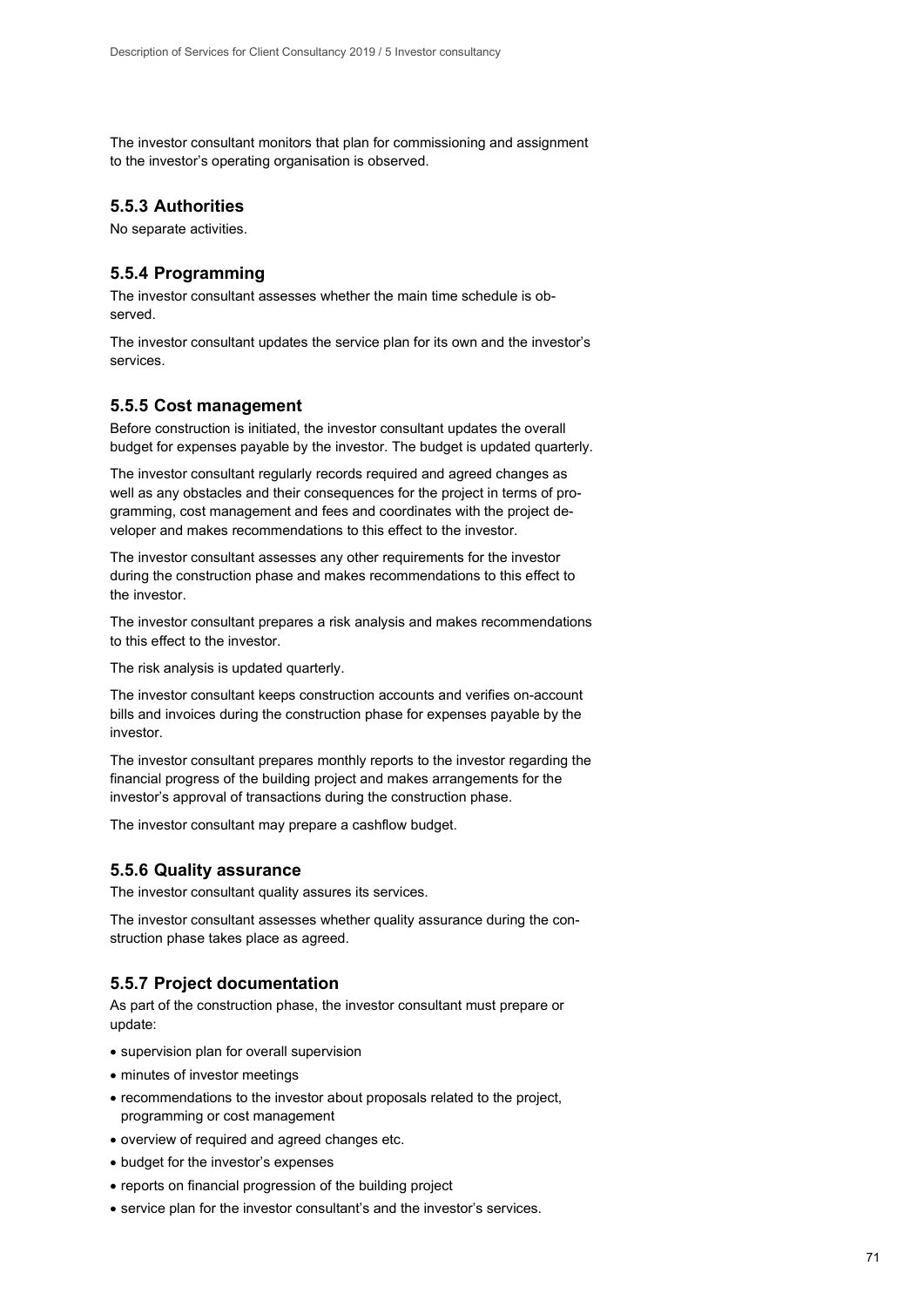The investor consultant monitors that plan for commissioning and assignment to the investor's operating organisation is observed.

#### 5.5.3 Authorities

No separate activities.

## 5.5.4 Programming

The investor consultant assesses whether the main time schedule is observed.

The investor consultant updates the service plan for its own and the investor's services.

#### 5.5.5 Cost management

Before construction is initiated, the investor consultant updates the overall budget for expenses payable by the investor. The budget is updated quarterly.

The investor consultant regularly records required and agreed changes as well as any obstacles and their consequences for the project in terms of programming, cost management and fees and coordinates with the project developer and makes recommendations to this effect to the investor.

The investor consultant assesses any other requirements for the investor during the construction phase and makes recommendations to this effect to the investor.

The investor consultant prepares a risk analysis and makes recommendations to this effect to the investor.

The risk analysis is updated quarterly.

The investor consultant keeps construction accounts and verifies on-account bills and invoices during the construction phase for expenses payable by the investor.

The investor consultant prepares monthly reports to the investor regarding the financial progress of the building project and makes arrangements for the investor's approval of transactions during the construction phase.

The investor consultant may prepare a cashflow budget.

## 5.5.6 Quality assurance

The investor consultant quality assures its services.

The investor consultant assesses whether quality assurance during the construction phase takes place as agreed.

#### 5.5.7 Project documentation

As part of the construction phase, the investor consultant must prepare or update:

- supervision plan for overall supervision
- minutes of investor meetings
- recommendations to the investor about proposals related to the project, programming or cost management
- overview of required and agreed changes etc.
- budget for the investor's expenses
- reports on financial progression of the building project
- service plan for the investor consultant's and the investor's services.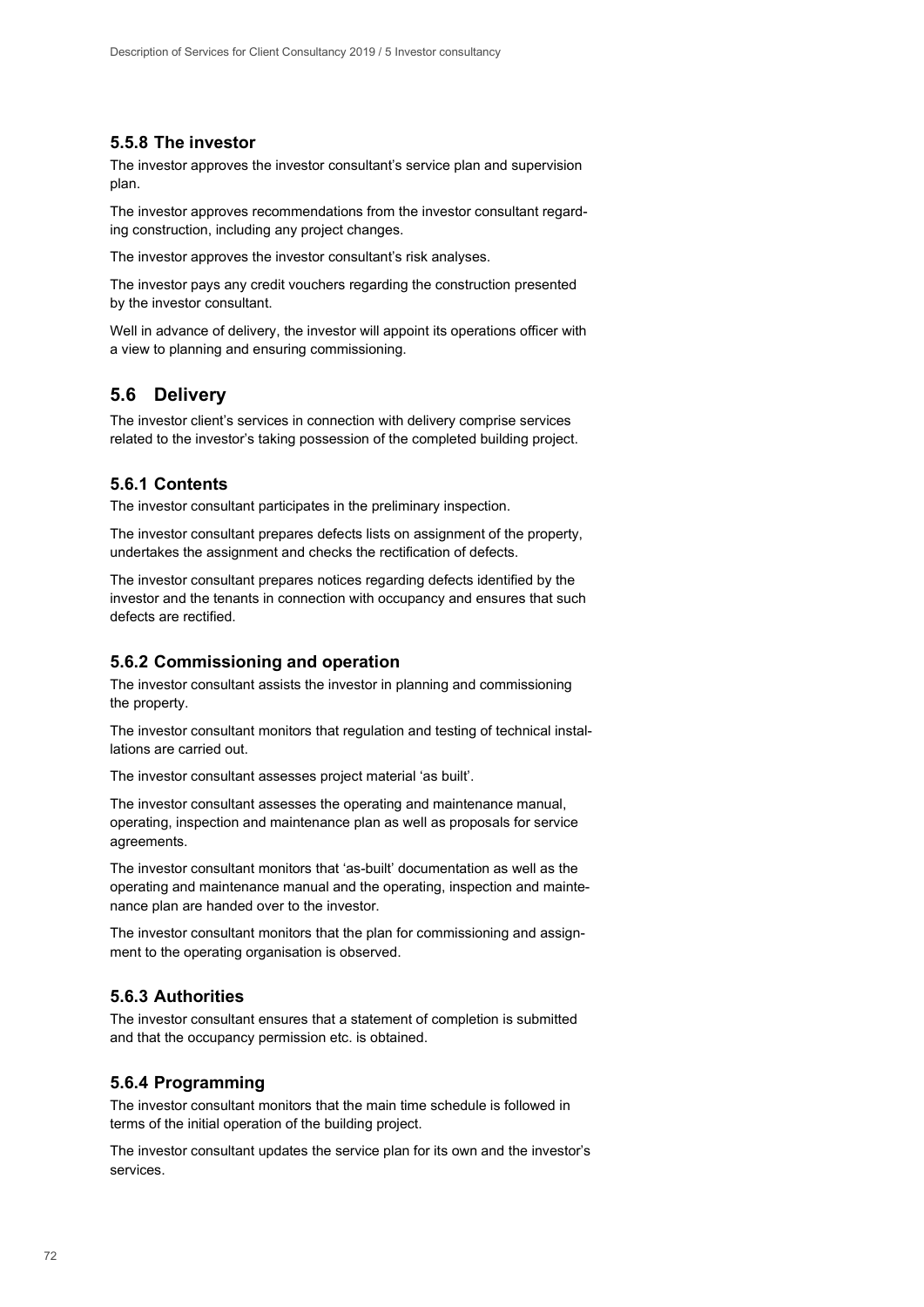#### 5.5.8 The investor

The investor approves the investor consultant's service plan and supervision plan.

The investor approves recommendations from the investor consultant regarding construction, including any project changes.

The investor approves the investor consultant's risk analyses.

The investor pays any credit vouchers regarding the construction presented by the investor consultant.

Well in advance of delivery, the investor will appoint its operations officer with a view to planning and ensuring commissioning.

#### 5.6 Delivery

The investor client's services in connection with delivery comprise services related to the investor's taking possession of the completed building project.

#### 5.6.1 Contents

The investor consultant participates in the preliminary inspection.

The investor consultant prepares defects lists on assignment of the property, undertakes the assignment and checks the rectification of defects.

The investor consultant prepares notices regarding defects identified by the investor and the tenants in connection with occupancy and ensures that such defects are rectified.

#### 5.6.2 Commissioning and operation

The investor consultant assists the investor in planning and commissioning the property.

The investor consultant monitors that regulation and testing of technical installations are carried out.

The investor consultant assesses project material 'as built'.

The investor consultant assesses the operating and maintenance manual, operating, inspection and maintenance plan as well as proposals for service agreements.

The investor consultant monitors that 'as-built' documentation as well as the operating and maintenance manual and the operating, inspection and maintenance plan are handed over to the investor.

The investor consultant monitors that the plan for commissioning and assignment to the operating organisation is observed.

#### 5.6.3 Authorities

The investor consultant ensures that a statement of completion is submitted and that the occupancy permission etc. is obtained.

#### 5.6.4 Programming

The investor consultant monitors that the main time schedule is followed in terms of the initial operation of the building project.

The investor consultant updates the service plan for its own and the investor's services.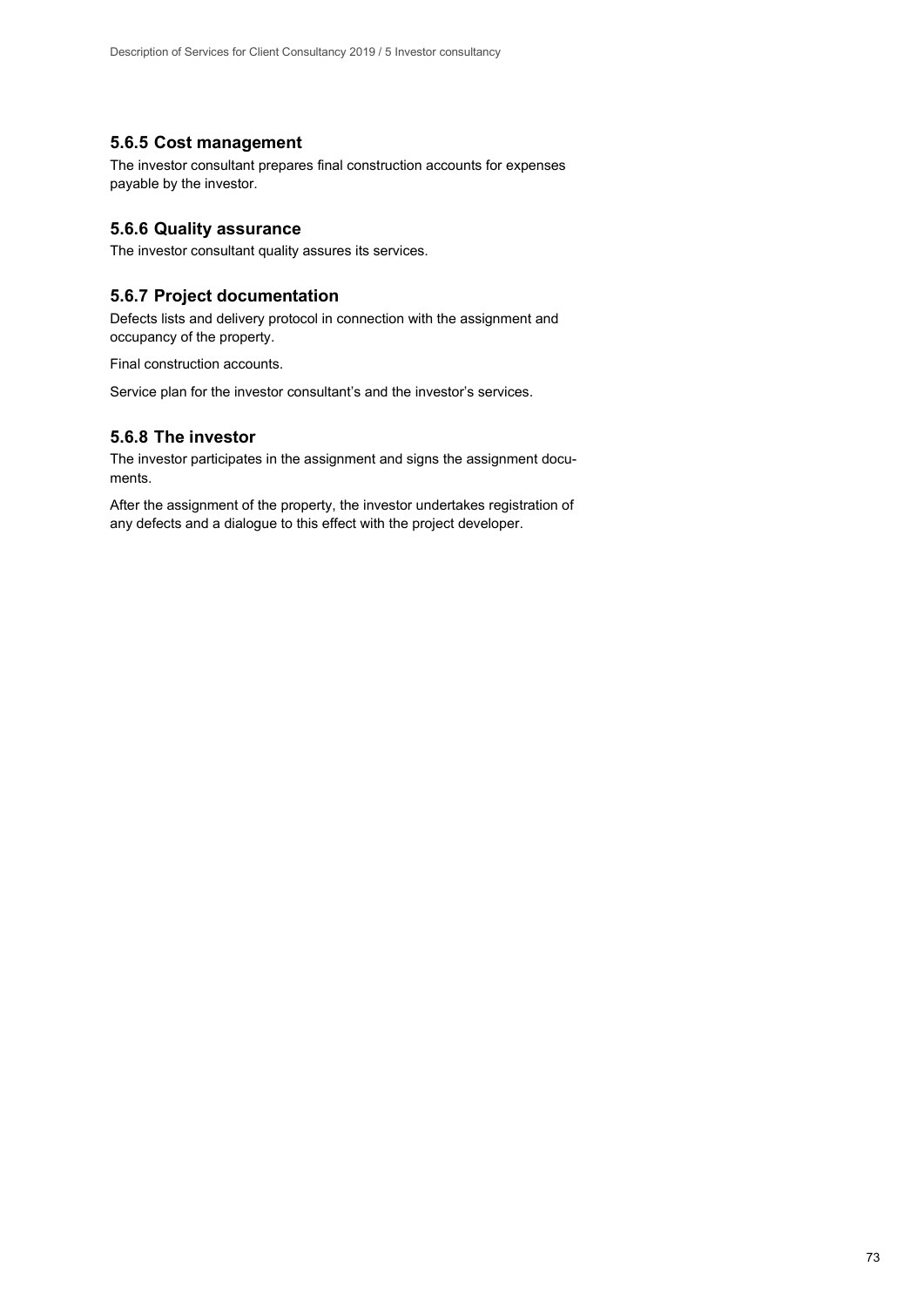#### 5.6.5 Cost management

The investor consultant prepares final construction accounts for expenses payable by the investor.

### 5.6.6 Quality assurance

The investor consultant quality assures its services.

### 5.6.7 Project documentation

Defects lists and delivery protocol in connection with the assignment and occupancy of the property.

Final construction accounts.

Service plan for the investor consultant's and the investor's services.

#### 5.6.8 The investor

The investor participates in the assignment and signs the assignment documents.

After the assignment of the property, the investor undertakes registration of any defects and a dialogue to this effect with the project developer.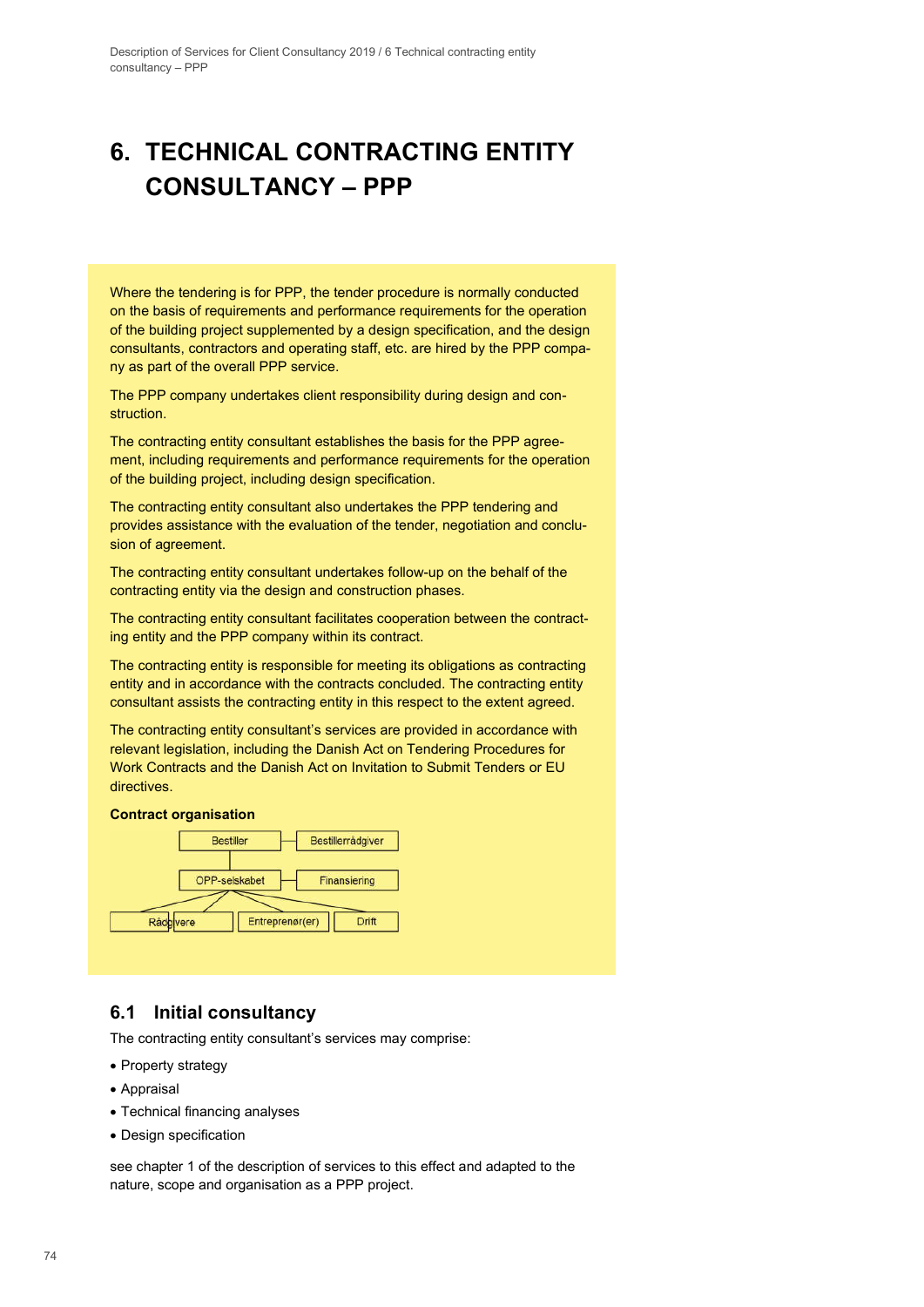# 6. TECHNICAL CONTRACTING ENTITY CONSULTANCY – PPP

Where the tendering is for PPP, the tender procedure is normally conducted on the basis of requirements and performance requirements for the operation of the building project supplemented by a design specification, and the design consultants, contractors and operating staff, etc. are hired by the PPP company as part of the overall PPP service.

The PPP company undertakes client responsibility during design and construction.

The contracting entity consultant establishes the basis for the PPP agreement, including requirements and performance requirements for the operation of the building project, including design specification.

The contracting entity consultant also undertakes the PPP tendering and provides assistance with the evaluation of the tender, negotiation and conclusion of agreement.

The contracting entity consultant undertakes follow-up on the behalf of the contracting entity via the design and construction phases.

The contracting entity consultant facilitates cooperation between the contracting entity and the PPP company within its contract.

The contracting entity is responsible for meeting its obligations as contracting entity and in accordance with the contracts concluded. The contracting entity consultant assists the contracting entity in this respect to the extent agreed.

The contracting entity consultant's services are provided in accordance with relevant legislation, including the Danish Act on Tendering Procedures for Work Contracts and the Danish Act on Invitation to Submit Tenders or EU directives.

#### Contract organisation



### 6.1 Initial consultancy

The contracting entity consultant's services may comprise:

- Property strategy
- Appraisal
- Technical financing analyses
- Design specification

see chapter 1 of the description of services to this effect and adapted to the nature, scope and organisation as a PPP project.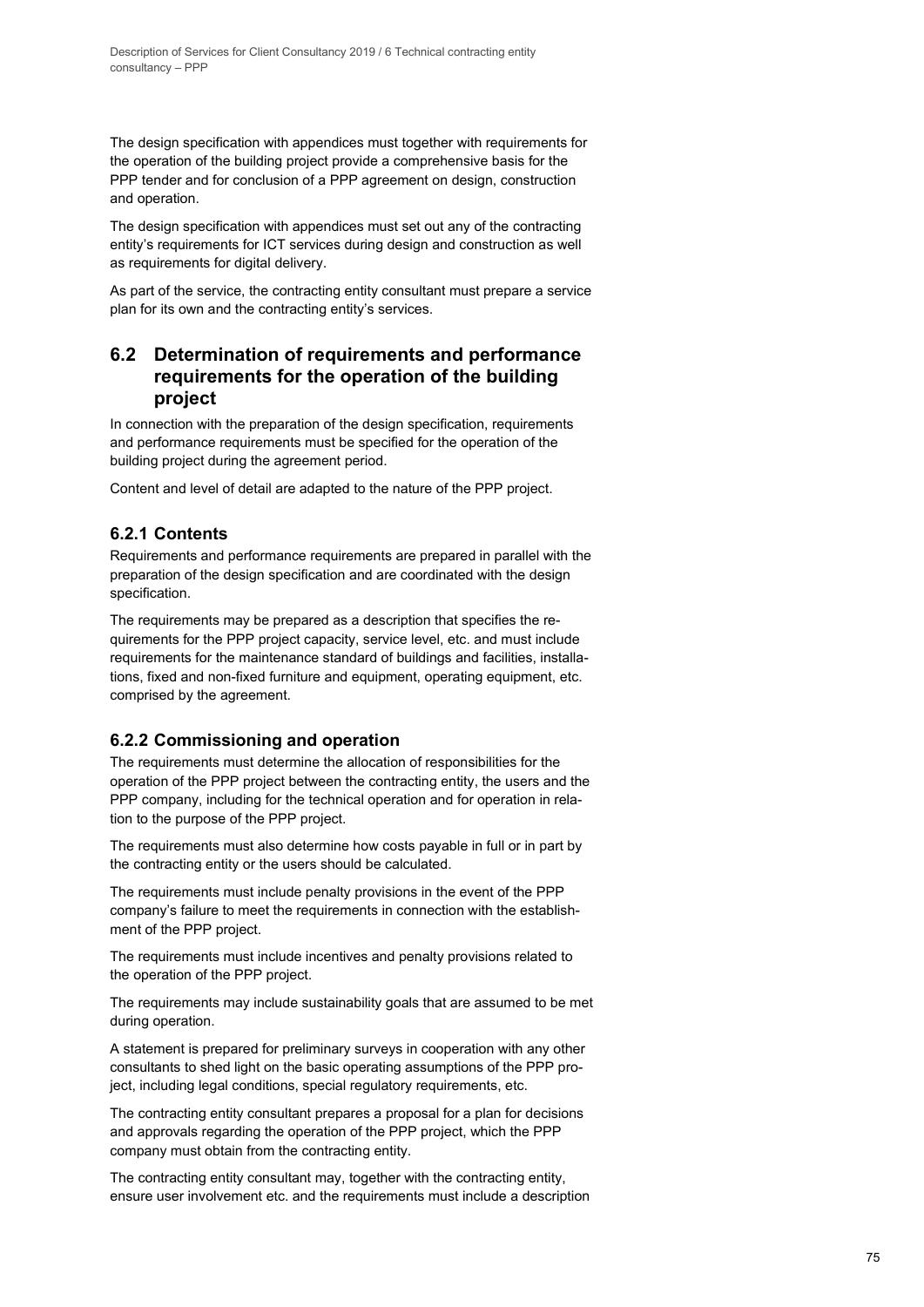The design specification with appendices must together with requirements for the operation of the building project provide a comprehensive basis for the PPP tender and for conclusion of a PPP agreement on design, construction and operation.

The design specification with appendices must set out any of the contracting entity's requirements for ICT services during design and construction as well as requirements for digital delivery.

As part of the service, the contracting entity consultant must prepare a service plan for its own and the contracting entity's services.

# 6.2 Determination of requirements and performance requirements for the operation of the building project

In connection with the preparation of the design specification, requirements and performance requirements must be specified for the operation of the building project during the agreement period.

Content and level of detail are adapted to the nature of the PPP project.

# 6.2.1 Contents

Requirements and performance requirements are prepared in parallel with the preparation of the design specification and are coordinated with the design specification.

The requirements may be prepared as a description that specifies the requirements for the PPP project capacity, service level, etc. and must include requirements for the maintenance standard of buildings and facilities, installations, fixed and non-fixed furniture and equipment, operating equipment, etc. comprised by the agreement.

### 6.2.2 Commissioning and operation

The requirements must determine the allocation of responsibilities for the operation of the PPP project between the contracting entity, the users and the PPP company, including for the technical operation and for operation in relation to the purpose of the PPP project.

The requirements must also determine how costs payable in full or in part by the contracting entity or the users should be calculated.

The requirements must include penalty provisions in the event of the PPP company's failure to meet the requirements in connection with the establishment of the PPP project.

The requirements must include incentives and penalty provisions related to the operation of the PPP project.

The requirements may include sustainability goals that are assumed to be met during operation.

A statement is prepared for preliminary surveys in cooperation with any other consultants to shed light on the basic operating assumptions of the PPP project, including legal conditions, special regulatory requirements, etc.

The contracting entity consultant prepares a proposal for a plan for decisions and approvals regarding the operation of the PPP project, which the PPP company must obtain from the contracting entity.

The contracting entity consultant may, together with the contracting entity, ensure user involvement etc. and the requirements must include a description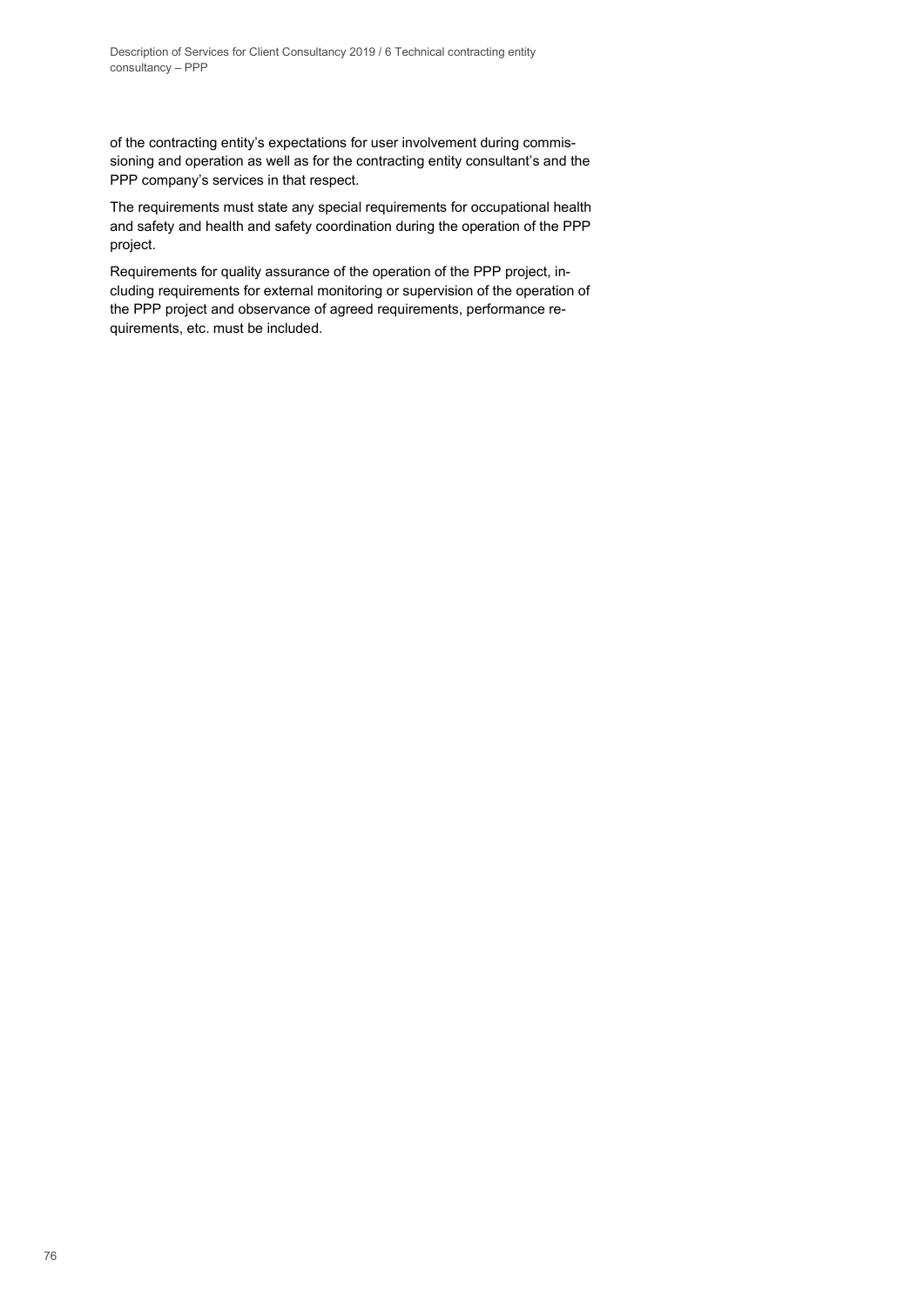of the contracting entity's expectations for user involvement during commissioning and operation as well as for the contracting entity consultant's and the PPP company's services in that respect.

The requirements must state any special requirements for occupational health and safety and health and safety coordination during the operation of the PPP project.

Requirements for quality assurance of the operation of the PPP project, including requirements for external monitoring or supervision of the operation of the PPP project and observance of agreed requirements, performance requirements, etc. must be included.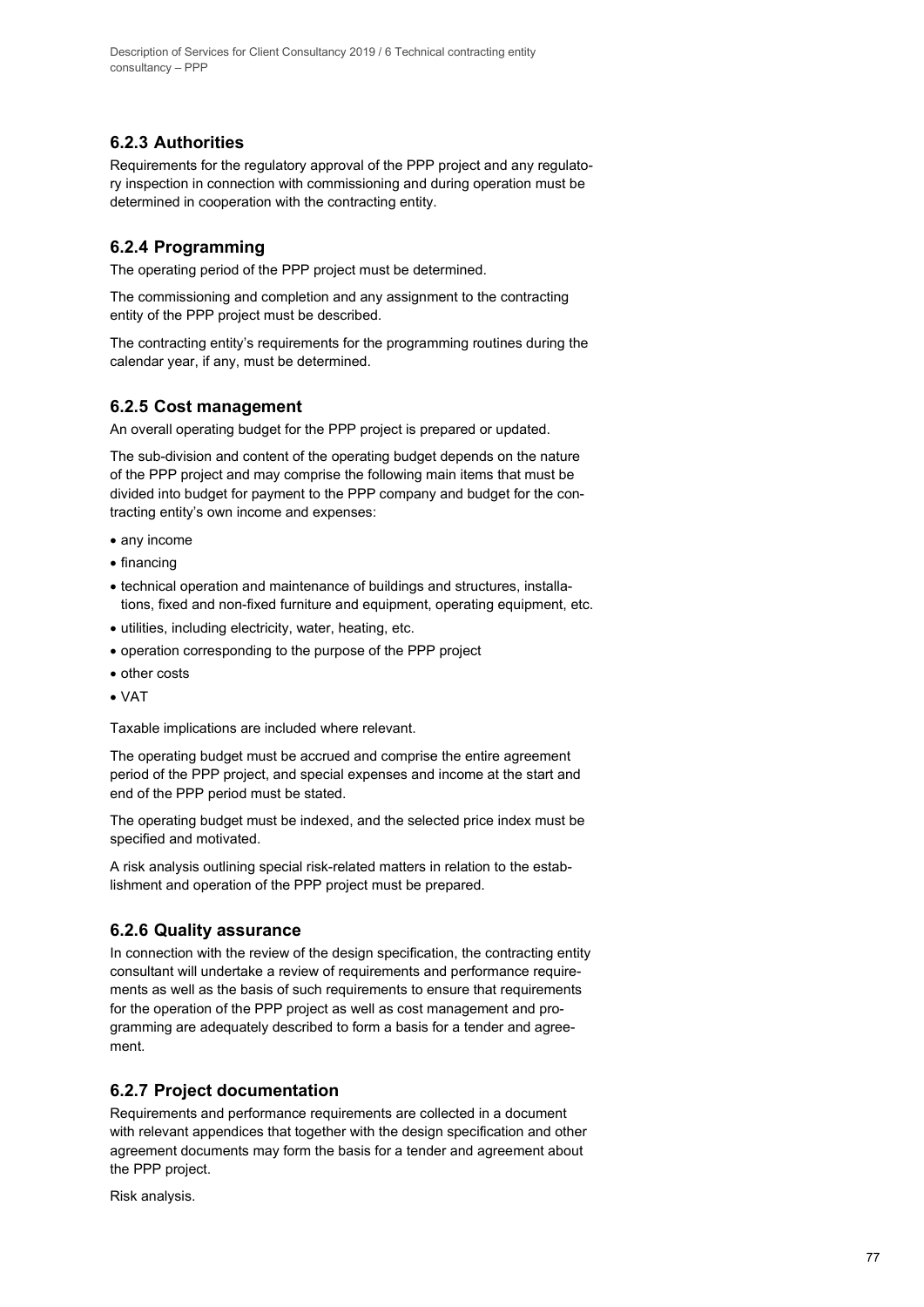Description of Services for Client Consultancy 2019 / 6 Technical contracting entity consultancy – PPP

### 6.2.3 Authorities

Requirements for the regulatory approval of the PPP project and any regulatory inspection in connection with commissioning and during operation must be determined in cooperation with the contracting entity.

### 6.2.4 Programming

The operating period of the PPP project must be determined.

The commissioning and completion and any assignment to the contracting entity of the PPP project must be described.

The contracting entity's requirements for the programming routines during the calendar year, if any, must be determined.

### 6.2.5 Cost management

An overall operating budget for the PPP project is prepared or updated.

The sub-division and content of the operating budget depends on the nature of the PPP project and may comprise the following main items that must be divided into budget for payment to the PPP company and budget for the contracting entity's own income and expenses:

- any income
- financing
- technical operation and maintenance of buildings and structures, installations, fixed and non-fixed furniture and equipment, operating equipment, etc.
- utilities, including electricity, water, heating, etc.
- operation corresponding to the purpose of the PPP project
- other costs
- VAT

Taxable implications are included where relevant.

The operating budget must be accrued and comprise the entire agreement period of the PPP project, and special expenses and income at the start and end of the PPP period must be stated.

The operating budget must be indexed, and the selected price index must be specified and motivated.

A risk analysis outlining special risk-related matters in relation to the establishment and operation of the PPP project must be prepared.

### 6.2.6 Quality assurance

In connection with the review of the design specification, the contracting entity consultant will undertake a review of requirements and performance requirements as well as the basis of such requirements to ensure that requirements for the operation of the PPP project as well as cost management and programming are adequately described to form a basis for a tender and agreement.

### 6.2.7 Project documentation

Requirements and performance requirements are collected in a document with relevant appendices that together with the design specification and other agreement documents may form the basis for a tender and agreement about the PPP project.

Risk analysis.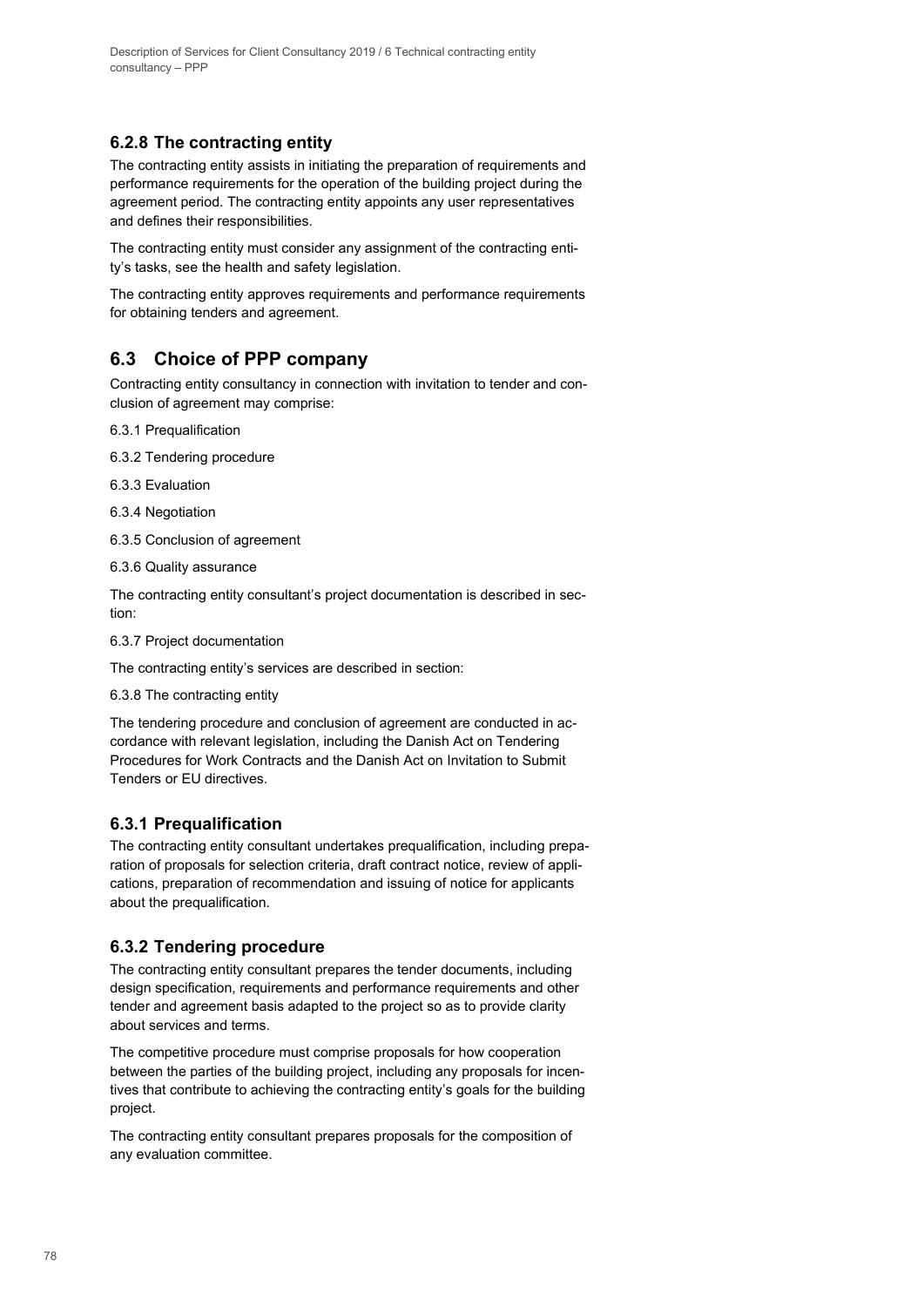### 6.2.8 The contracting entity

The contracting entity assists in initiating the preparation of requirements and performance requirements for the operation of the building project during the agreement period. The contracting entity appoints any user representatives and defines their responsibilities.

The contracting entity must consider any assignment of the contracting entity's tasks, see the health and safety legislation.

The contracting entity approves requirements and performance requirements for obtaining tenders and agreement.

# 6.3 Choice of PPP company

Contracting entity consultancy in connection with invitation to tender and conclusion of agreement may comprise:

6.3.1 Prequalification

6.3.2 Tendering procedure

6.3.3 Evaluation

6.3.4 Negotiation

6.3.5 Conclusion of agreement

6.3.6 Quality assurance

The contracting entity consultant's project documentation is described in section:

6.3.7 Project documentation

The contracting entity's services are described in section:

6.3.8 The contracting entity

The tendering procedure and conclusion of agreement are conducted in accordance with relevant legislation, including the Danish Act on Tendering Procedures for Work Contracts and the Danish Act on Invitation to Submit Tenders or EU directives.

### 6.3.1 Prequalification

The contracting entity consultant undertakes prequalification, including preparation of proposals for selection criteria, draft contract notice, review of applications, preparation of recommendation and issuing of notice for applicants about the prequalification.

### 6.3.2 Tendering procedure

The contracting entity consultant prepares the tender documents, including design specification, requirements and performance requirements and other tender and agreement basis adapted to the project so as to provide clarity about services and terms.

The competitive procedure must comprise proposals for how cooperation between the parties of the building project, including any proposals for incentives that contribute to achieving the contracting entity's goals for the building project.

The contracting entity consultant prepares proposals for the composition of any evaluation committee.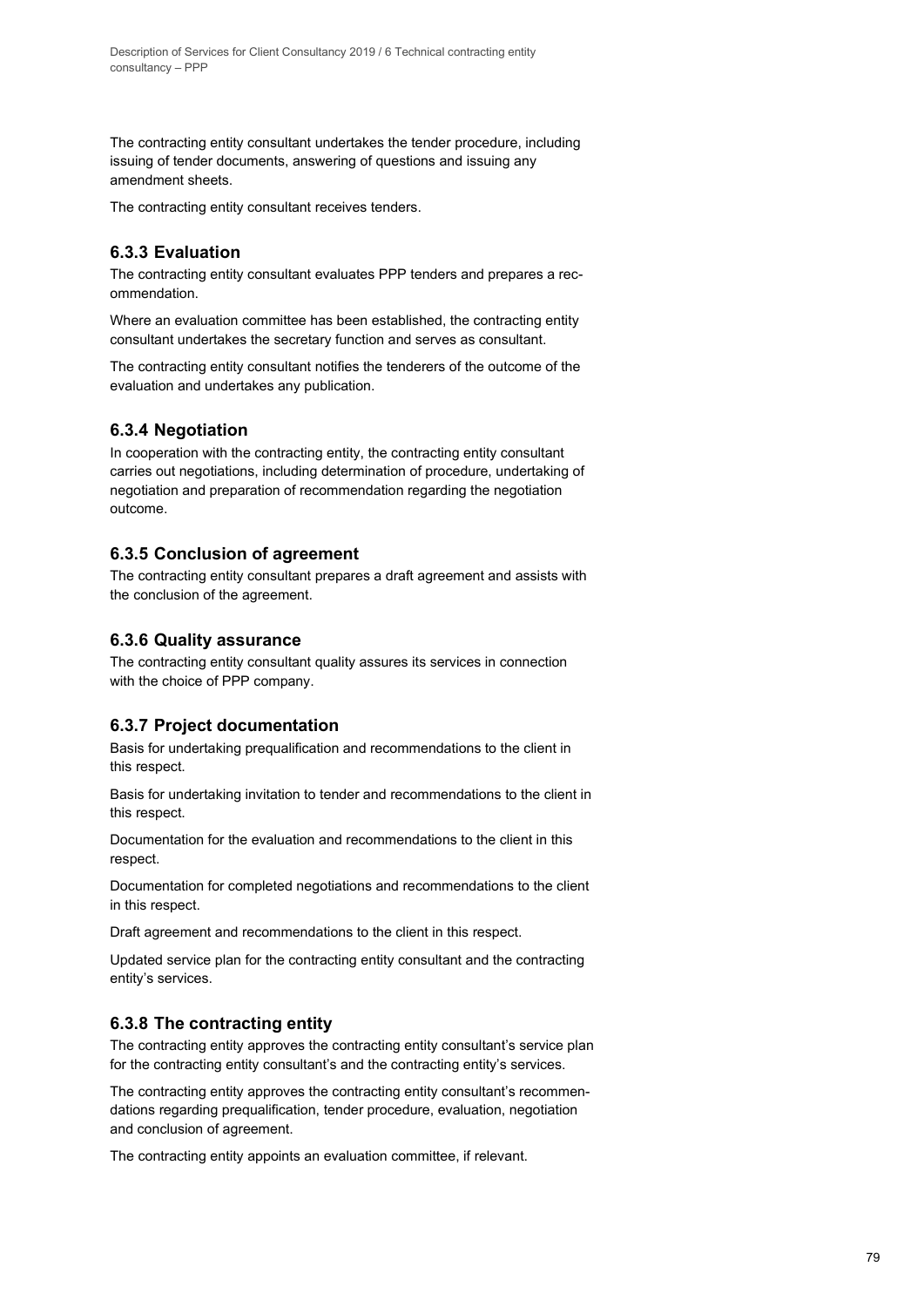The contracting entity consultant undertakes the tender procedure, including issuing of tender documents, answering of questions and issuing any amendment sheets.

The contracting entity consultant receives tenders.

### 6.3.3 Evaluation

The contracting entity consultant evaluates PPP tenders and prepares a recommendation.

Where an evaluation committee has been established, the contracting entity consultant undertakes the secretary function and serves as consultant.

The contracting entity consultant notifies the tenderers of the outcome of the evaluation and undertakes any publication.

### 6.3.4 Negotiation

In cooperation with the contracting entity, the contracting entity consultant carries out negotiations, including determination of procedure, undertaking of negotiation and preparation of recommendation regarding the negotiation outcome.

#### 6.3.5 Conclusion of agreement

The contracting entity consultant prepares a draft agreement and assists with the conclusion of the agreement.

#### 6.3.6 Quality assurance

The contracting entity consultant quality assures its services in connection with the choice of PPP company.

### 6.3.7 Project documentation

Basis for undertaking prequalification and recommendations to the client in this respect.

Basis for undertaking invitation to tender and recommendations to the client in this respect.

Documentation for the evaluation and recommendations to the client in this respect.

Documentation for completed negotiations and recommendations to the client in this respect.

Draft agreement and recommendations to the client in this respect.

Updated service plan for the contracting entity consultant and the contracting entity's services.

# 6.3.8 The contracting entity

The contracting entity approves the contracting entity consultant's service plan for the contracting entity consultant's and the contracting entity's services.

The contracting entity approves the contracting entity consultant's recommendations regarding prequalification, tender procedure, evaluation, negotiation and conclusion of agreement.

The contracting entity appoints an evaluation committee, if relevant.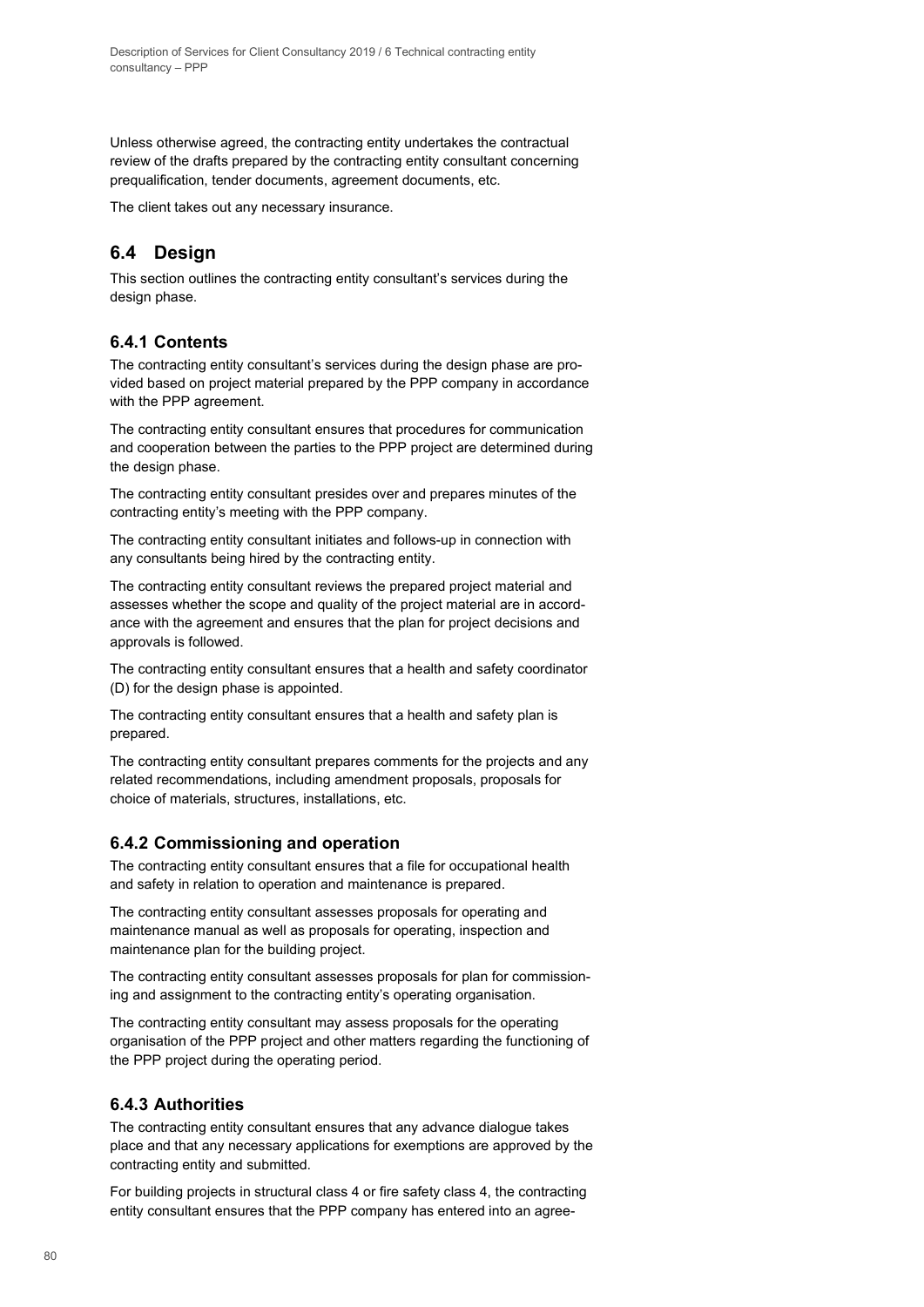Unless otherwise agreed, the contracting entity undertakes the contractual review of the drafts prepared by the contracting entity consultant concerning prequalification, tender documents, agreement documents, etc.

The client takes out any necessary insurance.

# 6.4 Design

This section outlines the contracting entity consultant's services during the design phase.

#### 6.4.1 Contents

The contracting entity consultant's services during the design phase are provided based on project material prepared by the PPP company in accordance with the PPP agreement.

The contracting entity consultant ensures that procedures for communication and cooperation between the parties to the PPP project are determined during the design phase.

The contracting entity consultant presides over and prepares minutes of the contracting entity's meeting with the PPP company.

The contracting entity consultant initiates and follows-up in connection with any consultants being hired by the contracting entity.

The contracting entity consultant reviews the prepared project material and assesses whether the scope and quality of the project material are in accordance with the agreement and ensures that the plan for project decisions and approvals is followed.

The contracting entity consultant ensures that a health and safety coordinator (D) for the design phase is appointed.

The contracting entity consultant ensures that a health and safety plan is prepared.

The contracting entity consultant prepares comments for the projects and any related recommendations, including amendment proposals, proposals for choice of materials, structures, installations, etc.

#### 6.4.2 Commissioning and operation

The contracting entity consultant ensures that a file for occupational health and safety in relation to operation and maintenance is prepared.

The contracting entity consultant assesses proposals for operating and maintenance manual as well as proposals for operating, inspection and maintenance plan for the building project.

The contracting entity consultant assesses proposals for plan for commissioning and assignment to the contracting entity's operating organisation.

The contracting entity consultant may assess proposals for the operating organisation of the PPP project and other matters regarding the functioning of the PPP project during the operating period.

### 6.4.3 Authorities

The contracting entity consultant ensures that any advance dialogue takes place and that any necessary applications for exemptions are approved by the contracting entity and submitted.

For building projects in structural class 4 or fire safety class 4, the contracting entity consultant ensures that the PPP company has entered into an agree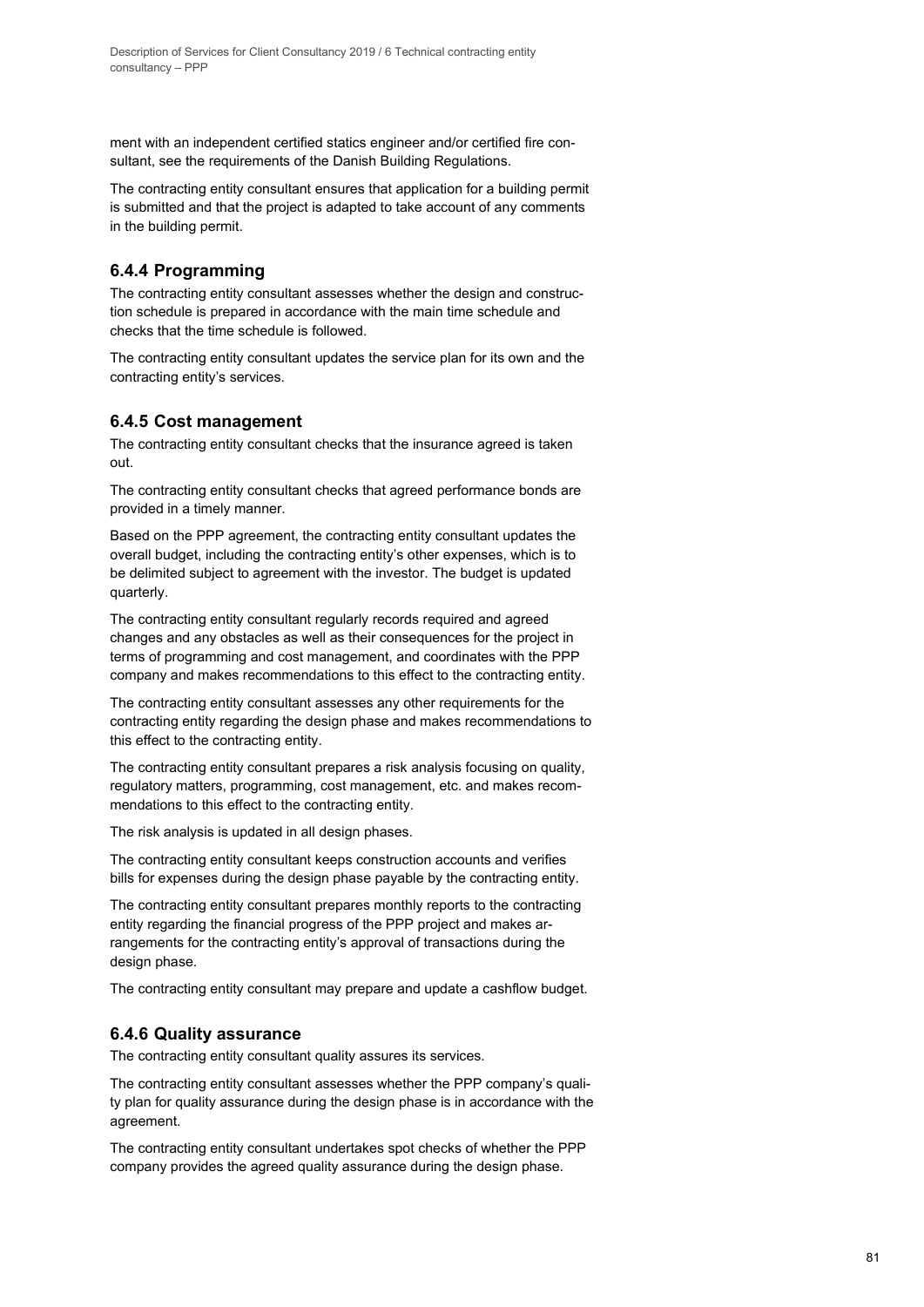ment with an independent certified statics engineer and/or certified fire consultant, see the requirements of the Danish Building Regulations.

The contracting entity consultant ensures that application for a building permit is submitted and that the project is adapted to take account of any comments in the building permit.

# 6.4.4 Programming

The contracting entity consultant assesses whether the design and construction schedule is prepared in accordance with the main time schedule and checks that the time schedule is followed.

The contracting entity consultant updates the service plan for its own and the contracting entity's services.

### 6.4.5 Cost management

The contracting entity consultant checks that the insurance agreed is taken out.

The contracting entity consultant checks that agreed performance bonds are provided in a timely manner.

Based on the PPP agreement, the contracting entity consultant updates the overall budget, including the contracting entity's other expenses, which is to be delimited subject to agreement with the investor. The budget is updated quarterly.

The contracting entity consultant regularly records required and agreed changes and any obstacles as well as their consequences for the project in terms of programming and cost management, and coordinates with the PPP company and makes recommendations to this effect to the contracting entity.

The contracting entity consultant assesses any other requirements for the contracting entity regarding the design phase and makes recommendations to this effect to the contracting entity.

The contracting entity consultant prepares a risk analysis focusing on quality, regulatory matters, programming, cost management, etc. and makes recommendations to this effect to the contracting entity.

The risk analysis is updated in all design phases.

The contracting entity consultant keeps construction accounts and verifies bills for expenses during the design phase payable by the contracting entity.

The contracting entity consultant prepares monthly reports to the contracting entity regarding the financial progress of the PPP project and makes arrangements for the contracting entity's approval of transactions during the design phase.

The contracting entity consultant may prepare and update a cashflow budget.

### 6.4.6 Quality assurance

The contracting entity consultant quality assures its services.

The contracting entity consultant assesses whether the PPP company's quality plan for quality assurance during the design phase is in accordance with the agreement.

The contracting entity consultant undertakes spot checks of whether the PPP company provides the agreed quality assurance during the design phase.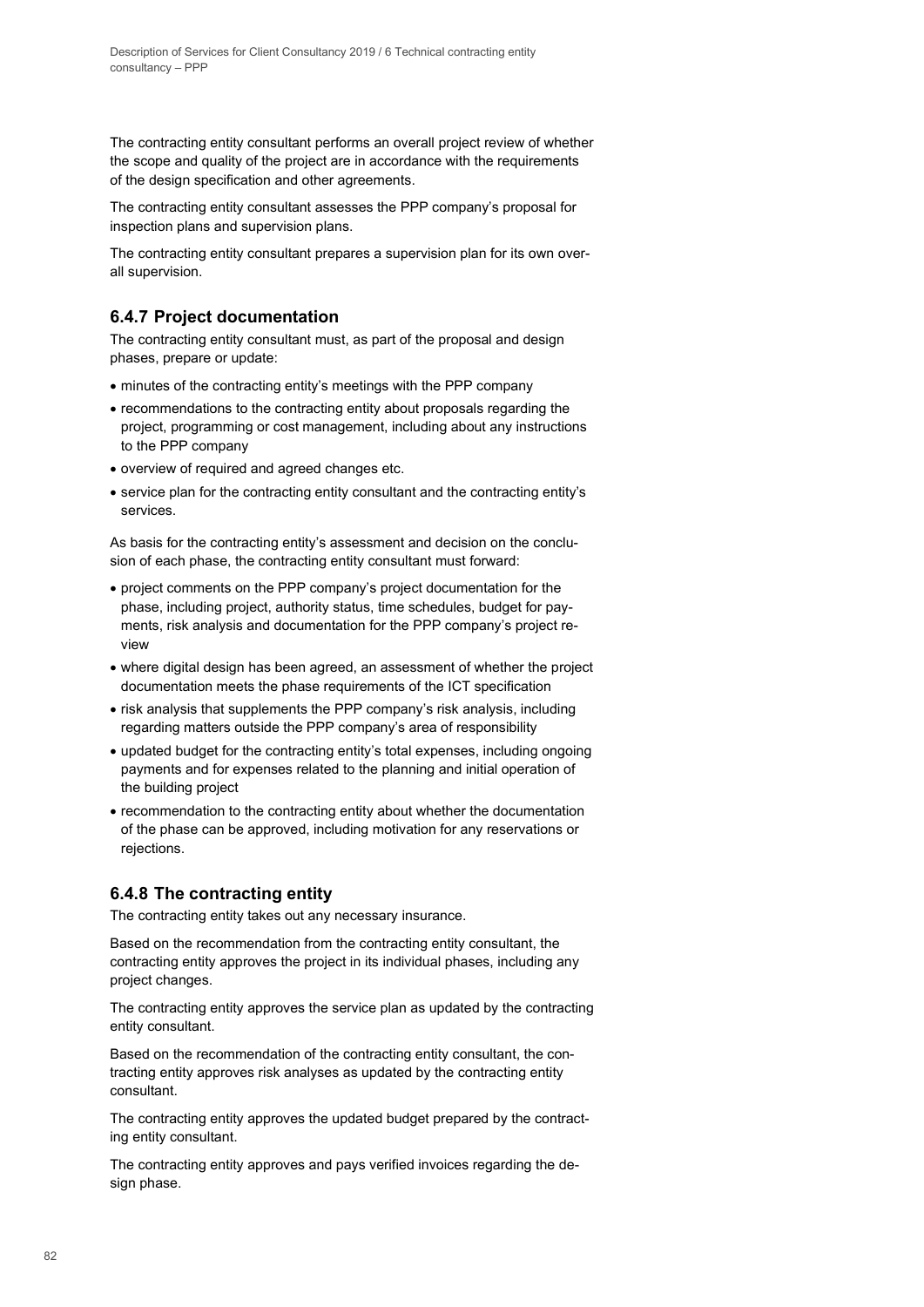The contracting entity consultant performs an overall project review of whether the scope and quality of the project are in accordance with the requirements of the design specification and other agreements.

The contracting entity consultant assesses the PPP company's proposal for inspection plans and supervision plans.

The contracting entity consultant prepares a supervision plan for its own overall supervision.

### 6.4.7 Project documentation

The contracting entity consultant must, as part of the proposal and design phases, prepare or update:

- minutes of the contracting entity's meetings with the PPP company
- recommendations to the contracting entity about proposals regarding the project, programming or cost management, including about any instructions to the PPP company
- overview of required and agreed changes etc.
- service plan for the contracting entity consultant and the contracting entity's services.

As basis for the contracting entity's assessment and decision on the conclusion of each phase, the contracting entity consultant must forward:

- project comments on the PPP company's project documentation for the phase, including project, authority status, time schedules, budget for payments, risk analysis and documentation for the PPP company's project review
- where digital design has been agreed, an assessment of whether the project documentation meets the phase requirements of the ICT specification
- risk analysis that supplements the PPP company's risk analysis, including regarding matters outside the PPP company's area of responsibility
- updated budget for the contracting entity's total expenses, including ongoing payments and for expenses related to the planning and initial operation of the building project
- recommendation to the contracting entity about whether the documentation of the phase can be approved, including motivation for any reservations or rejections.

# 6.4.8 The contracting entity

The contracting entity takes out any necessary insurance.

Based on the recommendation from the contracting entity consultant, the contracting entity approves the project in its individual phases, including any project changes.

The contracting entity approves the service plan as updated by the contracting entity consultant.

Based on the recommendation of the contracting entity consultant, the contracting entity approves risk analyses as updated by the contracting entity consultant.

The contracting entity approves the updated budget prepared by the contracting entity consultant.

The contracting entity approves and pays verified invoices regarding the design phase.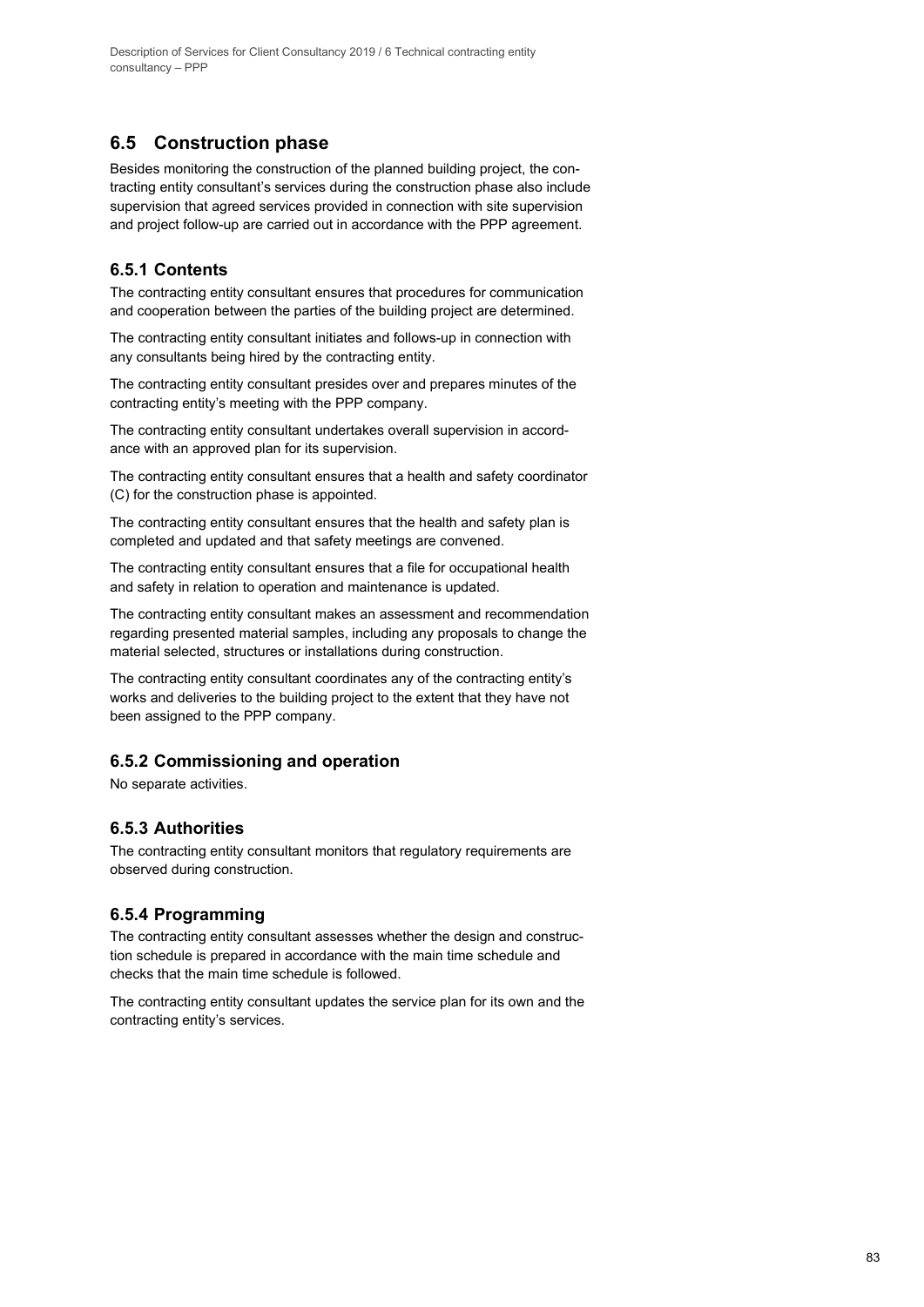# 6.5 Construction phase

Besides monitoring the construction of the planned building project, the contracting entity consultant's services during the construction phase also include supervision that agreed services provided in connection with site supervision and project follow-up are carried out in accordance with the PPP agreement.

### 6.5.1 Contents

The contracting entity consultant ensures that procedures for communication and cooperation between the parties of the building project are determined.

The contracting entity consultant initiates and follows-up in connection with any consultants being hired by the contracting entity.

The contracting entity consultant presides over and prepares minutes of the contracting entity's meeting with the PPP company.

The contracting entity consultant undertakes overall supervision in accordance with an approved plan for its supervision.

The contracting entity consultant ensures that a health and safety coordinator (C) for the construction phase is appointed.

The contracting entity consultant ensures that the health and safety plan is completed and updated and that safety meetings are convened.

The contracting entity consultant ensures that a file for occupational health and safety in relation to operation and maintenance is updated.

The contracting entity consultant makes an assessment and recommendation regarding presented material samples, including any proposals to change the material selected, structures or installations during construction.

The contracting entity consultant coordinates any of the contracting entity's works and deliveries to the building project to the extent that they have not been assigned to the PPP company.

# 6.5.2 Commissioning and operation

No separate activities.

# 6.5.3 Authorities

The contracting entity consultant monitors that regulatory requirements are observed during construction.

# 6.5.4 Programming

The contracting entity consultant assesses whether the design and construction schedule is prepared in accordance with the main time schedule and checks that the main time schedule is followed.

The contracting entity consultant updates the service plan for its own and the contracting entity's services.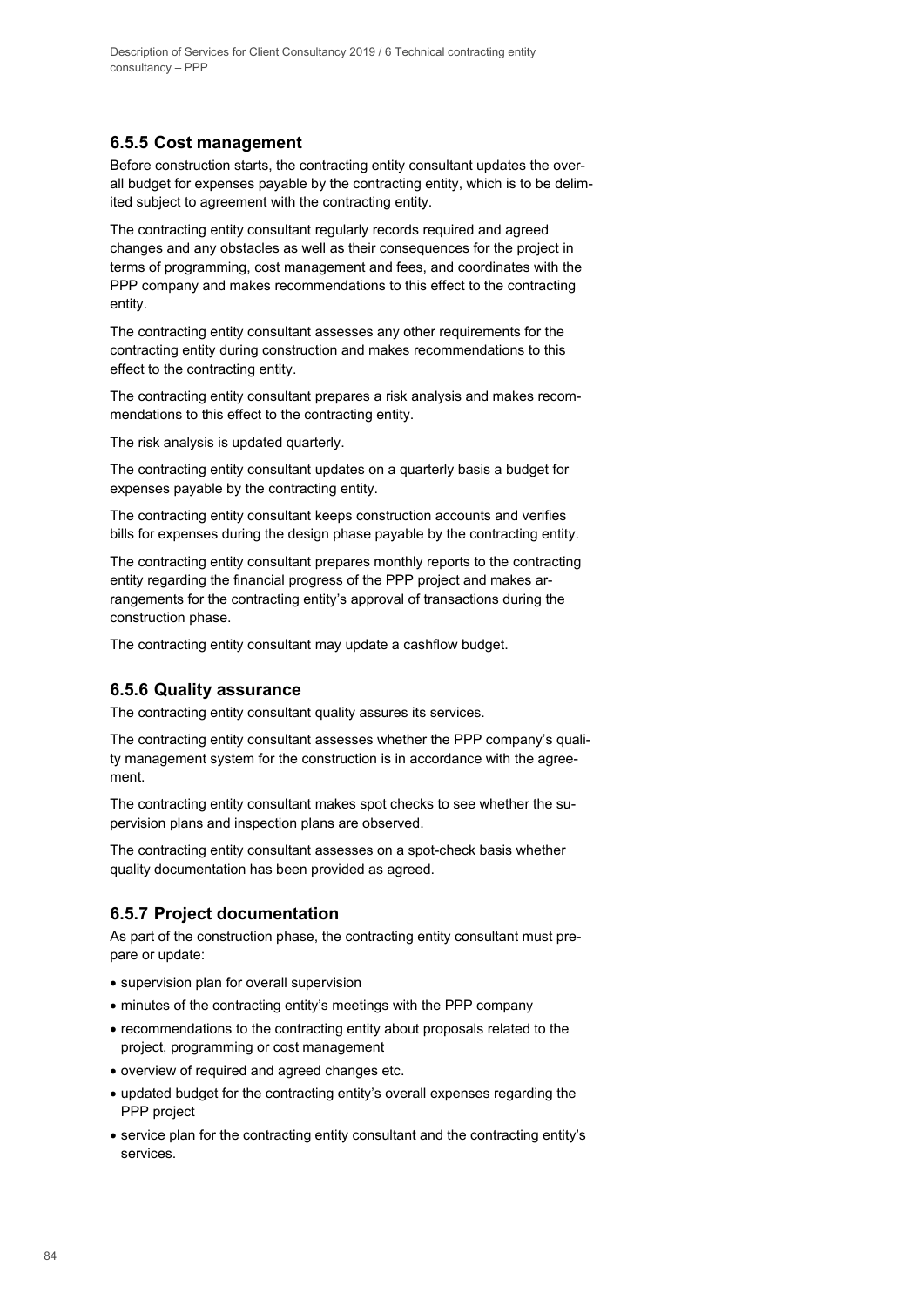#### 6.5.5 Cost management

Before construction starts, the contracting entity consultant updates the overall budget for expenses payable by the contracting entity, which is to be delimited subject to agreement with the contracting entity.

The contracting entity consultant regularly records required and agreed changes and any obstacles as well as their consequences for the project in terms of programming, cost management and fees, and coordinates with the PPP company and makes recommendations to this effect to the contracting entity.

The contracting entity consultant assesses any other requirements for the contracting entity during construction and makes recommendations to this effect to the contracting entity.

The contracting entity consultant prepares a risk analysis and makes recommendations to this effect to the contracting entity.

The risk analysis is updated quarterly.

The contracting entity consultant updates on a quarterly basis a budget for expenses payable by the contracting entity.

The contracting entity consultant keeps construction accounts and verifies bills for expenses during the design phase payable by the contracting entity.

The contracting entity consultant prepares monthly reports to the contracting entity regarding the financial progress of the PPP project and makes arrangements for the contracting entity's approval of transactions during the construction phase.

The contracting entity consultant may update a cashflow budget.

#### 6.5.6 Quality assurance

The contracting entity consultant quality assures its services.

The contracting entity consultant assesses whether the PPP company's quality management system for the construction is in accordance with the agreement.

The contracting entity consultant makes spot checks to see whether the supervision plans and inspection plans are observed.

The contracting entity consultant assesses on a spot-check basis whether quality documentation has been provided as agreed.

#### 6.5.7 Project documentation

As part of the construction phase, the contracting entity consultant must prepare or update:

- supervision plan for overall supervision
- minutes of the contracting entity's meetings with the PPP company
- recommendations to the contracting entity about proposals related to the project, programming or cost management
- overview of required and agreed changes etc.
- updated budget for the contracting entity's overall expenses regarding the PPP project
- service plan for the contracting entity consultant and the contracting entity's services.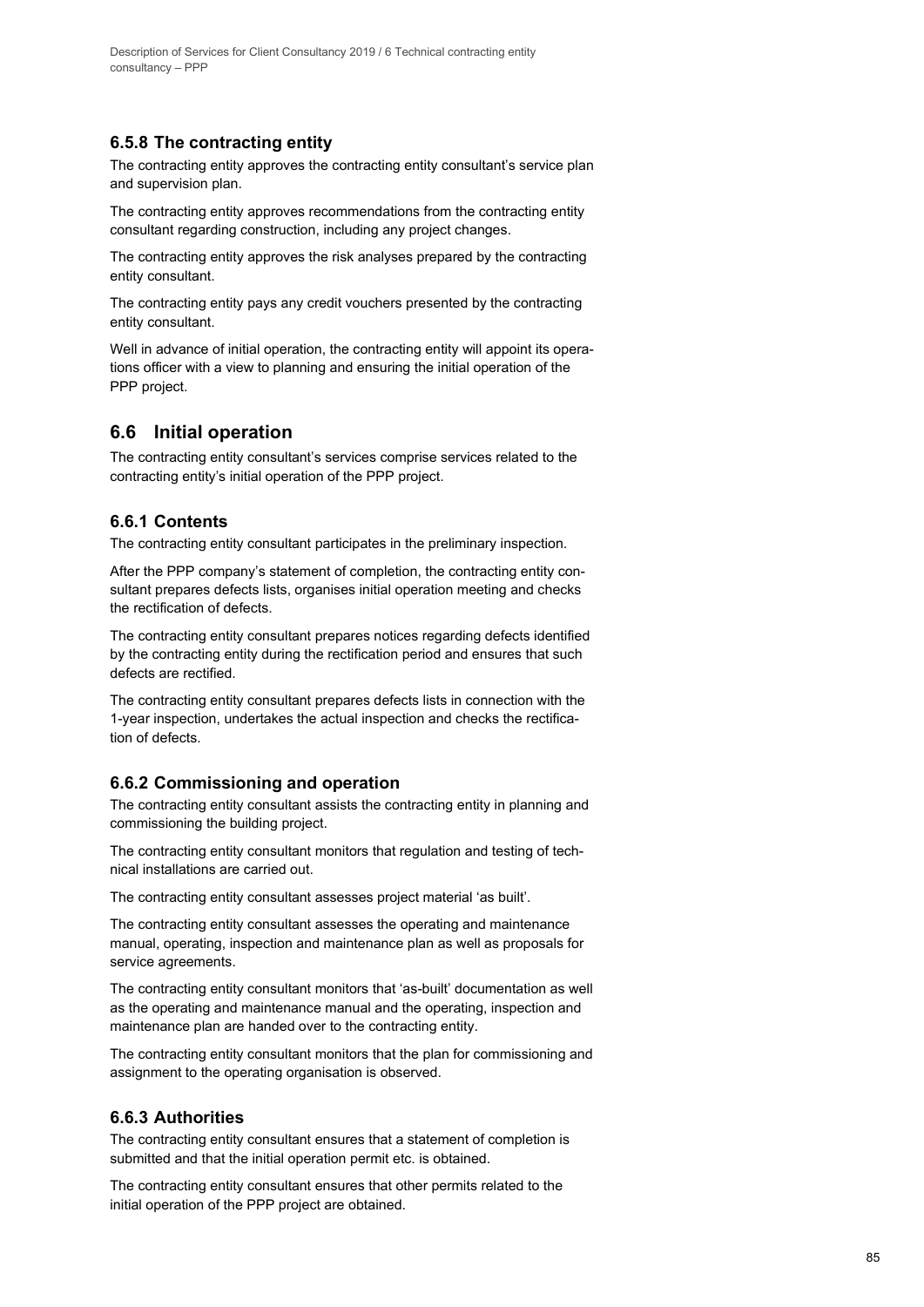### 6.5.8 The contracting entity

The contracting entity approves the contracting entity consultant's service plan and supervision plan.

The contracting entity approves recommendations from the contracting entity consultant regarding construction, including any project changes.

The contracting entity approves the risk analyses prepared by the contracting entity consultant.

The contracting entity pays any credit vouchers presented by the contracting entity consultant.

Well in advance of initial operation, the contracting entity will appoint its operations officer with a view to planning and ensuring the initial operation of the PPP project.

# 6.6 Initial operation

The contracting entity consultant's services comprise services related to the contracting entity's initial operation of the PPP project.

### 6.6.1 Contents

The contracting entity consultant participates in the preliminary inspection.

After the PPP company's statement of completion, the contracting entity consultant prepares defects lists, organises initial operation meeting and checks the rectification of defects.

The contracting entity consultant prepares notices regarding defects identified by the contracting entity during the rectification period and ensures that such defects are rectified.

The contracting entity consultant prepares defects lists in connection with the 1-year inspection, undertakes the actual inspection and checks the rectification of defects.

### 6.6.2 Commissioning and operation

The contracting entity consultant assists the contracting entity in planning and commissioning the building project.

The contracting entity consultant monitors that regulation and testing of technical installations are carried out.

The contracting entity consultant assesses project material 'as built'.

The contracting entity consultant assesses the operating and maintenance manual, operating, inspection and maintenance plan as well as proposals for service agreements.

The contracting entity consultant monitors that 'as-built' documentation as well as the operating and maintenance manual and the operating, inspection and maintenance plan are handed over to the contracting entity.

The contracting entity consultant monitors that the plan for commissioning and assignment to the operating organisation is observed.

### 6.6.3 Authorities

The contracting entity consultant ensures that a statement of completion is submitted and that the initial operation permit etc. is obtained.

The contracting entity consultant ensures that other permits related to the initial operation of the PPP project are obtained.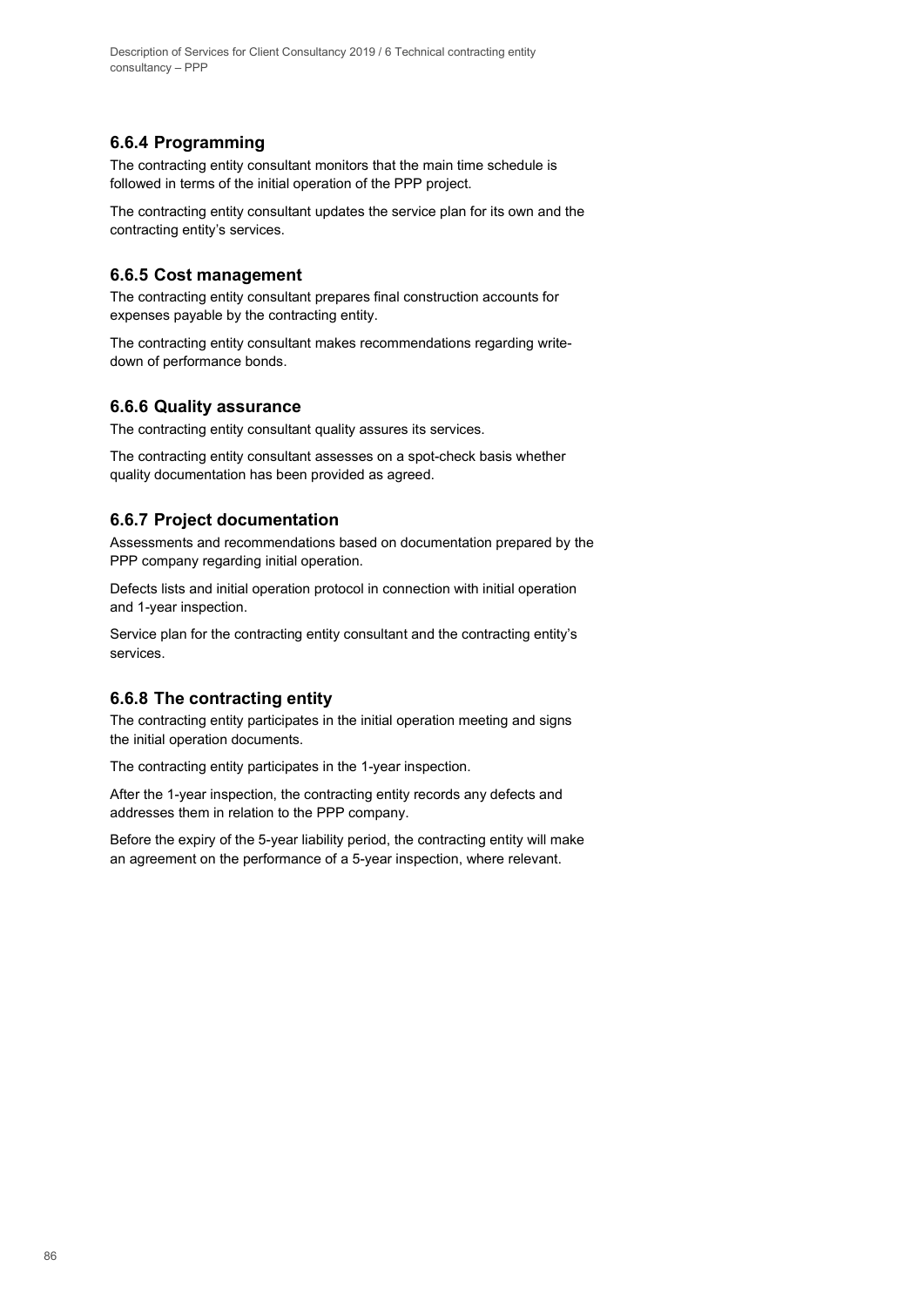### 6.6.4 Programming

The contracting entity consultant monitors that the main time schedule is followed in terms of the initial operation of the PPP project.

The contracting entity consultant updates the service plan for its own and the contracting entity's services.

#### 6.6.5 Cost management

The contracting entity consultant prepares final construction accounts for expenses payable by the contracting entity.

The contracting entity consultant makes recommendations regarding writedown of performance bonds.

#### 6.6.6 Quality assurance

The contracting entity consultant quality assures its services.

The contracting entity consultant assesses on a spot-check basis whether quality documentation has been provided as agreed.

#### 6.6.7 Project documentation

Assessments and recommendations based on documentation prepared by the PPP company regarding initial operation.

Defects lists and initial operation protocol in connection with initial operation and 1-year inspection.

Service plan for the contracting entity consultant and the contracting entity's services.

# 6.6.8 The contracting entity

The contracting entity participates in the initial operation meeting and signs the initial operation documents.

The contracting entity participates in the 1-year inspection.

After the 1-year inspection, the contracting entity records any defects and addresses them in relation to the PPP company.

Before the expiry of the 5-year liability period, the contracting entity will make an agreement on the performance of a 5-year inspection, where relevant.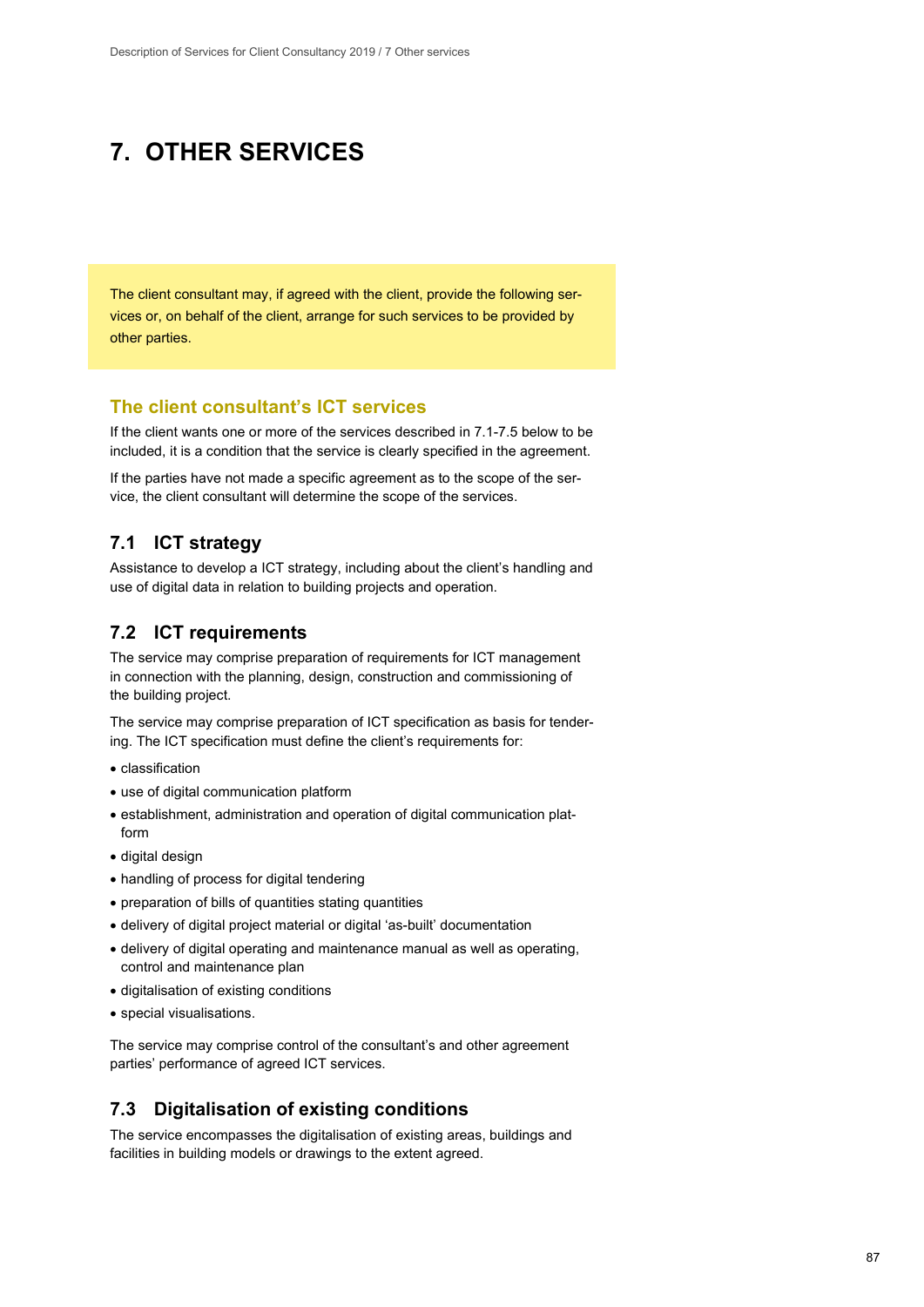# 7. OTHER SERVICES

The client consultant may, if agreed with the client, provide the following services or, on behalf of the client, arrange for such services to be provided by other parties.

### The client consultant's ICT services

If the client wants one or more of the services described in 7.1-7.5 below to be included, it is a condition that the service is clearly specified in the agreement.

If the parties have not made a specific agreement as to the scope of the service, the client consultant will determine the scope of the services.

# 7.1 ICT strategy

Assistance to develop a ICT strategy, including about the client's handling and use of digital data in relation to building projects and operation.

#### 7.2 ICT requirements

The service may comprise preparation of requirements for ICT management in connection with the planning, design, construction and commissioning of the building project.

The service may comprise preparation of ICT specification as basis for tendering. The ICT specification must define the client's requirements for:

- classification
- use of digital communication platform
- establishment, administration and operation of digital communication platform
- digital design
- handling of process for digital tendering
- preparation of bills of quantities stating quantities
- delivery of digital project material or digital 'as-built' documentation
- delivery of digital operating and maintenance manual as well as operating, control and maintenance plan
- digitalisation of existing conditions
- special visualisations.

The service may comprise control of the consultant's and other agreement parties' performance of agreed ICT services.

#### 7.3 Digitalisation of existing conditions

The service encompasses the digitalisation of existing areas, buildings and facilities in building models or drawings to the extent agreed.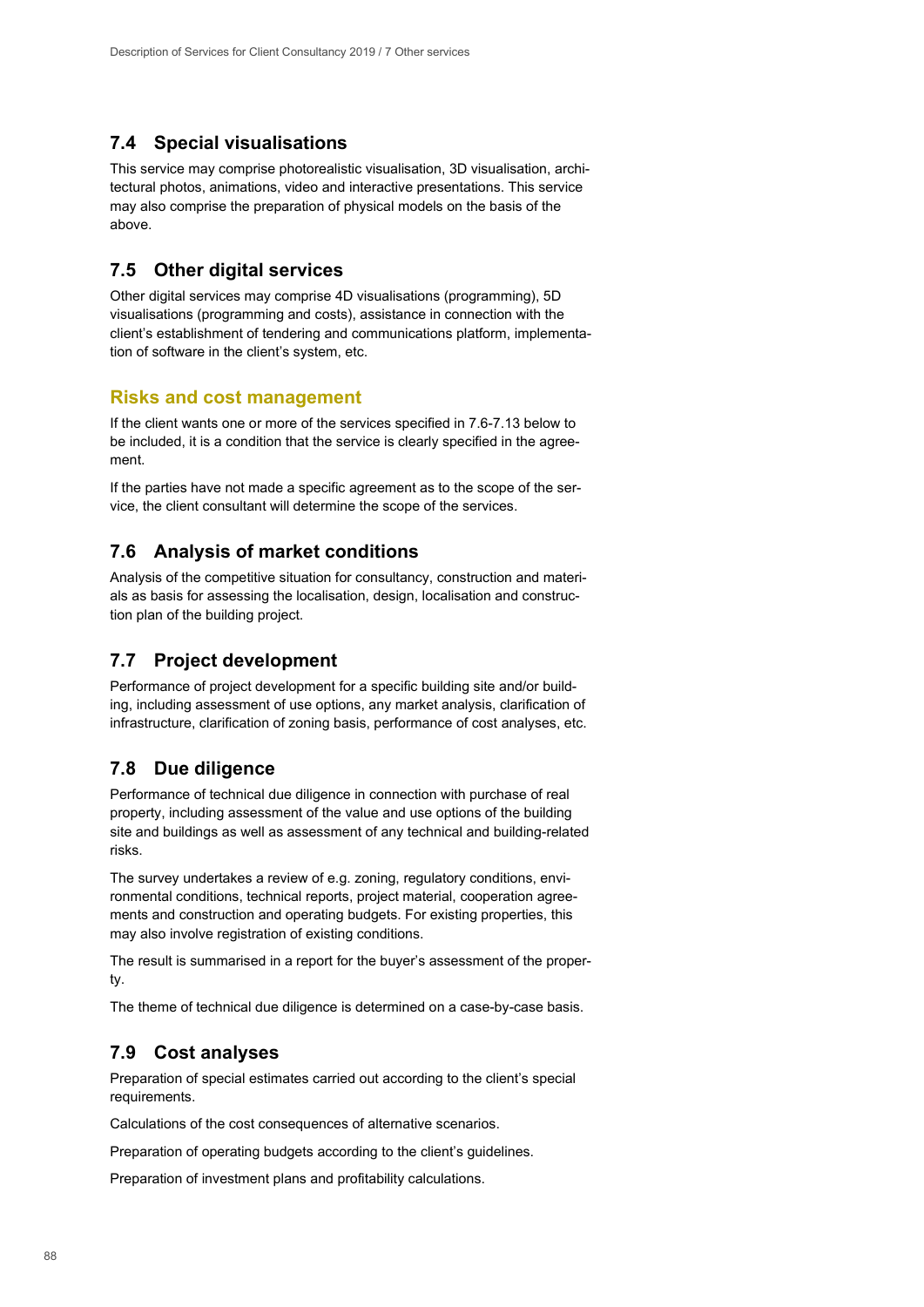### 7.4 Special visualisations

This service may comprise photorealistic visualisation, 3D visualisation, architectural photos, animations, video and interactive presentations. This service may also comprise the preparation of physical models on the basis of the above.

# 7.5 Other digital services

Other digital services may comprise 4D visualisations (programming), 5D visualisations (programming and costs), assistance in connection with the client's establishment of tendering and communications platform, implementation of software in the client's system, etc.

### Risks and cost management

If the client wants one or more of the services specified in 7.6-7.13 below to be included, it is a condition that the service is clearly specified in the agreement.

If the parties have not made a specific agreement as to the scope of the service, the client consultant will determine the scope of the services.

# 7.6 Analysis of market conditions

Analysis of the competitive situation for consultancy, construction and materials as basis for assessing the localisation, design, localisation and construction plan of the building project.

# 7.7 Project development

Performance of project development for a specific building site and/or building, including assessment of use options, any market analysis, clarification of infrastructure, clarification of zoning basis, performance of cost analyses, etc.

# 7.8 Due diligence

Performance of technical due diligence in connection with purchase of real property, including assessment of the value and use options of the building site and buildings as well as assessment of any technical and building-related risks.

The survey undertakes a review of e.g. zoning, regulatory conditions, environmental conditions, technical reports, project material, cooperation agreements and construction and operating budgets. For existing properties, this may also involve registration of existing conditions.

The result is summarised in a report for the buyer's assessment of the property.

The theme of technical due diligence is determined on a case-by-case basis.

# 7.9 Cost analyses

Preparation of special estimates carried out according to the client's special requirements.

Calculations of the cost consequences of alternative scenarios.

Preparation of operating budgets according to the client's guidelines.

Preparation of investment plans and profitability calculations.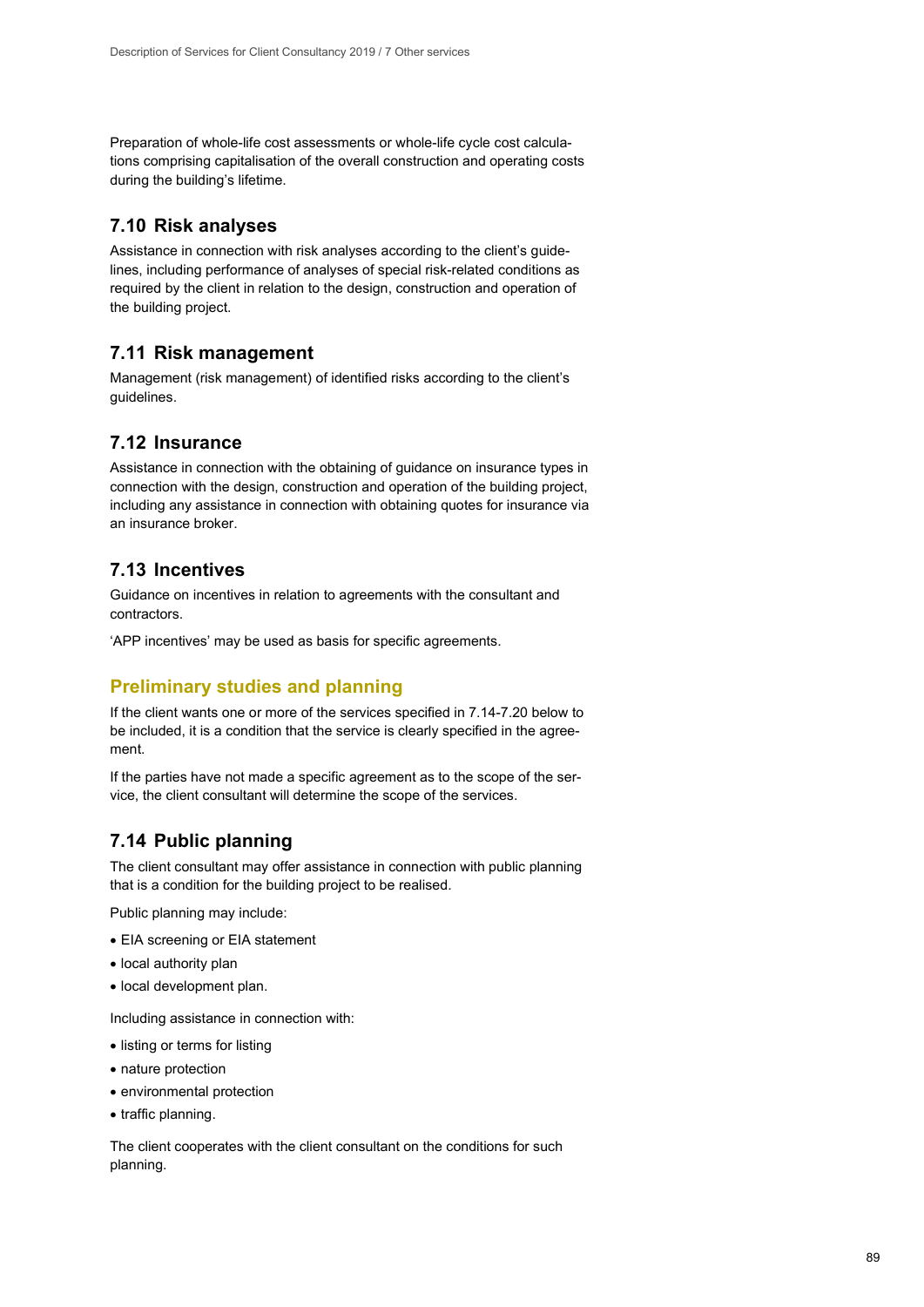Preparation of whole-life cost assessments or whole-life cycle cost calculations comprising capitalisation of the overall construction and operating costs during the building's lifetime.

# 7.10 Risk analyses

Assistance in connection with risk analyses according to the client's guidelines, including performance of analyses of special risk-related conditions as required by the client in relation to the design, construction and operation of the building project.

# 7.11 Risk management

Management (risk management) of identified risks according to the client's guidelines.

# 7.12 Insurance

Assistance in connection with the obtaining of guidance on insurance types in connection with the design, construction and operation of the building project, including any assistance in connection with obtaining quotes for insurance via an insurance broker.

# 7.13 Incentives

Guidance on incentives in relation to agreements with the consultant and contractors.

'APP incentives' may be used as basis for specific agreements.

# Preliminary studies and planning

If the client wants one or more of the services specified in 7.14-7.20 below to be included, it is a condition that the service is clearly specified in the agreement.

If the parties have not made a specific agreement as to the scope of the service, the client consultant will determine the scope of the services.

# 7.14 Public planning

The client consultant may offer assistance in connection with public planning that is a condition for the building project to be realised.

Public planning may include:

- EIA screening or EIA statement
- local authority plan
- local development plan.

Including assistance in connection with:

- listing or terms for listing
- nature protection
- environmental protection
- traffic planning.

The client cooperates with the client consultant on the conditions for such planning.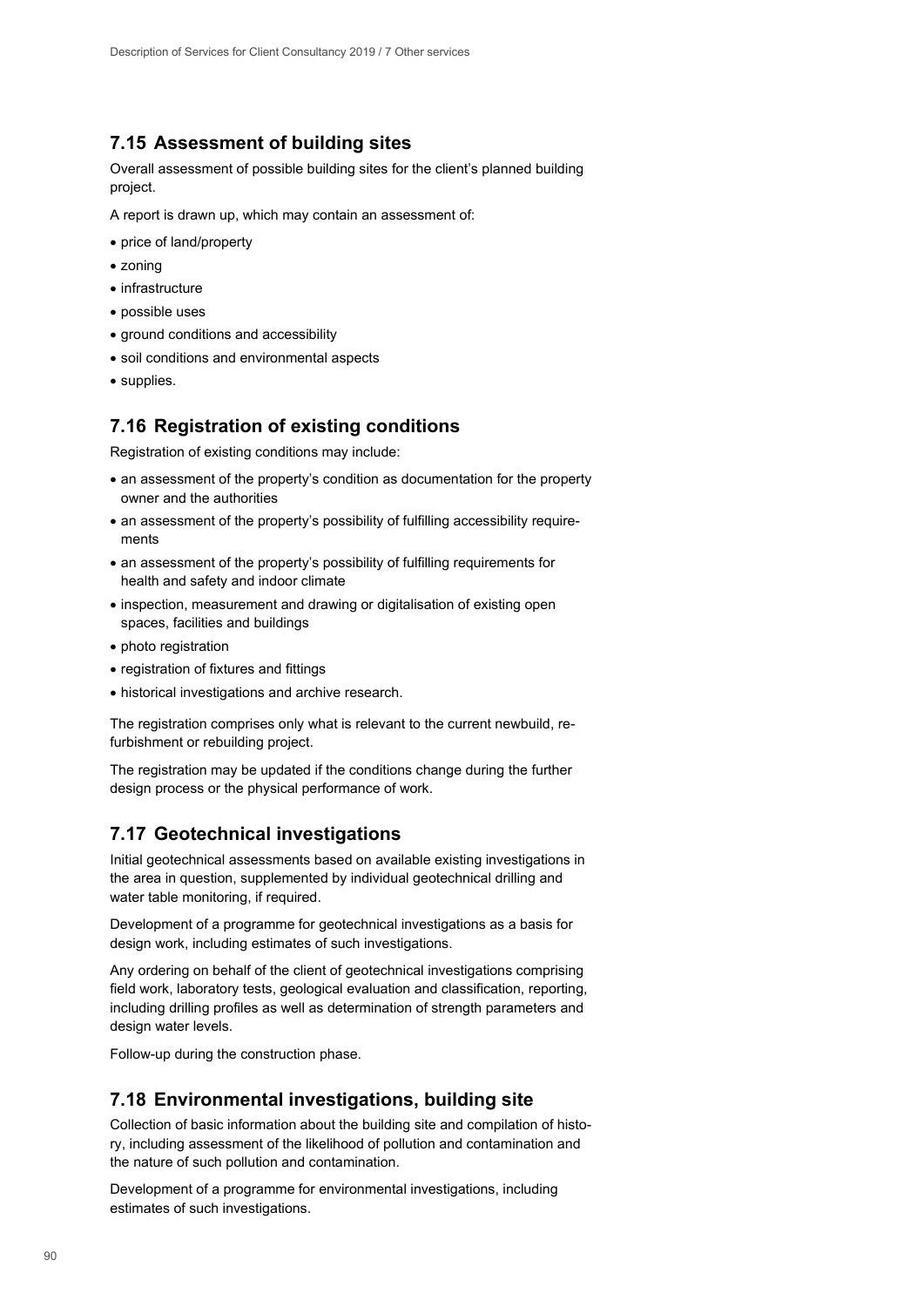# 7.15 Assessment of building sites

Overall assessment of possible building sites for the client's planned building project.

A report is drawn up, which may contain an assessment of:

- price of land/property
- zoning
- infrastructure
- possible uses
- ground conditions and accessibility
- soil conditions and environmental aspects
- supplies.

# 7.16 Registration of existing conditions

Registration of existing conditions may include:

- an assessment of the property's condition as documentation for the property owner and the authorities
- an assessment of the property's possibility of fulfilling accessibility requirements
- an assessment of the property's possibility of fulfilling requirements for health and safety and indoor climate
- inspection, measurement and drawing or digitalisation of existing open spaces, facilities and buildings
- photo registration
- registration of fixtures and fittings
- historical investigations and archive research.

The registration comprises only what is relevant to the current newbuild, refurbishment or rebuilding project.

The registration may be updated if the conditions change during the further design process or the physical performance of work.

# 7.17 Geotechnical investigations

Initial geotechnical assessments based on available existing investigations in the area in question, supplemented by individual geotechnical drilling and water table monitoring, if required.

Development of a programme for geotechnical investigations as a basis for design work, including estimates of such investigations.

Any ordering on behalf of the client of geotechnical investigations comprising field work, laboratory tests, geological evaluation and classification, reporting, including drilling profiles as well as determination of strength parameters and design water levels.

Follow-up during the construction phase.

# 7.18 Environmental investigations, building site

Collection of basic information about the building site and compilation of history, including assessment of the likelihood of pollution and contamination and the nature of such pollution and contamination.

Development of a programme for environmental investigations, including estimates of such investigations.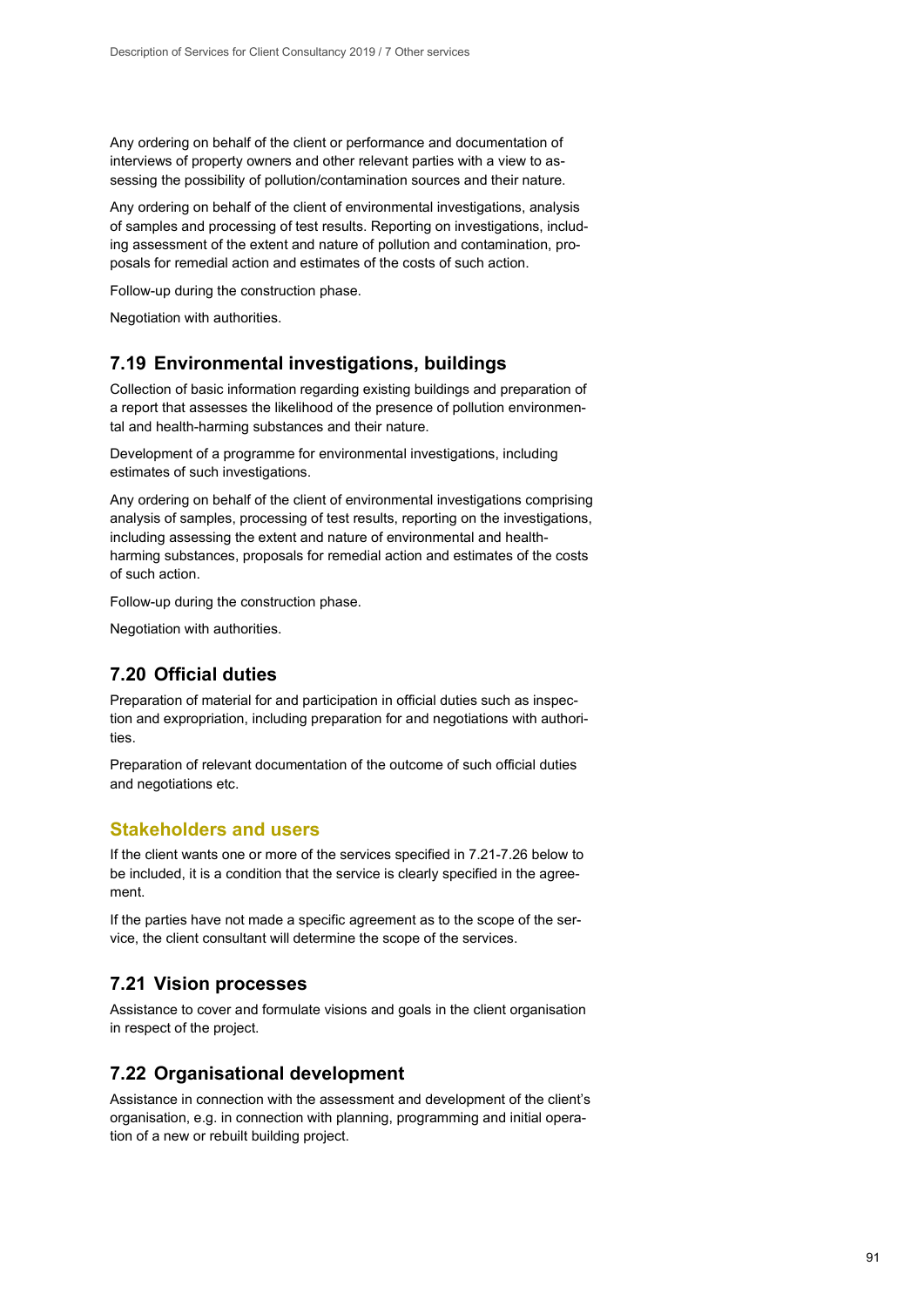Any ordering on behalf of the client or performance and documentation of interviews of property owners and other relevant parties with a view to assessing the possibility of pollution/contamination sources and their nature.

Any ordering on behalf of the client of environmental investigations, analysis of samples and processing of test results. Reporting on investigations, including assessment of the extent and nature of pollution and contamination, proposals for remedial action and estimates of the costs of such action.

Follow-up during the construction phase.

Negotiation with authorities.

### 7.19 Environmental investigations, buildings

Collection of basic information regarding existing buildings and preparation of a report that assesses the likelihood of the presence of pollution environmental and health-harming substances and their nature.

Development of a programme for environmental investigations, including estimates of such investigations.

Any ordering on behalf of the client of environmental investigations comprising analysis of samples, processing of test results, reporting on the investigations, including assessing the extent and nature of environmental and healthharming substances, proposals for remedial action and estimates of the costs of such action.

Follow-up during the construction phase.

Negotiation with authorities.

#### 7.20 Official duties

Preparation of material for and participation in official duties such as inspection and expropriation, including preparation for and negotiations with authorities.

Preparation of relevant documentation of the outcome of such official duties and negotiations etc.

#### Stakeholders and users

If the client wants one or more of the services specified in 7.21-7.26 below to be included, it is a condition that the service is clearly specified in the agreement.

If the parties have not made a specific agreement as to the scope of the service, the client consultant will determine the scope of the services.

### 7.21 Vision processes

Assistance to cover and formulate visions and goals in the client organisation in respect of the project.

### 7.22 Organisational development

Assistance in connection with the assessment and development of the client's organisation, e.g. in connection with planning, programming and initial operation of a new or rebuilt building project.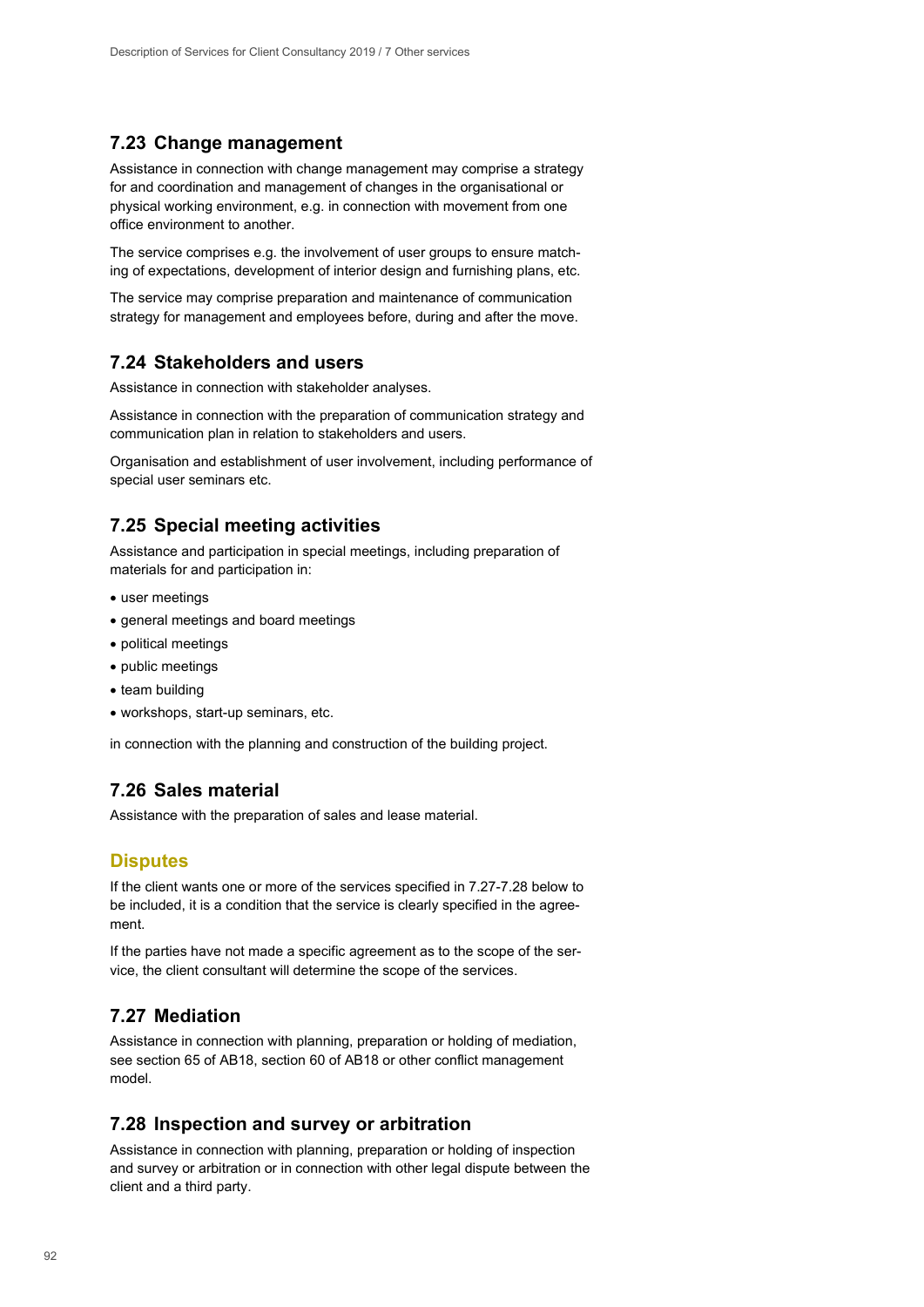### 7.23 Change management

Assistance in connection with change management may comprise a strategy for and coordination and management of changes in the organisational or physical working environment, e.g. in connection with movement from one office environment to another.

The service comprises e.g. the involvement of user groups to ensure matching of expectations, development of interior design and furnishing plans, etc.

The service may comprise preparation and maintenance of communication strategy for management and employees before, during and after the move.

### 7.24 Stakeholders and users

Assistance in connection with stakeholder analyses.

Assistance in connection with the preparation of communication strategy and communication plan in relation to stakeholders and users.

Organisation and establishment of user involvement, including performance of special user seminars etc.

# 7.25 Special meeting activities

Assistance and participation in special meetings, including preparation of materials for and participation in:

- user meetings
- general meetings and board meetings
- political meetings
- public meetings
- team building
- workshops, start-up seminars, etc.

in connection with the planning and construction of the building project.

# 7.26 Sales material

Assistance with the preparation of sales and lease material.

# **Disputes**

If the client wants one or more of the services specified in 7.27-7.28 below to be included, it is a condition that the service is clearly specified in the agreement.

If the parties have not made a specific agreement as to the scope of the service, the client consultant will determine the scope of the services.

# 7.27 Mediation

Assistance in connection with planning, preparation or holding of mediation, see section 65 of AB18, section 60 of AB18 or other conflict management model.

### 7.28 Inspection and survey or arbitration

Assistance in connection with planning, preparation or holding of inspection and survey or arbitration or in connection with other legal dispute between the client and a third party.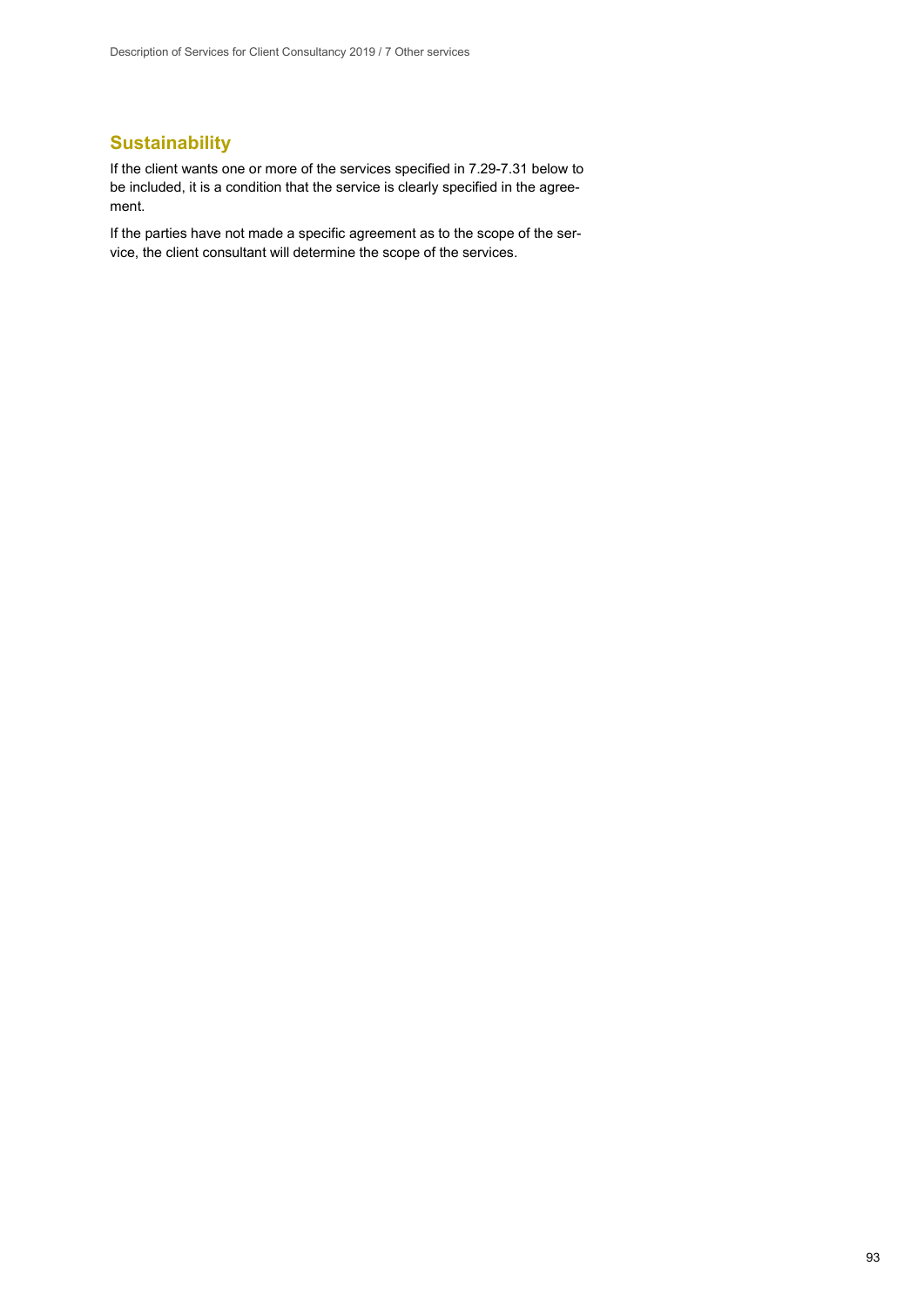# **Sustainability**

If the client wants one or more of the services specified in 7.29-7.31 below to be included, it is a condition that the service is clearly specified in the agreement.

If the parties have not made a specific agreement as to the scope of the service, the client consultant will determine the scope of the services.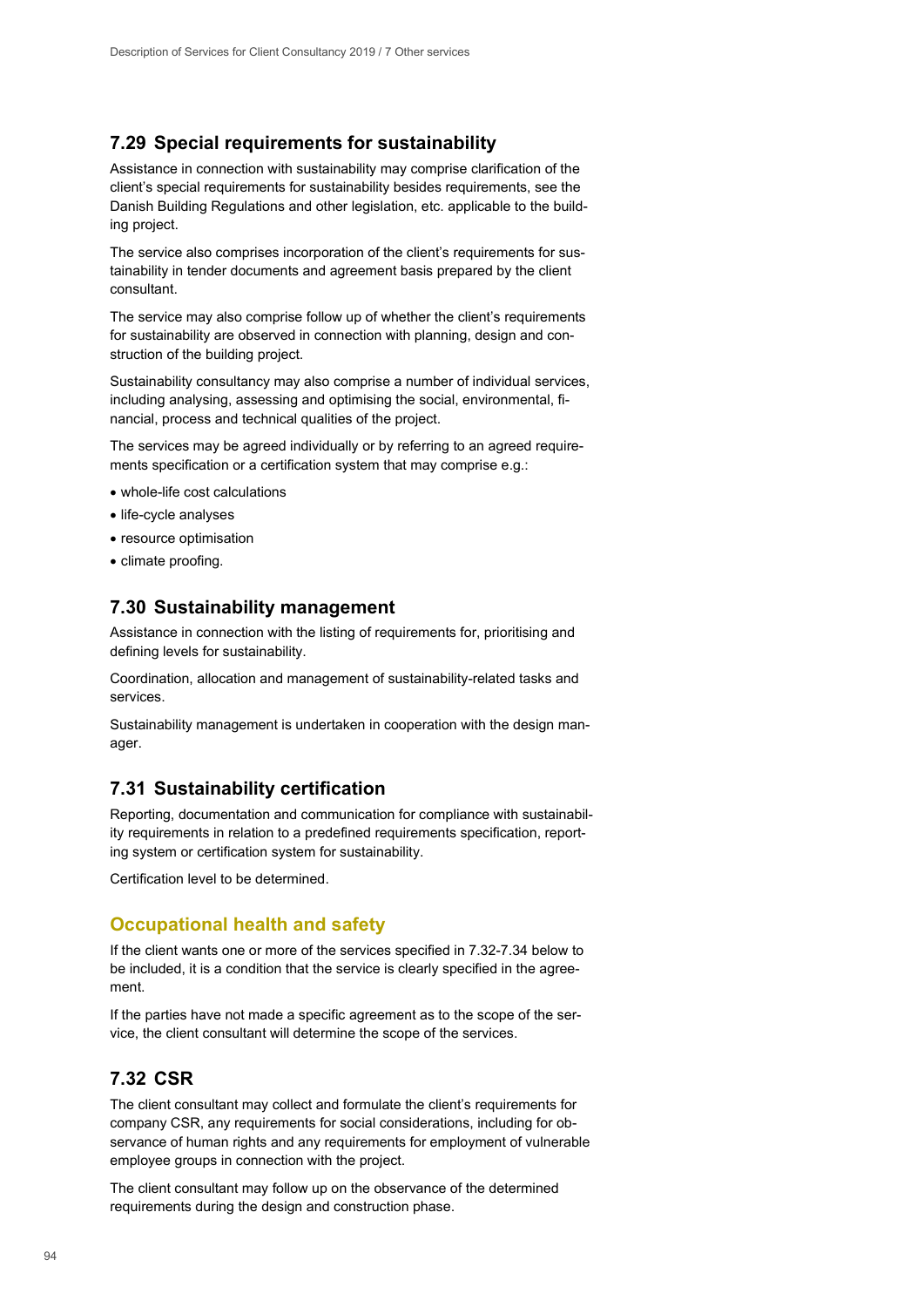#### 7.29 Special requirements for sustainability

Assistance in connection with sustainability may comprise clarification of the client's special requirements for sustainability besides requirements, see the Danish Building Regulations and other legislation, etc. applicable to the building project.

The service also comprises incorporation of the client's requirements for sustainability in tender documents and agreement basis prepared by the client consultant.

The service may also comprise follow up of whether the client's requirements for sustainability are observed in connection with planning, design and construction of the building project.

Sustainability consultancy may also comprise a number of individual services, including analysing, assessing and optimising the social, environmental, financial, process and technical qualities of the project.

The services may be agreed individually or by referring to an agreed requirements specification or a certification system that may comprise e.g.:

- whole-life cost calculations
- life-cycle analyses
- resource optimisation
- climate proofing.

#### 7.30 Sustainability management

Assistance in connection with the listing of requirements for, prioritising and defining levels for sustainability.

Coordination, allocation and management of sustainability-related tasks and services.

Sustainability management is undertaken in cooperation with the design manager.

#### 7.31 Sustainability certification

Reporting, documentation and communication for compliance with sustainability requirements in relation to a predefined requirements specification, reporting system or certification system for sustainability.

Certification level to be determined.

### Occupational health and safety

If the client wants one or more of the services specified in 7.32-7.34 below to be included, it is a condition that the service is clearly specified in the agreement.

If the parties have not made a specific agreement as to the scope of the service, the client consultant will determine the scope of the services.

### 7.32 CSR

The client consultant may collect and formulate the client's requirements for company CSR, any requirements for social considerations, including for observance of human rights and any requirements for employment of vulnerable employee groups in connection with the project.

The client consultant may follow up on the observance of the determined requirements during the design and construction phase.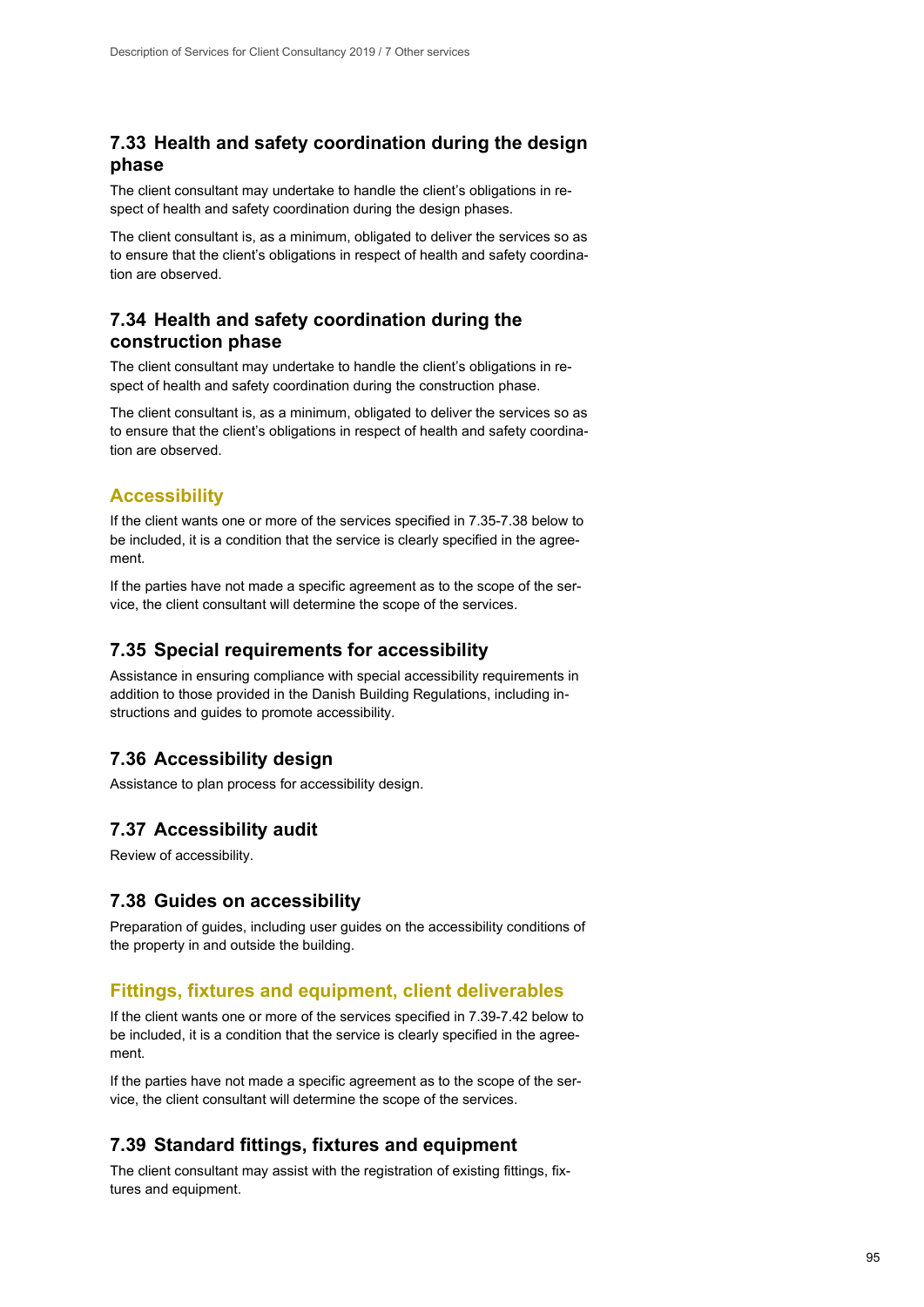# 7.33 Health and safety coordination during the design phase

The client consultant may undertake to handle the client's obligations in respect of health and safety coordination during the design phases.

The client consultant is, as a minimum, obligated to deliver the services so as to ensure that the client's obligations in respect of health and safety coordination are observed.

# 7.34 Health and safety coordination during the construction phase

The client consultant may undertake to handle the client's obligations in respect of health and safety coordination during the construction phase.

The client consultant is, as a minimum, obligated to deliver the services so as to ensure that the client's obligations in respect of health and safety coordination are observed.

# **Accessibility**

If the client wants one or more of the services specified in 7.35-7.38 below to be included, it is a condition that the service is clearly specified in the agreement.

If the parties have not made a specific agreement as to the scope of the service, the client consultant will determine the scope of the services.

# 7.35 Special requirements for accessibility

Assistance in ensuring compliance with special accessibility requirements in addition to those provided in the Danish Building Regulations, including instructions and guides to promote accessibility.

# 7.36 Accessibility design

Assistance to plan process for accessibility design.

# 7.37 Accessibility audit

Review of accessibility.

# 7.38 Guides on accessibility

Preparation of guides, including user guides on the accessibility conditions of the property in and outside the building.

# Fittings, fixtures and equipment, client deliverables

If the client wants one or more of the services specified in 7.39-7.42 below to be included, it is a condition that the service is clearly specified in the agreement.

If the parties have not made a specific agreement as to the scope of the service, the client consultant will determine the scope of the services.

# 7.39 Standard fittings, fixtures and equipment

The client consultant may assist with the registration of existing fittings, fixtures and equipment.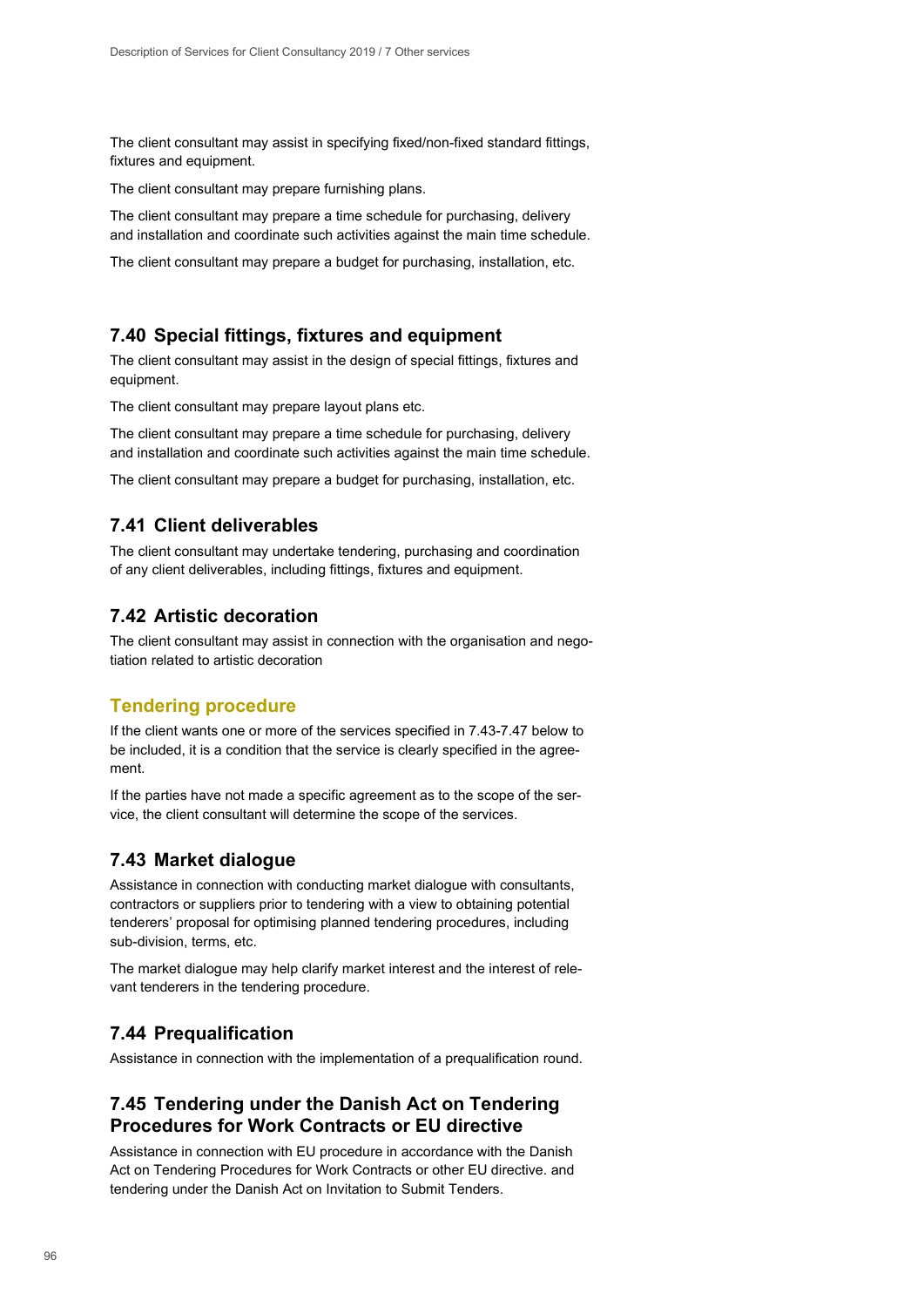The client consultant may assist in specifying fixed/non-fixed standard fittings, fixtures and equipment.

The client consultant may prepare furnishing plans.

The client consultant may prepare a time schedule for purchasing, delivery and installation and coordinate such activities against the main time schedule.

The client consultant may prepare a budget for purchasing, installation, etc.

### 7.40 Special fittings, fixtures and equipment

The client consultant may assist in the design of special fittings, fixtures and equipment.

The client consultant may prepare layout plans etc.

The client consultant may prepare a time schedule for purchasing, delivery and installation and coordinate such activities against the main time schedule.

The client consultant may prepare a budget for purchasing, installation, etc.

### 7.41 Client deliverables

The client consultant may undertake tendering, purchasing and coordination of any client deliverables, including fittings, fixtures and equipment.

### 7.42 Artistic decoration

The client consultant may assist in connection with the organisation and negotiation related to artistic decoration

### Tendering procedure

If the client wants one or more of the services specified in 7.43-7.47 below to be included, it is a condition that the service is clearly specified in the agreement.

If the parties have not made a specific agreement as to the scope of the service, the client consultant will determine the scope of the services.

# 7.43 Market dialogue

Assistance in connection with conducting market dialogue with consultants, contractors or suppliers prior to tendering with a view to obtaining potential tenderers' proposal for optimising planned tendering procedures, including sub-division, terms, etc.

The market dialogue may help clarify market interest and the interest of relevant tenderers in the tendering procedure.

# 7.44 Prequalification

Assistance in connection with the implementation of a prequalification round.

# 7.45 Tendering under the Danish Act on Tendering Procedures for Work Contracts or EU directive

Assistance in connection with EU procedure in accordance with the Danish Act on Tendering Procedures for Work Contracts or other EU directive. and tendering under the Danish Act on Invitation to Submit Tenders.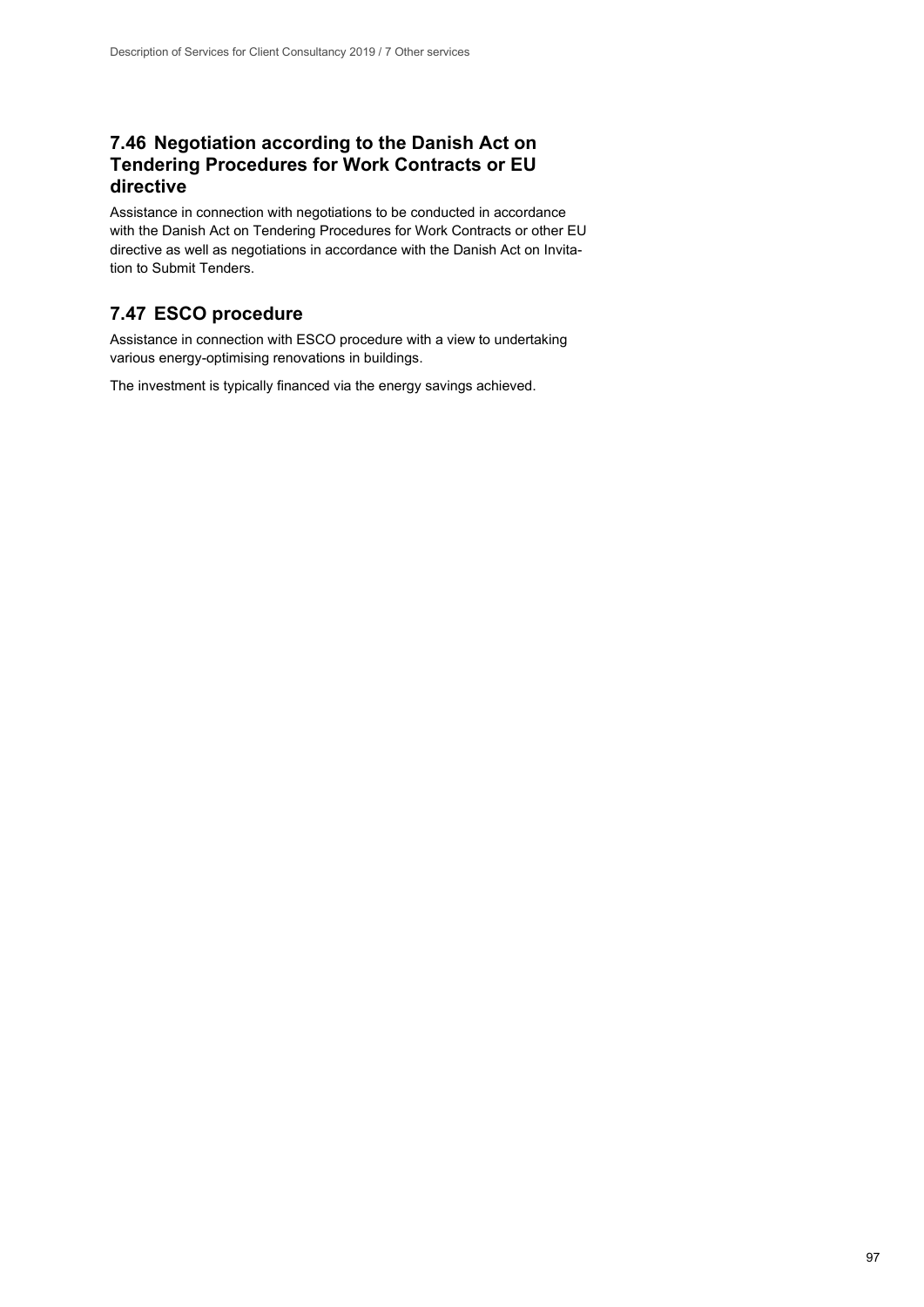# 7.46 Negotiation according to the Danish Act on Tendering Procedures for Work Contracts or EU directive

Assistance in connection with negotiations to be conducted in accordance with the Danish Act on Tendering Procedures for Work Contracts or other EU directive as well as negotiations in accordance with the Danish Act on Invitation to Submit Tenders.

# 7.47 ESCO procedure

Assistance in connection with ESCO procedure with a view to undertaking various energy-optimising renovations in buildings.

The investment is typically financed via the energy savings achieved.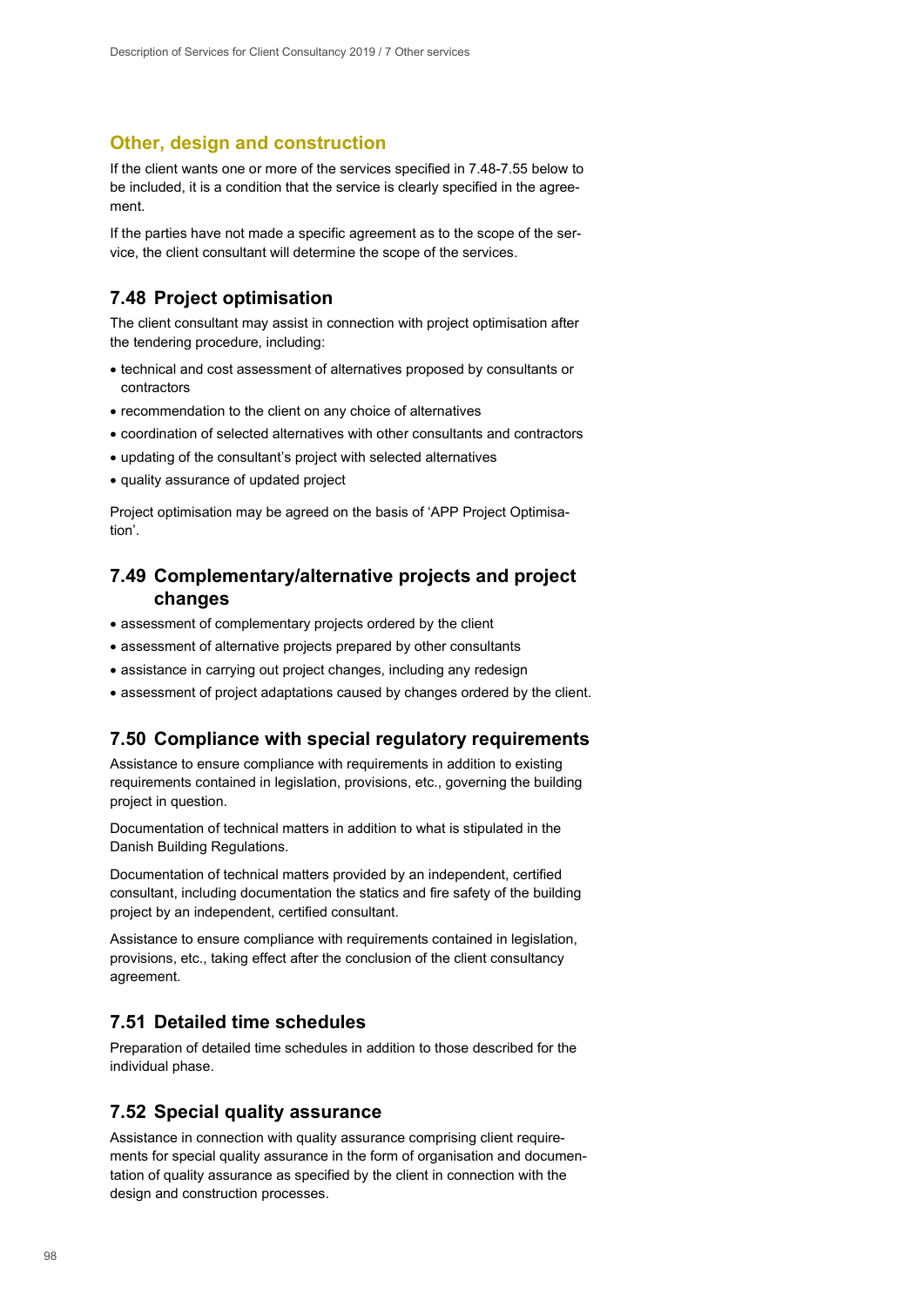#### Other, design and construction

If the client wants one or more of the services specified in 7.48-7.55 below to be included, it is a condition that the service is clearly specified in the agreement.

If the parties have not made a specific agreement as to the scope of the service, the client consultant will determine the scope of the services.

# 7.48 Project optimisation

The client consultant may assist in connection with project optimisation after the tendering procedure, including:

- technical and cost assessment of alternatives proposed by consultants or contractors
- recommendation to the client on any choice of alternatives
- coordination of selected alternatives with other consultants and contractors
- updating of the consultant's project with selected alternatives
- quality assurance of updated project

Project optimisation may be agreed on the basis of 'APP Project Optimisation'.

### 7.49 Complementary/alternative projects and project changes

- assessment of complementary projects ordered by the client
- assessment of alternative projects prepared by other consultants
- assistance in carrying out project changes, including any redesign
- assessment of project adaptations caused by changes ordered by the client.

#### 7.50 Compliance with special regulatory requirements

Assistance to ensure compliance with requirements in addition to existing requirements contained in legislation, provisions, etc., governing the building project in question.

Documentation of technical matters in addition to what is stipulated in the Danish Building Regulations.

Documentation of technical matters provided by an independent, certified consultant, including documentation the statics and fire safety of the building project by an independent, certified consultant.

Assistance to ensure compliance with requirements contained in legislation, provisions, etc., taking effect after the conclusion of the client consultancy agreement.

### 7.51 Detailed time schedules

Preparation of detailed time schedules in addition to those described for the individual phase.

#### 7.52 Special quality assurance

Assistance in connection with quality assurance comprising client requirements for special quality assurance in the form of organisation and documentation of quality assurance as specified by the client in connection with the design and construction processes.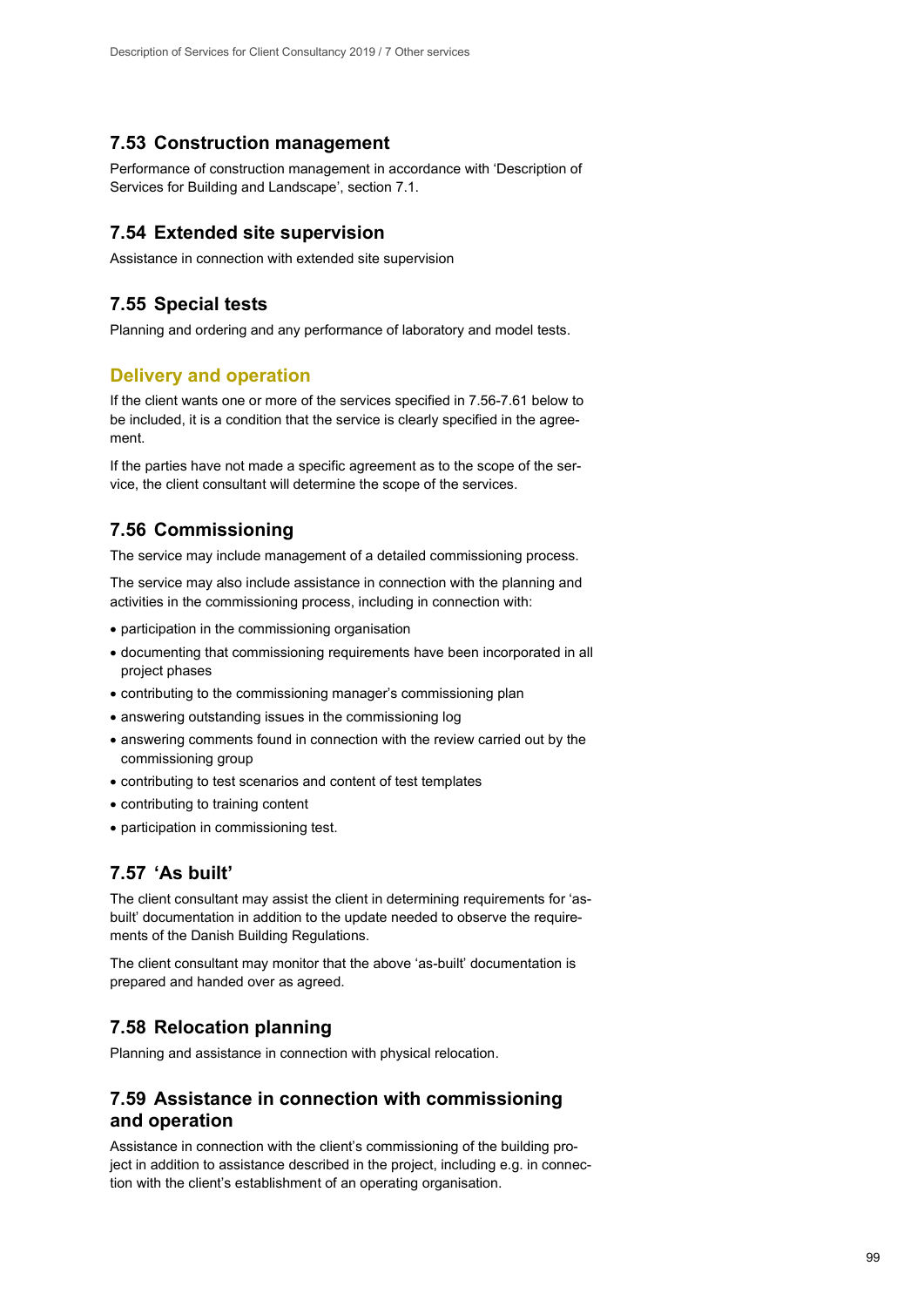### 7.53 Construction management

Performance of construction management in accordance with 'Description of Services for Building and Landscape', section 7.1.

### 7.54 Extended site supervision

Assistance in connection with extended site supervision

# 7.55 Special tests

Planning and ordering and any performance of laboratory and model tests.

# Delivery and operation

If the client wants one or more of the services specified in 7.56-7.61 below to be included, it is a condition that the service is clearly specified in the agreement.

If the parties have not made a specific agreement as to the scope of the service, the client consultant will determine the scope of the services.

# 7.56 Commissioning

The service may include management of a detailed commissioning process.

The service may also include assistance in connection with the planning and activities in the commissioning process, including in connection with:

- participation in the commissioning organisation
- documenting that commissioning requirements have been incorporated in all project phases
- contributing to the commissioning manager's commissioning plan
- answering outstanding issues in the commissioning log
- answering comments found in connection with the review carried out by the commissioning group
- contributing to test scenarios and content of test templates
- contributing to training content
- participation in commissioning test.

# 7.57 'As built'

The client consultant may assist the client in determining requirements for 'asbuilt' documentation in addition to the update needed to observe the requirements of the Danish Building Regulations.

The client consultant may monitor that the above 'as-built' documentation is prepared and handed over as agreed.

# 7.58 Relocation planning

Planning and assistance in connection with physical relocation.

# 7.59 Assistance in connection with commissioning and operation

Assistance in connection with the client's commissioning of the building project in addition to assistance described in the project, including e.g. in connection with the client's establishment of an operating organisation.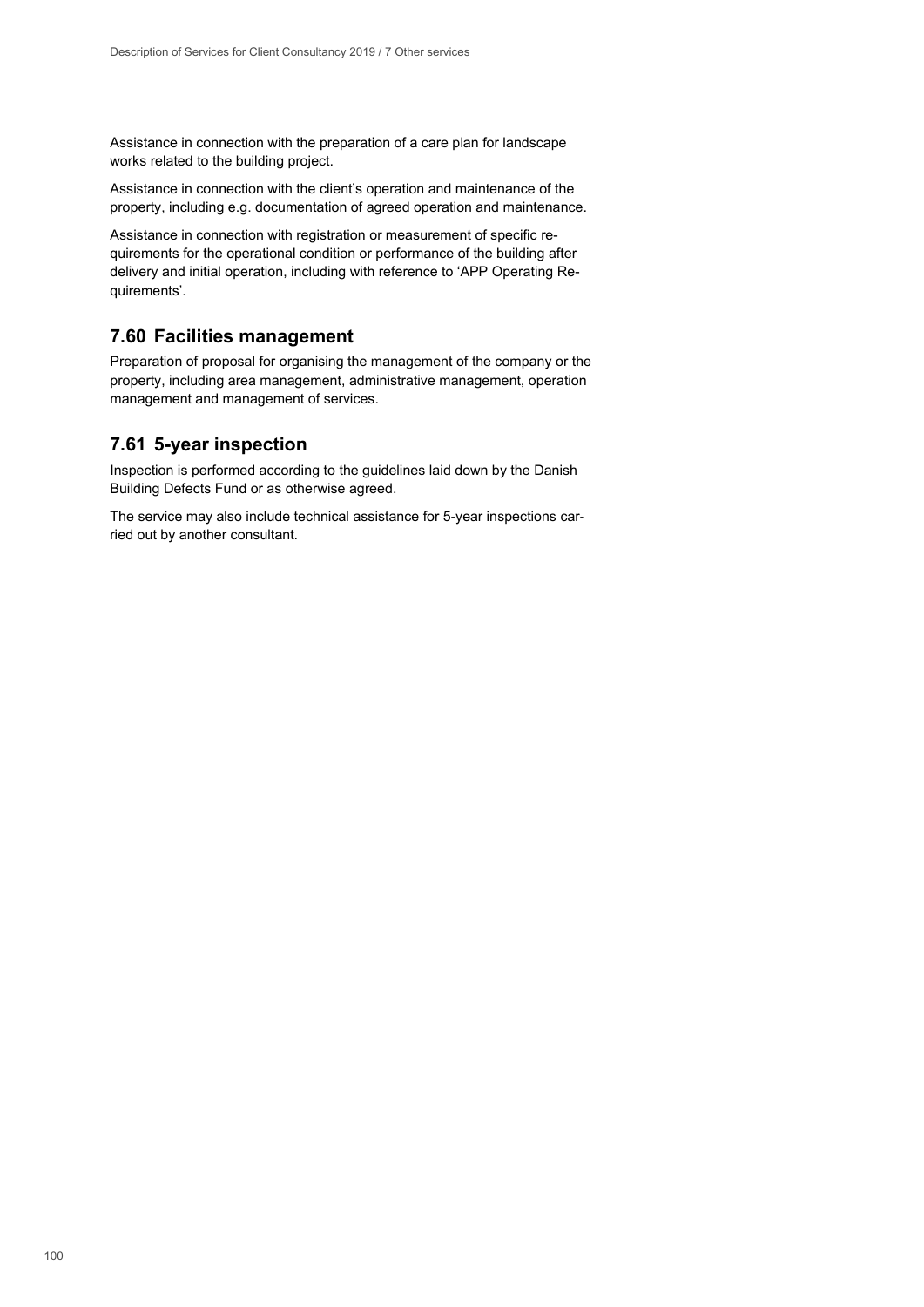Assistance in connection with the preparation of a care plan for landscape works related to the building project.

Assistance in connection with the client's operation and maintenance of the property, including e.g. documentation of agreed operation and maintenance.

Assistance in connection with registration or measurement of specific requirements for the operational condition or performance of the building after delivery and initial operation, including with reference to 'APP Operating Requirements'.

### 7.60 Facilities management

Preparation of proposal for organising the management of the company or the property, including area management, administrative management, operation management and management of services.

### 7.61 5-year inspection

Inspection is performed according to the guidelines laid down by the Danish Building Defects Fund or as otherwise agreed.

The service may also include technical assistance for 5-year inspections carried out by another consultant.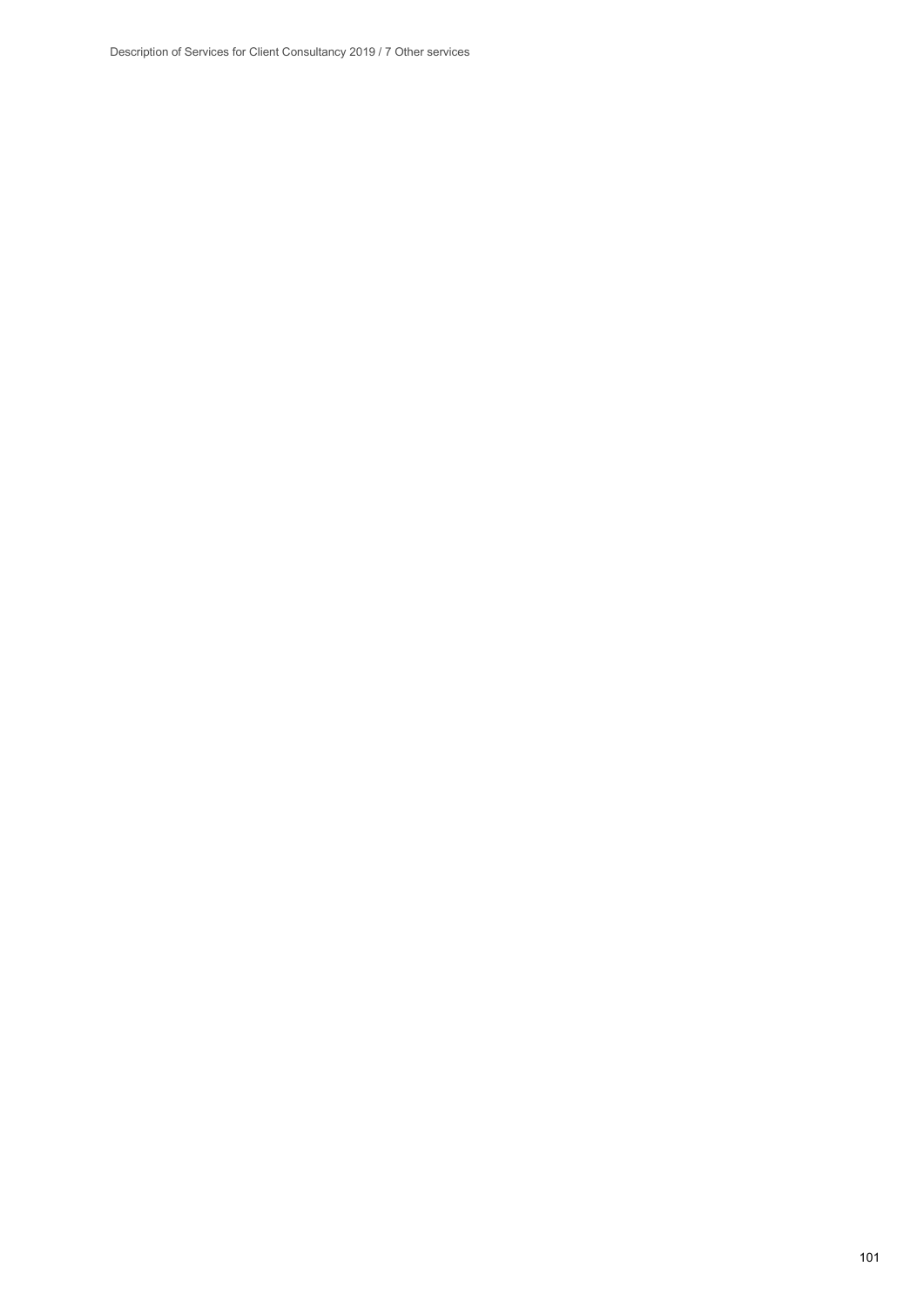Description of Services for Client Consultancy 2019 / 7 Other services